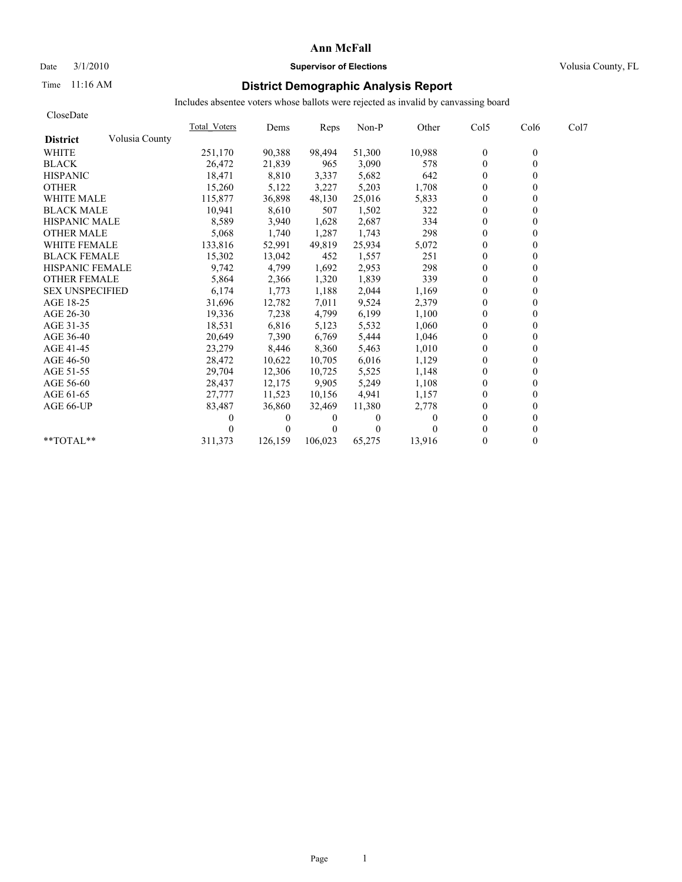## Date  $3/1/2010$  **Supervisor of Elections Supervisor of Elections** Volusia County, FL

## Time 11:16 AM **District Demographic Analysis Report**

| CloseDate              |                |                     |          |          |          |          |                |                  |      |
|------------------------|----------------|---------------------|----------|----------|----------|----------|----------------|------------------|------|
|                        |                | <b>Total Voters</b> | Dems     | Reps     | Non-P    | Other    | Col5           | Col <sub>6</sub> | Col7 |
| <b>District</b>        | Volusia County |                     |          |          |          |          |                |                  |      |
| <b>WHITE</b>           |                | 251,170             | 90,388   | 98,494   | 51,300   | 10,988   | $\bf{0}$       | $\mathbf{0}$     |      |
| <b>BLACK</b>           |                | 26,472              | 21,839   | 965      | 3,090    | 578      | $\mathbf{0}$   | 0                |      |
| <b>HISPANIC</b>        |                | 18,471              | 8,810    | 3,337    | 5,682    | 642      | $\overline{0}$ |                  |      |
| <b>OTHER</b>           |                | 15,260              | 5,122    | 3,227    | 5,203    | 1,708    | $\theta$       |                  |      |
| <b>WHITE MALE</b>      |                | 115,877             | 36,898   | 48,130   | 25,016   | 5,833    | $\theta$       |                  |      |
| <b>BLACK MALE</b>      |                | 10,941              | 8,610    | 507      | 1,502    | 322      | $\mathbf{0}$   |                  |      |
| <b>HISPANIC MALE</b>   |                | 8,589               | 3,940    | 1,628    | 2,687    | 334      | $\theta$       |                  |      |
| <b>OTHER MALE</b>      |                | 5,068               | 1,740    | 1,287    | 1,743    | 298      | $\mathbf{0}$   |                  |      |
| <b>WHITE FEMALE</b>    |                | 133,816             | 52,991   | 49,819   | 25,934   | 5,072    | $\mathbf{0}$   |                  |      |
| <b>BLACK FEMALE</b>    |                | 15,302              | 13,042   | 452      | 1,557    | 251      | $\overline{0}$ |                  |      |
| HISPANIC FEMALE        |                | 9,742               | 4,799    | 1,692    | 2,953    | 298      | $\theta$       |                  |      |
| <b>OTHER FEMALE</b>    |                | 5,864               | 2,366    | 1,320    | 1,839    | 339      | $\theta$       |                  |      |
| <b>SEX UNSPECIFIED</b> |                | 6,174               | 1,773    | 1,188    | 2,044    | 1,169    | $\theta$       |                  |      |
| AGE 18-25              |                | 31,696              | 12,782   | 7,011    | 9,524    | 2,379    | $\theta$       |                  |      |
| AGE 26-30              |                | 19,336              | 7,238    | 4,799    | 6,199    | 1,100    | $\theta$       |                  |      |
| AGE 31-35              |                | 18,531              | 6,816    | 5,123    | 5,532    | 1,060    | $\theta$       |                  |      |
| AGE 36-40              |                | 20,649              | 7,390    | 6,769    | 5,444    | 1,046    | $\Omega$       |                  |      |
| AGE 41-45              |                | 23,279              | 8,446    | 8,360    | 5,463    | 1,010    | $\theta$       |                  |      |
| AGE 46-50              |                | 28,472              | 10,622   | 10,705   | 6,016    | 1,129    | $\mathbf{0}$   |                  |      |
| AGE 51-55              |                | 29,704              | 12,306   | 10,725   | 5,525    | 1,148    | $\theta$       |                  |      |
| AGE 56-60              |                | 28,437              | 12,175   | 9.905    | 5,249    | 1,108    | $\theta$       |                  |      |
| AGE 61-65              |                | 27,777              | 11,523   | 10,156   | 4,941    | 1,157    | $\mathbf{0}$   |                  |      |
| AGE 66-UP              |                | 83,487              | 36,860   | 32,469   | 11,380   | 2,778    | $\theta$       |                  |      |
|                        |                | 0                   | $\theta$ | $\bf{0}$ | $\theta$ | $\theta$ | $\theta$       |                  |      |
|                        |                |                     | $\Omega$ | $\Omega$ | $\Omega$ |          | $\Omega$       |                  |      |
| **TOTAL**              |                | 311,373             | 126,159  | 106,023  | 65,275   | 13,916   | $\mathbf{0}$   | 0                |      |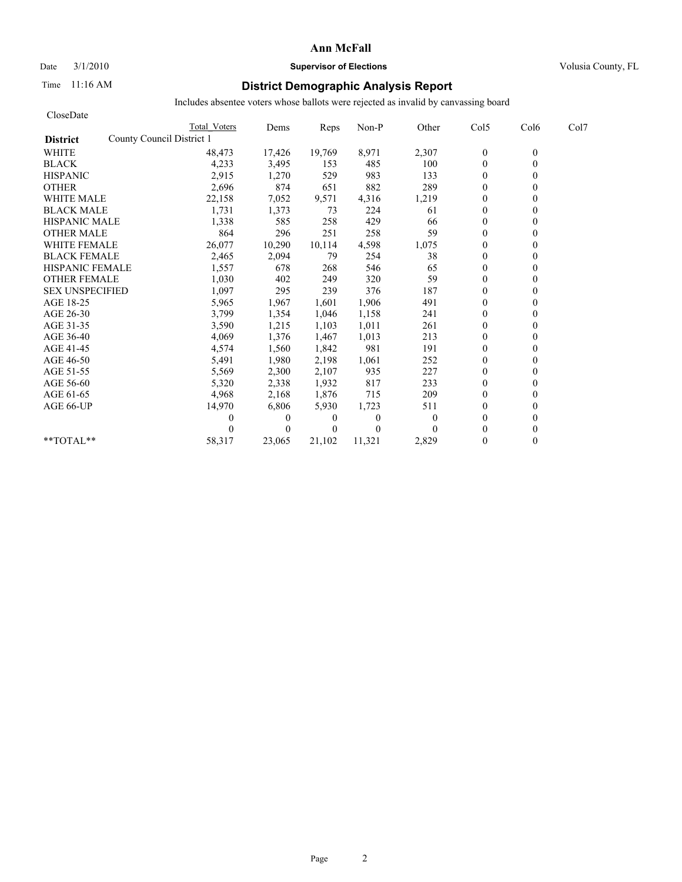### Date  $3/1/2010$  **Supervisor of Elections Supervisor of Elections** Volusia County, FL

## Time 11:16 AM **District Demographic Analysis Report**

| CloseDate              |                           |          |                |          |          |                |              |      |
|------------------------|---------------------------|----------|----------------|----------|----------|----------------|--------------|------|
|                        | Total Voters              | Dems     | Reps           | Non-P    | Other    | Col5           | Col6         | Col7 |
| <b>District</b>        | County Council District 1 |          |                |          |          |                |              |      |
| <b>WHITE</b>           | 48,473                    | 17,426   | 19,769         | 8,971    | 2,307    | $\mathbf{0}$   | $\mathbf{0}$ |      |
| <b>BLACK</b>           | 4,233                     | 3,495    | 153            | 485      | 100      | $\mathbf{0}$   | $\theta$     |      |
| <b>HISPANIC</b>        | 2,915                     | 1,270    | 529            | 983      | 133      | $\theta$       |              |      |
| <b>OTHER</b>           | 2,696                     | 874      | 651            | 882      | 289      | $\theta$       |              |      |
| <b>WHITE MALE</b>      | 22,158                    | 7,052    | 9,571          | 4,316    | 1,219    | $\mathbf{0}$   |              |      |
| <b>BLACK MALE</b>      | 1,731                     | 1,373    | 73             | 224      | 61       | $\theta$       |              |      |
| <b>HISPANIC MALE</b>   | 1,338                     | 585      | 258            | 429      | 66       | $\mathbf{0}$   |              |      |
| <b>OTHER MALE</b>      | 864                       | 296      | 251            | 258      | 59       | $\theta$       |              |      |
| <b>WHITE FEMALE</b>    | 26,077                    | 10,290   | 10,114         | 4,598    | 1,075    | $\Omega$       |              |      |
| <b>BLACK FEMALE</b>    | 2,465                     | 2,094    | 79             | 254      | 38       | $\mathbf{0}$   |              |      |
| <b>HISPANIC FEMALE</b> | 1,557                     | 678      | 268            | 546      | 65       | $\Omega$       |              |      |
| <b>OTHER FEMALE</b>    | 1,030                     | 402      | 249            | 320      | 59       | $\mathbf{0}$   |              |      |
| <b>SEX UNSPECIFIED</b> | 1,097                     | 295      | 239            | 376      | 187      | $\theta$       |              |      |
| AGE 18-25              | 5,965                     | 1,967    | 1,601          | 1,906    | 491      | $\theta$       |              |      |
| AGE 26-30              | 3,799                     | 1,354    | 1.046          | 1,158    | 241      | $\theta$       |              |      |
| AGE 31-35              | 3,590                     | 1,215    | 1,103          | 1,011    | 261      | $\theta$       |              |      |
| AGE 36-40              | 4,069                     | 1,376    | 1,467          | 1,013    | 213      | $\theta$       |              |      |
| AGE 41-45              | 4,574                     | 1,560    | 1,842          | 981      | 191      | $\overline{0}$ |              |      |
| AGE 46-50              | 5,491                     | 1,980    | 2,198          | 1,061    | 252      | $\mathbf{0}$   |              |      |
| AGE 51-55              | 5,569                     | 2,300    | 2,107          | 935      | 227      | $\overline{0}$ |              |      |
| AGE 56-60              | 5,320                     | 2,338    | 1,932          | 817      | 233      | $\theta$       |              |      |
| AGE 61-65              | 4,968                     | 2,168    | 1,876          | 715      | 209      | $\mathbf{0}$   |              |      |
| AGE 66-UP              | 14,970                    | 6,806    | 5,930          | 1,723    | 511      | $\theta$       |              |      |
|                        | 0                         | $\theta$ | $\overline{0}$ | $\Omega$ | $\Omega$ | $\theta$       |              |      |
|                        |                           | $\theta$ | $\theta$       | $\Omega$ |          | $\theta$       |              |      |
| $*$ $TOTAI.**$         | 58,317                    | 23,065   | 21,102         | 11,321   | 2,829    | $\theta$       |              |      |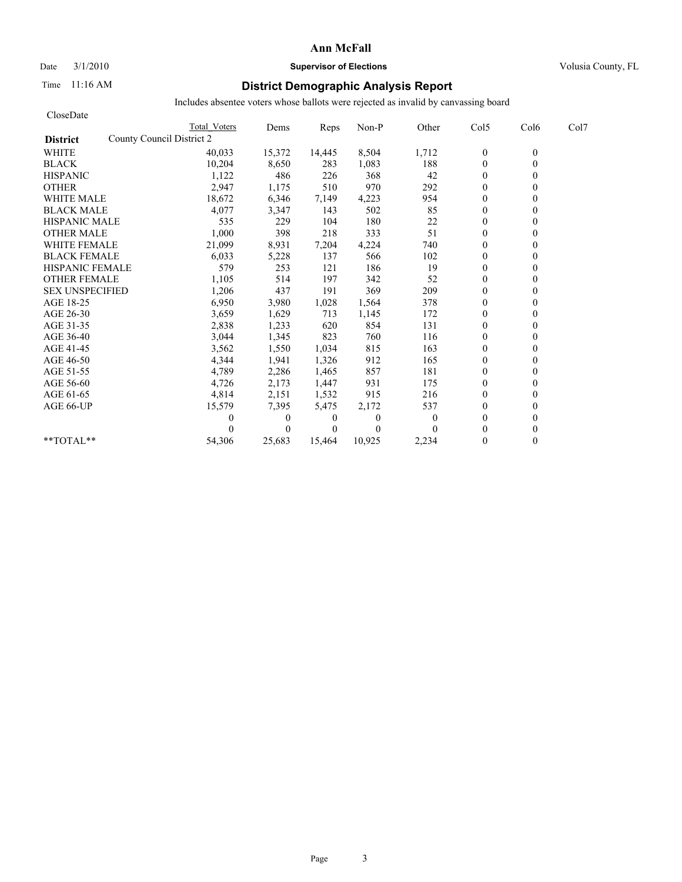# Date  $3/1/2010$  **Supervisor of Elections Supervisor of Elections** Volusia County, FL

## Time 11:16 AM **District Demographic Analysis Report**

| CloseDate                                    |              |              |          |              |              |                  |          |      |
|----------------------------------------------|--------------|--------------|----------|--------------|--------------|------------------|----------|------|
|                                              | Total Voters | Dems         | Reps     | Non-P        | Other        | Col5             | Col6     | Col7 |
| County Council District 2<br><b>District</b> |              |              |          |              |              |                  |          |      |
| <b>WHITE</b>                                 | 40,033       | 15,372       | 14,445   | 8,504        | 1,712        | $\boldsymbol{0}$ | $\theta$ |      |
| <b>BLACK</b>                                 | 10,204       | 8,650        | 283      | 1,083        | 188          | $\mathbf{0}$     | 0        |      |
| <b>HISPANIC</b>                              | 1,122        | 486          | 226      | 368          | 42           | $\mathbf{0}$     |          |      |
| <b>OTHER</b>                                 | 2,947        | 1,175        | 510      | 970          | 292          | $\theta$         |          |      |
| <b>WHITE MALE</b>                            | 18,672       | 6,346        | 7,149    | 4,223        | 954          | $\theta$         |          |      |
| <b>BLACK MALE</b>                            | 4,077        | 3,347        | 143      | 502          | 85           | $\mathbf{0}$     |          |      |
| <b>HISPANIC MALE</b>                         | 535          | 229          | 104      | 180          | 22           | $\theta$         |          |      |
| <b>OTHER MALE</b>                            | 1,000        | 398          | 218      | 333          | 51           | $\mathbf{0}$     |          |      |
| <b>WHITE FEMALE</b>                          | 21,099       | 8,931        | 7,204    | 4,224        | 740          | $\theta$         |          |      |
| <b>BLACK FEMALE</b>                          | 6,033        | 5,228        | 137      | 566          | 102          | $\overline{0}$   |          |      |
| <b>HISPANIC FEMALE</b>                       | 579          | 253          | 121      | 186          | 19           | $\mathbf{0}$     |          |      |
| <b>OTHER FEMALE</b>                          | 1,105        | 514          | 197      | 342          | 52           | $\theta$         |          |      |
| <b>SEX UNSPECIFIED</b>                       | 1,206        | 437          | 191      | 369          | 209          | $\theta$         |          |      |
| AGE 18-25                                    | 6,950        | 3,980        | 1,028    | 1,564        | 378          | $\mathbf{0}$     |          |      |
| AGE 26-30                                    | 3,659        | 1,629        | 713      | 1,145        | 172          | $\mathbf{0}$     |          |      |
| AGE 31-35                                    | 2,838        | 1,233        | 620      | 854          | 131          | $\mathbf{0}$     |          |      |
| AGE 36-40                                    | 3,044        | 1,345        | 823      | 760          | 116          | $\mathbf{0}$     |          |      |
| AGE 41-45                                    | 3,562        | 1,550        | 1,034    | 815          | 163          | $\mathbf{0}$     |          |      |
| AGE 46-50                                    | 4,344        | 1,941        | 1,326    | 912          | 165          | $\theta$         |          |      |
| AGE 51-55                                    | 4,789        | 2,286        | 1,465    | 857          | 181          | $\mathbf{0}$     |          |      |
| AGE 56-60                                    | 4,726        | 2,173        | 1,447    | 931          | 175          | $\mathbf{0}$     |          |      |
| AGE 61-65                                    | 4,814        | 2,151        | 1,532    | 915          | 216          | $\theta$         |          |      |
| AGE 66-UP                                    | 15,579       | 7,395        | 5,475    | 2,172        | 537          | $\mathbf{0}$     |          |      |
|                                              | 0            | $\mathbf{0}$ | 0        | $\mathbf{0}$ | $\mathbf{0}$ | $\mathbf{0}$     |          |      |
|                                              |              | $\Omega$     | $\Omega$ | $\Omega$     | $\Omega$     | $\theta$         |          |      |
| **TOTAL**                                    | 54,306       | 25,683       | 15,464   | 10,925       | 2,234        | $\theta$         | 0        |      |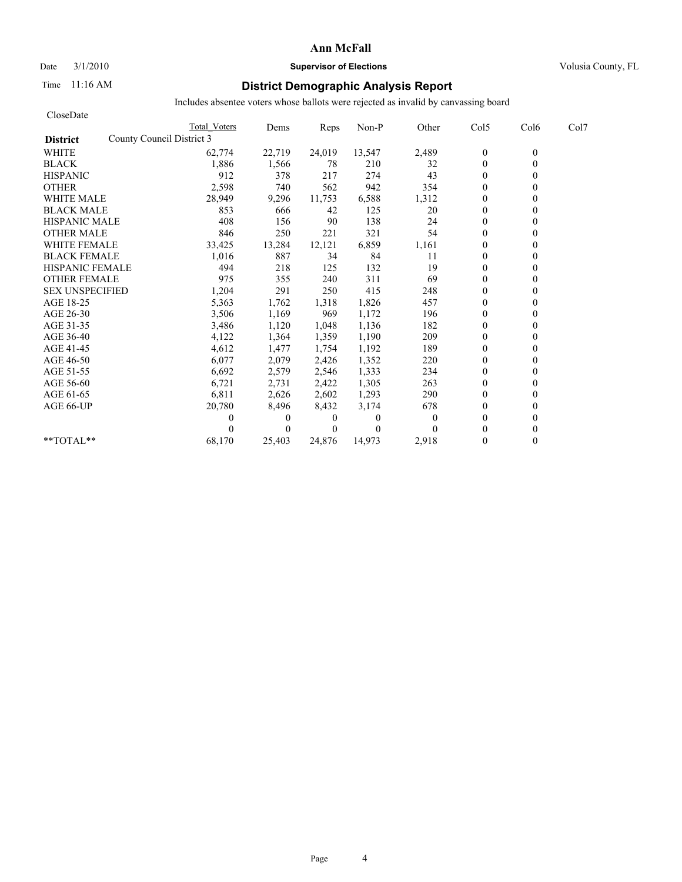# Date  $3/1/2010$  **Supervisor of Elections Supervisor of Elections** Volusia County, FL

## Time 11:16 AM **District Demographic Analysis Report**

| CloseDate                                    |              |          |          |              |          |                  |          |      |
|----------------------------------------------|--------------|----------|----------|--------------|----------|------------------|----------|------|
|                                              | Total Voters | Dems     | Reps     | Non-P        | Other    | Col5             | Col6     | Col7 |
| County Council District 3<br><b>District</b> |              |          |          |              |          |                  |          |      |
| <b>WHITE</b>                                 | 62,774       | 22,719   | 24,019   | 13,547       | 2,489    | $\boldsymbol{0}$ | $\theta$ |      |
| <b>BLACK</b>                                 | 1,886        | 1,566    | 78       | 210          | 32       | $\mathbf{0}$     | 0        |      |
| <b>HISPANIC</b>                              | 912          | 378      | 217      | 274          | 43       | $\mathbf{0}$     |          |      |
| <b>OTHER</b>                                 | 2,598        | 740      | 562      | 942          | 354      | $\theta$         |          |      |
| <b>WHITE MALE</b>                            | 28,949       | 9,296    | 11,753   | 6,588        | 1,312    | $\theta$         |          |      |
| <b>BLACK MALE</b>                            | 853          | 666      | 42       | 125          | 20       | $\mathbf{0}$     |          |      |
| <b>HISPANIC MALE</b>                         | 408          | 156      | 90       | 138          | 24       | $\theta$         |          |      |
| <b>OTHER MALE</b>                            | 846          | 250      | 221      | 321          | 54       | $\theta$         |          |      |
| <b>WHITE FEMALE</b>                          | 33,425       | 13,284   | 12,121   | 6,859        | 1,161    | $\theta$         |          |      |
| <b>BLACK FEMALE</b>                          | 1,016        | 887      | 34       | 84           | 11       | $\overline{0}$   |          |      |
| <b>HISPANIC FEMALE</b>                       | 494          | 218      | 125      | 132          | 19       | $\theta$         |          |      |
| <b>OTHER FEMALE</b>                          | 975          | 355      | 240      | 311          | 69       | $\theta$         |          |      |
| <b>SEX UNSPECIFIED</b>                       | 1,204        | 291      | 250      | 415          | 248      | $\theta$         |          |      |
| AGE 18-25                                    | 5,363        | 1,762    | 1,318    | 1,826        | 457      | $\mathbf{0}$     |          |      |
| AGE 26-30                                    | 3,506        | 1,169    | 969      | 1,172        | 196      | $\mathbf{0}$     |          |      |
| AGE 31-35                                    | 3,486        | 1,120    | 1,048    | 1,136        | 182      | $\mathbf{0}$     |          |      |
| AGE 36-40                                    | 4,122        | 1,364    | 1,359    | 1,190        | 209      | $\mathbf{0}$     |          |      |
| AGE 41-45                                    | 4,612        | 1,477    | 1,754    | 1,192        | 189      | $\mathbf{0}$     |          |      |
| AGE 46-50                                    | 6,077        | 2,079    | 2,426    | 1,352        | 220      | $\theta$         |          |      |
| AGE 51-55                                    | 6,692        | 2,579    | 2,546    | 1,333        | 234      | $\mathbf{0}$     |          |      |
| AGE 56-60                                    | 6,721        | 2,731    | 2,422    | 1,305        | 263      | $\mathbf{0}$     |          |      |
| AGE 61-65                                    | 6,811        | 2,626    | 2,602    | 1,293        | 290      | $\theta$         |          |      |
| AGE 66-UP                                    | 20,780       | 8,496    | 8,432    | 3,174        | 678      | $\theta$         |          |      |
|                                              | 0            | $\theta$ | 0        | $\mathbf{0}$ | $\Omega$ | $\mathbf{0}$     |          |      |
|                                              |              | $\theta$ | $\Omega$ | $\theta$     |          | $\theta$         |          |      |
| **TOTAL**                                    | 68,170       | 25,403   | 24,876   | 14,973       | 2,918    | $\theta$         | 0        |      |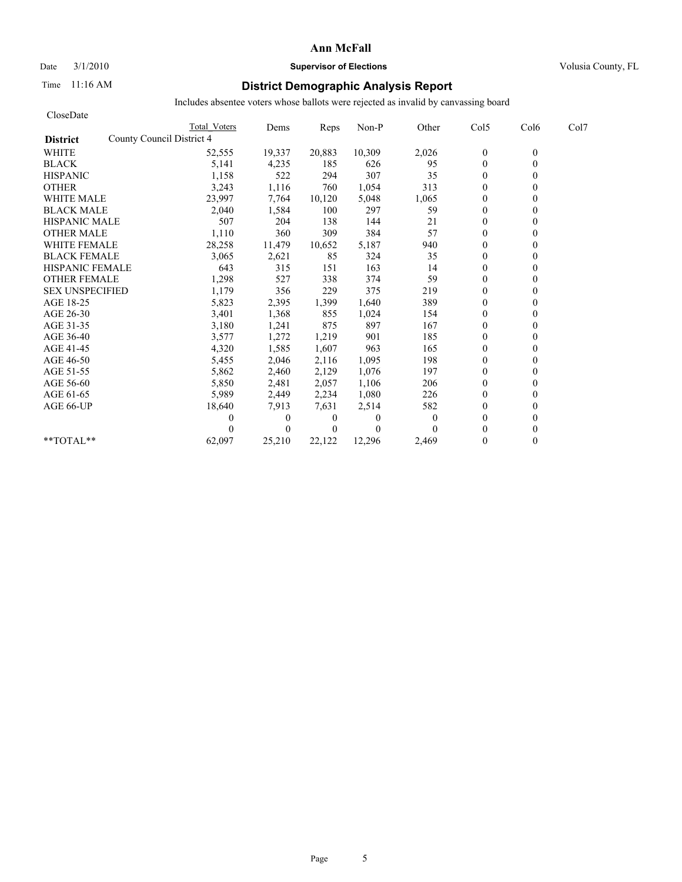# Date  $3/1/2010$  **Supervisor of Elections Supervisor of Elections** Volusia County, FL

## Time 11:16 AM **District Demographic Analysis Report**

| CloseDate                                    |              |              |                |          |              |                |              |      |
|----------------------------------------------|--------------|--------------|----------------|----------|--------------|----------------|--------------|------|
|                                              | Total Voters | Dems         | Reps           | Non-P    | Other        | Col5           | Col6         | Col7 |
| County Council District 4<br><b>District</b> |              |              |                |          |              |                |              |      |
| <b>WHITE</b>                                 | 52,555       | 19,337       | 20,883         | 10,309   | 2,026        | $\theta$       | $\mathbf{0}$ |      |
| <b>BLACK</b>                                 | 5,141        | 4,235        | 185            | 626      | 95           | $\mathbf{0}$   | 0            |      |
| <b>HISPANIC</b>                              | 1,158        | 522          | 294            | 307      | 35           | $\overline{0}$ |              |      |
| <b>OTHER</b>                                 | 3,243        | 1,116        | 760            | 1,054    | 313          | $\theta$       |              |      |
| <b>WHITE MALE</b>                            | 23,997       | 7,764        | 10,120         | 5,048    | 1,065        | $\theta$       |              |      |
| <b>BLACK MALE</b>                            | 2,040        | 1,584        | 100            | 297      | 59           | $\theta$       |              |      |
| <b>HISPANIC MALE</b>                         | 507          | 204          | 138            | 144      | 21           | $\mathbf{0}$   |              |      |
| <b>OTHER MALE</b>                            | 1,110        | 360          | 309            | 384      | 57           | $\mathbf{0}$   |              |      |
| <b>WHITE FEMALE</b>                          | 28,258       | 11,479       | 10,652         | 5,187    | 940          | $\theta$       |              |      |
| <b>BLACK FEMALE</b>                          | 3,065        | 2,621        | 85             | 324      | 35           | $\theta$       |              |      |
| <b>HISPANIC FEMALE</b>                       | 643          | 315          | 151            | 163      | 14           | $\theta$       |              |      |
| <b>OTHER FEMALE</b>                          | 1,298        | 527          | 338            | 374      | 59           | $\theta$       |              |      |
| <b>SEX UNSPECIFIED</b>                       | 1,179        | 356          | 229            | 375      | 219          | $\theta$       |              |      |
| AGE 18-25                                    | 5,823        | 2,395        | 1,399          | 1,640    | 389          | $\theta$       |              |      |
| AGE 26-30                                    | 3,401        | 1,368        | 855            | 1,024    | 154          | $\Omega$       |              |      |
| AGE 31-35                                    | 3,180        | 1,241        | 875            | 897      | 167          | $\mathbf{0}$   |              |      |
| AGE 36-40                                    | 3,577        | 1,272        | 1,219          | 901      | 185          | $\theta$       |              |      |
| AGE 41-45                                    | 4,320        | 1,585        | 1,607          | 963      | 165          | $\mathbf{0}$   |              |      |
| AGE 46-50                                    | 5,455        | 2,046        | 2,116          | 1,095    | 198          | $\theta$       |              |      |
| AGE 51-55                                    | 5,862        | 2,460        | 2,129          | 1,076    | 197          | $\mathbf{0}$   |              |      |
| AGE 56-60                                    | 5,850        | 2,481        | 2,057          | 1,106    | 206          | $\overline{0}$ |              |      |
| AGE 61-65                                    | 5,989        | 2,449        | 2,234          | 1,080    | 226          | $\mathbf{0}$   |              |      |
| AGE 66-UP                                    | 18,640       | 7,913        | 7,631          | 2,514    | 582          | $\Omega$       |              |      |
|                                              | 0            | $\mathbf{0}$ | $\overline{0}$ | $\Omega$ | $\mathbf{0}$ | $\theta$       |              |      |
|                                              |              | $\theta$     | $\theta$       | $\Omega$ |              | $\theta$       |              |      |
| **TOTAL**                                    | 62,097       | 25,210       | 22,122         | 12,296   | 2,469        | $\theta$       | 0            |      |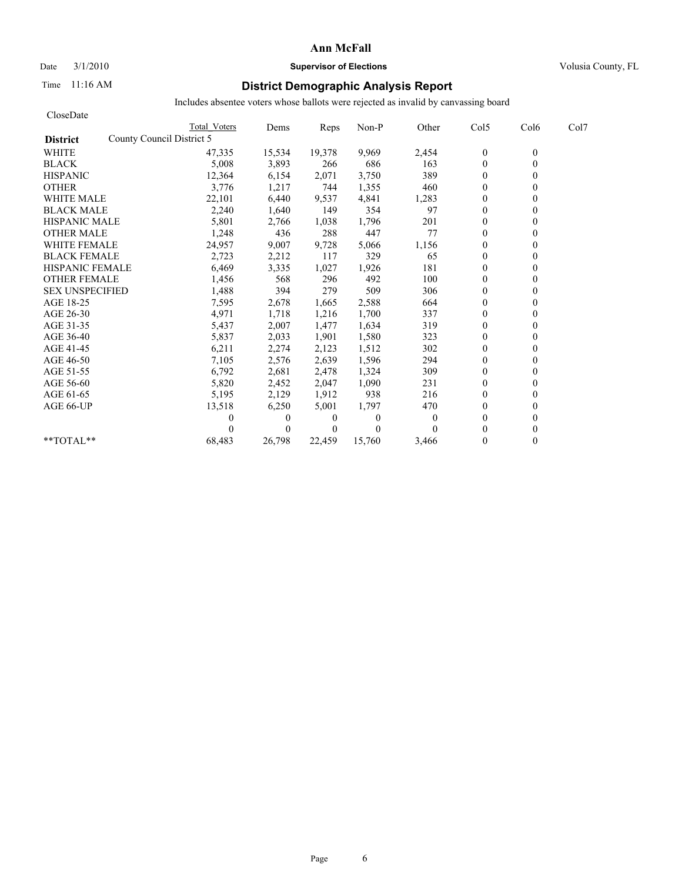## Date  $3/1/2010$  **Supervisor of Elections Supervisor of Elections** Volusia County, FL

## Time 11:16 AM **District Demographic Analysis Report**

| CloseDate              |                           |              |              |                |          |              |                |                  |      |
|------------------------|---------------------------|--------------|--------------|----------------|----------|--------------|----------------|------------------|------|
|                        |                           | Total Voters | Dems         | Reps           | Non-P    | Other        | Col5           | Col <sub>6</sub> | Col7 |
| <b>District</b>        | County Council District 5 |              |              |                |          |              |                |                  |      |
| <b>WHITE</b>           |                           | 47,335       | 15,534       | 19,378         | 9,969    | 2,454        | $\theta$       | $\mathbf{0}$     |      |
| <b>BLACK</b>           |                           | 5,008        | 3,893        | 266            | 686      | 163          | $\mathbf{0}$   | 0                |      |
| <b>HISPANIC</b>        |                           | 12,364       | 6,154        | 2,071          | 3,750    | 389          | $\overline{0}$ |                  |      |
| <b>OTHER</b>           |                           | 3,776        | 1,217        | 744            | 1,355    | 460          | $\theta$       |                  |      |
| <b>WHITE MALE</b>      |                           | 22,101       | 6,440        | 9,537          | 4,841    | 1,283        | $\theta$       |                  |      |
| <b>BLACK MALE</b>      |                           | 2,240        | 1,640        | 149            | 354      | 97           | $\theta$       |                  |      |
| <b>HISPANIC MALE</b>   |                           | 5,801        | 2,766        | 1,038          | 1,796    | 201          | $\mathbf{0}$   |                  |      |
| <b>OTHER MALE</b>      |                           | 1,248        | 436          | 288            | 447      | 77           | $\mathbf{0}$   |                  |      |
| <b>WHITE FEMALE</b>    |                           | 24,957       | 9,007        | 9,728          | 5,066    | 1,156        | $\theta$       |                  |      |
| <b>BLACK FEMALE</b>    |                           | 2,723        | 2,212        | 117            | 329      | 65           | $\theta$       |                  |      |
| <b>HISPANIC FEMALE</b> |                           | 6,469        | 3,335        | 1,027          | 1,926    | 181          | $\theta$       |                  |      |
| <b>OTHER FEMALE</b>    |                           | 1,456        | 568          | 296            | 492      | 100          | $\overline{0}$ |                  |      |
| <b>SEX UNSPECIFIED</b> |                           | 1,488        | 394          | 279            | 509      | 306          | $\theta$       |                  |      |
| AGE 18-25              |                           | 7,595        | 2,678        | 1,665          | 2,588    | 664          | $\theta$       |                  |      |
| AGE 26-30              |                           | 4,971        | 1,718        | 1,216          | 1,700    | 337          | $\mathbf{0}$   |                  |      |
| AGE 31-35              |                           | 5,437        | 2,007        | 1,477          | 1,634    | 319          | $\mathbf{0}$   |                  |      |
| AGE 36-40              |                           | 5,837        | 2,033        | 1,901          | 1,580    | 323          | $\theta$       |                  |      |
| AGE 41-45              |                           | 6,211        | 2,274        | 2,123          | 1,512    | 302          | $\mathbf{0}$   |                  |      |
| AGE 46-50              |                           | 7,105        | 2,576        | 2,639          | 1,596    | 294          | $\theta$       |                  |      |
| AGE 51-55              |                           | 6,792        | 2,681        | 2,478          | 1,324    | 309          | $\mathbf{0}$   |                  |      |
| AGE 56-60              |                           | 5,820        | 2,452        | 2,047          | 1,090    | 231          | $\overline{0}$ |                  |      |
| AGE 61-65              |                           | 5,195        | 2,129        | 1,912          | 938      | 216          | $\mathbf{0}$   |                  |      |
| AGE 66-UP              |                           | 13,518       | 6,250        | 5,001          | 1,797    | 470          | $\Omega$       |                  |      |
|                        |                           | 0            | $\mathbf{0}$ | $\overline{0}$ | $\Omega$ | $\mathbf{0}$ | $\theta$       |                  |      |
|                        |                           |              | $\theta$     | $\theta$       | $\theta$ |              | $\theta$       |                  |      |
| $*$ TOTAL $*$          |                           | 68,483       | 26,798       | 22,459         | 15,760   | 3,466        | $\theta$       | 0                |      |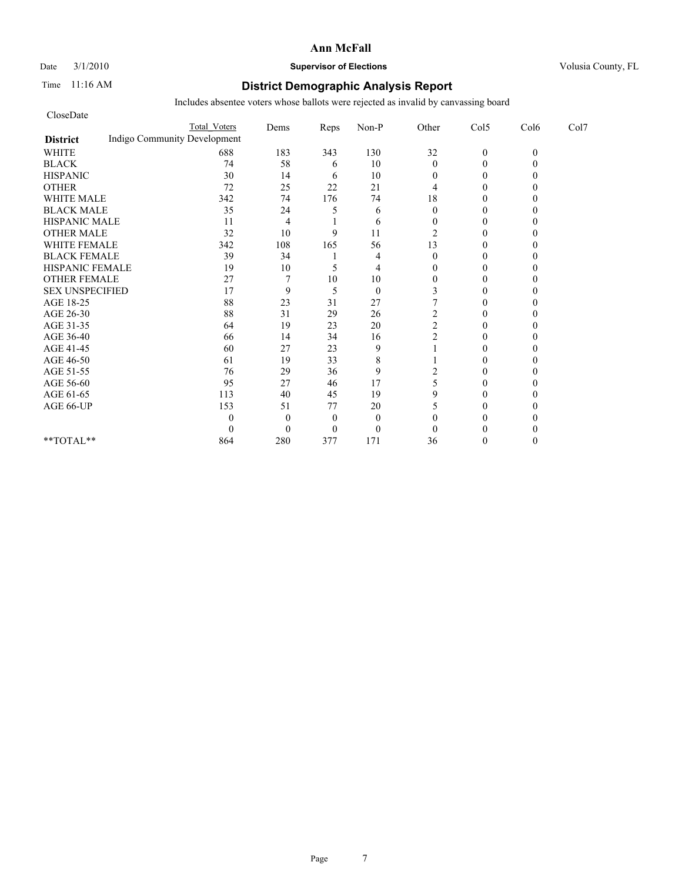### Date  $3/1/2010$  **Supervisor of Elections Supervisor of Elections** Volusia County, FL

## Time 11:16 AM **District Demographic Analysis Report**

| CloseDate              |                              |                |                |              |                |                |          |      |
|------------------------|------------------------------|----------------|----------------|--------------|----------------|----------------|----------|------|
|                        | <b>Total Voters</b>          | Dems           | Reps           | Non-P        | Other          | Col5           | Col6     | Col7 |
| <b>District</b>        | Indigo Community Development |                |                |              |                |                |          |      |
| <b>WHITE</b>           | 688                          | 183            | 343            | 130          | 32             | $\mathbf{0}$   | $\theta$ |      |
| <b>BLACK</b>           | 74                           | 58             | 6              | 10           | $\mathbf{0}$   | $\theta$       |          |      |
| <b>HISPANIC</b>        | 30                           | 14             | 6              | 10           | 0              | $\overline{0}$ |          |      |
| <b>OTHER</b>           | 72                           | 25             | 22             | 21           | 4              | $\theta$       |          |      |
| <b>WHITE MALE</b>      | 342                          | 74             | 176            | 74           | 18             | $\theta$       |          |      |
| <b>BLACK MALE</b>      | 35                           | 24             | 5              | 6            | $\theta$       | $\theta$       |          |      |
| <b>HISPANIC MALE</b>   | 11                           | 4              |                | 6            | $\Omega$       | $\theta$       |          |      |
| <b>OTHER MALE</b>      | 32                           | 10             | 9              | 11           | 2              | $\overline{0}$ |          |      |
| <b>WHITE FEMALE</b>    | 342                          | 108            | 165            | 56           | 13             | $\theta$       |          |      |
| <b>BLACK FEMALE</b>    | 39                           | 34             |                | 4            | $\theta$       | $\Omega$       |          |      |
| HISPANIC FEMALE        | 19                           | 10             | 5              | 4            | $\Omega$       | $\Omega$       |          |      |
| <b>OTHER FEMALE</b>    | 27                           | $\overline{7}$ | 10             | 10           | $\overline{0}$ | $\Omega$       |          |      |
| <b>SEX UNSPECIFIED</b> | 17                           | 9              | 5              | $\mathbf{0}$ |                | $\theta$       |          |      |
| AGE 18-25              | 88                           | 23             | 31             | 27           |                | $\theta$       |          |      |
| AGE 26-30              | 88                           | 31             | 29             | 26           | 2              | 0              |          |      |
| AGE 31-35              | 64                           | 19             | 23             | 20           | $\overline{c}$ | $\Omega$       |          |      |
| AGE 36-40              | 66                           | 14             | 34             | 16           | $\overline{c}$ | $\Omega$       |          |      |
| AGE 41-45              | 60                           | 27             | 23             | 9            |                | $\theta$       |          |      |
| AGE 46-50              | 61                           | 19             | 33             | 8            |                | $\theta$       |          |      |
| AGE 51-55              | 76                           | 29             | 36             | 9            | 2              | $\Omega$       |          |      |
| AGE 56-60              | 95                           | 27             | 46             | 17           | 5              | $\overline{0}$ |          |      |
| AGE 61-65              | 113                          | 40             | 45             | 19           | 9              | $\theta$       |          |      |
| AGE 66-UP              | 153                          | 51             | 77             | 20           | 5              | $\Omega$       |          |      |
|                        | 0                            | $\Omega$       | $\theta$       | $\mathbf{0}$ | $\Omega$       | 0              |          |      |
|                        | 0                            | $\Omega$       | $\overline{0}$ | $\mathbf{0}$ | $\theta$       | 0              |          |      |
| **TOTAL**              | 864                          | 280            | 377            | 171          | 36             | $\Omega$       |          |      |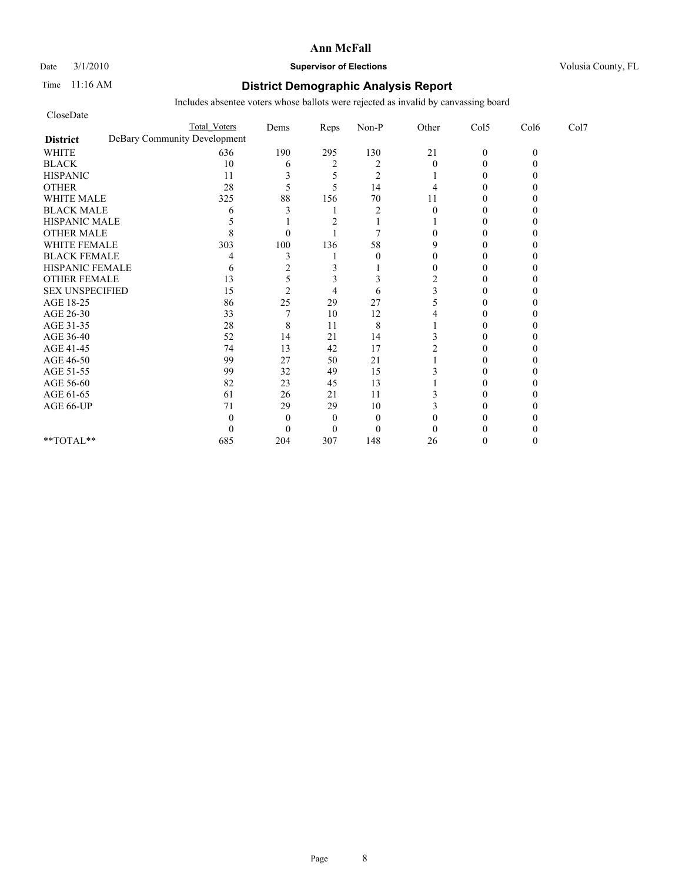#### Date  $3/1/2010$  **Supervisor of Elections Supervisor of Elections** Volusia County, FL

## Time 11:16 AM **District Demographic Analysis Report**

| CloseDate              |                              |                |                |                |                |              |          |      |
|------------------------|------------------------------|----------------|----------------|----------------|----------------|--------------|----------|------|
|                        | <b>Total Voters</b>          | Dems           | Reps           | Non-P          | Other          | Col5         | Col6     | Col7 |
| <b>District</b>        | DeBary Community Development |                |                |                |                |              |          |      |
| <b>WHITE</b>           | 636                          | 190            | 295            | 130            | 21             | $\mathbf{0}$ | $\theta$ |      |
| <b>BLACK</b>           | 10                           | 6              | $\overline{2}$ | $\overline{2}$ | $\theta$       | $\Omega$     |          |      |
| <b>HISPANIC</b>        | 11                           | 3              |                | $\overline{2}$ |                | $\theta$     |          |      |
| <b>OTHER</b>           | 28                           | 5              | 5              | 14             | 4              | $\Omega$     |          |      |
| <b>WHITE MALE</b>      | 325                          | 88             | 156            | 70             | 11             | $\Omega$     |          |      |
| <b>BLACK MALE</b>      | 6                            |                |                | $\overline{2}$ | $\theta$       | 0            |          |      |
| <b>HISPANIC MALE</b>   |                              |                |                |                |                | $\Omega$     |          |      |
| <b>OTHER MALE</b>      |                              | $\Omega$       |                | 7              | 0              | 0            |          |      |
| <b>WHITE FEMALE</b>    | 303                          | 100            | 136            | 58             | 9              | 0            |          |      |
| <b>BLACK FEMALE</b>    |                              | 3              |                | $\theta$       | 0              | 0            |          |      |
| HISPANIC FEMALE        | 6                            | 2              | 3              |                | 0              | $\Omega$     |          |      |
| <b>OTHER FEMALE</b>    | 13                           | 5              |                | 3              | $\overline{2}$ | 0            |          |      |
| <b>SEX UNSPECIFIED</b> | 15                           | $\overline{2}$ | 4              | 6              |                | 0            |          |      |
| AGE 18-25              | 86                           | 25             | 29             | 27             |                | 0            |          |      |
| AGE 26-30              | 33                           |                | 10             | 12             |                | 0            |          |      |
| AGE 31-35              | 28                           | 8              | 11             | 8              |                | 0            |          |      |
| AGE 36-40              | 52                           | 14             | 21             | 14             |                | 0            |          |      |
| AGE 41-45              | 74                           | 13             | 42             | 17             |                | $\Omega$     |          |      |
| AGE 46-50              | 99                           | 27             | 50             | 21             |                | $\theta$     |          |      |
| AGE 51-55              | 99                           | 32             | 49             | 15             |                | 0            |          |      |
| AGE 56-60              | 82                           | 23             | 45             | 13             |                | 0            |          |      |
| AGE 61-65              | 61                           | 26             | 21             | 11             |                | 0            |          |      |
| AGE 66-UP              | 71                           | 29             | 29             | 10             |                | 0            |          |      |
|                        | 0                            | $\Omega$       | $\Omega$       | $\mathbf{0}$   |                |              |          |      |
|                        | 0                            | $\Omega$       | $\Omega$       | $\theta$       | 0              | 0            |          |      |
| **TOTAL**              | 685                          | 204            | 307            | 148            | 26             | 0            |          |      |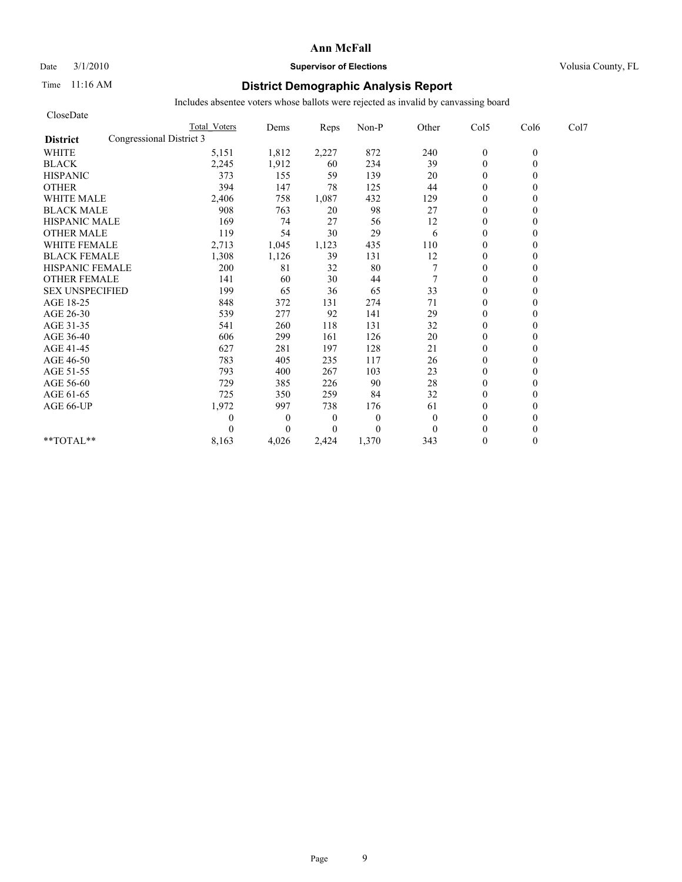## Date  $3/1/2010$  **Supervisor of Elections Supervisor of Elections** Volusia County, FL

## Time 11:16 AM **District Demographic Analysis Report**

| CloseDate              |                          |                     |              |                  |          |                |                  |          |      |
|------------------------|--------------------------|---------------------|--------------|------------------|----------|----------------|------------------|----------|------|
|                        |                          | <b>Total Voters</b> | Dems         | Reps             | Non-P    | Other          | Col5             | Col6     | Col7 |
| <b>District</b>        | Congressional District 3 |                     |              |                  |          |                |                  |          |      |
| <b>WHITE</b>           |                          | 5,151               | 1,812        | 2,227            | 872      | 240            | $\boldsymbol{0}$ | $\theta$ |      |
| <b>BLACK</b>           |                          | 2,245               | 1,912        | 60               | 234      | 39             | $\theta$         | 0        |      |
| <b>HISPANIC</b>        |                          | 373                 | 155          | 59               | 139      | 20             | $\theta$         |          |      |
| <b>OTHER</b>           |                          | 394                 | 147          | 78               | 125      | 44             | $\theta$         |          |      |
| <b>WHITE MALE</b>      |                          | 2,406               | 758          | 1,087            | 432      | 129            | $\theta$         |          |      |
| <b>BLACK MALE</b>      |                          | 908                 | 763          | 20               | 98       | 27             | $\mathbf{0}$     |          |      |
| <b>HISPANIC MALE</b>   |                          | 169                 | 74           | 27               | 56       | 12             | $\theta$         |          |      |
| <b>OTHER MALE</b>      |                          | 119                 | 54           | 30               | 29       | 6              | $\mathbf{0}$     |          |      |
| <b>WHITE FEMALE</b>    |                          | 2,713               | 1,045        | 1,123            | 435      | 110            | $\theta$         |          |      |
| <b>BLACK FEMALE</b>    |                          | 1,308               | 1,126        | 39               | 131      | 12             | $\overline{0}$   |          |      |
| HISPANIC FEMALE        |                          | 200                 | 81           | 32               | 80       |                | $\theta$         |          |      |
| <b>OTHER FEMALE</b>    |                          | 141                 | 60           | 30               | 44       | $\overline{7}$ | $\theta$         |          |      |
| <b>SEX UNSPECIFIED</b> |                          | 199                 | 65           | 36               | 65       | 33             | $\theta$         |          |      |
| AGE 18-25              |                          | 848                 | 372          | 131              | 274      | 71             | $\mathbf{0}$     |          |      |
| AGE 26-30              |                          | 539                 | 277          | 92               | 141      | 29             | $\mathbf{0}$     |          |      |
| AGE 31-35              |                          | 541                 | 260          | 118              | 131      | 32             | $\mathbf{0}$     |          |      |
| AGE 36-40              |                          | 606                 | 299          | 161              | 126      | 20             | $\mathbf{0}$     |          |      |
| AGE 41-45              |                          | 627                 | 281          | 197              | 128      | 21             | $\mathbf{0}$     |          |      |
| AGE 46-50              |                          | 783                 | 405          | 235              | 117      | 26             | $\theta$         |          |      |
| AGE 51-55              |                          | 793                 | 400          | 267              | 103      | 23             | $\mathbf{0}$     |          |      |
| AGE 56-60              |                          | 729                 | 385          | 226              | 90       | 28             | $\mathbf{0}$     |          |      |
| AGE 61-65              |                          | 725                 | 350          | 259              | 84       | 32             | $\theta$         |          |      |
| AGE 66-UP              |                          | 1,972               | 997          | 738              | 176      | 61             | $\mathbf{0}$     |          |      |
|                        |                          | 0                   | $\mathbf{0}$ | $\boldsymbol{0}$ | $\theta$ | $\mathbf{0}$   | $\mathbf{0}$     |          |      |
|                        |                          | 0                   | $\Omega$     | $\Omega$         | $\theta$ | $\theta$       | $\theta$         |          |      |
| **TOTAL**              |                          | 8,163               | 4,026        | 2.424            | 1,370    | 343            | $\theta$         | 0        |      |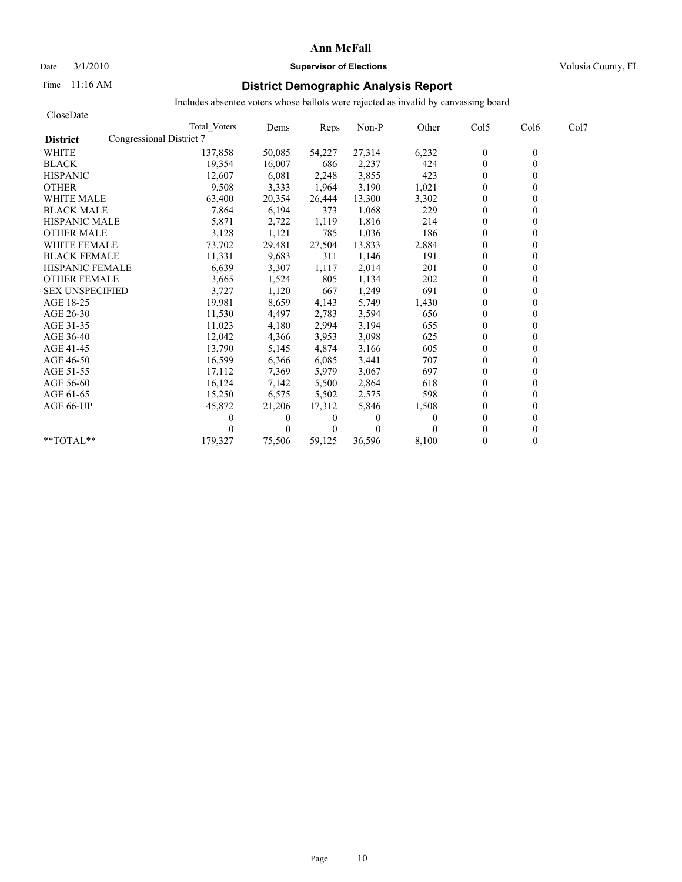# Date  $3/1/2010$  **Supervisor of Elections Supervisor of Elections** Volusia County, FL

# Time 11:16 AM **District Demographic Analysis Report**

| CloseDate                                   |              |              |          |          |          |                |                  |      |
|---------------------------------------------|--------------|--------------|----------|----------|----------|----------------|------------------|------|
|                                             | Total Voters | Dems         | Reps     | Non-P    | Other    | Col5           | Col <sub>6</sub> | Col7 |
| Congressional District 7<br><b>District</b> |              |              |          |          |          |                |                  |      |
| <b>WHITE</b>                                | 137,858      | 50,085       | 54,227   | 27,314   | 6,232    | $\mathbf{0}$   | $\mathbf{0}$     |      |
| <b>BLACK</b>                                | 19,354       | 16,007       | 686      | 2,237    | 424      | $\mathbf{0}$   | 0                |      |
| <b>HISPANIC</b>                             | 12,607       | 6,081        | 2,248    | 3,855    | 423      | $\mathbf{0}$   |                  |      |
| <b>OTHER</b>                                | 9,508        | 3,333        | 1,964    | 3,190    | 1,021    | $\theta$       |                  |      |
| <b>WHITE MALE</b>                           | 63,400       | 20,354       | 26,444   | 13,300   | 3,302    | $\theta$       |                  |      |
| <b>BLACK MALE</b>                           | 7,864        | 6,194        | 373      | 1,068    | 229      | $\mathbf{0}$   |                  |      |
| <b>HISPANIC MALE</b>                        | 5,871        | 2,722        | 1,119    | 1,816    | 214      | $\theta$       |                  |      |
| <b>OTHER MALE</b>                           | 3,128        | 1,121        | 785      | 1,036    | 186      | $\overline{0}$ |                  |      |
| <b>WHITE FEMALE</b>                         | 73,702       | 29,481       | 27,504   | 13,833   | 2,884    | $\theta$       |                  |      |
| <b>BLACK FEMALE</b>                         | 11,331       | 9,683        | 311      | 1,146    | 191      | $\overline{0}$ |                  |      |
| <b>HISPANIC FEMALE</b>                      | 6,639        | 3,307        | 1,117    | 2,014    | 201      | $\theta$       |                  |      |
| <b>OTHER FEMALE</b>                         | 3,665        | 1,524        | 805      | 1,134    | 202      | $\theta$       |                  |      |
| <b>SEX UNSPECIFIED</b>                      | 3,727        | 1,120        | 667      | 1,249    | 691      | $\theta$       |                  |      |
| AGE 18-25                                   | 19,981       | 8,659        | 4,143    | 5,749    | 1,430    | $\mathbf{0}$   |                  |      |
| AGE 26-30                                   | 11,530       | 4,497        | 2,783    | 3,594    | 656      | $\mathbf{0}$   |                  |      |
| AGE 31-35                                   | 11,023       | 4,180        | 2,994    | 3,194    | 655      | $\mathbf{0}$   |                  |      |
| AGE 36-40                                   | 12,042       | 4,366        | 3,953    | 3,098    | 625      | $\mathbf{0}$   |                  |      |
| AGE 41-45                                   | 13,790       | 5,145        | 4,874    | 3,166    | 605      | $\mathbf{0}$   |                  |      |
| AGE 46-50                                   | 16,599       | 6,366        | 6,085    | 3,441    | 707      | $\theta$       |                  |      |
| AGE 51-55                                   | 17,112       | 7,369        | 5,979    | 3,067    | 697      | $\mathbf{0}$   |                  |      |
| AGE 56-60                                   | 16,124       | 7,142        | 5,500    | 2,864    | 618      | $\mathbf{0}$   |                  |      |
| AGE 61-65                                   | 15,250       | 6,575        | 5,502    | 2,575    | 598      | $\theta$       |                  |      |
| AGE 66-UP                                   | 45,872       | 21,206       | 17,312   | 5,846    | 1,508    | $\theta$       |                  |      |
|                                             | 0            | $\mathbf{0}$ | 0        | 0        | $\Omega$ | $\theta$       |                  |      |
|                                             |              | $\Omega$     | $\Omega$ | $\theta$ | $\Omega$ | $\theta$       |                  |      |
| $*$ $TOTAI.**$                              | 179,327      | 75,506       | 59.125   | 36.596   | 8,100    | $\Omega$       | 0                |      |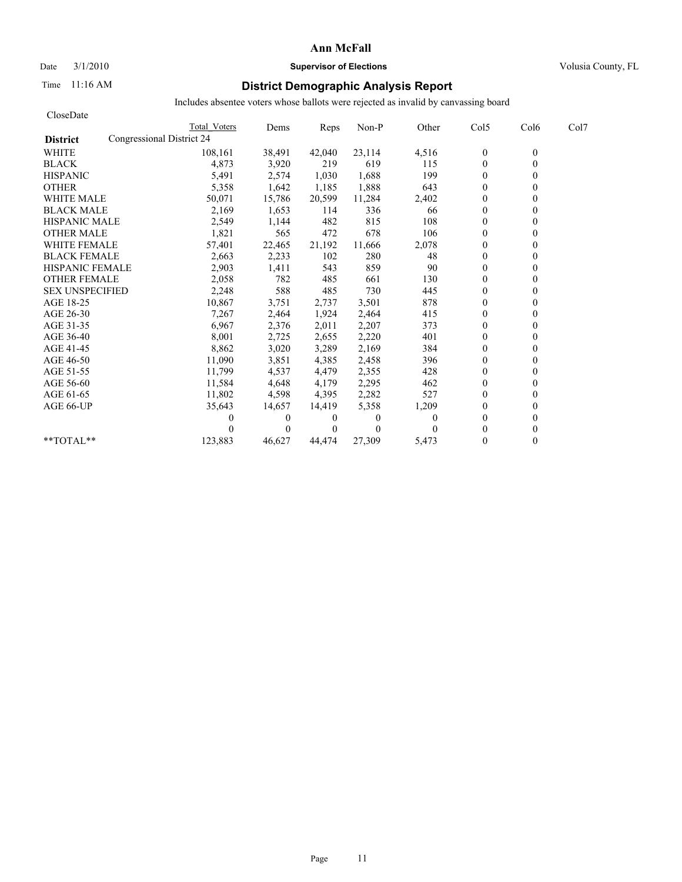## Date  $3/1/2010$  **Supervisor of Elections Supervisor of Elections** Volusia County, FL

## Time 11:16 AM **District Demographic Analysis Report**

| CloseDate              |                           |              |                |          |          |                |                  |      |
|------------------------|---------------------------|--------------|----------------|----------|----------|----------------|------------------|------|
|                        | Total Voters              | Dems         | Reps           | Non-P    | Other    | Col5           | Col <sub>6</sub> | Col7 |
| <b>District</b>        | Congressional District 24 |              |                |          |          |                |                  |      |
| <b>WHITE</b>           | 108,161                   | 38,491       | 42,040         | 23,114   | 4,516    | $\mathbf{0}$   | $\mathbf{0}$     |      |
| <b>BLACK</b>           | 4,873                     | 3,920        | 219            | 619      | 115      | $\mathbf{0}$   | 0                |      |
| <b>HISPANIC</b>        | 5,491                     | 2,574        | 1,030          | 1,688    | 199      | $\mathbf{0}$   |                  |      |
| <b>OTHER</b>           | 5,358                     | 1,642        | 1,185          | 1,888    | 643      | $\theta$       |                  |      |
| <b>WHITE MALE</b>      | 50,071                    | 15,786       | 20,599         | 11,284   | 2,402    | $\theta$       |                  |      |
| <b>BLACK MALE</b>      | 2,169                     | 1,653        | 114            | 336      | 66       | $\mathbf{0}$   |                  |      |
| <b>HISPANIC MALE</b>   | 2,549                     | 1,144        | 482            | 815      | 108      | $\theta$       |                  |      |
| <b>OTHER MALE</b>      | 1,821                     | 565          | 472            | 678      | 106      | $\theta$       |                  |      |
| <b>WHITE FEMALE</b>    | 57,401                    | 22,465       | 21,192         | 11,666   | 2,078    | $\theta$       |                  |      |
| <b>BLACK FEMALE</b>    | 2,663                     | 2,233        | 102            | 280      | 48       | $\overline{0}$ |                  |      |
| <b>HISPANIC FEMALE</b> | 2,903                     | 1,411        | 543            | 859      | 90       | $\theta$       |                  |      |
| <b>OTHER FEMALE</b>    | 2,058                     | 782          | 485            | 661      | 130      | $\theta$       |                  |      |
| <b>SEX UNSPECIFIED</b> | 2,248                     | 588          | 485            | 730      | 445      | $\theta$       |                  |      |
| AGE 18-25              | 10,867                    | 3,751        | 2,737          | 3,501    | 878      | $\mathbf{0}$   |                  |      |
| AGE 26-30              | 7,267                     | 2,464        | 1,924          | 2,464    | 415      | $\mathbf{0}$   |                  |      |
| AGE 31-35              | 6,967                     | 2,376        | 2,011          | 2,207    | 373      | $\mathbf{0}$   |                  |      |
| AGE 36-40              | 8,001                     | 2,725        | 2,655          | 2,220    | 401      | $\mathbf{0}$   |                  |      |
| AGE 41-45              | 8,862                     | 3,020        | 3,289          | 2,169    | 384      | $\mathbf{0}$   |                  |      |
| AGE 46-50              | 11,090                    | 3,851        | 4,385          | 2,458    | 396      | $\theta$       |                  |      |
| AGE 51-55              | 11,799                    | 4,537        | 4,479          | 2,355    | 428      | $\mathbf{0}$   |                  |      |
| AGE 56-60              | 11,584                    | 4,648        | 4,179          | 2,295    | 462      | $\mathbf{0}$   |                  |      |
| AGE 61-65              | 11,802                    | 4,598        | 4,395          | 2,282    | 527      | $\theta$       |                  |      |
| AGE 66-UP              | 35,643                    | 14,657       | 14,419         | 5,358    | 1,209    | $\mathbf{0}$   |                  |      |
|                        |                           | $\mathbf{0}$ | 0              | 0        | $\Omega$ | $\mathbf{0}$   |                  |      |
|                        |                           | $\Omega$     | $\overline{0}$ | $\Omega$ | $\Omega$ | $\theta$       |                  |      |
| $*$ $TOTAI.**$         | 123,883                   | 46.627       | 44.474         | 27,309   | 5,473    | $\Omega$       | 0                |      |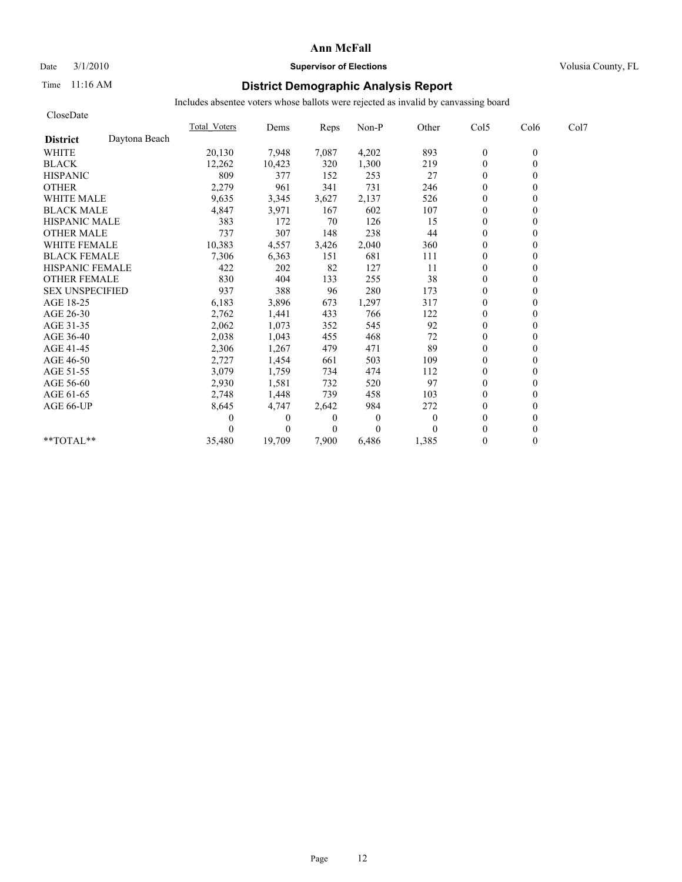## Date  $3/1/2010$  **Supervisor of Elections Supervisor of Elections** Volusia County, FL

## Time 11:16 AM **District Demographic Analysis Report**

| CloseDate              |               |              |          |                |                |              |                |          |      |
|------------------------|---------------|--------------|----------|----------------|----------------|--------------|----------------|----------|------|
|                        |               | Total Voters | Dems     | Reps           | Non-P          | Other        | Col5           | Col6     | Col7 |
| <b>District</b>        | Daytona Beach |              |          |                |                |              |                |          |      |
| <b>WHITE</b>           |               | 20,130       | 7,948    | 7,087          | 4,202          | 893          | $\mathbf{0}$   | $\theta$ |      |
| <b>BLACK</b>           |               | 12,262       | 10,423   | 320            | 1,300          | 219          | $\mathbf{0}$   | $\theta$ |      |
| <b>HISPANIC</b>        |               | 809          | 377      | 152            | 253            | 27           | $\overline{0}$ |          |      |
| <b>OTHER</b>           |               | 2,279        | 961      | 341            | 731            | 246          | $\theta$       |          |      |
| <b>WHITE MALE</b>      |               | 9,635        | 3,345    | 3,627          | 2,137          | 526          | $\theta$       |          |      |
| <b>BLACK MALE</b>      |               | 4,847        | 3,971    | 167            | 602            | 107          | $\mathbf{0}$   |          |      |
| <b>HISPANIC MALE</b>   |               | 383          | 172      | 70             | 126            | 15           | $\Omega$       |          |      |
| <b>OTHER MALE</b>      |               | 737          | 307      | 148            | 238            | 44           | $\theta$       |          |      |
| <b>WHITE FEMALE</b>    |               | 10,383       | 4,557    | 3,426          | 2,040          | 360          | $\Omega$       |          |      |
| <b>BLACK FEMALE</b>    |               | 7,306        | 6,363    | 151            | 681            | 111          | $\theta$       |          |      |
| <b>HISPANIC FEMALE</b> |               | 422          | 202      | 82             | 127            | 11           | $\theta$       |          |      |
| <b>OTHER FEMALE</b>    |               | 830          | 404      | 133            | 255            | 38           | $\mathbf{0}$   |          |      |
| <b>SEX UNSPECIFIED</b> |               | 937          | 388      | 96             | 280            | 173          | $\mathbf{0}$   |          |      |
| AGE 18-25              |               | 6,183        | 3,896    | 673            | 1,297          | 317          | $\mathbf{0}$   |          |      |
| AGE 26-30              |               | 2,762        | 1,441    | 433            | 766            | 122          | $\theta$       |          |      |
| AGE 31-35              |               | 2,062        | 1,073    | 352            | 545            | 92           | $\mathbf{0}$   |          |      |
| AGE 36-40              |               | 2,038        | 1,043    | 455            | 468            | 72           | $\theta$       |          |      |
| AGE 41-45              |               | 2,306        | 1,267    | 479            | 471            | 89           | $\mathbf{0}$   |          |      |
| AGE 46-50              |               | 2,727        | 1,454    | 661            | 503            | 109          | $\mathbf{0}$   |          |      |
| AGE 51-55              |               | 3,079        | 1,759    | 734            | 474            | 112          | $\mathbf{0}$   |          |      |
| AGE 56-60              |               | 2,930        | 1,581    | 732            | 520            | 97           | $\theta$       |          |      |
| AGE 61-65              |               | 2,748        | 1,448    | 739            | 458            | 103          | $\theta$       |          |      |
| AGE 66-UP              |               | 8,645        | 4,747    | 2,642          | 984            | 272          | $\mathbf{0}$   |          |      |
|                        |               |              | $\theta$ | $\overline{0}$ | $\overline{0}$ | $\mathbf{0}$ | $\mathbf{0}$   |          |      |
|                        |               |              | $\theta$ | $\overline{0}$ | $\Omega$       | 0            | $\theta$       |          |      |
| **TOTAL**              |               | 35,480       | 19,709   | 7,900          | 6,486          | 1,385        | $\mathbf{0}$   | 0        |      |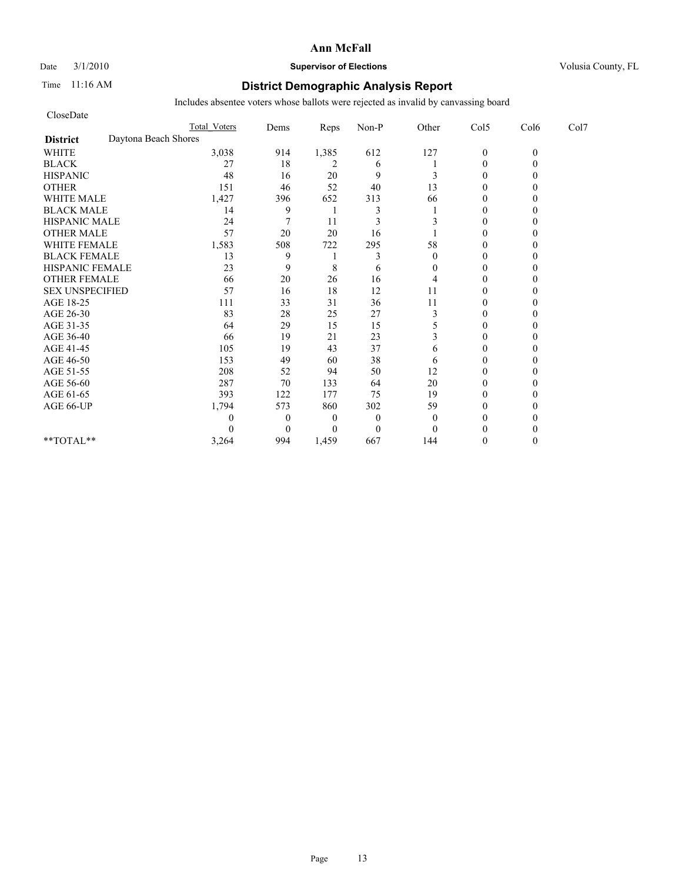## Date  $3/1/2010$  **Supervisor of Elections Supervisor of Elections** Volusia County, FL

## Time 11:16 AM **District Demographic Analysis Report**

| CloseDate              |                      |                     |                |                |              |              |                |          |      |
|------------------------|----------------------|---------------------|----------------|----------------|--------------|--------------|----------------|----------|------|
|                        |                      | <b>Total Voters</b> | Dems           | Reps           | Non-P        | Other        | Col5           | Col6     | Col7 |
| <b>District</b>        | Daytona Beach Shores |                     |                |                |              |              |                |          |      |
| <b>WHITE</b>           |                      | 3,038               | 914            | 1,385          | 612          | 127          | $\mathbf{0}$   | $\theta$ |      |
| <b>BLACK</b>           |                      | 27                  | 18             | 2              | 6            |              | $\mathbf{0}$   |          |      |
| <b>HISPANIC</b>        |                      | 48                  | 16             | 20             | 9            | 3            | $\theta$       |          |      |
| <b>OTHER</b>           |                      | 151                 | 46             | 52             | 40           | 13           | $\theta$       |          |      |
| <b>WHITE MALE</b>      |                      | 1,427               | 396            | 652            | 313          | 66           | $\theta$       |          |      |
| <b>BLACK MALE</b>      |                      | 14                  | 9              |                | 3            |              | $\theta$       |          |      |
| <b>HISPANIC MALE</b>   |                      | 24                  | 7              | 11             | 3            |              | $\theta$       |          |      |
| <b>OTHER MALE</b>      |                      | 57                  | 20             | 20             | 16           |              | $\theta$       |          |      |
| <b>WHITE FEMALE</b>    |                      | 1,583               | 508            | 722            | 295          | 58           | $\theta$       |          |      |
| <b>BLACK FEMALE</b>    |                      | 13                  | 9              |                | 3            | $\theta$     | $\overline{0}$ |          |      |
| HISPANIC FEMALE        |                      | 23                  | 9              | 8              | 6            | $\mathbf{0}$ | $\theta$       |          |      |
| <b>OTHER FEMALE</b>    |                      | 66                  | 20             | 26             | 16           | 4            | $\theta$       |          |      |
| <b>SEX UNSPECIFIED</b> |                      | 57                  | 16             | 18             | 12           | 11           | $\theta$       |          |      |
| AGE 18-25              |                      | 111                 | 33             | 31             | 36           | 11           | $\theta$       |          |      |
| AGE 26-30              |                      | 83                  | 28             | 25             | 27           | 3            | $\Omega$       |          |      |
| AGE 31-35              |                      | 64                  | 29             | 15             | 15           | 5            | $\theta$       |          |      |
| AGE 36-40              |                      | 66                  | 19             | 21             | 23           | 3            | $\Omega$       |          |      |
| AGE 41-45              |                      | 105                 | 19             | 43             | 37           | 6            | $\mathbf{0}$   |          |      |
| AGE 46-50              |                      | 153                 | 49             | 60             | 38           | 6            | $\theta$       |          |      |
| AGE 51-55              |                      | 208                 | 52             | 94             | 50           | 12           | $\Omega$       |          |      |
| AGE 56-60              |                      | 287                 | 70             | 133            | 64           | 20           | $\overline{0}$ |          |      |
| AGE 61-65              |                      | 393                 | 122            | 177            | 75           | 19           | $\theta$       |          |      |
| AGE 66-UP              |                      | 1,794               | 573            | 860            | 302          | 59           | $\theta$       |          |      |
|                        |                      | 0                   | $\overline{0}$ | $\overline{0}$ | $\mathbf{0}$ | $\theta$     | $\Omega$       |          |      |
|                        |                      | $\Omega$            | $\Omega$       | $\Omega$       | $\theta$     | $\Omega$     | $\Omega$       |          |      |
| **TOTAL**              |                      | 3,264               | 994            | 1,459          | 667          | 144          | $\Omega$       |          |      |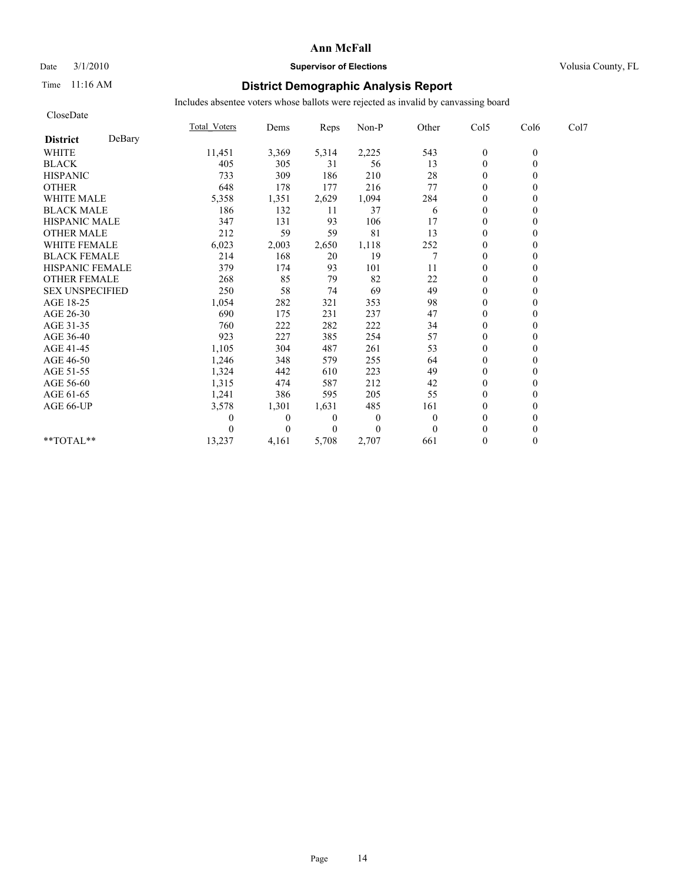### Date  $3/1/2010$  **Supervisor of Elections Supervisor of Elections** Volusia County, FL

## Time 11:16 AM **District Demographic Analysis Report**

| CloseDate              |        |                     |                  |                  |              |          |                  |          |      |
|------------------------|--------|---------------------|------------------|------------------|--------------|----------|------------------|----------|------|
|                        |        | <b>Total Voters</b> | Dems             | Reps             | Non-P        | Other    | Col5             | Col6     | Col7 |
| <b>District</b>        | DeBary |                     |                  |                  |              |          |                  |          |      |
| <b>WHITE</b>           |        | 11,451              | 3,369            | 5,314            | 2,225        | 543      | $\boldsymbol{0}$ | $\theta$ |      |
| <b>BLACK</b>           |        | 405                 | 305              | 31               | 56           | 13       | $\mathbf{0}$     | $\theta$ |      |
| <b>HISPANIC</b>        |        | 733                 | 309              | 186              | 210          | 28       | $\overline{0}$   |          |      |
| <b>OTHER</b>           |        | 648                 | 178              | 177              | 216          | 77       | $\theta$         |          |      |
| <b>WHITE MALE</b>      |        | 5,358               | 1,351            | 2,629            | 1,094        | 284      | $\boldsymbol{0}$ |          |      |
| <b>BLACK MALE</b>      |        | 186                 | 132              | 11               | 37           | 6        | $\theta$         |          |      |
| <b>HISPANIC MALE</b>   |        | 347                 | 131              | 93               | 106          | 17       | $\theta$         |          |      |
| <b>OTHER MALE</b>      |        | 212                 | 59               | 59               | 81           | 13       | $\mathbf{0}$     |          |      |
| <b>WHITE FEMALE</b>    |        | 6,023               | 2,003            | 2,650            | 1,118        | 252      | $\theta$         |          |      |
| <b>BLACK FEMALE</b>    |        | 214                 | 168              | 20               | 19           | 7        | $\mathbf{0}$     |          |      |
| HISPANIC FEMALE        |        | 379                 | 174              | 93               | 101          | 11       | $\mathbf{0}$     | $\theta$ |      |
| <b>OTHER FEMALE</b>    |        | 268                 | 85               | 79               | 82           | 22       | $\mathbf{0}$     |          |      |
| <b>SEX UNSPECIFIED</b> |        | 250                 | 58               | 74               | 69           | 49       | $\theta$         |          |      |
| AGE 18-25              |        | 1,054               | 282              | 321              | 353          | 98       | $\theta$         |          |      |
| AGE 26-30              |        | 690                 | 175              | 231              | 237          | 47       | $\mathbf{0}$     |          |      |
| AGE 31-35              |        | 760                 | 222              | 282              | 222          | 34       | $\mathbf{0}$     |          |      |
| AGE 36-40              |        | 923                 | 227              | 385              | 254          | 57       | $\mathbf{0}$     |          |      |
| AGE 41-45              |        | 1,105               | 304              | 487              | 261          | 53       | $\mathbf{0}$     | 0        |      |
| AGE 46-50              |        | 1,246               | 348              | 579              | 255          | 64       | $\mathbf{0}$     |          |      |
| AGE 51-55              |        | 1,324               | 442              | 610              | 223          | 49       | $\mathbf{0}$     |          |      |
| AGE 56-60              |        | 1,315               | 474              | 587              | 212          | 42       | $\boldsymbol{0}$ |          |      |
| AGE 61-65              |        | 1,241               | 386              | 595              | 205          | 55       | $\Omega$         |          |      |
| AGE 66-UP              |        | 3,578               | 1,301            | 1,631            | 485          | 161      | $\theta$         |          |      |
|                        |        | 0                   | $\boldsymbol{0}$ | $\boldsymbol{0}$ | $\mathbf{0}$ | $\theta$ | $\boldsymbol{0}$ |          |      |
|                        |        |                     | $\theta$         | $\boldsymbol{0}$ | $\theta$     | $\Omega$ | $\Omega$         |          |      |
| **TOTAL**              |        | 13,237              | 4,161            | 5,708            | 2,707        | 661      | $\theta$         | $\theta$ |      |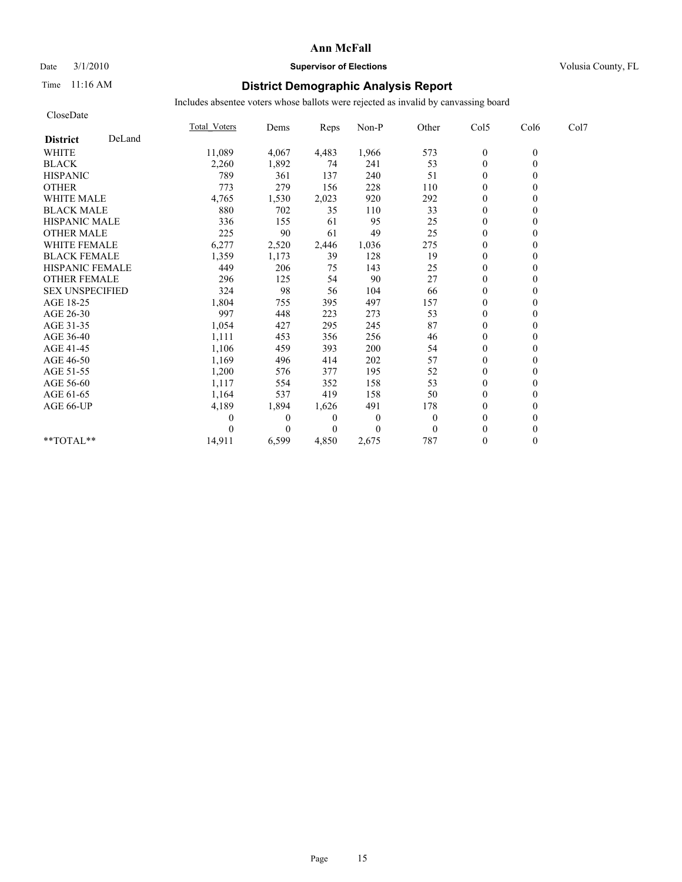CloseDate

### **Ann McFall**

### Date  $3/1/2010$  **Supervisor of Elections Supervisor of Elections** Volusia County, FL

## Time 11:16 AM **District Demographic Analysis Report**

|                           | Total Voters | Dems     | Reps     | Non-P    | Other          | Col5             | Col6     | Col7 |  |
|---------------------------|--------------|----------|----------|----------|----------------|------------------|----------|------|--|
| DeLand<br><b>District</b> |              |          |          |          |                |                  |          |      |  |
| <b>WHITE</b>              | 11,089       | 4,067    | 4,483    | 1,966    | 573            | $\boldsymbol{0}$ | $\theta$ |      |  |
| <b>BLACK</b>              | 2,260        | 1,892    | 74       | 241      | 53             | $\mathbf{0}$     |          |      |  |
| <b>HISPANIC</b>           | 789          | 361      | 137      | 240      | 51             | $\theta$         |          |      |  |
| <b>OTHER</b>              | 773          | 279      | 156      | 228      | 110            | $\theta$         |          |      |  |
| <b>WHITE MALE</b>         | 4,765        | 1,530    | 2,023    | 920      | 292            | $\mathbf{0}$     |          |      |  |
| <b>BLACK MALE</b>         | 880          | 702      | 35       | 110      | 33             | $\theta$         |          |      |  |
| <b>HISPANIC MALE</b>      | 336          | 155      | 61       | 95       | 25             | $\theta$         |          |      |  |
| <b>OTHER MALE</b>         | 225          | 90       | 61       | 49       | 25             | $\mathbf{0}$     |          |      |  |
| <b>WHITE FEMALE</b>       | 6,277        | 2,520    | 2,446    | 1,036    | 275            | $\mathbf{0}$     |          |      |  |
| <b>BLACK FEMALE</b>       | 1,359        | 1,173    | 39       | 128      | 19             | $\mathbf{0}$     |          |      |  |
| HISPANIC FEMALE           | 449          | 206      | 75       | 143      | 25             | $\mathbf{0}$     |          |      |  |
| <b>OTHER FEMALE</b>       | 296          | 125      | 54       | 90       | 27             | $\theta$         |          |      |  |
| <b>SEX UNSPECIFIED</b>    | 324          | 98       | 56       | 104      | 66             | $\theta$         |          |      |  |
| AGE 18-25                 | 1,804        | 755      | 395      | 497      | 157            | $\mathbf{0}$     |          |      |  |
| AGE 26-30                 | 997          | 448      | 223      | 273      | 53             | $\theta$         |          |      |  |
| AGE 31-35                 | 1,054        | 427      | 295      | 245      | 87             | $\Omega$         |          |      |  |
| AGE 36-40                 | 1,111        | 453      | 356      | 256      | 46             | $\mathbf{0}$     |          |      |  |
| AGE 41-45                 | 1,106        | 459      | 393      | 200      | 54             | $\mathbf{0}$     |          |      |  |
| AGE 46-50                 | 1,169        | 496      | 414      | 202      | 57             | $\theta$         |          |      |  |
| AGE 51-55                 | 1,200        | 576      | 377      | 195      | 52             | $\theta$         |          |      |  |
| AGE 56-60                 | 1,117        | 554      | 352      | 158      | 53             | $\mathbf{0}$     |          |      |  |
| AGE 61-65                 | 1,164        | 537      | 419      | 158      | 50             | $\theta$         |          |      |  |
| AGE 66-UP                 | 4,189        | 1,894    | 1,626    | 491      | 178            | $\theta$         |          |      |  |
|                           |              | $\theta$ | $\theta$ | $\theta$ | $\overline{0}$ | $\theta$         |          |      |  |
|                           |              | 0        | $\theta$ | $\theta$ | $\Omega$       | $\Omega$         |          |      |  |
| **TOTAL**                 | 14,911       | 6,599    | 4,850    | 2,675    | 787            | $\theta$         | 0        |      |  |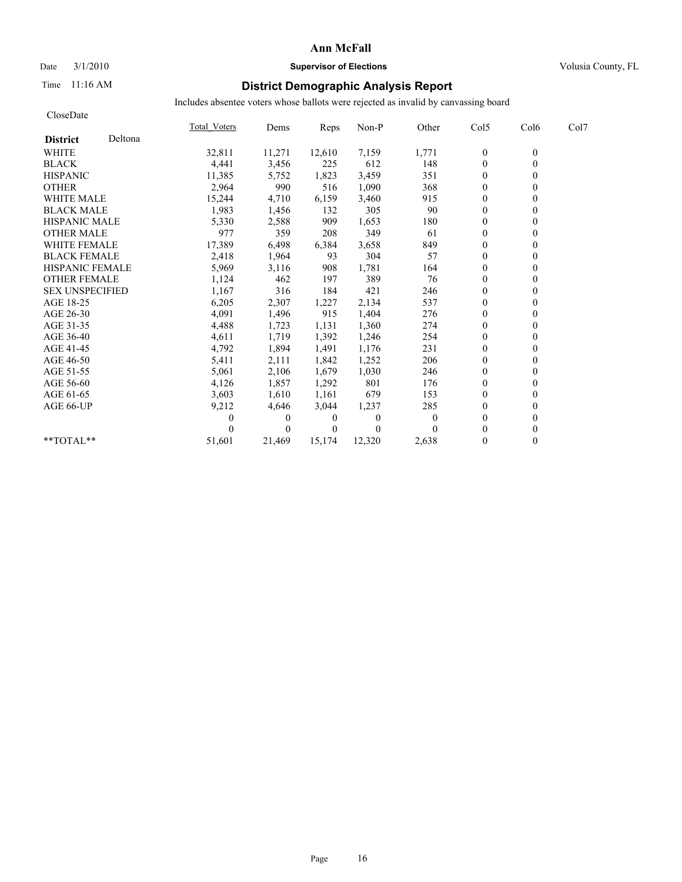### Date  $3/1/2010$  **Supervisor of Elections Supervisor of Elections** Volusia County, FL

## Time 11:16 AM **District Demographic Analysis Report**

| CloseDate              |         |              |                |          |          |          |                  |                  |      |
|------------------------|---------|--------------|----------------|----------|----------|----------|------------------|------------------|------|
|                        |         | Total Voters | Dems           | Reps     | Non-P    | Other    | Col5             | Col <sub>6</sub> | Col7 |
| <b>District</b>        | Deltona |              |                |          |          |          |                  |                  |      |
| <b>WHITE</b>           |         | 32,811       | 11,271         | 12,610   | 7,159    | 1,771    | $\boldsymbol{0}$ | $\theta$         |      |
| <b>BLACK</b>           |         | 4,441        | 3,456          | 225      | 612      | 148      | $\mathbf{0}$     | $\theta$         |      |
| <b>HISPANIC</b>        |         | 11,385       | 5,752          | 1,823    | 3,459    | 351      | $\mathbf{0}$     |                  |      |
| <b>OTHER</b>           |         | 2,964        | 990            | 516      | 1,090    | 368      | $\Omega$         |                  |      |
| <b>WHITE MALE</b>      |         | 15,244       | 4,710          | 6,159    | 3,460    | 915      | $\boldsymbol{0}$ |                  |      |
| <b>BLACK MALE</b>      |         | 1,983        | 1,456          | 132      | 305      | 90       | $\theta$         |                  |      |
| <b>HISPANIC MALE</b>   |         | 5,330        | 2,588          | 909      | 1,653    | 180      | $\Omega$         |                  |      |
| <b>OTHER MALE</b>      |         | 977          | 359            | 208      | 349      | 61       | $\mathbf{0}$     |                  |      |
| <b>WHITE FEMALE</b>    |         | 17,389       | 6,498          | 6,384    | 3,658    | 849      | $\theta$         |                  |      |
| <b>BLACK FEMALE</b>    |         | 2,418        | 1,964          | 93       | 304      | 57       | $\mathbf{0}$     | 0                |      |
| <b>HISPANIC FEMALE</b> |         | 5,969        | 3,116          | 908      | 1,781    | 164      | $\theta$         | $\theta$         |      |
| <b>OTHER FEMALE</b>    |         | 1,124        | 462            | 197      | 389      | 76       | $\mathbf{0}$     |                  |      |
| <b>SEX UNSPECIFIED</b> |         | 1,167        | 316            | 184      | 421      | 246      | $\theta$         |                  |      |
| AGE 18-25              |         | 6,205        | 2,307          | 1,227    | 2,134    | 537      | $\theta$         |                  |      |
| AGE 26-30              |         | 4,091        | 1,496          | 915      | 1,404    | 276      | $\mathbf{0}$     |                  |      |
| AGE 31-35              |         | 4,488        | 1,723          | 1,131    | 1,360    | 274      | $\Omega$         |                  |      |
| AGE 36-40              |         | 4,611        | 1,719          | 1,392    | 1,246    | 254      | $\Omega$         |                  |      |
| AGE 41-45              |         | 4,792        | 1,894          | 1,491    | 1,176    | 231      | $\theta$         | 0                |      |
| AGE 46-50              |         | 5,411        | 2,111          | 1,842    | 1,252    | 206      | $\mathbf{0}$     |                  |      |
| AGE 51-55              |         | 5,061        | 2,106          | 1,679    | 1,030    | 246      | $\mathbf{0}$     |                  |      |
| AGE 56-60              |         | 4,126        | 1,857          | 1,292    | 801      | 176      | $\boldsymbol{0}$ |                  |      |
| AGE 61-65              |         | 3,603        | 1,610          | 1,161    | 679      | 153      | $\Omega$         |                  |      |
| AGE 66-UP              |         | 9,212        | 4,646          | 3,044    | 1,237    | 285      | $\theta$         |                  |      |
|                        |         | 0            | $\overline{0}$ | 0        | $\bf{0}$ | $\theta$ | $\boldsymbol{0}$ |                  |      |
|                        |         |              | $\Omega$       | $\theta$ | $\theta$ |          | $\Omega$         |                  |      |
| **TOTAL**              |         | 51,601       | 21.469         | 15,174   | 12,320   | 2,638    | $\mathbf{0}$     | $\theta$         |      |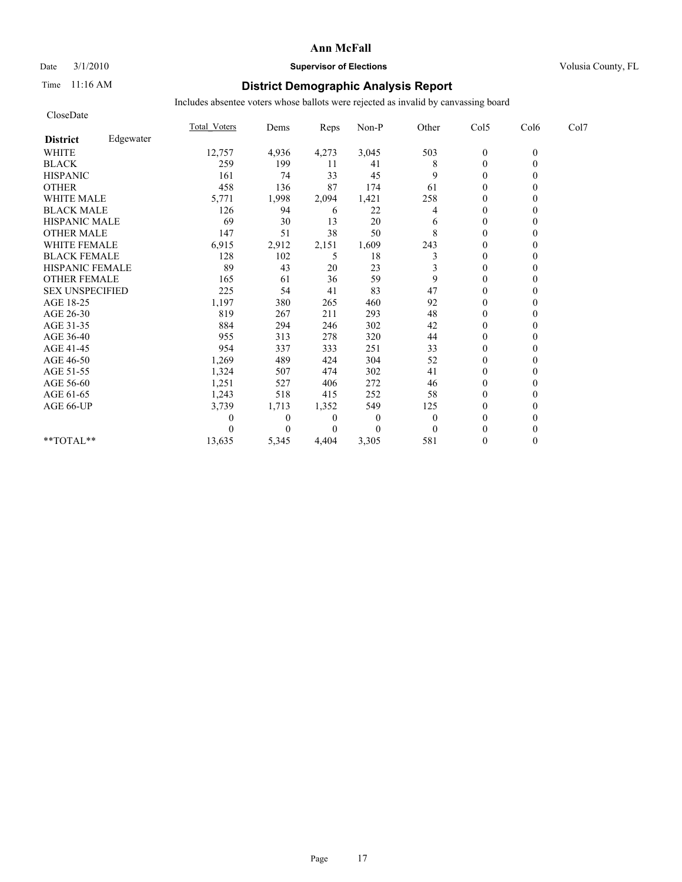## Date  $3/1/2010$  **Supervisor of Elections Supervisor of Elections** Volusia County, FL

## Time 11:16 AM **District Demographic Analysis Report**

| CloseDate              |           |              |              |       |                |          |                  |          |      |
|------------------------|-----------|--------------|--------------|-------|----------------|----------|------------------|----------|------|
|                        |           | Total Voters | Dems         | Reps  | Non-P          | Other    | Col5             | Col6     | Col7 |
| <b>District</b>        | Edgewater |              |              |       |                |          |                  |          |      |
| <b>WHITE</b>           |           | 12,757       | 4,936        | 4,273 | 3,045          | 503      | $\boldsymbol{0}$ | $\theta$ |      |
| <b>BLACK</b>           |           | 259          | 199          | 11    | 41             | 8        | $\mathbf{0}$     | $\theta$ |      |
| <b>HISPANIC</b>        |           | 161          | 74           | 33    | 45             | 9        | $\mathbf{0}$     |          |      |
| <b>OTHER</b>           |           | 458          | 136          | 87    | 174            | 61       | $\theta$         |          |      |
| WHITE MALE             |           | 5,771        | 1,998        | 2,094 | 1,421          | 258      | $\theta$         |          |      |
| <b>BLACK MALE</b>      |           | 126          | 94           | 6     | 22             | 4        | $\theta$         |          |      |
| <b>HISPANIC MALE</b>   |           | 69           | 30           | 13    | 20             | 6        | $\theta$         |          |      |
| <b>OTHER MALE</b>      |           | 147          | 51           | 38    | 50             | 8        | $\theta$         |          |      |
| <b>WHITE FEMALE</b>    |           | 6,915        | 2,912        | 2,151 | 1,609          | 243      | $\theta$         |          |      |
| <b>BLACK FEMALE</b>    |           | 128          | 102          | 5     | 18             | 3        | $\theta$         |          |      |
| HISPANIC FEMALE        |           | 89           | 43           | 20    | 23             | 3        | $\mathbf{0}$     | 0        |      |
| <b>OTHER FEMALE</b>    |           | 165          | 61           | 36    | 59             | 9        | $\mathbf{0}$     |          |      |
| <b>SEX UNSPECIFIED</b> |           | 225          | 54           | 41    | 83             | 47       | $\theta$         |          |      |
| AGE 18-25              |           | 1,197        | 380          | 265   | 460            | 92       | $\mathbf{0}$     |          |      |
| AGE 26-30              |           | 819          | 267          | 211   | 293            | 48       | $\theta$         |          |      |
| AGE 31-35              |           | 884          | 294          | 246   | 302            | 42       | $\theta$         |          |      |
| AGE 36-40              |           | 955          | 313          | 278   | 320            | 44       | $\theta$         |          |      |
| AGE 41-45              |           | 954          | 337          | 333   | 251            | 33       | $\mathbf{0}$     |          |      |
| AGE 46-50              |           | 1,269        | 489          | 424   | 304            | 52       | $\mathbf{0}$     |          |      |
| AGE 51-55              |           | 1,324        | 507          | 474   | 302            | 41       | $\theta$         |          |      |
| AGE 56-60              |           | 1,251        | 527          | 406   | 272            | 46       | $\theta$         |          |      |
| AGE 61-65              |           | 1,243        | 518          | 415   | 252            | 58       | $\theta$         |          |      |
| AGE 66-UP              |           | 3,739        | 1,713        | 1,352 | 549            | 125      | $\theta$         |          |      |
|                        |           | 0            | $\mathbf{0}$ | 0     | $\overline{0}$ | $\theta$ | $\theta$         |          |      |
|                        |           |              | 0            | 0     | $\Omega$       | $\theta$ | $\theta$         |          |      |
| **TOTAL**              |           | 13,635       | 5,345        | 4,404 | 3,305          | 581      | $\theta$         | 0        |      |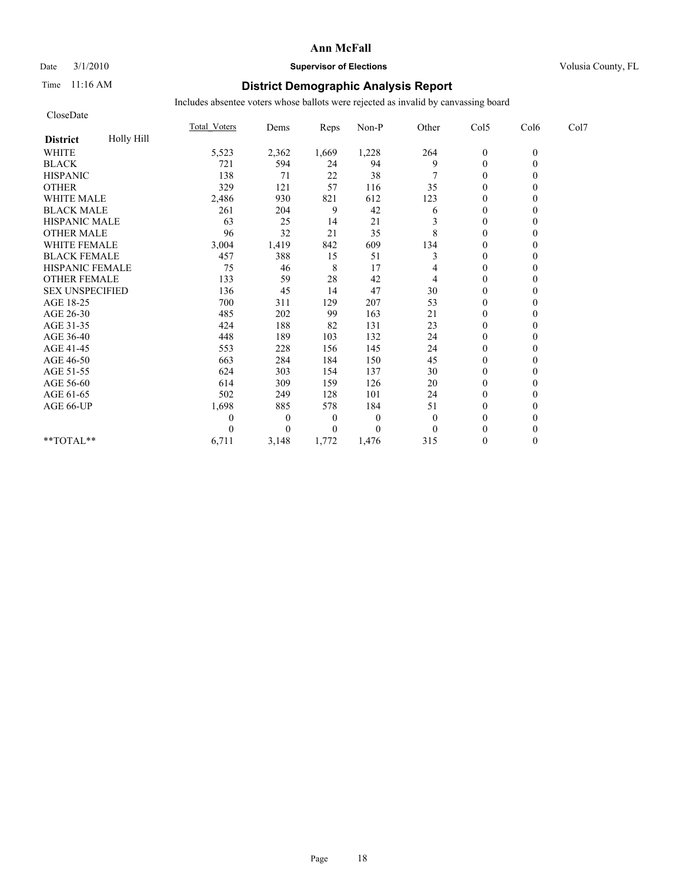CloseDate

### **Ann McFall**

## Date  $3/1/2010$  **Supervisor of Elections Supervisor of Elections** Volusia County, FL

## Time 11:16 AM **District Demographic Analysis Report**

|                        |            | <b>Total Voters</b> | Dems           | Reps             | Non-P        | Other | Col5             | Col6             | Col7 |  |
|------------------------|------------|---------------------|----------------|------------------|--------------|-------|------------------|------------------|------|--|
| <b>District</b>        | Holly Hill |                     |                |                  |              |       |                  |                  |      |  |
| <b>WHITE</b>           |            | 5,523               | 2,362          | 1,669            | 1,228        | 264   | $\boldsymbol{0}$ | $\boldsymbol{0}$ |      |  |
| <b>BLACK</b>           |            | 721                 | 594            | 24               | 94           | 9     | $\mathbf{0}$     | 0                |      |  |
| <b>HISPANIC</b>        |            | 138                 | 71             | 22               | 38           |       | $\boldsymbol{0}$ |                  |      |  |
| <b>OTHER</b>           |            | 329                 | 121            | 57               | 116          | 35    | $\Omega$         |                  |      |  |
| <b>WHITE MALE</b>      |            | 2,486               | 930            | 821              | 612          | 123   | $\theta$         |                  |      |  |
| <b>BLACK MALE</b>      |            | 261                 | 204            | 9                | 42           | 6     | $\theta$         |                  |      |  |
| <b>HISPANIC MALE</b>   |            | 63                  | 25             | 14               | 21           |       | $\Omega$         |                  |      |  |
| <b>OTHER MALE</b>      |            | 96                  | 32             | 21               | 35           | 8     | $\theta$         |                  |      |  |
| WHITE FEMALE           |            | 3,004               | 1,419          | 842              | 609          | 134   | $\theta$         |                  |      |  |
| <b>BLACK FEMALE</b>    |            | 457                 | 388            | 15               | 51           | 3     | $\Omega$         |                  |      |  |
| HISPANIC FEMALE        |            | 75                  | 46             | 8                | 17           |       | $\boldsymbol{0}$ |                  |      |  |
| <b>OTHER FEMALE</b>    |            | 133                 | 59             | 28               | 42           | 4     | $\theta$         |                  |      |  |
| <b>SEX UNSPECIFIED</b> |            | 136                 | 45             | 14               | 47           | 30    | $\theta$         |                  |      |  |
| AGE 18-25              |            | 700                 | 311            | 129              | 207          | 53    | $\boldsymbol{0}$ |                  |      |  |
| AGE 26-30              |            | 485                 | 202            | 99               | 163          | 21    | $\Omega$         |                  |      |  |
| AGE 31-35              |            | 424                 | 188            | 82               | 131          | 23    | $\Omega$         |                  |      |  |
| AGE 36-40              |            | 448                 | 189            | 103              | 132          | 24    | $\boldsymbol{0}$ |                  |      |  |
| AGE 41-45              |            | 553                 | 228            | 156              | 145          | 24    | $\Omega$         |                  |      |  |
| AGE 46-50              |            | 663                 | 284            | 184              | 150          | 45    | $\Omega$         |                  |      |  |
| AGE 51-55              |            | 624                 | 303            | 154              | 137          | 30    | $\theta$         |                  |      |  |
| AGE 56-60              |            | 614                 | 309            | 159              | 126          | 20    | $\theta$         |                  |      |  |
| AGE 61-65              |            | 502                 | 249            | 128              | 101          | 24    | $\theta$         |                  |      |  |
| AGE 66-UP              |            | 1,698               | 885            | 578              | 184          | 51    | $\boldsymbol{0}$ |                  |      |  |
|                        |            | 0                   | $\overline{0}$ | $\boldsymbol{0}$ | $\mathbf{0}$ | 0     | $\Omega$         |                  |      |  |
|                        |            |                     | 0              | $\theta$         | $\theta$     |       | $\Omega$         |                  |      |  |
| **TOTAL**              |            | 6,711               | 3,148          | 1,772            | 1,476        | 315   | $\Omega$         | 0                |      |  |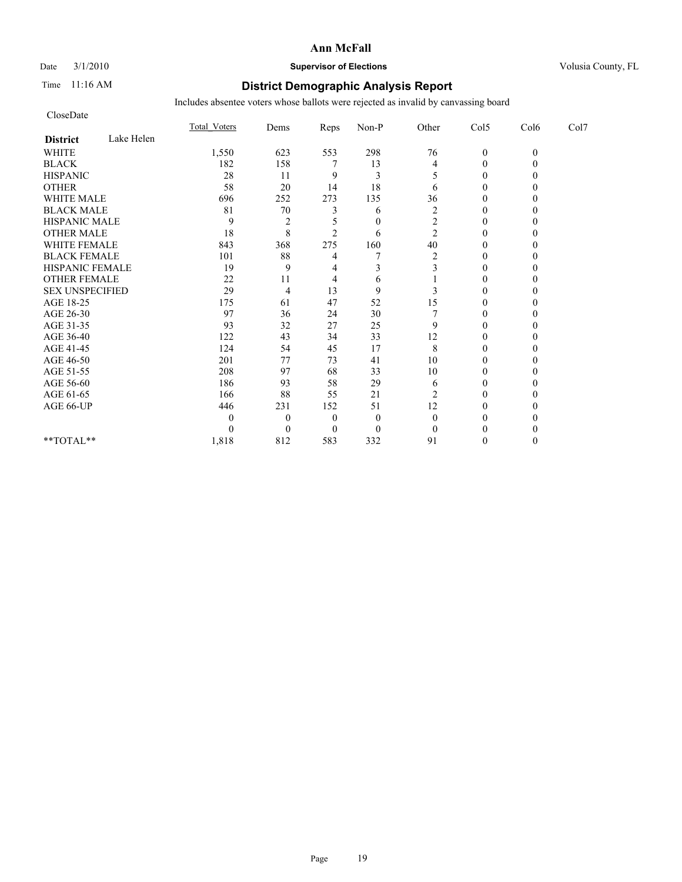## Date  $3/1/2010$  **Supervisor of Elections Supervisor of Elections** Volusia County, FL

## Time 11:16 AM **District Demographic Analysis Report**

| CloseDate              |            |              |                |                |                |                |                  |          |      |
|------------------------|------------|--------------|----------------|----------------|----------------|----------------|------------------|----------|------|
|                        |            | Total Voters | Dems           | Reps           | Non-P          | Other          | Col5             | Col6     | Col7 |
| <b>District</b>        | Lake Helen |              |                |                |                |                |                  |          |      |
| <b>WHITE</b>           |            | 1,550        | 623            | 553            | 298            | 76             | $\mathbf{0}$     | $\theta$ |      |
| <b>BLACK</b>           |            | 182          | 158            |                | 13             | 4              | $\theta$         |          |      |
| <b>HISPANIC</b>        |            | 28           | 11             | 9              | 3              |                | $\boldsymbol{0}$ |          |      |
| <b>OTHER</b>           |            | 58           | 20             | 14             | 18             | 6              | $\theta$         |          |      |
| <b>WHITE MALE</b>      |            | 696          | 252            | 273            | 135            | 36             | $\theta$         |          |      |
| <b>BLACK MALE</b>      |            | 81           | $70\,$         | 3              | 6              | $\overline{c}$ | $\theta$         |          |      |
| <b>HISPANIC MALE</b>   |            | 9            | $\overline{2}$ |                | $\theta$       | 2              | $\theta$         |          |      |
| <b>OTHER MALE</b>      |            | 18           | 8              | $\overline{c}$ | 6              | $\overline{c}$ | $\boldsymbol{0}$ |          |      |
| <b>WHITE FEMALE</b>    |            | 843          | 368            | 275            | 160            | 40             | $\theta$         |          |      |
| <b>BLACK FEMALE</b>    |            | 101          | 88             | 4              |                | $\overline{c}$ | $\mathbf{0}$     |          |      |
| HISPANIC FEMALE        |            | 19           | 9              | 4              | 3              | 3              | $\theta$         |          |      |
| <b>OTHER FEMALE</b>    |            | 22           | 11             | 4              | 6              |                | $\theta$         |          |      |
| <b>SEX UNSPECIFIED</b> |            | 29           | $\overline{4}$ | 13             | 9              | 3              | $\theta$         |          |      |
| AGE 18-25              |            | 175          | 61             | 47             | 52             | 15             | $\theta$         |          |      |
| AGE 26-30              |            | 97           | 36             | 24             | 30             |                | $\theta$         |          |      |
| AGE 31-35              |            | 93           | 32             | 27             | 25             | 9              | $\theta$         |          |      |
| AGE 36-40              |            | 122          | 43             | 34             | 33             | 12             | $\theta$         |          |      |
| AGE 41-45              |            | 124          | 54             | 45             | 17             | 8              | $\theta$         |          |      |
| AGE 46-50              |            | 201          | 77             | 73             | 41             | 10             | $\theta$         |          |      |
| AGE 51-55              |            | 208          | 97             | 68             | 33             | 10             | $\theta$         |          |      |
| AGE 56-60              |            | 186          | 93             | 58             | 29             | 6              | $\theta$         |          |      |
| AGE 61-65              |            | 166          | 88             | 55             | 21             | 2              | $\Omega$         |          |      |
| AGE 66-UP              |            | 446          | 231            | 152            | 51             | 12             | $\Omega$         |          |      |
|                        |            | 0            | $\theta$       | $\theta$       | $\overline{0}$ | $\theta$       | 0                |          |      |
|                        |            | 0            | $\Omega$       | $\theta$       | $\theta$       | $\theta$       | $\Omega$         |          |      |
| **TOTAL**              |            | 1,818        | 812            | 583            | 332            | 91             | $\Omega$         | 0        |      |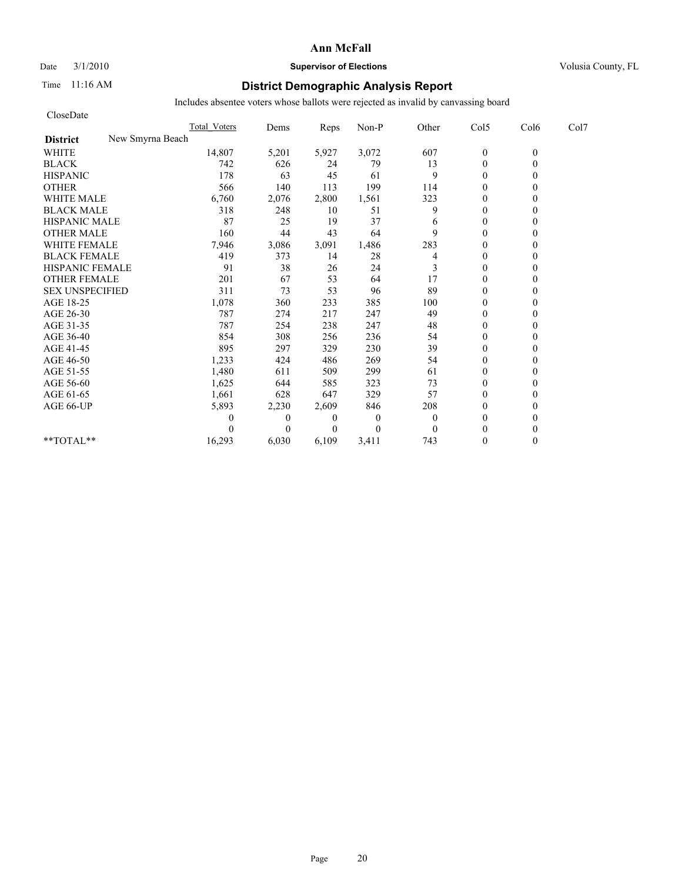# Date  $3/1/2010$  **Supervisor of Elections Supervisor of Elections** Volusia County, FL

# Time 11:16 AM **District Demographic Analysis Report**

| CloseDate              |                     |          |                |                |          |                |          |      |
|------------------------|---------------------|----------|----------------|----------------|----------|----------------|----------|------|
|                        | <b>Total Voters</b> | Dems     | Reps           | Non-P          | Other    | Col5           | Col6     | Col7 |
| <b>District</b>        | New Smyrna Beach    |          |                |                |          |                |          |      |
| <b>WHITE</b>           | 14,807              | 5,201    | 5,927          | 3,072          | 607      | $\mathbf{0}$   | $\theta$ |      |
| <b>BLACK</b>           | 742                 | 626      | 24             | 79             | 13       | $\overline{0}$ | 0        |      |
| <b>HISPANIC</b>        | 178                 | 63       | 45             | 61             | 9        | $\overline{0}$ |          |      |
| <b>OTHER</b>           | 566                 | 140      | 113            | 199            | 114      | $\theta$       |          |      |
| <b>WHITE MALE</b>      | 6,760               | 2,076    | 2,800          | 1,561          | 323      | $\mathbf{0}$   |          |      |
| <b>BLACK MALE</b>      | 318                 | 248      | 10             | 51             | 9        | $\mathbf{0}$   |          |      |
| <b>HISPANIC MALE</b>   | 87                  | 25       | 19             | 37             | 6        | $\theta$       |          |      |
| <b>OTHER MALE</b>      | 160                 | 44       | 43             | 64             | 9        | $\mathbf{0}$   |          |      |
| <b>WHITE FEMALE</b>    | 7,946               | 3,086    | 3,091          | 1,486          | 283      | $\theta$       |          |      |
| <b>BLACK FEMALE</b>    | 419                 | 373      | 14             | 28             | 4        | $\theta$       |          |      |
| HISPANIC FEMALE        | 91                  | 38       | 26             | 24             | 3        | $\theta$       |          |      |
| <b>OTHER FEMALE</b>    | 201                 | 67       | 53             | 64             | 17       | $\mathbf{0}$   |          |      |
| <b>SEX UNSPECIFIED</b> | 311                 | 73       | 53             | 96             | 89       | $\mathbf{0}$   |          |      |
| AGE 18-25              | 1,078               | 360      | 233            | 385            | 100      | $\mathbf{0}$   |          |      |
| AGE 26-30              | 787                 | 274      | 217            | 247            | 49       | $\theta$       |          |      |
| AGE 31-35              | 787                 | 254      | 238            | 247            | 48       | $\theta$       |          |      |
| AGE 36-40              | 854                 | 308      | 256            | 236            | 54       | $\theta$       |          |      |
| AGE 41-45              | 895                 | 297      | 329            | 230            | 39       | $\overline{0}$ |          |      |
| AGE 46-50              | 1,233               | 424      | 486            | 269            | 54       | $\mathbf{0}$   |          |      |
| AGE 51-55              | 1,480               | 611      | 509            | 299            | 61       | $\overline{0}$ |          |      |
| AGE 56-60              | 1,625               | 644      | 585            | 323            | 73       | $\theta$       |          |      |
| AGE 61-65              | 1,661               | 628      | 647            | 329            | 57       | $\theta$       |          |      |
| AGE 66-UP              | 5,893               | 2,230    | 2,609          | 846            | 208      | $\theta$       |          |      |
|                        |                     | $\theta$ | $\theta$       | $\overline{0}$ | $\theta$ | $\mathbf{0}$   |          |      |
|                        |                     | $\theta$ | $\overline{0}$ | $\Omega$       | $\theta$ | $\theta$       |          |      |
| **TOTAL**              | 16,293              | 6,030    | 6,109          | 3,411          | 743      | $\theta$       | 0        |      |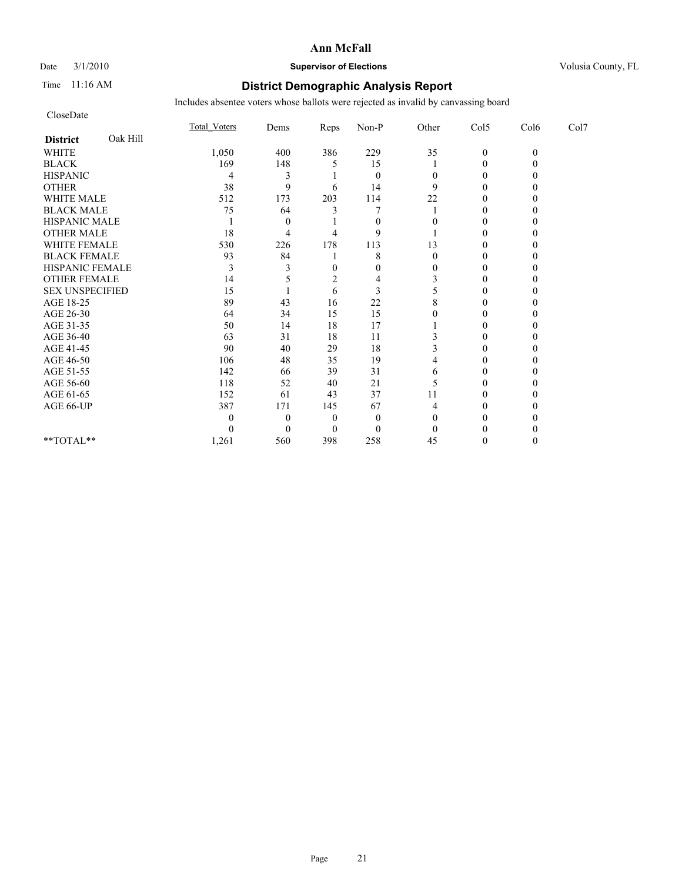# Date  $3/1/2010$  **Supervisor of Elections Supervisor of Elections** Volusia County, FL

## Time 11:16 AM **District Demographic Analysis Report**

| CloseDate              |          |              |          |      |                |          |                  |          |      |
|------------------------|----------|--------------|----------|------|----------------|----------|------------------|----------|------|
|                        |          | Total Voters | Dems     | Reps | Non-P          | Other    | Col5             | Col6     | Col7 |
| <b>District</b>        | Oak Hill |              |          |      |                |          |                  |          |      |
| <b>WHITE</b>           |          | 1,050        | 400      | 386  | 229            | 35       | $\boldsymbol{0}$ | $\theta$ |      |
| <b>BLACK</b>           |          | 169          | 148      | 5    | 15             |          | $\theta$         |          |      |
| <b>HISPANIC</b>        |          | 4            | 3        |      | $\theta$       |          | $\boldsymbol{0}$ |          |      |
| <b>OTHER</b>           |          | 38           | 9        | 6    | 14             | 9        | $\theta$         |          |      |
| <b>WHITE MALE</b>      |          | 512          | 173      | 203  | 114            | 22       | $\Omega$         |          |      |
| <b>BLACK MALE</b>      |          | 75           | 64       |      |                |          | 0                |          |      |
| HISPANIC MALE          |          |              | $\theta$ |      | $\theta$       |          | $\theta$         |          |      |
| <b>OTHER MALE</b>      |          | 18           | 4        |      | 9              |          | 0                |          |      |
| WHITE FEMALE           |          | 530          | 226      | 178  | 113            | 13       | $\Omega$         |          |      |
| <b>BLACK FEMALE</b>    |          | 93           | 84       |      | 8              |          | $\theta$         |          |      |
| HISPANIC FEMALE        |          | 3            | 3        | 0    | $\overline{0}$ | $\theta$ | $\theta$         |          |      |
| <b>OTHER FEMALE</b>    |          | 14           | 5        | 2    | 4              |          | $\theta$         |          |      |
| <b>SEX UNSPECIFIED</b> |          | 15           |          | 6    | 3              |          | 0                |          |      |
| AGE 18-25              |          | 89           | 43       | 16   | 22             | 8        | $\theta$         |          |      |
| AGE 26-30              |          | 64           | 34       | 15   | 15             |          | 0                |          |      |
| AGE 31-35              |          | 50           | 14       | 18   | 17             |          | $\theta$         |          |      |
| AGE 36-40              |          | 63           | 31       | 18   | 11             |          | 0                |          |      |
| AGE 41-45              |          | 90           | 40       | 29   | 18             |          | $\theta$         |          |      |
| AGE 46-50              |          | 106          | 48       | 35   | 19             |          | $\theta$         |          |      |
| AGE 51-55              |          | 142          | 66       | 39   | 31             | 6        | $\Omega$         |          |      |
| AGE 56-60              |          | 118          | 52       | 40   | 21             | 5        | $\theta$         |          |      |
| AGE 61-65              |          | 152          | 61       | 43   | 37             | 11       | 0                |          |      |
| AGE 66-UP              |          | 387          | 171      | 145  | 67             | 4        | 0                |          |      |
|                        |          | 0            | $\theta$ | 0    | $\theta$       |          |                  |          |      |
|                        |          | 0            | $\theta$ | 0    | $\Omega$       |          | 0                |          |      |
| **TOTAL**              |          | 1,261        | 560      | 398  | 258            | 45       | $\theta$         | 0        |      |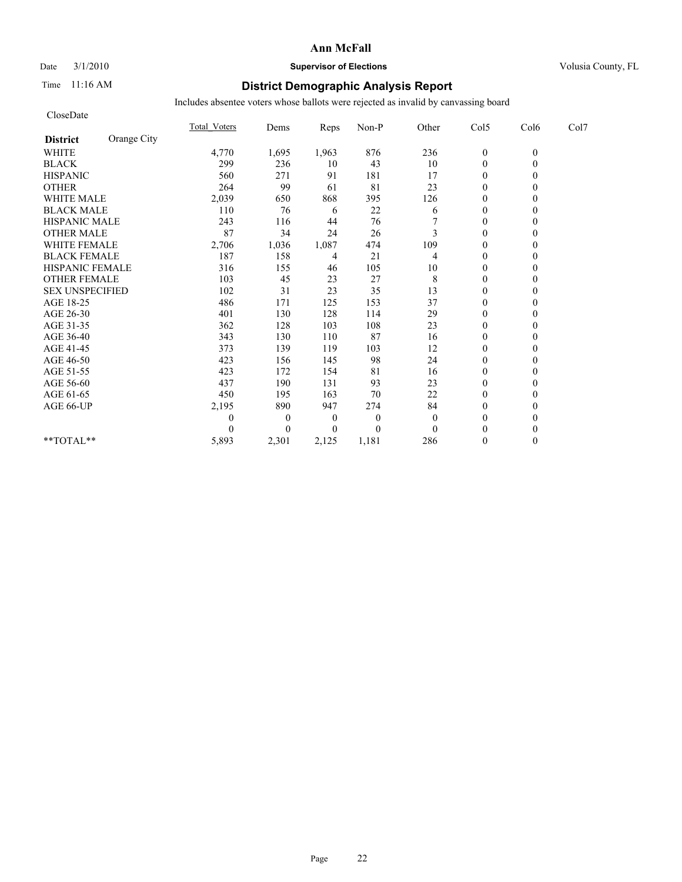## Date  $3/1/2010$  **Supervisor of Elections Supervisor of Elections** Volusia County, FL

## Time 11:16 AM **District Demographic Analysis Report**

| CloseDate              |             |                     |                |          |              |          |                  |          |      |
|------------------------|-------------|---------------------|----------------|----------|--------------|----------|------------------|----------|------|
|                        |             | <b>Total Voters</b> | Dems           | Reps     | Non-P        | Other    | Col5             | Col6     | Col7 |
| <b>District</b>        | Orange City |                     |                |          |              |          |                  |          |      |
| <b>WHITE</b>           |             | 4,770               | 1,695          | 1,963    | 876          | 236      | $\boldsymbol{0}$ | $\theta$ |      |
| <b>BLACK</b>           |             | 299                 | 236            | 10       | 43           | 10       | $\mathbf{0}$     | $\theta$ |      |
| <b>HISPANIC</b>        |             | 560                 | 271            | 91       | 181          | 17       | $\theta$         |          |      |
| <b>OTHER</b>           |             | 264                 | 99             | 61       | 81           | 23       | $\Omega$         |          |      |
| WHITE MALE             |             | 2,039               | 650            | 868      | 395          | 126      | $\theta$         |          |      |
| <b>BLACK MALE</b>      |             | 110                 | 76             | 6        | 22           | 6        | $\theta$         |          |      |
| <b>HISPANIC MALE</b>   |             | 243                 | 116            | 44       | 76           |          | $\theta$         |          |      |
| <b>OTHER MALE</b>      |             | 87                  | 34             | 24       | 26           | 3        | $\mathbf{0}$     |          |      |
| <b>WHITE FEMALE</b>    |             | 2,706               | 1,036          | 1,087    | 474          | 109      | $\theta$         |          |      |
| <b>BLACK FEMALE</b>    |             | 187                 | 158            | 4        | 21           | 4        | $\mathbf{0}$     |          |      |
| HISPANIC FEMALE        |             | 316                 | 155            | 46       | 105          | 10       | $\mathbf{0}$     | $\theta$ |      |
| <b>OTHER FEMALE</b>    |             | 103                 | 45             | 23       | 27           | 8        | $\mathbf{0}$     |          |      |
| <b>SEX UNSPECIFIED</b> |             | 102                 | 31             | 23       | 35           | 13       | $\theta$         |          |      |
| AGE 18-25              |             | 486                 | 171            | 125      | 153          | 37       | $\theta$         |          |      |
| AGE 26-30              |             | 401                 | 130            | 128      | 114          | 29       | $\mathbf{0}$     |          |      |
| AGE 31-35              |             | 362                 | 128            | 103      | 108          | 23       | $\theta$         |          |      |
| AGE 36-40              |             | 343                 | 130            | 110      | 87           | 16       | $\mathbf{0}$     |          |      |
| AGE 41-45              |             | 373                 | 139            | 119      | 103          | 12       | $\mathbf{0}$     | 0        |      |
| AGE 46-50              |             | 423                 | 156            | 145      | 98           | 24       | $\theta$         |          |      |
| AGE 51-55              |             | 423                 | 172            | 154      | 81           | 16       | $\mathbf{0}$     |          |      |
| AGE 56-60              |             | 437                 | 190            | 131      | 93           | 23       | $\theta$         |          |      |
| AGE 61-65              |             | 450                 | 195            | 163      | 70           | 22       | $\theta$         |          |      |
| AGE 66-UP              |             | 2,195               | 890            | 947      | 274          | 84       | $\theta$         |          |      |
|                        |             | 0                   | $\theta$       | $\theta$ | $\mathbf{0}$ | $\theta$ | $\mathbf{0}$     |          |      |
|                        |             | 0                   | $\overline{0}$ | $\theta$ | $\Omega$     | $\Omega$ | $\Omega$         |          |      |
| **TOTAL**              |             | 5,893               | 2,301          | 2,125    | 1,181        | 286      | $\theta$         | $\theta$ |      |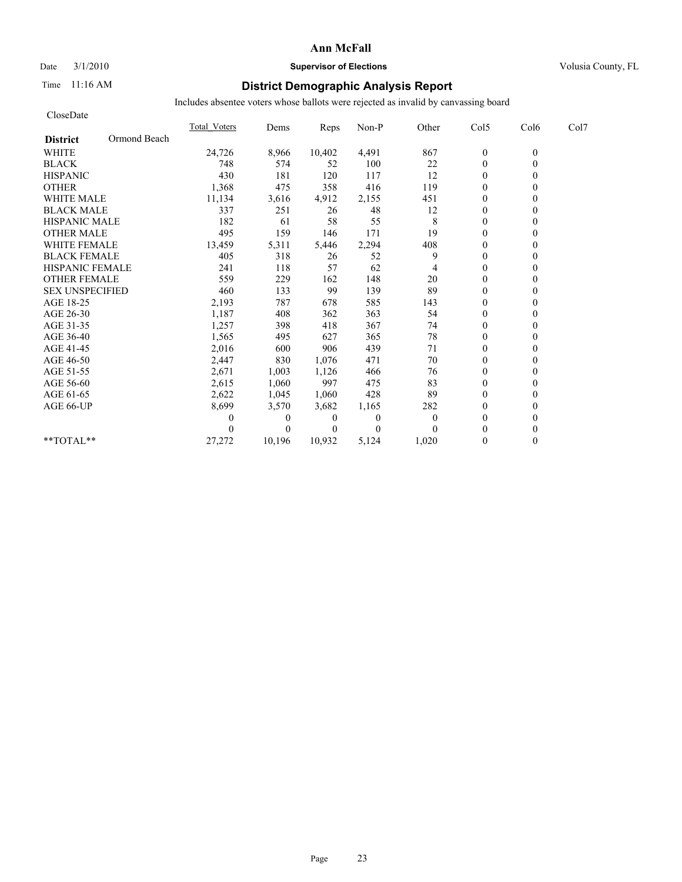## Date  $3/1/2010$  **Supervisor of Elections Supervisor of Elections** Volusia County, FL

## Time 11:16 AM **District Demographic Analysis Report**

| CloseDate              |              |                     |          |          |                |                |                |              |      |
|------------------------|--------------|---------------------|----------|----------|----------------|----------------|----------------|--------------|------|
|                        |              | <b>Total Voters</b> | Dems     | Reps     | Non-P          | Other          | Col5           | Col6         | Col7 |
| <b>District</b>        | Ormond Beach |                     |          |          |                |                |                |              |      |
| <b>WHITE</b>           |              | 24,726              | 8,966    | 10,402   | 4,491          | 867            | $\mathbf{0}$   | $\mathbf{0}$ |      |
| <b>BLACK</b>           |              | 748                 | 574      | 52       | 100            | 22             | $\overline{0}$ |              |      |
| <b>HISPANIC</b>        |              | 430                 | 181      | 120      | 117            | 12             | $\theta$       |              |      |
| <b>OTHER</b>           |              | 1,368               | 475      | 358      | 416            | 119            | $\theta$       |              |      |
| <b>WHITE MALE</b>      |              | 11,134              | 3,616    | 4,912    | 2,155          | 451            | $\theta$       |              |      |
| <b>BLACK MALE</b>      |              | 337                 | 251      | 26       | 48             | 12             | $\theta$       |              |      |
| <b>HISPANIC MALE</b>   |              | 182                 | 61       | 58       | 55             | 8              | $\mathbf{0}$   |              |      |
| <b>OTHER MALE</b>      |              | 495                 | 159      | 146      | 171            | 19             | $\theta$       |              |      |
| <b>WHITE FEMALE</b>    |              | 13,459              | 5,311    | 5,446    | 2,294          | 408            | $\theta$       |              |      |
| <b>BLACK FEMALE</b>    |              | 405                 | 318      | 26       | 52             | 9              | $\mathbf{0}$   |              |      |
| <b>HISPANIC FEMALE</b> |              | 241                 | 118      | 57       | 62             | 4              | $\theta$       |              |      |
| <b>OTHER FEMALE</b>    |              | 559                 | 229      | 162      | 148            | 20             | $\theta$       |              |      |
| <b>SEX UNSPECIFIED</b> |              | 460                 | 133      | 99       | 139            | 89             | $\theta$       |              |      |
| AGE 18-25              |              | 2,193               | 787      | 678      | 585            | 143            | $\theta$       |              |      |
| AGE 26-30              |              | 1,187               | 408      | 362      | 363            | 54             | $\theta$       |              |      |
| AGE 31-35              |              | 1,257               | 398      | 418      | 367            | 74             | $\theta$       |              |      |
| AGE 36-40              |              | 1,565               | 495      | 627      | 365            | 78             | $\theta$       |              |      |
| AGE 41-45              |              | 2,016               | 600      | 906      | 439            | 71             | $\overline{0}$ |              |      |
| AGE 46-50              |              | 2,447               | 830      | 1,076    | 471            | 70             | $\mathbf{0}$   |              |      |
| AGE 51-55              |              | 2,671               | 1,003    | 1,126    | 466            | 76             | $\theta$       |              |      |
| AGE 56-60              |              | 2,615               | 1,060    | 997      | 475            | 83             | $\theta$       |              |      |
| AGE 61-65              |              | 2,622               | 1,045    | 1,060    | 428            | 89             | $\theta$       |              |      |
| AGE 66-UP              |              | 8,699               | 3,570    | 3,682    | 1,165          | 282            | $\theta$       |              |      |
|                        |              | 0                   | $\theta$ | $\theta$ | $\overline{0}$ | $\overline{0}$ | $\theta$       |              |      |
|                        |              |                     | 0        | $\theta$ | $\Omega$       | 0              | $\theta$       |              |      |
| $*$ $TOTAI.**$         |              | 27,272              | 10,196   | 10,932   | 5,124          | 1,020          | $\Omega$       |              |      |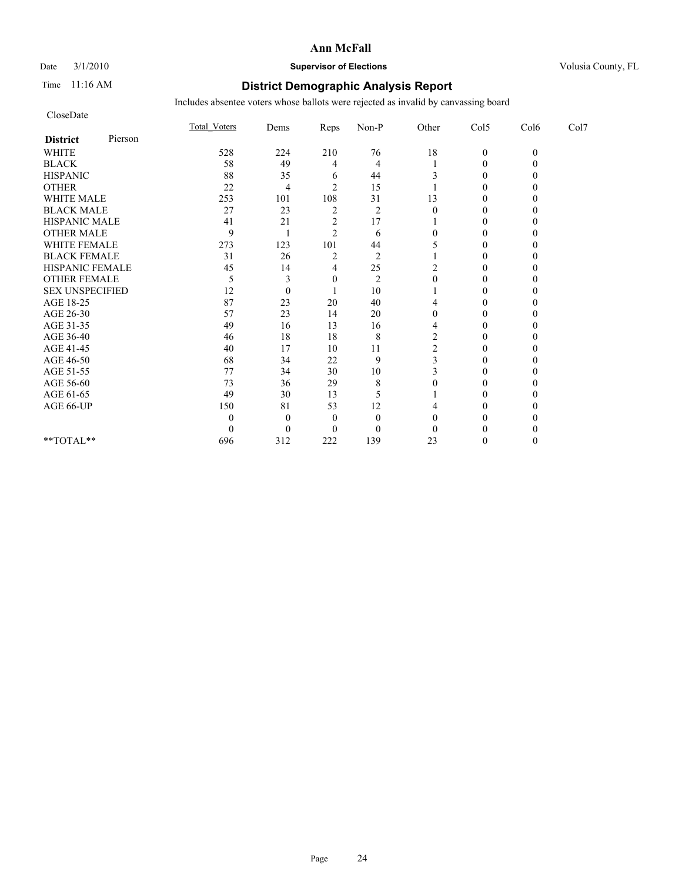# Date  $3/1/2010$  **Supervisor of Elections Supervisor of Elections** Volusia County, FL

## Time 11:16 AM **District Demographic Analysis Report**

| CloseDate              |         |              |                  |                |                |                |                  |          |      |
|------------------------|---------|--------------|------------------|----------------|----------------|----------------|------------------|----------|------|
|                        |         | Total Voters | Dems             | Reps           | Non-P          | Other          | Col5             | Col6     | Col7 |
| <b>District</b>        | Pierson |              |                  |                |                |                |                  |          |      |
| <b>WHITE</b>           |         | 528          | 224              | 210            | 76             | 18             | $\boldsymbol{0}$ | $\theta$ |      |
| <b>BLACK</b>           |         | 58           | 49               | 4              | 4              |                | $\theta$         |          |      |
| <b>HISPANIC</b>        |         | 88           | 35               | 6              | 44             |                | $\theta$         |          |      |
| <b>OTHER</b>           |         | 22           | 4                | $\overline{c}$ | 15             |                | $\theta$         |          |      |
| <b>WHITE MALE</b>      |         | 253          | 101              | 108            | 31             | 13             | $\theta$         |          |      |
| <b>BLACK MALE</b>      |         | 27           | 23               | $\overline{2}$ | $\overline{2}$ | $\Omega$       | $\Omega$         |          |      |
| HISPANIC MALE          |         | 41           | 21               | $\overline{c}$ | 17             |                | $\theta$         |          |      |
| <b>OTHER MALE</b>      |         | 9            |                  | $\overline{c}$ | 6              |                | $\theta$         |          |      |
| WHITE FEMALE           |         | 273          | 123              | 101            | 44             |                | $\theta$         |          |      |
| <b>BLACK FEMALE</b>    |         | 31           | 26               | $\overline{2}$ | $\overline{2}$ |                | $\theta$         |          |      |
| HISPANIC FEMALE        |         | 45           | 14               | 4              | 25             | 2              | $\Omega$         |          |      |
| <b>OTHER FEMALE</b>    |         | 5            | 3                | 0              | $\overline{2}$ |                | $\theta$         |          |      |
| <b>SEX UNSPECIFIED</b> |         | 12           | $\theta$         |                | 10             |                | $\theta$         |          |      |
| AGE 18-25              |         | 87           | 23               | 20             | 40             |                | $\mathbf{0}$     |          |      |
| AGE 26-30              |         | 57           | 23               | 14             | 20             |                | $\theta$         |          |      |
| AGE 31-35              |         | 49           | 16               | 13             | 16             | 4              | $\theta$         |          |      |
| AGE 36-40              |         | 46           | 18               | 18             | 8              | $\overline{2}$ | $\theta$         |          |      |
| AGE 41-45              |         | 40           | 17               | 10             | 11             | 2              | $\theta$         |          |      |
| AGE 46-50              |         | 68           | 34               | 22             | 9              |                | $\mathbf{0}$     |          |      |
| AGE 51-55              |         | 77           | 34               | 30             | $10\,$         |                | $\Omega$         |          |      |
| AGE 56-60              |         | 73           | 36               | 29             | 8              |                | $\theta$         |          |      |
| AGE 61-65              |         | 49           | 30               | 13             | 5              |                | 0                |          |      |
| AGE 66-UP              |         | 150          | 81               | 53             | 12             |                | 0                |          |      |
|                        |         | 0            | $\boldsymbol{0}$ | $\theta$       | $\theta$       |                | 0                |          |      |
|                        |         | 0            | $\theta$         | 0              | $\overline{0}$ |                | $\theta$         |          |      |
| **TOTAL**              |         | 696          | 312              | 222            | 139            | 23             | $\theta$         | 0        |      |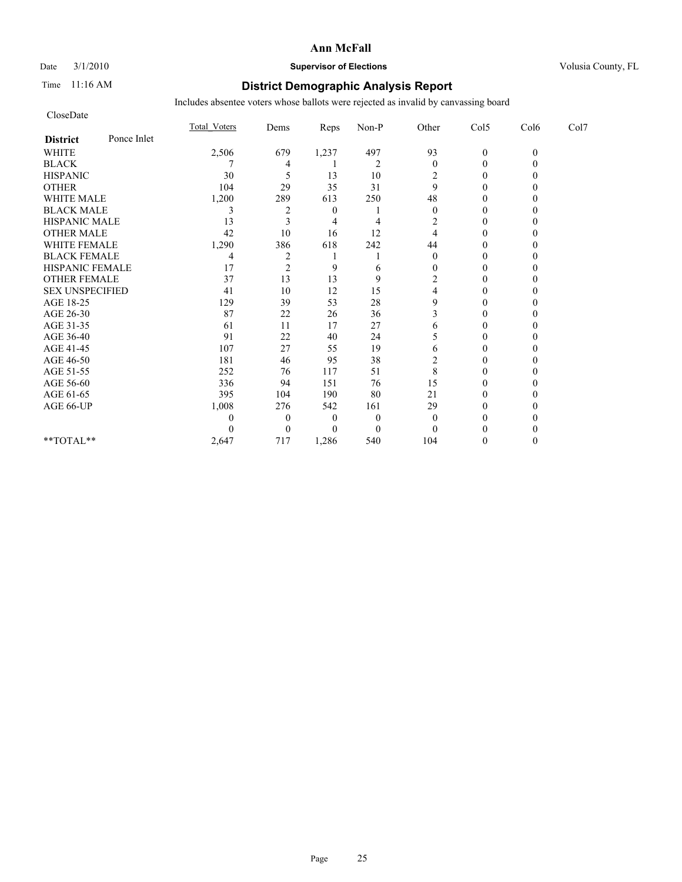## Date  $3/1/2010$  **Supervisor of Elections Supervisor of Elections** Volusia County, FL

## Time 11:16 AM **District Demographic Analysis Report**

| CloseDate              |             |              |                |                  |                |                  |                  |              |      |
|------------------------|-------------|--------------|----------------|------------------|----------------|------------------|------------------|--------------|------|
|                        |             | Total Voters | Dems           | Reps             | Non-P          | Other            | Col5             | Col6         | Col7 |
| <b>District</b>        | Ponce Inlet |              |                |                  |                |                  |                  |              |      |
| <b>WHITE</b>           |             | 2,506        | 679            | 1,237            | 497            | 93               | $\mathbf{0}$     | $\mathbf{0}$ |      |
| <b>BLACK</b>           |             |              | 4              |                  | $\overline{2}$ | $\mathbf{0}$     | $\theta$         |              |      |
| <b>HISPANIC</b>        |             | 30           | 5              | 13               | 10             | 2                | $\boldsymbol{0}$ |              |      |
| <b>OTHER</b>           |             | 104          | 29             | 35               | 31             | 9                | $\theta$         |              |      |
| <b>WHITE MALE</b>      |             | 1,200        | 289            | 613              | 250            | 48               | $\theta$         |              |      |
| <b>BLACK MALE</b>      |             | 3            | 2              | $\boldsymbol{0}$ |                | $\theta$         | $\Omega$         |              |      |
| <b>HISPANIC MALE</b>   |             | 13           | 3              | 4                | 4              | 2                | $\theta$         |              |      |
| <b>OTHER MALE</b>      |             | 42           | 10             | 16               | 12             |                  | 0                |              |      |
| <b>WHITE FEMALE</b>    |             | 1,290        | 386            | 618              | 242            | 44               | $\Omega$         |              |      |
| <b>BLACK FEMALE</b>    |             | 4            | $\overline{c}$ |                  |                | $\boldsymbol{0}$ | $\boldsymbol{0}$ |              |      |
| HISPANIC FEMALE        |             | 17           | $\overline{c}$ | 9                | 6              | 0                | $\theta$         |              |      |
| <b>OTHER FEMALE</b>    |             | 37           | 13             | 13               | 9              | 2                | $\theta$         |              |      |
| <b>SEX UNSPECIFIED</b> |             | 41           | 10             | 12               | 15             |                  | $\theta$         |              |      |
| AGE 18-25              |             | 129          | 39             | 53               | 28             | 9                | $\theta$         |              |      |
| AGE 26-30              |             | 87           | 22             | 26               | 36             | 3                | $\Omega$         |              |      |
| AGE 31-35              |             | 61           | 11             | 17               | 27             | 6                | $\Omega$         |              |      |
| AGE 36-40              |             | 91           | 22             | 40               | 24             |                  | $\theta$         |              |      |
| AGE 41-45              |             | 107          | 27             | 55               | 19             | 6                | $\theta$         |              |      |
| AGE 46-50              |             | 181          | 46             | 95               | 38             | 2                | $\boldsymbol{0}$ |              |      |
| AGE 51-55              |             | 252          | 76             | 117              | 51             | 8                | $\Omega$         |              |      |
| AGE 56-60              |             | 336          | 94             | 151              | 76             | 15               | $\theta$         |              |      |
| AGE 61-65              |             | 395          | 104            | 190              | 80             | 21               | $\Omega$         |              |      |
| AGE 66-UP              |             | 1,008        | 276            | 542              | 161            | 29               | 0                |              |      |
|                        |             | 0            | $\theta$       | 0                | $\overline{0}$ | $\theta$         | 0                |              |      |
|                        |             | 0            | $\overline{0}$ | $\theta$         | $\Omega$       | $\Omega$         | $\Omega$         |              |      |
| **TOTAL**              |             | 2,647        | 717            | 1,286            | 540            | 104              | $\Omega$         |              |      |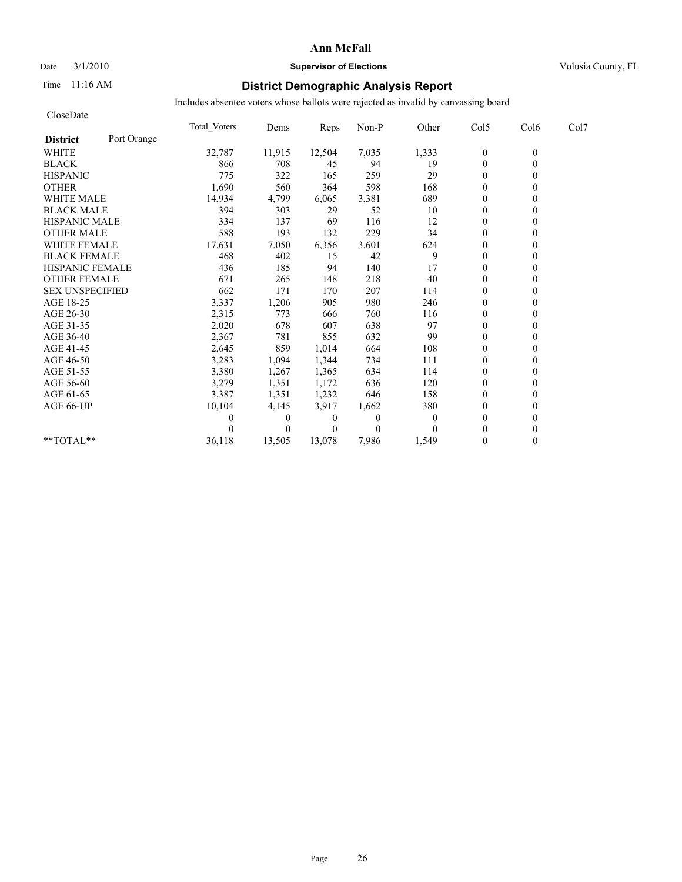### Date  $3/1/2010$  **Supervisor of Elections Supervisor of Elections** Volusia County, FL

## Time 11:16 AM **District Demographic Analysis Report**

| CloseDate              |             |                     |          |          |              |       |                  |          |      |
|------------------------|-------------|---------------------|----------|----------|--------------|-------|------------------|----------|------|
|                        |             | <b>Total Voters</b> | Dems     | Reps     | Non-P        | Other | Col5             | Col6     | Col7 |
| <b>District</b>        | Port Orange |                     |          |          |              |       |                  |          |      |
| <b>WHITE</b>           |             | 32,787              | 11,915   | 12,504   | 7,035        | 1,333 | $\boldsymbol{0}$ | $\theta$ |      |
| <b>BLACK</b>           |             | 866                 | 708      | 45       | 94           | 19    | $\mathbf{0}$     | $\theta$ |      |
| <b>HISPANIC</b>        |             | 775                 | 322      | 165      | 259          | 29    | $\overline{0}$   |          |      |
| <b>OTHER</b>           |             | 1,690               | 560      | 364      | 598          | 168   | $\Omega$         |          |      |
| <b>WHITE MALE</b>      |             | 14,934              | 4,799    | 6,065    | 3,381        | 689   | $\boldsymbol{0}$ |          |      |
| <b>BLACK MALE</b>      |             | 394                 | 303      | 29       | 52           | 10    | $\theta$         |          |      |
| <b>HISPANIC MALE</b>   |             | 334                 | 137      | 69       | 116          | 12    | $\theta$         |          |      |
| <b>OTHER MALE</b>      |             | 588                 | 193      | 132      | 229          | 34    | $\mathbf{0}$     |          |      |
| <b>WHITE FEMALE</b>    |             | 17,631              | 7,050    | 6,356    | 3,601        | 624   | $\theta$         |          |      |
| <b>BLACK FEMALE</b>    |             | 468                 | 402      | 15       | 42           | 9     | $\mathbf{0}$     |          |      |
| HISPANIC FEMALE        |             | 436                 | 185      | 94       | 140          | 17    | $\theta$         | $\theta$ |      |
| <b>OTHER FEMALE</b>    |             | 671                 | 265      | 148      | 218          | 40    | $\overline{0}$   |          |      |
| <b>SEX UNSPECIFIED</b> |             | 662                 | 171      | 170      | 207          | 114   | $\theta$         |          |      |
| AGE 18-25              |             | 3,337               | 1,206    | 905      | 980          | 246   | $\theta$         |          |      |
| AGE 26-30              |             | 2,315               | 773      | 666      | 760          | 116   | $\mathbf{0}$     |          |      |
| AGE 31-35              |             | 2,020               | 678      | 607      | 638          | 97    | $\theta$         |          |      |
| AGE 36-40              |             | 2,367               | 781      | 855      | 632          | 99    | $\Omega$         |          |      |
| AGE 41-45              |             | 2,645               | 859      | 1,014    | 664          | 108   | $\theta$         | 0        |      |
| AGE 46-50              |             | 3,283               | 1,094    | 1,344    | 734          | 111   | $\overline{0}$   |          |      |
| AGE 51-55              |             | 3,380               | 1,267    | 1,365    | 634          | 114   | $\mathbf{0}$     |          |      |
| AGE 56-60              |             | 3,279               | 1,351    | 1,172    | 636          | 120   | $\boldsymbol{0}$ |          |      |
| AGE 61-65              |             | 3,387               | 1,351    | 1,232    | 646          | 158   | $\Omega$         |          |      |
| AGE 66-UP              |             | 10,104              | 4,145    | 3,917    | 1,662        | 380   | $\theta$         |          |      |
|                        |             |                     | $\theta$ | 0        | $\mathbf{0}$ | 0     | $\Omega$         |          |      |
|                        |             |                     | $\Omega$ | $\theta$ | $\theta$     |       | $\Omega$         |          |      |
| **TOTAL**              |             | 36,118              | 13,505   | 13.078   | 7,986        | 1,549 | $\Omega$         | $\theta$ |      |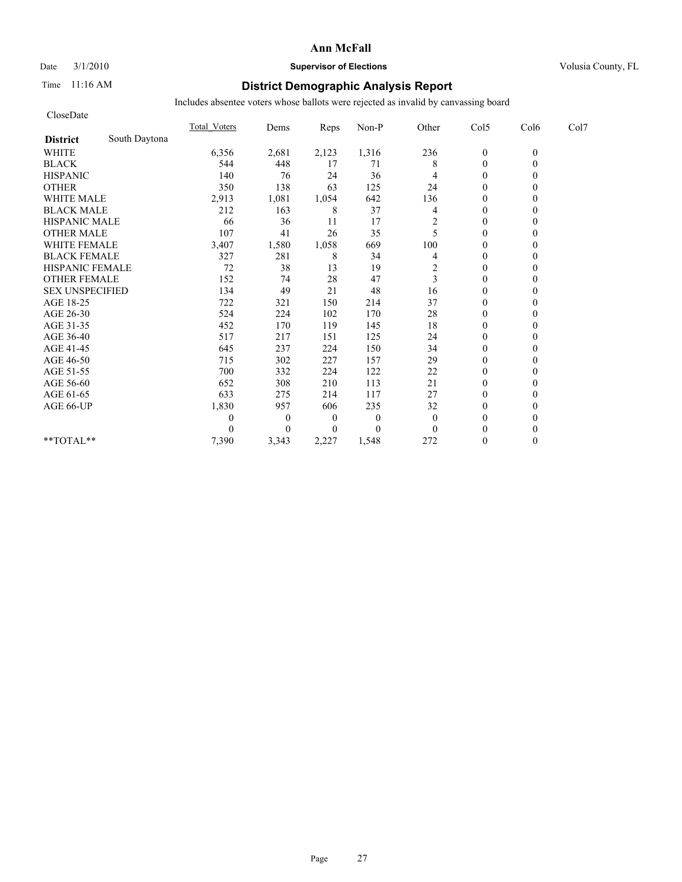## Date  $3/1/2010$  **Supervisor of Elections Supervisor of Elections** Volusia County, FL

## Time 11:16 AM **District Demographic Analysis Report**

| CloseDate              |               |                     |                  |                  |                |              |                  |          |      |
|------------------------|---------------|---------------------|------------------|------------------|----------------|--------------|------------------|----------|------|
|                        |               | <b>Total Voters</b> | Dems             | Reps             | Non-P          | Other        | Col5             | Col6     | Col7 |
| <b>District</b>        | South Daytona |                     |                  |                  |                |              |                  |          |      |
| <b>WHITE</b>           |               | 6,356               | 2,681            | 2,123            | 1,316          | 236          | $\boldsymbol{0}$ | $\theta$ |      |
| <b>BLACK</b>           |               | 544                 | 448              | 17               | 71             | 8            | $\mathbf{0}$     | $\theta$ |      |
| <b>HISPANIC</b>        |               | 140                 | 76               | 24               | 36             | 4            | $\overline{0}$   |          |      |
| <b>OTHER</b>           |               | 350                 | 138              | 63               | 125            | 24           | $\theta$         |          |      |
| WHITE MALE             |               | 2,913               | 1,081            | 1,054            | 642            | 136          | $\boldsymbol{0}$ |          |      |
| <b>BLACK MALE</b>      |               | 212                 | 163              | 8                | 37             | 4            | $\theta$         |          |      |
| <b>HISPANIC MALE</b>   |               | 66                  | 36               | 11               | 17             | 2            | $\theta$         |          |      |
| <b>OTHER MALE</b>      |               | 107                 | 41               | 26               | 35             | 5            | $\mathbf{0}$     |          |      |
| <b>WHITE FEMALE</b>    |               | 3,407               | 1,580            | 1,058            | 669            | 100          | $\theta$         |          |      |
| <b>BLACK FEMALE</b>    |               | 327                 | 281              | 8                | 34             | 4            | $\mathbf{0}$     |          |      |
| HISPANIC FEMALE        |               | 72                  | 38               | 13               | 19             | 2            | $\mathbf{0}$     | $\theta$ |      |
| <b>OTHER FEMALE</b>    |               | 152                 | 74               | 28               | 47             | 3            | $\theta$         |          |      |
| <b>SEX UNSPECIFIED</b> |               | 134                 | 49               | 21               | 48             | 16           | $\theta$         |          |      |
| AGE 18-25              |               | 722                 | 321              | 150              | 214            | 37           | $\theta$         |          |      |
| AGE 26-30              |               | 524                 | 224              | 102              | 170            | 28           | $\mathbf{0}$     |          |      |
| AGE 31-35              |               | 452                 | 170              | 119              | 145            | 18           | $\theta$         |          |      |
| AGE 36-40              |               | 517                 | 217              | 151              | 125            | 24           | $\Omega$         |          |      |
| AGE 41-45              |               | 645                 | 237              | 224              | 150            | 34           | $\mathbf{0}$     | 0        |      |
| AGE 46-50              |               | 715                 | 302              | 227              | 157            | 29           | $\theta$         |          |      |
| AGE 51-55              |               | 700                 | 332              | 224              | 122            | 22           | $\mathbf{0}$     |          |      |
| AGE 56-60              |               | 652                 | 308              | 210              | 113            | 21           | $\mathbf{0}$     |          |      |
| AGE 61-65              |               | 633                 | 275              | 214              | 117            | 27           | $\Omega$         |          |      |
| AGE 66-UP              |               | 1,830               | 957              | 606              | 235            | 32           | $\Omega$         |          |      |
|                        |               | 0                   | $\boldsymbol{0}$ | $\boldsymbol{0}$ | $\overline{0}$ | $\mathbf{0}$ | $\theta$         |          |      |
|                        |               | 0                   | $\overline{0}$   | $\theta$         | $\theta$       | $\theta$     | $\theta$         |          |      |
| **TOTAL**              |               | 7,390               | 3,343            | 2,227            | 1,548          | 272          | $\theta$         | $\theta$ |      |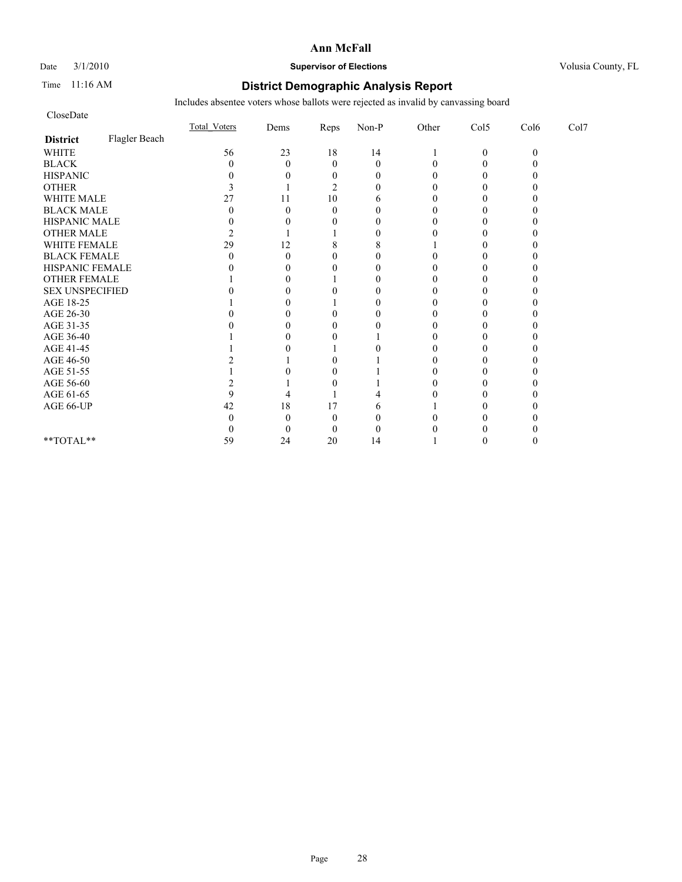Date  $3/1/2010$  **Supervisor of Elections Supervisor of Elections** Volusia County, FL

## Time 11:16 AM **District Demographic Analysis Report**

| CloseDate              |               |                     |          |                |                  |       |              |          |      |
|------------------------|---------------|---------------------|----------|----------------|------------------|-------|--------------|----------|------|
|                        |               | <b>Total Voters</b> | Dems     | Reps           | $Non-P$          | Other | Col5         | Col6     | Col7 |
| <b>District</b>        | Flagler Beach |                     |          |                |                  |       |              |          |      |
| <b>WHITE</b>           |               | 56                  | 23       | 18             | 14               |       | $\mathbf{0}$ | $\Omega$ |      |
| <b>BLACK</b>           |               | $\theta$            | $\theta$ | $\mathbf{0}$   | $\mathbf{0}$     | 0     | $\Omega$     |          |      |
| <b>HISPANIC</b>        |               |                     | $_{0}$   | $\mathbf{0}$   | $\theta$         |       | 0            |          |      |
| <b>OTHER</b>           |               | 3                   |          | $\overline{2}$ | $\Omega$         | 0     | 0            |          |      |
| WHITE MALE             |               | 27                  | 11       | 10             | 6                |       |              |          |      |
| <b>BLACK MALE</b>      |               | O                   | $\Omega$ | $\Omega$       | $\theta$         |       |              |          |      |
| HISPANIC MALE          |               |                     | $_{0}$   | $\theta$       | $\theta$         | 0     | 0            |          |      |
| OTHER MALE             |               |                     |          |                | $\theta$         |       | 0            |          |      |
| WHITE FEMALE           |               | 29                  | 12       | 8              | 8                |       | 0            |          |      |
| <b>BLACK FEMALE</b>    |               |                     | 0        | 0              | $\boldsymbol{0}$ |       |              |          |      |
| HISPANIC FEMALE        |               |                     | 0        | $\theta$       | $\theta$         | 0     | 0            |          |      |
| <b>OTHER FEMALE</b>    |               |                     |          |                | $\theta$         |       |              |          |      |
| <b>SEX UNSPECIFIED</b> |               |                     |          |                | $\theta$         |       |              |          |      |
| AGE 18-25              |               |                     |          |                | $\theta$         |       |              |          |      |
| AGE 26-30              |               |                     |          |                | 0                |       |              |          |      |
| AGE 31-35              |               |                     |          |                | 0                |       | 0            |          |      |
| AGE 36-40              |               |                     |          |                |                  |       |              |          |      |
| AGE 41-45              |               |                     |          |                | 0                | 0     | 0            |          |      |
| AGE 46-50              |               |                     |          |                |                  |       |              |          |      |
| AGE 51-55              |               |                     |          |                |                  |       |              |          |      |
| AGE 56-60              |               |                     |          |                |                  |       |              |          |      |
| AGE 61-65              |               | 9                   |          |                |                  |       |              |          |      |
| AGE 66-UP              |               | 42                  | 18       | 17             | 6                |       |              |          |      |
|                        |               |                     |          | $\Omega$       | $\theta$         |       |              |          |      |
|                        |               |                     | $\theta$ | $\Omega$       | $\theta$         |       |              |          |      |
| **TOTAL**              |               | 59                  | 24       | 20             | 14               |       |              |          |      |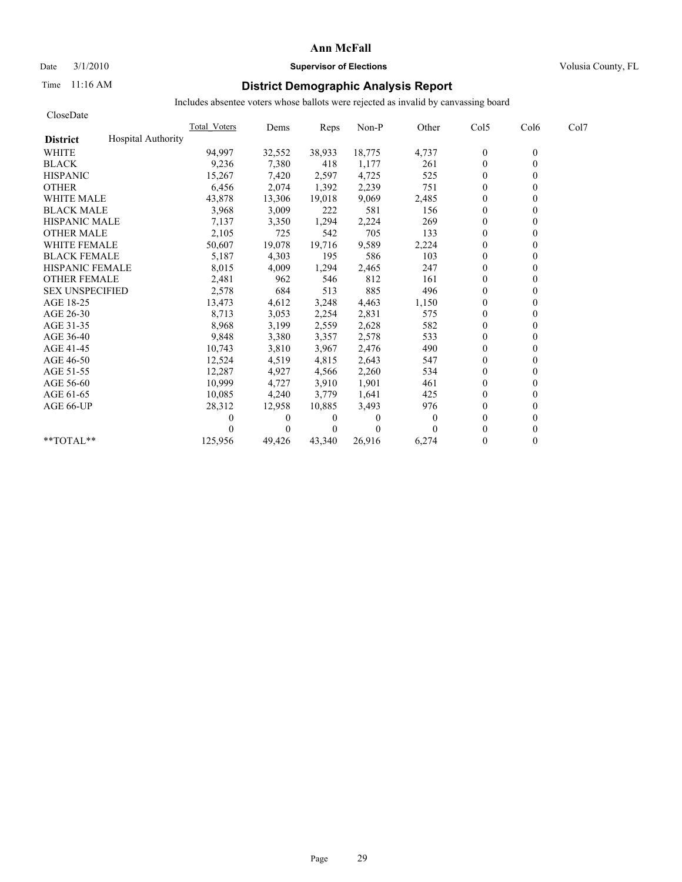# Date  $3/1/2010$  **Supervisor of Elections Supervisor of Elections** Volusia County, FL

## Time 11:16 AM **District Demographic Analysis Report**

| CloseDate              |                           |              |          |                |          |              |                |                  |      |
|------------------------|---------------------------|--------------|----------|----------------|----------|--------------|----------------|------------------|------|
|                        |                           | Total Voters | Dems     | Reps           | Non-P    | Other        | Col5           | Col <sub>6</sub> | Col7 |
| <b>District</b>        | <b>Hospital Authority</b> |              |          |                |          |              |                |                  |      |
| <b>WHITE</b>           |                           | 94,997       | 32,552   | 38,933         | 18,775   | 4,737        | $\mathbf{0}$   | $\mathbf{0}$     |      |
| <b>BLACK</b>           |                           | 9,236        | 7,380    | 418            | 1,177    | 261          | $\mathbf{0}$   | $\theta$         |      |
| <b>HISPANIC</b>        |                           | 15,267       | 7,420    | 2,597          | 4,725    | 525          | $\theta$       |                  |      |
| <b>OTHER</b>           |                           | 6,456        | 2,074    | 1,392          | 2,239    | 751          | $\mathbf{0}$   |                  |      |
| <b>WHITE MALE</b>      |                           | 43,878       | 13,306   | 19,018         | 9,069    | 2,485        | $\mathbf{0}$   |                  |      |
| <b>BLACK MALE</b>      |                           | 3,968        | 3,009    | 222            | 581      | 156          | $\mathbf{0}$   |                  |      |
| <b>HISPANIC MALE</b>   |                           | 7,137        | 3,350    | 1,294          | 2,224    | 269          | $\mathbf{0}$   |                  |      |
| <b>OTHER MALE</b>      |                           | 2,105        | 725      | 542            | 705      | 133          | $\theta$       |                  |      |
| <b>WHITE FEMALE</b>    |                           | 50,607       | 19,078   | 19,716         | 9,589    | 2,224        | $\mathbf{0}$   |                  |      |
| <b>BLACK FEMALE</b>    |                           | 5,187        | 4,303    | 195            | 586      | 103          | $\mathbf{0}$   |                  |      |
| <b>HISPANIC FEMALE</b> |                           | 8,015        | 4,009    | 1,294          | 2,465    | 247          | $\theta$       |                  |      |
| <b>OTHER FEMALE</b>    |                           | 2,481        | 962      | 546            | 812      | 161          | $\theta$       |                  |      |
| <b>SEX UNSPECIFIED</b> |                           | 2,578        | 684      | 513            | 885      | 496          | $\theta$       |                  |      |
| AGE 18-25              |                           | 13,473       | 4,612    | 3,248          | 4,463    | 1,150        | $\mathbf{0}$   |                  |      |
| AGE 26-30              |                           | 8,713        | 3,053    | 2,254          | 2,831    | 575          | $\theta$       |                  |      |
| AGE 31-35              |                           | 8,968        | 3,199    | 2,559          | 2,628    | 582          | $\theta$       |                  |      |
| AGE 36-40              |                           | 9,848        | 3,380    | 3,357          | 2,578    | 533          | $\theta$       |                  |      |
| AGE 41-45              |                           | 10,743       | 3,810    | 3,967          | 2,476    | 490          | $\mathbf{0}$   |                  |      |
| AGE 46-50              |                           | 12,524       | 4,519    | 4,815          | 2,643    | 547          | $\mathbf{0}$   |                  |      |
| AGE 51-55              |                           | 12,287       | 4,927    | 4,566          | 2,260    | 534          | $\overline{0}$ |                  |      |
| AGE 56-60              |                           | 10,999       | 4,727    | 3,910          | 1,901    | 461          | $\mathbf{0}$   |                  |      |
| AGE 61-65              |                           | 10,085       | 4,240    | 3,779          | 1,641    | 425          | $\mathbf{0}$   |                  |      |
| AGE 66-UP              |                           | 28,312       | 12,958   | 10,885         | 3,493    | 976          | $\theta$       |                  |      |
|                        |                           |              | $\theta$ | $\overline{0}$ | $\Omega$ | $\mathbf{0}$ | $\theta$       |                  |      |
|                        |                           |              | 0        | $\theta$       | $\Omega$ |              | $\theta$       |                  |      |
| $*$ $TOTAI.**$         |                           | 125,956      | 49,426   | 43,340         | 26,916   | 6,274        | $\theta$       | 0                |      |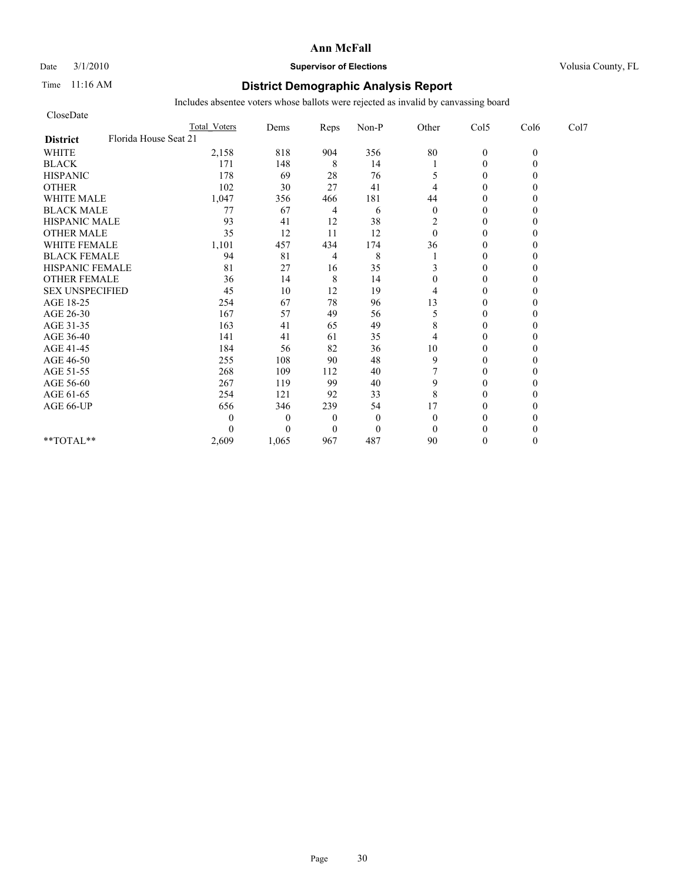# Date  $3/1/2010$  **Supervisor of Elections Supervisor of Elections** Volusia County, FL

## Time 11:16 AM **District Demographic Analysis Report**

| CloseDate                                |                     |              |                |              |              |                |          |                  |
|------------------------------------------|---------------------|--------------|----------------|--------------|--------------|----------------|----------|------------------|
|                                          | <b>Total Voters</b> | Dems         | Reps           | Non-P        | Other        | Col5           | Col6     | Col <sub>7</sub> |
| Florida House Seat 21<br><b>District</b> |                     |              |                |              |              |                |          |                  |
| <b>WHITE</b>                             | 2,158               | 818          | 904            | 356          | $80\,$       | $\mathbf{0}$   | $\theta$ |                  |
| <b>BLACK</b>                             | 171                 | 148          | 8              | 14           |              | $\mathbf{0}$   |          |                  |
| <b>HISPANIC</b>                          | 178                 | 69           | 28             | 76           | 5            | $\theta$       |          |                  |
| <b>OTHER</b>                             | 102                 | 30           | 27             | 41           | 4            | $\theta$       |          |                  |
| <b>WHITE MALE</b>                        | 1,047               | 356          | 466            | 181          | 44           | $\theta$       |          |                  |
| <b>BLACK MALE</b>                        | 77                  | 67           | 4              | 6            | $\theta$     | $\theta$       |          |                  |
| <b>HISPANIC MALE</b>                     | 93                  | 41           | 12             | 38           | 2            | $\theta$       |          |                  |
| <b>OTHER MALE</b>                        | 35                  | 12           | 11             | 12           | $\mathbf{0}$ | $\theta$       |          |                  |
| <b>WHITE FEMALE</b>                      | 1,101               | 457          | 434            | 174          | 36           | $\theta$       |          |                  |
| <b>BLACK FEMALE</b>                      | 94                  | 81           | 4              | 8            |              | $\overline{0}$ |          |                  |
| HISPANIC FEMALE                          | 81                  | 27           | 16             | 35           | 3            | $\theta$       |          |                  |
| <b>OTHER FEMALE</b>                      | 36                  | 14           | $\,$ 8 $\,$    | 14           | 0            | $\theta$       |          |                  |
| <b>SEX UNSPECIFIED</b>                   | 45                  | 10           | 12             | 19           | 4            | $\theta$       |          |                  |
| AGE 18-25                                | 254                 | 67           | 78             | 96           | 13           | $\theta$       |          |                  |
| AGE 26-30                                | 167                 | 57           | 49             | 56           | 5            | $\overline{0}$ |          |                  |
| AGE 31-35                                | 163                 | 41           | 65             | 49           | 8            | $\theta$       |          |                  |
| AGE 36-40                                | 141                 | 41           | 61             | 35           | 4            | $\Omega$       |          |                  |
| AGE 41-45                                | 184                 | 56           | 82             | 36           | $10\,$       | $\mathbf{0}$   |          |                  |
| AGE 46-50                                | 255                 | 108          | 90             | 48           | 9            | $\theta$       |          |                  |
| AGE 51-55                                | 268                 | 109          | 112            | 40           |              | $\Omega$       |          |                  |
| AGE 56-60                                | 267                 | 119          | 99             | 40           | 9            | $\overline{0}$ |          |                  |
| AGE 61-65                                | 254                 | 121          | 92             | 33           | 8            | $\theta$       |          |                  |
| AGE 66-UP                                | 656                 | 346          | 239            | 54           | 17           | $\theta$       |          |                  |
|                                          | 0                   | $\mathbf{0}$ | $\overline{0}$ | $\mathbf{0}$ | $\theta$     | $\Omega$       |          |                  |
|                                          | 0                   | $\Omega$     | $\Omega$       | $\mathbf{0}$ | $\theta$     | $\Omega$       |          |                  |
| **TOTAL**                                | 2,609               | 1,065        | 967            | 487          | 90           | $\theta$       |          |                  |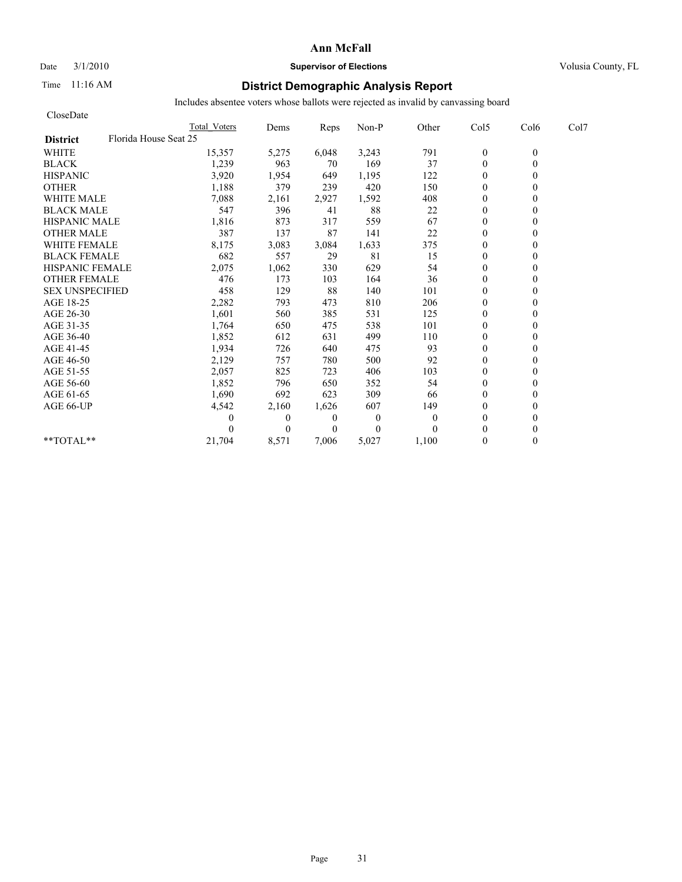# Date  $3/1/2010$  **Supervisor of Elections Supervisor of Elections** Volusia County, FL

## Time 11:16 AM **District Demographic Analysis Report**

| CloseDate                                |                     |              |          |              |          |                  |                  |      |
|------------------------------------------|---------------------|--------------|----------|--------------|----------|------------------|------------------|------|
|                                          | <b>Total Voters</b> | Dems         | Reps     | Non-P        | Other    | Col5             | Col <sub>6</sub> | Col7 |
| Florida House Seat 25<br><b>District</b> |                     |              |          |              |          |                  |                  |      |
| <b>WHITE</b>                             | 15,357              | 5,275        | 6,048    | 3,243        | 791      | $\boldsymbol{0}$ | $\theta$         |      |
| <b>BLACK</b>                             | 1,239               | 963          | 70       | 169          | 37       | $\theta$         | $\theta$         |      |
| <b>HISPANIC</b>                          | 3,920               | 1,954        | 649      | 1,195        | 122      | $\theta$         |                  |      |
| <b>OTHER</b>                             | 1,188               | 379          | 239      | 420          | 150      | $\theta$         |                  |      |
| <b>WHITE MALE</b>                        | 7,088               | 2,161        | 2,927    | 1,592        | 408      | $\theta$         |                  |      |
| <b>BLACK MALE</b>                        | 547                 | 396          | 41       | 88           | $22\,$   | $\mathbf{0}$     |                  |      |
| <b>HISPANIC MALE</b>                     | 1,816               | 873          | 317      | 559          | 67       | $\mathbf{0}$     |                  |      |
| <b>OTHER MALE</b>                        | 387                 | 137          | 87       | 141          | 22       | $\mathbf{0}$     |                  |      |
| <b>WHITE FEMALE</b>                      | 8,175               | 3,083        | 3,084    | 1,633        | 375      | $\theta$         |                  |      |
| <b>BLACK FEMALE</b>                      | 682                 | 557          | 29       | 81           | 15       | $\overline{0}$   |                  |      |
| <b>HISPANIC FEMALE</b>                   | 2,075               | 1,062        | 330      | 629          | 54       | $\theta$         |                  |      |
| <b>OTHER FEMALE</b>                      | 476                 | 173          | 103      | 164          | 36       | $\theta$         |                  |      |
| <b>SEX UNSPECIFIED</b>                   | 458                 | 129          | 88       | 140          | 101      | $\theta$         |                  |      |
| AGE 18-25                                | 2,282               | 793          | 473      | 810          | 206      | $\mathbf{0}$     |                  |      |
| AGE 26-30                                | 1,601               | 560          | 385      | 531          | 125      | $\mathbf{0}$     |                  |      |
| AGE 31-35                                | 1,764               | 650          | 475      | 538          | 101      | $\mathbf{0}$     |                  |      |
| AGE 36-40                                | 1,852               | 612          | 631      | 499          | 110      | $\overline{0}$   |                  |      |
| AGE 41-45                                | 1,934               | 726          | 640      | 475          | 93       | $\mathbf{0}$     |                  |      |
| AGE 46-50                                | 2,129               | 757          | 780      | 500          | 92       | $\theta$         |                  |      |
| AGE 51-55                                | 2,057               | 825          | 723      | 406          | 103      | $\mathbf{0}$     |                  |      |
| AGE 56-60                                | 1,852               | 796          | 650      | 352          | 54       | $\mathbf{0}$     |                  |      |
| AGE 61-65                                | 1,690               | 692          | 623      | 309          | 66       | $\theta$         |                  |      |
| AGE 66-UP                                | 4,542               | 2,160        | 1,626    | 607          | 149      | $\theta$         |                  |      |
|                                          | 0                   | $\mathbf{0}$ | 0        | $\mathbf{0}$ | $\theta$ | $\theta$         |                  |      |
|                                          |                     | $\Omega$     | $\Omega$ | $\theta$     | $\Omega$ | $\theta$         |                  |      |
| $*$ $TOTAI.**$                           | 21,704              | 8,571        | 7.006    | 5,027        | 1,100    | $\theta$         | 0                |      |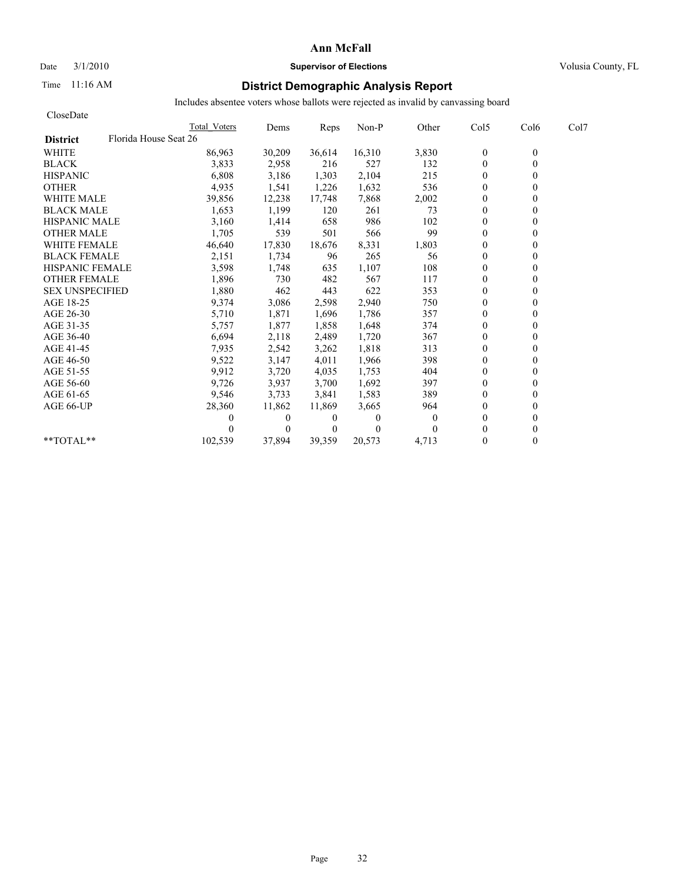# Date  $3/1/2010$  **Supervisor of Elections Supervisor of Elections** Volusia County, FL

# Time 11:16 AM **District Demographic Analysis Report**

| CloseDate              |                       |          |                |              |          |                  |                  |      |
|------------------------|-----------------------|----------|----------------|--------------|----------|------------------|------------------|------|
|                        | Total Voters          | Dems     | Reps           | Non-P        | Other    | Col5             | Col <sub>6</sub> | Col7 |
| <b>District</b>        | Florida House Seat 26 |          |                |              |          |                  |                  |      |
| <b>WHITE</b>           | 86,963                | 30,209   | 36,614         | 16,310       | 3,830    | $\boldsymbol{0}$ | $\mathbf{0}$     |      |
| <b>BLACK</b>           | 3,833                 | 2,958    | 216            | 527          | 132      | $\mathbf{0}$     | 0                |      |
| <b>HISPANIC</b>        | 6,808                 | 3,186    | 1,303          | 2,104        | 215      | $\overline{0}$   |                  |      |
| <b>OTHER</b>           | 4,935                 | 1,541    | 1,226          | 1,632        | 536      | $\theta$         |                  |      |
| <b>WHITE MALE</b>      | 39,856                | 12,238   | 17,748         | 7,868        | 2,002    | $\overline{0}$   |                  |      |
| <b>BLACK MALE</b>      | 1,653                 | 1,199    | 120            | 261          | 73       | $\mathbf{0}$     |                  |      |
| <b>HISPANIC MALE</b>   | 3,160                 | 1,414    | 658            | 986          | 102      | $\theta$         |                  |      |
| <b>OTHER MALE</b>      | 1,705                 | 539      | 501            | 566          | 99       | $\overline{0}$   |                  |      |
| <b>WHITE FEMALE</b>    | 46,640                | 17,830   | 18,676         | 8,331        | 1,803    | $\theta$         |                  |      |
| <b>BLACK FEMALE</b>    | 2,151                 | 1,734    | 96             | 265          | 56       | $\overline{0}$   |                  |      |
| <b>HISPANIC FEMALE</b> | 3,598                 | 1,748    | 635            | 1,107        | 108      | $\theta$         |                  |      |
| <b>OTHER FEMALE</b>    | 1,896                 | 730      | 482            | 567          | 117      | $\overline{0}$   |                  |      |
| <b>SEX UNSPECIFIED</b> | 1,880                 | 462      | 443            | 622          | 353      | $\theta$         |                  |      |
| AGE 18-25              | 9,374                 | 3,086    | 2,598          | 2,940        | 750      | $\theta$         |                  |      |
| AGE 26-30              | 5,710                 | 1,871    | 1,696          | 1,786        | 357      | $\overline{0}$   |                  |      |
| AGE 31-35              | 5,757                 | 1,877    | 1,858          | 1,648        | 374      | $\mathbf{0}$     |                  |      |
| AGE 36-40              | 6,694                 | 2,118    | 2,489          | 1,720        | 367      | $\overline{0}$   |                  |      |
| AGE 41-45              | 7,935                 | 2,542    | 3,262          | 1,818        | 313      | $\mathbf{0}$     |                  |      |
| AGE 46-50              | 9,522                 | 3,147    | 4,011          | 1,966        | 398      | $\theta$         |                  |      |
| AGE 51-55              | 9,912                 | 3,720    | 4,035          | 1,753        | 404      | $\theta$         |                  |      |
| AGE 56-60              | 9,726                 | 3,937    | 3,700          | 1,692        | 397      | $\overline{0}$   |                  |      |
| AGE 61-65              | 9,546                 | 3.733    | 3,841          | 1,583        | 389      | $\theta$         |                  |      |
| AGE 66-UP              | 28,360                | 11,862   | 11,869         | 3,665        | 964      | $\Omega$         |                  |      |
|                        | 0                     | 0        | 0              | $\mathbf{0}$ | $\Omega$ | $\Omega$         |                  |      |
|                        |                       | $\theta$ | $\overline{0}$ | $\Omega$     |          | $\Omega$         |                  |      |
| $*$ $TOTAI.**$         | 102,539               | 37.894   | 39,359         | 20,573       | 4,713    | $\theta$         | 0                |      |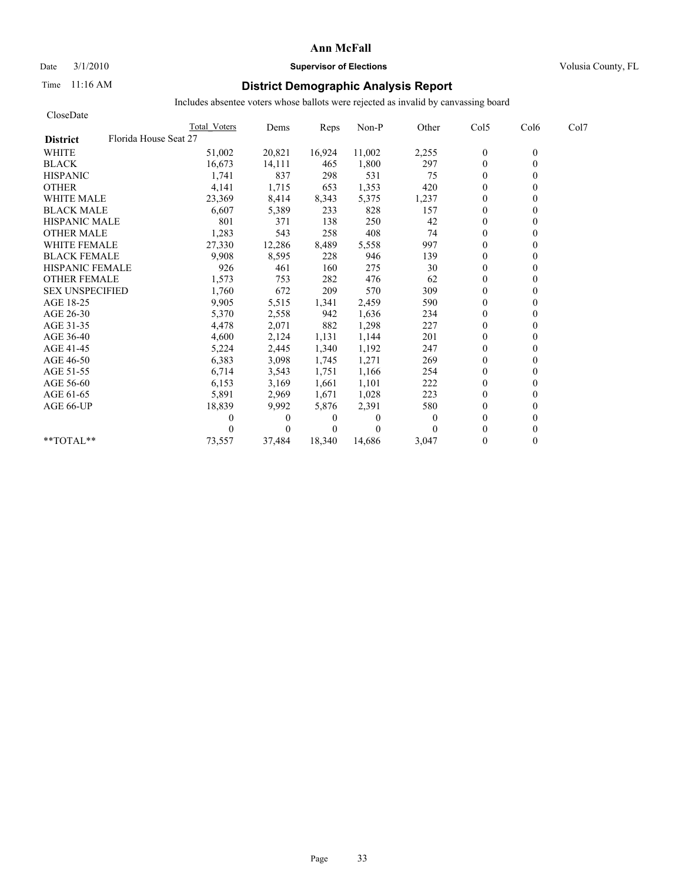# Date  $3/1/2010$  **Supervisor of Elections Supervisor of Elections** Volusia County, FL

# Time 11:16 AM **District Demographic Analysis Report**

| CloseDate                                |              |              |                |          |              |                |                  |      |
|------------------------------------------|--------------|--------------|----------------|----------|--------------|----------------|------------------|------|
|                                          | Total Voters | Dems         | Reps           | Non-P    | Other        | Col5           | Col <sub>6</sub> | Col7 |
| Florida House Seat 27<br><b>District</b> |              |              |                |          |              |                |                  |      |
| <b>WHITE</b>                             | 51,002       | 20,821       | 16,924         | 11,002   | 2,255        | $\theta$       | $\mathbf{0}$     |      |
| <b>BLACK</b>                             | 16,673       | 14,111       | 465            | 1,800    | 297          | $\mathbf{0}$   | $\theta$         |      |
| <b>HISPANIC</b>                          | 1,741        | 837          | 298            | 531      | 75           | $\overline{0}$ |                  |      |
| <b>OTHER</b>                             | 4,141        | 1,715        | 653            | 1,353    | 420          | $\theta$       |                  |      |
| <b>WHITE MALE</b>                        | 23,369       | 8,414        | 8,343          | 5,375    | 1,237        | $\theta$       |                  |      |
| <b>BLACK MALE</b>                        | 6,607        | 5,389        | 233            | 828      | 157          | $\mathbf{0}$   |                  |      |
| <b>HISPANIC MALE</b>                     | 801          | 371          | 138            | 250      | 42           | $\mathbf{0}$   |                  |      |
| <b>OTHER MALE</b>                        | 1,283        | 543          | 258            | 408      | 74           | $\mathbf{0}$   |                  |      |
| <b>WHITE FEMALE</b>                      | 27,330       | 12,286       | 8,489          | 5,558    | 997          | $\theta$       |                  |      |
| <b>BLACK FEMALE</b>                      | 9,908        | 8,595        | 228            | 946      | 139          | $\theta$       |                  |      |
| <b>HISPANIC FEMALE</b>                   | 926          | 461          | 160            | 275      | 30           | $\theta$       |                  |      |
| <b>OTHER FEMALE</b>                      | 1,573        | 753          | 282            | 476      | 62           | $\overline{0}$ |                  |      |
| <b>SEX UNSPECIFIED</b>                   | 1,760        | 672          | 209            | 570      | 309          | $\theta$       |                  |      |
| AGE 18-25                                | 9,905        | 5,515        | 1,341          | 2,459    | 590          | $\theta$       |                  |      |
| AGE 26-30                                | 5,370        | 2,558        | 942            | 1,636    | 234          | $\Omega$       |                  |      |
| AGE 31-35                                | 4,478        | 2,071        | 882            | 1,298    | 227          | $\mathbf{0}$   |                  |      |
| AGE 36-40                                | 4,600        | 2,124        | 1,131          | 1,144    | 201          | $\theta$       |                  |      |
| AGE 41-45                                | 5,224        | 2,445        | 1,340          | 1,192    | 247          | $\mathbf{0}$   |                  |      |
| AGE 46-50                                | 6,383        | 3,098        | 1,745          | 1,271    | 269          | $\theta$       |                  |      |
| AGE 51-55                                | 6,714        | 3,543        | 1,751          | 1,166    | 254          | $\mathbf{0}$   |                  |      |
| AGE 56-60                                | 6,153        | 3,169        | 1,661          | 1,101    | 222          | $\overline{0}$ |                  |      |
| AGE 61-65                                | 5,891        | 2,969        | 1,671          | 1,028    | 223          | $\mathbf{0}$   |                  |      |
| AGE 66-UP                                | 18,839       | 9,992        | 5,876          | 2,391    | 580          | $\Omega$       |                  |      |
|                                          | 0            | $\mathbf{0}$ | $\overline{0}$ | $\Omega$ | $\mathbf{0}$ | $\Omega$       |                  |      |
|                                          |              | $\Omega$     | $\theta$       | $\theta$ |              | $\theta$       |                  |      |
| $*$ $TOTAI.**$                           | 73,557       | 37,484       | 18,340         | 14,686   | 3,047        | $\theta$       | 0                |      |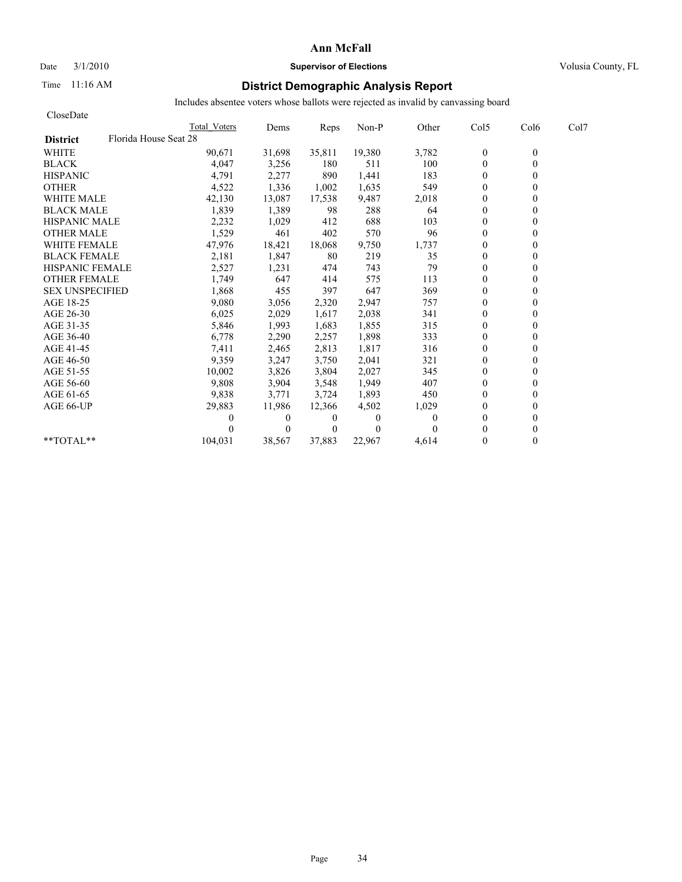# Date  $3/1/2010$  **Supervisor of Elections Supervisor of Elections** Volusia County, FL

# Time 11:16 AM **District Demographic Analysis Report**

| CloseDate              |                       |              |              |                |              |          |                  |                  |      |
|------------------------|-----------------------|--------------|--------------|----------------|--------------|----------|------------------|------------------|------|
|                        |                       | Total Voters | Dems         | Reps           | Non-P        | Other    | Col5             | Col <sub>6</sub> | Col7 |
| <b>District</b>        | Florida House Seat 28 |              |              |                |              |          |                  |                  |      |
| <b>WHITE</b>           |                       | 90,671       | 31,698       | 35,811         | 19,380       | 3,782    | $\boldsymbol{0}$ | $\mathbf{0}$     |      |
| <b>BLACK</b>           |                       | 4,047        | 3,256        | 180            | 511          | 100      | $\mathbf{0}$     | 0                |      |
| <b>HISPANIC</b>        |                       | 4,791        | 2,277        | 890            | 1,441        | 183      | $\theta$         |                  |      |
| <b>OTHER</b>           |                       | 4,522        | 1,336        | 1,002          | 1,635        | 549      | $\theta$         |                  |      |
| <b>WHITE MALE</b>      |                       | 42,130       | 13,087       | 17,538         | 9,487        | 2,018    | $\theta$         |                  |      |
| <b>BLACK MALE</b>      |                       | 1,839        | 1,389        | 98             | 288          | 64       | $\mathbf{0}$     |                  |      |
| <b>HISPANIC MALE</b>   |                       | 2,232        | 1,029        | 412            | 688          | 103      | $\theta$         |                  |      |
| <b>OTHER MALE</b>      |                       | 1,529        | 461          | 402            | 570          | 96       | $\overline{0}$   |                  |      |
| <b>WHITE FEMALE</b>    |                       | 47,976       | 18,421       | 18,068         | 9,750        | 1,737    | $\theta$         |                  |      |
| <b>BLACK FEMALE</b>    |                       | 2,181        | 1,847        | 80             | 219          | 35       | $\overline{0}$   |                  |      |
| <b>HISPANIC FEMALE</b> |                       | 2,527        | 1,231        | 474            | 743          | 79       | $\theta$         |                  |      |
| <b>OTHER FEMALE</b>    |                       | 1,749        | 647          | 414            | 575          | 113      | $\theta$         |                  |      |
| <b>SEX UNSPECIFIED</b> |                       | 1,868        | 455          | 397            | 647          | 369      | $\theta$         |                  |      |
| AGE 18-25              |                       | 9,080        | 3,056        | 2,320          | 2,947        | 757      | $\theta$         |                  |      |
| AGE 26-30              |                       | 6,025        | 2,029        | 1,617          | 2,038        | 341      | $\overline{0}$   |                  |      |
| AGE 31-35              |                       | 5,846        | 1,993        | 1,683          | 1,855        | 315      | $\mathbf{0}$     |                  |      |
| AGE 36-40              |                       | 6,778        | 2,290        | 2,257          | 1,898        | 333      | $\overline{0}$   |                  |      |
| AGE 41-45              |                       | 7,411        | 2,465        | 2,813          | 1,817        | 316      | $\mathbf{0}$     |                  |      |
| AGE 46-50              |                       | 9,359        | 3,247        | 3,750          | 2,041        | 321      | $\theta$         |                  |      |
| AGE 51-55              |                       | 10,002       | 3,826        | 3,804          | 2,027        | 345      | $\theta$         |                  |      |
| AGE 56-60              |                       | 9,808        | 3,904        | 3,548          | 1,949        | 407      | $\overline{0}$   |                  |      |
| AGE 61-65              |                       | 9,838        | 3,771        | 3,724          | 1,893        | 450      | $\theta$         |                  |      |
| AGE 66-UP              |                       | 29,883       | 11,986       | 12,366         | 4,502        | 1,029    | $\theta$         |                  |      |
|                        |                       | 0            | $\mathbf{0}$ | 0              | $\mathbf{0}$ | $\Omega$ | $\theta$         |                  |      |
|                        |                       |              | $\Omega$     | $\overline{0}$ | $\Omega$     |          | $\Omega$         |                  |      |
| $*$ $TOTAI.**$         |                       | 104,031      | 38,567       | 37,883         | 22,967       | 4,614    | $\Omega$         | 0                |      |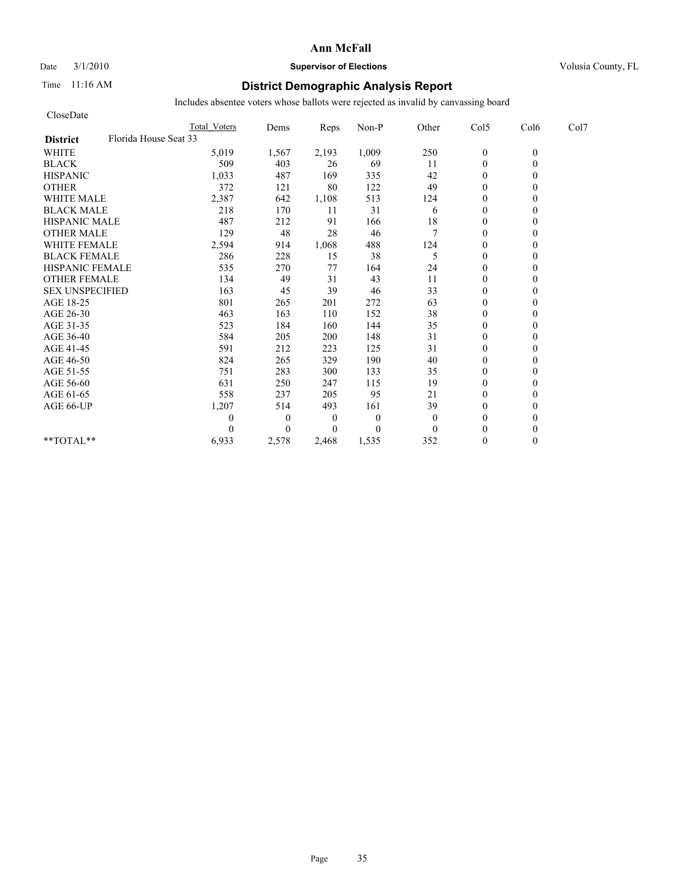### Date  $3/1/2010$  **Supervisor of Elections Supervisor of Elections** Volusia County, FL

## Time 11:16 AM **District Demographic Analysis Report**

| CloseDate              |                       |                     |              |                |              |              |                  |          |      |
|------------------------|-----------------------|---------------------|--------------|----------------|--------------|--------------|------------------|----------|------|
|                        |                       | <b>Total Voters</b> | Dems         | Reps           | Non-P        | Other        | Col5             | Col6     | Col7 |
| <b>District</b>        | Florida House Seat 33 |                     |              |                |              |              |                  |          |      |
| <b>WHITE</b>           |                       | 5,019               | 1,567        | 2,193          | 1,009        | 250          | $\boldsymbol{0}$ | $\theta$ |      |
| <b>BLACK</b>           |                       | 509                 | 403          | 26             | 69           | 11           | $\theta$         | $\theta$ |      |
| <b>HISPANIC</b>        |                       | 1,033               | 487          | 169            | 335          | 42           | $\theta$         |          |      |
| <b>OTHER</b>           |                       | 372                 | 121          | 80             | 122          | 49           | $\theta$         |          |      |
| <b>WHITE MALE</b>      |                       | 2,387               | 642          | 1,108          | 513          | 124          | $\theta$         |          |      |
| <b>BLACK MALE</b>      |                       | 218                 | 170          | 11             | 31           | 6            | $\mathbf{0}$     |          |      |
| <b>HISPANIC MALE</b>   |                       | 487                 | 212          | 91             | 166          | $18\,$       | $\mathbf{0}$     |          |      |
| <b>OTHER MALE</b>      |                       | 129                 | 48           | 28             | 46           | $\tau$       | $\mathbf{0}$     |          |      |
| <b>WHITE FEMALE</b>    |                       | 2,594               | 914          | 1,068          | 488          | 124          | $\theta$         |          |      |
| <b>BLACK FEMALE</b>    |                       | 286                 | 228          | 15             | 38           | 5            | $\theta$         |          |      |
| <b>HISPANIC FEMALE</b> |                       | 535                 | 270          | 77             | 164          | 24           | $\mathbf{0}$     |          |      |
| <b>OTHER FEMALE</b>    |                       | 134                 | 49           | 31             | 43           | 11           | $\theta$         |          |      |
| <b>SEX UNSPECIFIED</b> |                       | 163                 | 45           | 39             | 46           | 33           | $\theta$         |          |      |
| AGE 18-25              |                       | 801                 | 265          | 201            | 272          | 63           | $\mathbf{0}$     |          |      |
| AGE 26-30              |                       | 463                 | 163          | 110            | 152          | 38           | $\mathbf{0}$     |          |      |
| AGE 31-35              |                       | 523                 | 184          | 160            | 144          | 35           | $\mathbf{0}$     |          |      |
| AGE 36-40              |                       | 584                 | 205          | 200            | 148          | 31           | $\mathbf{0}$     |          |      |
| AGE 41-45              |                       | 591                 | 212          | 223            | 125          | 31           | $\mathbf{0}$     |          |      |
| AGE 46-50              |                       | 824                 | 265          | 329            | 190          | 40           | $\theta$         |          |      |
| AGE 51-55              |                       | 751                 | 283          | 300            | 133          | 35           | $\mathbf{0}$     |          |      |
| AGE 56-60              |                       | 631                 | 250          | 247            | 115          | 19           | $\mathbf{0}$     |          |      |
| AGE 61-65              |                       | 558                 | 237          | 205            | 95           | 21           | $\theta$         |          |      |
| AGE 66-UP              |                       | 1,207               | 514          | 493            | 161          | 39           | $\mathbf{0}$     |          |      |
|                        |                       | 0                   | $\mathbf{0}$ | $\overline{0}$ | $\mathbf{0}$ | $\mathbf{0}$ | $\mathbf{0}$     |          |      |
|                        |                       | 0                   | $\Omega$     | $\Omega$       | $\theta$     | $\Omega$     | $\theta$         |          |      |
| **TOTAL**              |                       | 6,933               | 2,578        | 2,468          | 1,535        | 352          | $\mathbf{0}$     | 0        |      |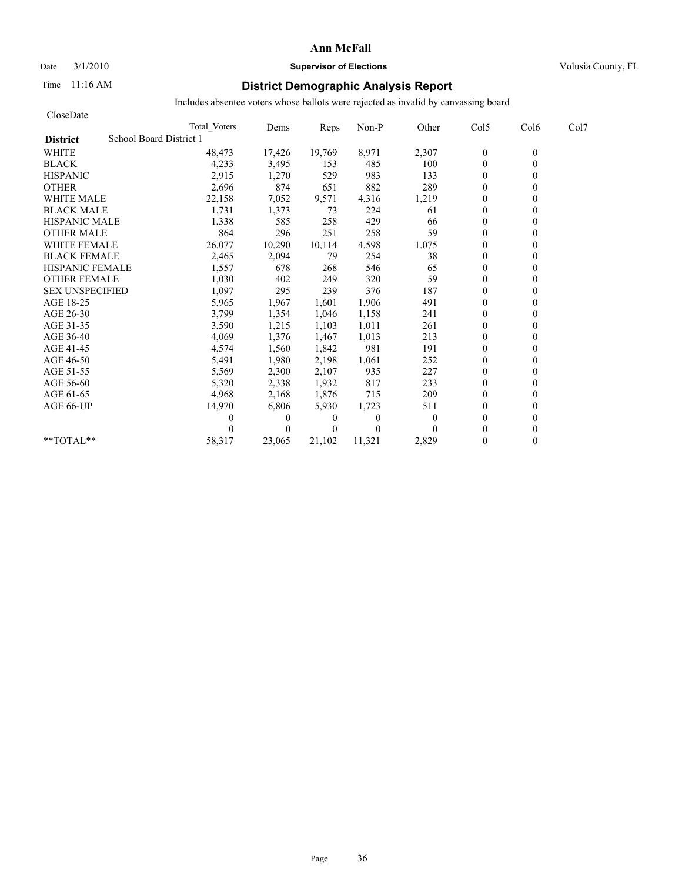# Date  $3/1/2010$  **Supervisor of Elections Supervisor of Elections** Volusia County, FL

## Time 11:16 AM **District Demographic Analysis Report**

| CloseDate                                  |              |                |                |          |          |                |                  |      |
|--------------------------------------------|--------------|----------------|----------------|----------|----------|----------------|------------------|------|
|                                            | Total Voters | Dems           | Reps           | Non-P    | Other    | Col5           | Col <sub>6</sub> | Col7 |
| School Board District 1<br><b>District</b> |              |                |                |          |          |                |                  |      |
| <b>WHITE</b>                               | 48,473       | 17,426         | 19,769         | 8,971    | 2,307    | $\theta$       | $\mathbf{0}$     |      |
| <b>BLACK</b>                               | 4,233        | 3,495          | 153            | 485      | 100      | $\mathbf{0}$   | 0                |      |
| <b>HISPANIC</b>                            | 2,915        | 1,270          | 529            | 983      | 133      | $\overline{0}$ |                  |      |
| <b>OTHER</b>                               | 2,696        | 874            | 651            | 882      | 289      | $\theta$       |                  |      |
| <b>WHITE MALE</b>                          | 22,158       | 7,052          | 9,571          | 4,316    | 1,219    | $\theta$       |                  |      |
| <b>BLACK MALE</b>                          | 1,731        | 1,373          | 73             | 224      | 61       | $\theta$       |                  |      |
| <b>HISPANIC MALE</b>                       | 1,338        | 585            | 258            | 429      | 66       | $\mathbf{0}$   |                  |      |
| <b>OTHER MALE</b>                          | 864          | 296            | 251            | 258      | 59       | $\mathbf{0}$   |                  |      |
| <b>WHITE FEMALE</b>                        | 26,077       | 10,290         | 10,114         | 4,598    | 1,075    | $\theta$       |                  |      |
| <b>BLACK FEMALE</b>                        | 2,465        | 2,094          | 79             | 254      | 38       | $\overline{0}$ |                  |      |
| <b>HISPANIC FEMALE</b>                     | 1,557        | 678            | 268            | 546      | 65       | $\theta$       |                  |      |
| <b>OTHER FEMALE</b>                        | 1,030        | 402            | 249            | 320      | 59       | $\overline{0}$ |                  |      |
| <b>SEX UNSPECIFIED</b>                     | 1,097        | 295            | 239            | 376      | 187      | $\theta$       |                  |      |
| AGE 18-25                                  | 5,965        | 1,967          | 1,601          | 1,906    | 491      | $\theta$       |                  |      |
| AGE 26-30                                  | 3,799        | 1,354          | 1.046          | 1,158    | 241      | $\Omega$       |                  |      |
| AGE 31-35                                  | 3,590        | 1,215          | 1,103          | 1,011    | 261      | $\theta$       |                  |      |
| AGE 36-40                                  | 4,069        | 1,376          | 1,467          | 1,013    | 213      | $\theta$       |                  |      |
| AGE 41-45                                  | 4,574        | 1,560          | 1,842          | 981      | 191      | $\mathbf{0}$   |                  |      |
| AGE 46-50                                  | 5,491        | 1,980          | 2,198          | 1,061    | 252      | $\overline{0}$ |                  |      |
| AGE 51-55                                  | 5,569        | 2,300          | 2,107          | 935      | 227      | $\mathbf{0}$   |                  |      |
| AGE 56-60                                  | 5,320        | 2,338          | 1,932          | 817      | 233      | $\overline{0}$ |                  |      |
| AGE 61-65                                  | 4,968        | 2,168          | 1,876          | 715      | 209      | $\mathbf{0}$   |                  |      |
| AGE 66-UP                                  | 14,970       | 6,806          | 5,930          | 1,723    | 511      | $\Omega$       |                  |      |
|                                            | 0            | $\overline{0}$ | $\overline{0}$ | $\Omega$ | $\theta$ | $\Omega$       |                  |      |
|                                            |              | $\theta$       | $\theta$       | $\theta$ |          | $\theta$       |                  |      |
| $*$ $TOTAI.**$                             | 58,317       | 23,065         | 21,102         | 11,321   | 2,829    | $\theta$       |                  |      |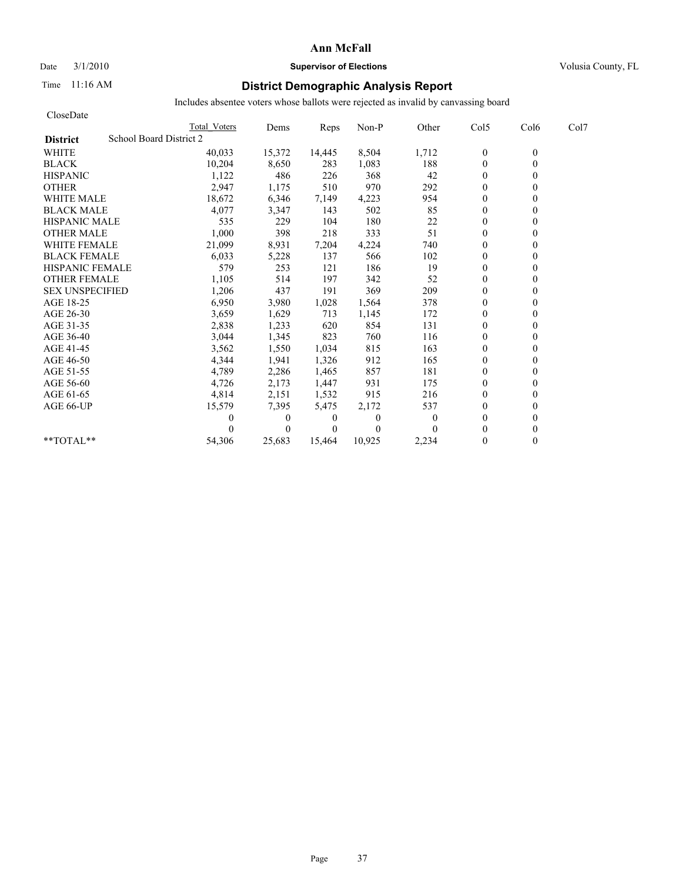## Date  $3/1/2010$  **Supervisor of Elections Supervisor of Elections** Volusia County, FL

### Time 11:16 AM **District Demographic Analysis Report**

| CloseDate                                  |              |              |          |              |              |                  |                  |      |
|--------------------------------------------|--------------|--------------|----------|--------------|--------------|------------------|------------------|------|
|                                            | Total Voters | Dems         | Reps     | Non-P        | Other        | Col5             | Col <sub>6</sub> | Col7 |
| School Board District 2<br><b>District</b> |              |              |          |              |              |                  |                  |      |
| <b>WHITE</b>                               | 40,033       | 15,372       | 14,445   | 8,504        | 1,712        | $\boldsymbol{0}$ | $\mathbf{0}$     |      |
| <b>BLACK</b>                               | 10,204       | 8,650        | 283      | 1,083        | 188          | $\mathbf{0}$     | 0                |      |
| <b>HISPANIC</b>                            | 1,122        | 486          | 226      | 368          | 42           | $\mathbf{0}$     |                  |      |
| <b>OTHER</b>                               | 2,947        | 1,175        | 510      | 970          | 292          | $\theta$         |                  |      |
| <b>WHITE MALE</b>                          | 18,672       | 6,346        | 7,149    | 4,223        | 954          | $\theta$         |                  |      |
| <b>BLACK MALE</b>                          | 4,077        | 3,347        | 143      | 502          | 85           | $\mathbf{0}$     |                  |      |
| <b>HISPANIC MALE</b>                       | 535          | 229          | 104      | 180          | 22           | $\theta$         |                  |      |
| <b>OTHER MALE</b>                          | 1,000        | 398          | 218      | 333          | 51           | $\overline{0}$   |                  |      |
| <b>WHITE FEMALE</b>                        | 21,099       | 8,931        | 7,204    | 4,224        | 740          | $\theta$         |                  |      |
| <b>BLACK FEMALE</b>                        | 6,033        | 5,228        | 137      | 566          | 102          | $\overline{0}$   |                  |      |
| <b>HISPANIC FEMALE</b>                     | 579          | 253          | 121      | 186          | 19           | $\mathbf{0}$     |                  |      |
| <b>OTHER FEMALE</b>                        | 1,105        | 514          | 197      | 342          | 52           | $\theta$         |                  |      |
| <b>SEX UNSPECIFIED</b>                     | 1,206        | 437          | 191      | 369          | 209          | $\theta$         |                  |      |
| AGE 18-25                                  | 6,950        | 3,980        | 1,028    | 1,564        | 378          | $\theta$         |                  |      |
| AGE 26-30                                  | 3,659        | 1,629        | 713      | 1,145        | 172          | $\Omega$         |                  |      |
| AGE 31-35                                  | 2,838        | 1,233        | 620      | 854          | 131          | $\mathbf{0}$     |                  |      |
| AGE 36-40                                  | 3,044        | 1,345        | 823      | 760          | 116          | $\overline{0}$   |                  |      |
| AGE 41-45                                  | 3,562        | 1,550        | 1,034    | 815          | 163          | $\mathbf{0}$     |                  |      |
| AGE 46-50                                  | 4,344        | 1,941        | 1,326    | 912          | 165          | $\theta$         |                  |      |
| AGE 51-55                                  | 4,789        | 2,286        | 1,465    | 857          | 181          | $\mathbf{0}$     |                  |      |
| AGE 56-60                                  | 4,726        | 2,173        | 1,447    | 931          | 175          | $\overline{0}$   |                  |      |
| AGE 61-65                                  | 4,814        | 2,151        | 1,532    | 915          | 216          | $\Omega$         |                  |      |
| AGE 66-UP                                  | 15,579       | 7,395        | 5,475    | 2,172        | 537          | $\theta$         |                  |      |
|                                            | 0            | $\mathbf{0}$ | 0        | $\mathbf{0}$ | $\mathbf{0}$ | $\overline{0}$   |                  |      |
|                                            |              | $\Omega$     | $\Omega$ | $\Omega$     |              | $\Omega$         |                  |      |
| $*$ $TOTAI.**$                             | 54,306       | 25.683       | 15.464   | 10,925       | 2,234        | $\theta$         | 0                |      |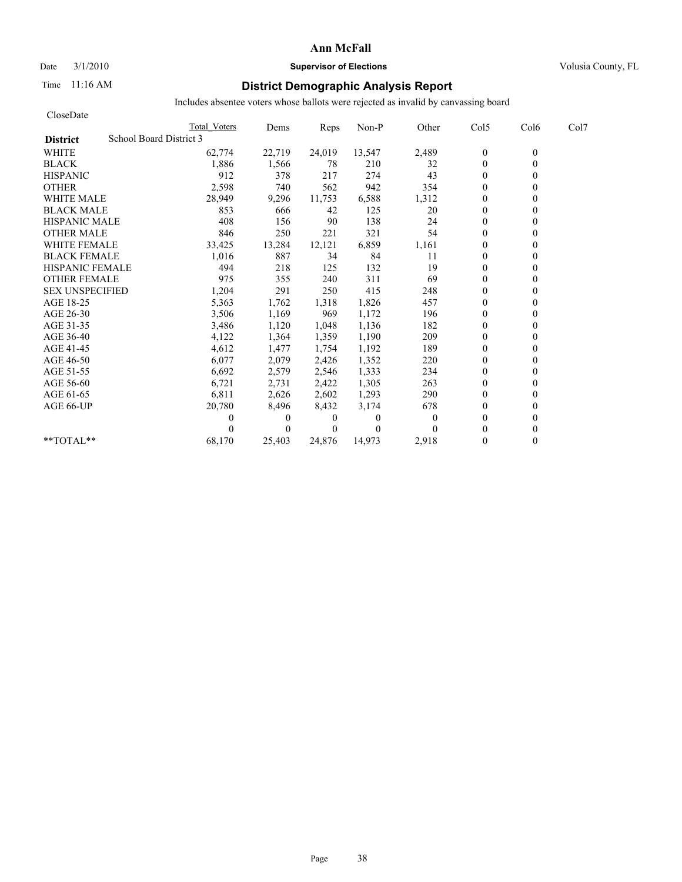### Date  $3/1/2010$  **Supervisor of Elections Supervisor of Elections** Volusia County, FL

### Time 11:16 AM **District Demographic Analysis Report**

| CloseDate                                  |                     |              |          |          |          |                |                  |      |
|--------------------------------------------|---------------------|--------------|----------|----------|----------|----------------|------------------|------|
|                                            | <b>Total Voters</b> | Dems         | Reps     | Non-P    | Other    | Col5           | Col <sub>6</sub> | Col7 |
| School Board District 3<br><b>District</b> |                     |              |          |          |          |                |                  |      |
| <b>WHITE</b>                               | 62,774              | 22,719       | 24,019   | 13,547   | 2,489    | $\bf{0}$       | $\mathbf{0}$     |      |
| <b>BLACK</b>                               | 1,886               | 1,566        | 78       | 210      | 32       | $\mathbf{0}$   |                  |      |
| <b>HISPANIC</b>                            | 912                 | 378          | 217      | 274      | 43       | $\overline{0}$ |                  |      |
| <b>OTHER</b>                               | 2,598               | 740          | 562      | 942      | 354      | $\theta$       |                  |      |
| <b>WHITE MALE</b>                          | 28,949              | 9,296        | 11,753   | 6,588    | 1,312    | $\theta$       |                  |      |
| <b>BLACK MALE</b>                          | 853                 | 666          | 42       | 125      | 20       | $\theta$       |                  |      |
| <b>HISPANIC MALE</b>                       | 408                 | 156          | 90       | 138      | 24       | $\theta$       |                  |      |
| <b>OTHER MALE</b>                          | 846                 | 250          | 221      | 321      | 54       | $\mathbf{0}$   |                  |      |
| <b>WHITE FEMALE</b>                        | 33,425              | 13,284       | 12,121   | 6,859    | 1,161    | $\mathbf{0}$   |                  |      |
| <b>BLACK FEMALE</b>                        | 1,016               | 887          | 34       | 84       | 11       | $\overline{0}$ |                  |      |
| HISPANIC FEMALE                            | 494                 | 218          | 125      | 132      | 19       | $\theta$       |                  |      |
| <b>OTHER FEMALE</b>                        | 975                 | 355          | 240      | 311      | 69       | $\theta$       |                  |      |
| <b>SEX UNSPECIFIED</b>                     | 1,204               | 291          | 250      | 415      | 248      | $\theta$       |                  |      |
| AGE 18-25                                  | 5,363               | 1,762        | 1,318    | 1,826    | 457      | $\Omega$       |                  |      |
| AGE 26-30                                  | 3,506               | 1,169        | 969      | 1,172    | 196      | 0              |                  |      |
| AGE 31-35                                  | 3,486               | 1,120        | 1,048    | 1,136    | 182      | $\theta$       |                  |      |
| AGE 36-40                                  | 4,122               | 1,364        | 1,359    | 1,190    | 209      | $\Omega$       |                  |      |
| AGE 41-45                                  | 4,612               | 1,477        | 1,754    | 1,192    | 189      | $\theta$       |                  |      |
| AGE 46-50                                  | 6,077               | 2,079        | 2,426    | 1,352    | 220      | $\overline{0}$ |                  |      |
| AGE 51-55                                  | 6,692               | 2,579        | 2,546    | 1,333    | 234      | $\theta$       |                  |      |
| AGE 56-60                                  | 6,721               | 2,731        | 2,422    | 1,305    | 263      | $\Omega$       |                  |      |
| AGE 61-65                                  | 6,811               | 2,626        | 2,602    | 1,293    | 290      | $\mathbf{0}$   |                  |      |
| AGE 66-UP                                  | 20,780              | 8,496        | 8,432    | 3,174    | 678      | $\overline{0}$ |                  |      |
|                                            | 0                   | $\mathbf{0}$ | 0        | $\theta$ | $\theta$ | $\theta$       |                  |      |
|                                            |                     | $\Omega$     | $\Omega$ | $\theta$ |          | $\Omega$       |                  |      |
| **TOTAL**                                  | 68,170              | 25,403       | 24,876   | 14,973   | 2,918    | $\mathbf{0}$   | 0                |      |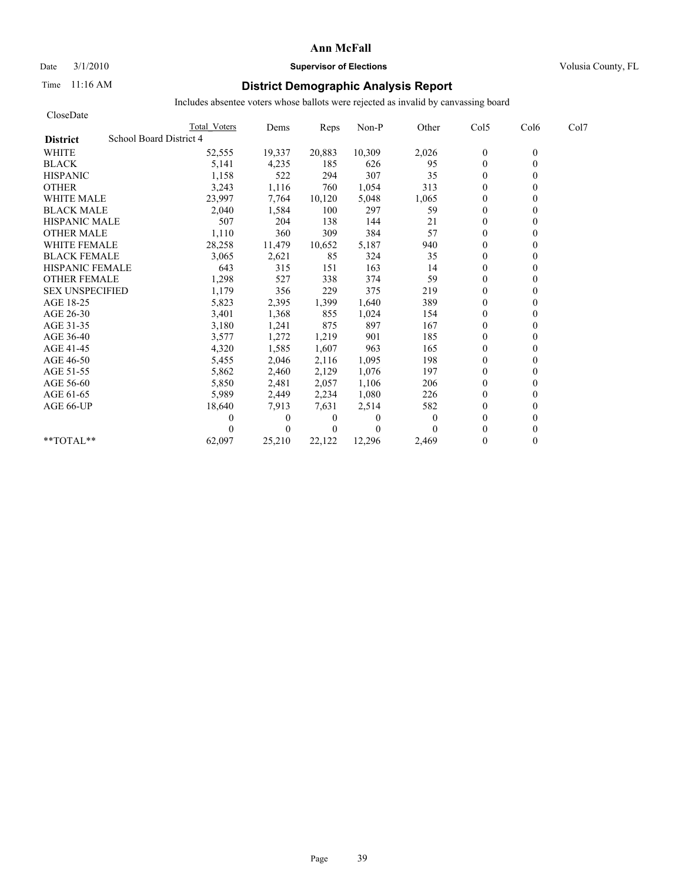# Date  $3/1/2010$  **Supervisor of Elections Supervisor of Elections** Volusia County, FL

### Time 11:16 AM **District Demographic Analysis Report**

| CloseDate                                  |              |              |          |          |          |              |                  |      |
|--------------------------------------------|--------------|--------------|----------|----------|----------|--------------|------------------|------|
|                                            | Total Voters | Dems         | Reps     | Non-P    | Other    | Col5         | Col <sub>6</sub> | Col7 |
| School Board District 4<br><b>District</b> |              |              |          |          |          |              |                  |      |
| <b>WHITE</b>                               | 52,555       | 19,337       | 20,883   | 10,309   | 2,026    | $\mathbf{0}$ | $\mathbf{0}$     |      |
| <b>BLACK</b>                               | 5,141        | 4,235        | 185      | 626      | 95       | $\mathbf{0}$ | $\theta$         |      |
| <b>HISPANIC</b>                            | 1,158        | 522          | 294      | 307      | 35       | $\theta$     |                  |      |
| <b>OTHER</b>                               | 3,243        | 1,116        | 760      | 1,054    | 313      | $\theta$     |                  |      |
| <b>WHITE MALE</b>                          | 23,997       | 7,764        | 10,120   | 5,048    | 1,065    | $\mathbf{0}$ |                  |      |
| <b>BLACK MALE</b>                          | 2,040        | 1,584        | 100      | 297      | 59       | $\theta$     |                  |      |
| <b>HISPANIC MALE</b>                       | 507          | 204          | 138      | 144      | 21       | $\mathbf{0}$ |                  |      |
| <b>OTHER MALE</b>                          | 1,110        | 360          | 309      | 384      | 57       | $\theta$     |                  |      |
| <b>WHITE FEMALE</b>                        | 28,258       | 11,479       | 10,652   | 5,187    | 940      | $\theta$     |                  |      |
| <b>BLACK FEMALE</b>                        | 3,065        | 2,621        | 85       | 324      | 35       | $\mathbf{0}$ |                  |      |
| <b>HISPANIC FEMALE</b>                     | 643          | 315          | 151      | 163      | 14       | $\theta$     |                  |      |
| <b>OTHER FEMALE</b>                        | 1,298        | 527          | 338      | 374      | 59       | $\theta$     |                  |      |
| <b>SEX UNSPECIFIED</b>                     | 1,179        | 356          | 229      | 375      | 219      | $\theta$     |                  |      |
| AGE 18-25                                  | 5,823        | 2,395        | 1,399    | 1,640    | 389      | $\theta$     |                  |      |
| AGE 26-30                                  | 3,401        | 1,368        | 855      | 1,024    | 154      | $\theta$     |                  |      |
| AGE 31-35                                  | 3,180        | 1,241        | 875      | 897      | 167      | $\theta$     |                  |      |
| AGE 36-40                                  | 3,577        | 1,272        | 1,219    | 901      | 185      | $\theta$     |                  |      |
| AGE 41-45                                  | 4,320        | 1,585        | 1,607    | 963      | 165      | $\mathbf{0}$ |                  |      |
| AGE 46-50                                  | 5,455        | 2,046        | 2,116    | 1,095    | 198      | $\mathbf{0}$ |                  |      |
| AGE 51-55                                  | 5,862        | 2,460        | 2,129    | 1,076    | 197      | $\theta$     |                  |      |
| AGE 56-60                                  | 5,850        | 2,481        | 2,057    | 1,106    | 206      | $\theta$     |                  |      |
| AGE 61-65                                  | 5,989        | 2,449        | 2,234    | 1,080    | 226      | $\theta$     |                  |      |
| AGE 66-UP                                  | 18,640       | 7,913        | 7.631    | 2,514    | 582      | $\theta$     |                  |      |
|                                            | 0            | $\mathbf{0}$ | $\theta$ | $\Omega$ | $\Omega$ | $\theta$     |                  |      |
|                                            |              | $\theta$     | $\theta$ | $\theta$ |          | $\theta$     |                  |      |
| $*$ $TOTAI.**$                             | 62,097       | 25,210       | 22,122   | 12,296   | 2,469    | $\Omega$     |                  |      |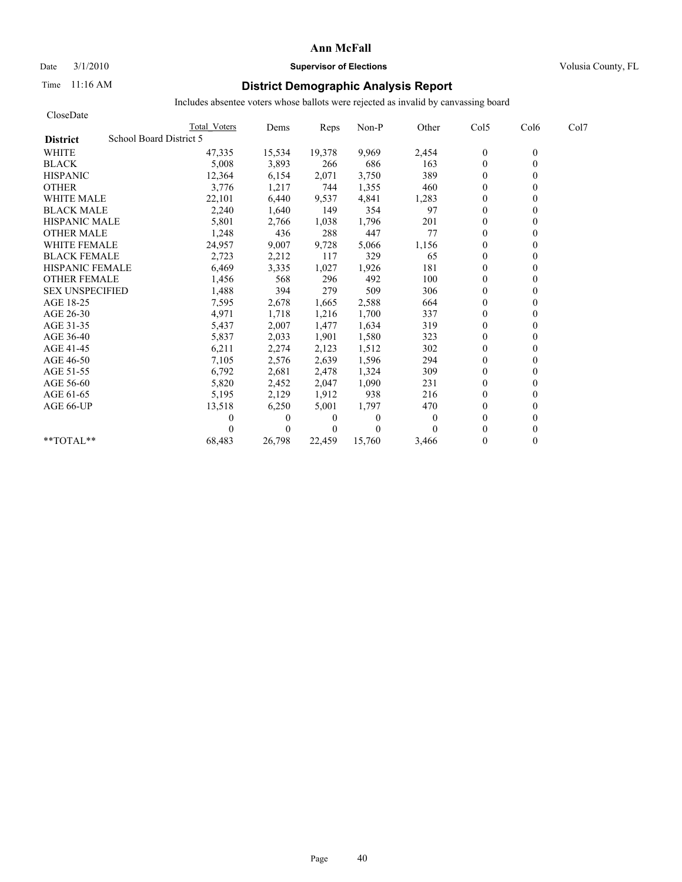### Date  $3/1/2010$  **Supervisor of Elections Supervisor of Elections** Volusia County, FL

### Time 11:16 AM **District Demographic Analysis Report**

| CloseDate                                  |              |              |          |              |              |                |                  |      |
|--------------------------------------------|--------------|--------------|----------|--------------|--------------|----------------|------------------|------|
|                                            | Total Voters | Dems         | Reps     | Non-P        | Other        | Col5           | Col <sub>6</sub> | Col7 |
| School Board District 5<br><b>District</b> |              |              |          |              |              |                |                  |      |
| <b>WHITE</b>                               | 47,335       | 15,534       | 19,378   | 9,969        | 2,454        | $\mathbf{0}$   | $\mathbf{0}$     |      |
| <b>BLACK</b>                               | 5,008        | 3,893        | 266      | 686          | 163          | $\mathbf{0}$   | 0                |      |
| <b>HISPANIC</b>                            | 12,364       | 6,154        | 2,071    | 3,750        | 389          | $\theta$       |                  |      |
| <b>OTHER</b>                               | 3,776        | 1,217        | 744      | 1,355        | 460          | $\theta$       |                  |      |
| <b>WHITE MALE</b>                          | 22,101       | 6,440        | 9,537    | 4.841        | 1,283        | $\overline{0}$ |                  |      |
| <b>BLACK MALE</b>                          | 2,240        | 1,640        | 149      | 354          | 97           | $\mathbf{0}$   |                  |      |
| <b>HISPANIC MALE</b>                       | 5,801        | 2,766        | 1,038    | 1,796        | 201          | $\theta$       |                  |      |
| <b>OTHER MALE</b>                          | 1,248        | 436          | 288      | 447          | 77           | $\overline{0}$ |                  |      |
| <b>WHITE FEMALE</b>                        | 24,957       | 9,007        | 9,728    | 5,066        | 1,156        | $\theta$       |                  |      |
| <b>BLACK FEMALE</b>                        | 2,723        | 2,212        | 117      | 329          | 65           | $\overline{0}$ |                  |      |
| <b>HISPANIC FEMALE</b>                     | 6,469        | 3,335        | 1,027    | 1,926        | 181          | $\theta$       |                  |      |
| <b>OTHER FEMALE</b>                        | 1,456        | 568          | 296      | 492          | 100          | $\theta$       |                  |      |
| <b>SEX UNSPECIFIED</b>                     | 1,488        | 394          | 279      | 509          | 306          | $\theta$       |                  |      |
| AGE 18-25                                  | 7,595        | 2,678        | 1,665    | 2,588        | 664          | $\theta$       |                  |      |
| AGE 26-30                                  | 4,971        | 1,718        | 1,216    | 1,700        | 337          | $\overline{0}$ |                  |      |
| AGE 31-35                                  | 5,437        | 2,007        | 1,477    | 1,634        | 319          | $\mathbf{0}$   |                  |      |
| AGE 36-40                                  | 5,837        | 2,033        | 1,901    | 1,580        | 323          | $\overline{0}$ |                  |      |
| AGE 41-45                                  | 6,211        | 2,274        | 2,123    | 1,512        | 302          | $\mathbf{0}$   |                  |      |
| AGE 46-50                                  | 7,105        | 2,576        | 2,639    | 1,596        | 294          | $\theta$       |                  |      |
| AGE 51-55                                  | 6,792        | 2,681        | 2,478    | 1,324        | 309          | $\mathbf{0}$   |                  |      |
| AGE 56-60                                  | 5,820        | 2,452        | 2,047    | 1,090        | 231          | $\overline{0}$ |                  |      |
| AGE 61-65                                  | 5,195        | 2,129        | 1,912    | 938          | 216          | $\Omega$       |                  |      |
| AGE 66-UP                                  | 13,518       | 6,250        | 5,001    | 1,797        | 470          | $\theta$       |                  |      |
|                                            | 0            | $\mathbf{0}$ | 0        | $\mathbf{0}$ | $\mathbf{0}$ | $\Omega$       |                  |      |
|                                            |              | $\theta$     | $\Omega$ | $\theta$     | $\Omega$     | $\Omega$       |                  |      |
| $*$ $TOTAI.**$                             | 68,483       | 26.798       | 22.459   | 15,760       | 3,466        | $\theta$       | 0                |      |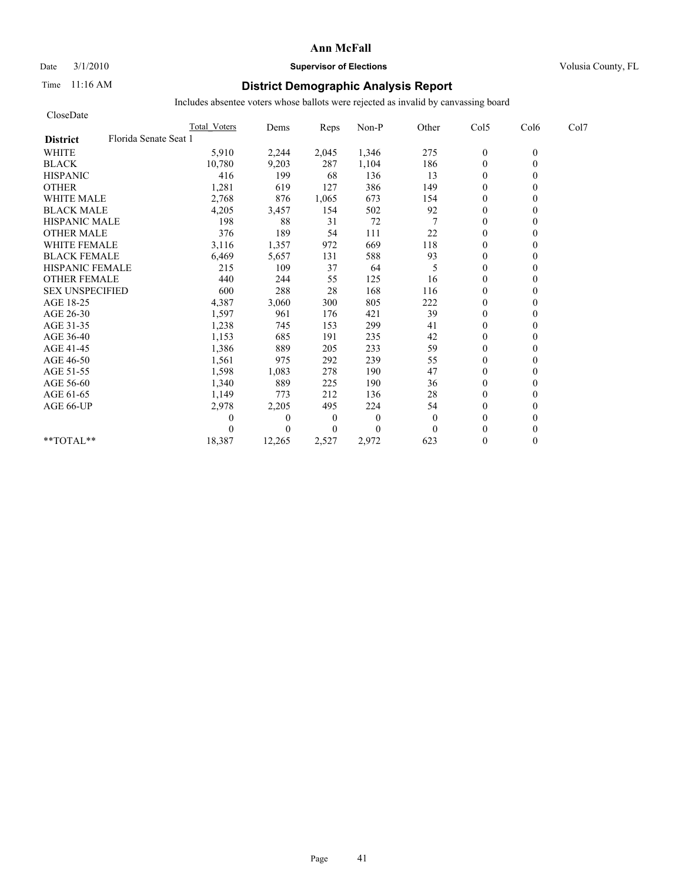#### Date  $3/1/2010$  **Supervisor of Elections Supervisor of Elections** Volusia County, FL

### Time 11:16 AM **District Demographic Analysis Report**

| CloseDate                                |                     |          |                |              |          |                  |          |      |
|------------------------------------------|---------------------|----------|----------------|--------------|----------|------------------|----------|------|
|                                          | <b>Total Voters</b> | Dems     | Reps           | Non-P        | Other    | Col5             | Col6     | Col7 |
| Florida Senate Seat 1<br><b>District</b> |                     |          |                |              |          |                  |          |      |
| <b>WHITE</b>                             | 5,910               | 2,244    | 2,045          | 1,346        | 275      | $\boldsymbol{0}$ | $\theta$ |      |
| <b>BLACK</b>                             | 10,780              | 9,203    | 287            | 1,104        | 186      | $\mathbf{0}$     | $\theta$ |      |
| <b>HISPANIC</b>                          | 416                 | 199      | 68             | 136          | 13       | $\mathbf{0}$     |          |      |
| <b>OTHER</b>                             | 1,281               | 619      | 127            | 386          | 149      | $\theta$         |          |      |
| <b>WHITE MALE</b>                        | 2,768               | 876      | 1,065          | 673          | 154      | $\theta$         |          |      |
| <b>BLACK MALE</b>                        | 4,205               | 3,457    | 154            | 502          | 92       | $\mathbf{0}$     |          |      |
| <b>HISPANIC MALE</b>                     | 198                 | 88       | 31             | 72           |          | $\theta$         |          |      |
| <b>OTHER MALE</b>                        | 376                 | 189      | 54             | 111          | 22       | $\theta$         |          |      |
| <b>WHITE FEMALE</b>                      | 3,116               | 1,357    | 972            | 669          | 118      | $\theta$         |          |      |
| <b>BLACK FEMALE</b>                      | 6,469               | 5,657    | 131            | 588          | 93       | $\overline{0}$   |          |      |
| <b>HISPANIC FEMALE</b>                   | 215                 | 109      | 37             | 64           | 5        | $\theta$         |          |      |
| <b>OTHER FEMALE</b>                      | 440                 | 244      | 55             | 125          | 16       | $\theta$         |          |      |
| <b>SEX UNSPECIFIED</b>                   | 600                 | 288      | 28             | 168          | 116      | $\theta$         |          |      |
| AGE 18-25                                | 4,387               | 3,060    | 300            | 805          | 222      | $\theta$         |          |      |
| AGE 26-30                                | 1,597               | 961      | 176            | 421          | 39       | $\mathbf{0}$     |          |      |
| AGE 31-35                                | 1,238               | 745      | 153            | 299          | 41       | $\mathbf{0}$     |          |      |
| AGE 36-40                                | 1,153               | 685      | 191            | 235          | 42       | $\overline{0}$   |          |      |
| AGE 41-45                                | 1,386               | 889      | 205            | 233          | 59       | $\mathbf{0}$     |          |      |
| AGE 46-50                                | 1,561               | 975      | 292            | 239          | 55       | $\theta$         |          |      |
| AGE 51-55                                | 1,598               | 1,083    | 278            | 190          | 47       | $\mathbf{0}$     |          |      |
| AGE 56-60                                | 1,340               | 889      | 225            | 190          | 36       | $\overline{0}$   |          |      |
| AGE 61-65                                | 1,149               | 773      | 212            | 136          | 28       | $\theta$         |          |      |
| AGE 66-UP                                | 2,978               | 2,205    | 495            | 224          | 54       | $\theta$         |          |      |
|                                          | 0                   | $\theta$ | $\overline{0}$ | $\mathbf{0}$ | $\theta$ | $\theta$         |          |      |
|                                          | 0                   | $\Omega$ | $\Omega$       | $\theta$     | $\Omega$ | $\theta$         |          |      |
| **TOTAL**                                | 18,387              | 12,265   | 2,527          | 2,972        | 623      | $\theta$         | 0        |      |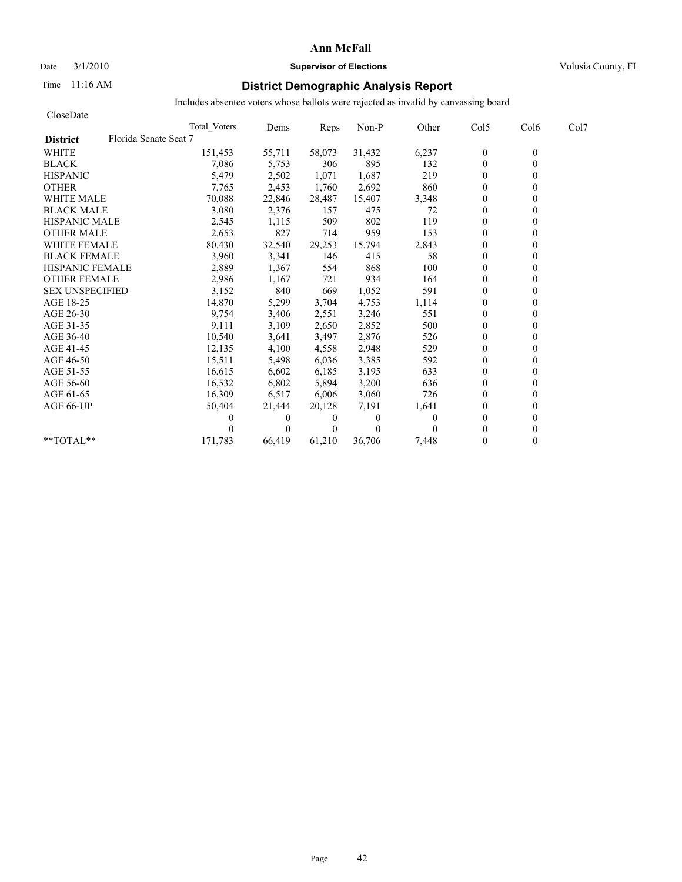# Date  $3/1/2010$  **Supervisor of Elections Supervisor of Elections** Volusia County, FL

### Time 11:16 AM **District Demographic Analysis Report**

| CloseDate                                |              |          |          |              |          |                  |                  |      |
|------------------------------------------|--------------|----------|----------|--------------|----------|------------------|------------------|------|
|                                          | Total Voters | Dems     | Reps     | Non-P        | Other    | Col5             | Col <sub>6</sub> | Col7 |
| Florida Senate Seat 7<br><b>District</b> |              |          |          |              |          |                  |                  |      |
| <b>WHITE</b>                             | 151,453      | 55,711   | 58,073   | 31,432       | 6,237    | $\boldsymbol{0}$ | $\mathbf{0}$     |      |
| <b>BLACK</b>                             | 7,086        | 5,753    | 306      | 895          | 132      | $\mathbf{0}$     | 0                |      |
| <b>HISPANIC</b>                          | 5,479        | 2,502    | 1,071    | 1,687        | 219      | $\theta$         |                  |      |
| <b>OTHER</b>                             | 7,765        | 2,453    | 1,760    | 2,692        | 860      | $\theta$         |                  |      |
| <b>WHITE MALE</b>                        | 70,088       | 22,846   | 28,487   | 15,407       | 3,348    | $\theta$         |                  |      |
| <b>BLACK MALE</b>                        | 3,080        | 2,376    | 157      | 475          | 72       | $\mathbf{0}$     |                  |      |
| <b>HISPANIC MALE</b>                     | 2,545        | 1,115    | 509      | 802          | 119      | $\theta$         |                  |      |
| <b>OTHER MALE</b>                        | 2,653        | 827      | 714      | 959          | 153      | $\overline{0}$   |                  |      |
| <b>WHITE FEMALE</b>                      | 80,430       | 32,540   | 29,253   | 15,794       | 2,843    | $\theta$         |                  |      |
| <b>BLACK FEMALE</b>                      | 3,960        | 3,341    | 146      | 415          | 58       | $\overline{0}$   |                  |      |
| <b>HISPANIC FEMALE</b>                   | 2,889        | 1,367    | 554      | 868          | 100      | $\theta$         |                  |      |
| <b>OTHER FEMALE</b>                      | 2,986        | 1,167    | 721      | 934          | 164      | $\overline{0}$   |                  |      |
| <b>SEX UNSPECIFIED</b>                   | 3,152        | 840      | 669      | 1,052        | 591      | $\theta$         |                  |      |
| AGE 18-25                                | 14,870       | 5,299    | 3,704    | 4,753        | 1,114    | $\theta$         |                  |      |
| AGE 26-30                                | 9,754        | 3,406    | 2,551    | 3,246        | 551      | $\overline{0}$   |                  |      |
| AGE 31-35                                | 9,111        | 3,109    | 2,650    | 2,852        | 500      | $\mathbf{0}$     |                  |      |
| AGE 36-40                                | 10,540       | 3,641    | 3,497    | 2,876        | 526      | $\overline{0}$   |                  |      |
| AGE 41-45                                | 12,135       | 4,100    | 4,558    | 2,948        | 529      | $\mathbf{0}$     |                  |      |
| AGE 46-50                                | 15,511       | 5,498    | 6,036    | 3,385        | 592      | $\theta$         |                  |      |
| AGE 51-55                                | 16,615       | 6,602    | 6,185    | 3,195        | 633      | $\mathbf{0}$     |                  |      |
| AGE 56-60                                | 16,532       | 6,802    | 5,894    | 3,200        | 636      | $\overline{0}$   |                  |      |
| AGE 61-65                                | 16,309       | 6,517    | 6,006    | 3,060        | 726      | $\Omega$         |                  |      |
| AGE 66-UP                                | 50,404       | 21,444   | 20,128   | 7,191        | 1,641    | $\Omega$         |                  |      |
|                                          | 0            | 0        | 0        | $\mathbf{0}$ | $\theta$ | $\overline{0}$   |                  |      |
|                                          |              | $\Omega$ | $\theta$ | $\Omega$     | $\Omega$ | $\Omega$         |                  |      |
| $*$ $TOTAI.**$                           | 171,783      | 66,419   | 61,210   | 36.706       | 7,448    | $\Omega$         | 0                |      |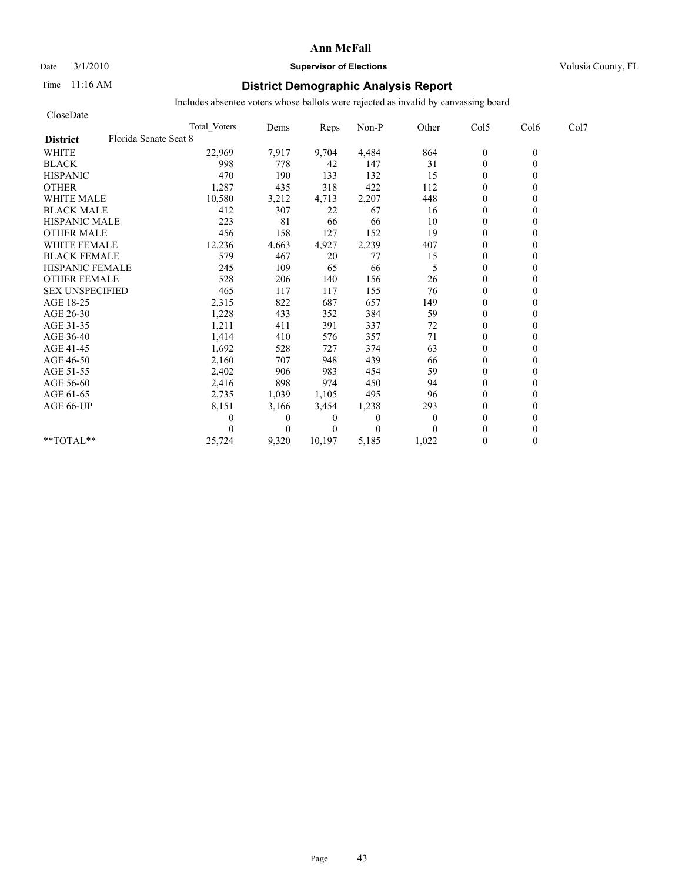#### Date  $3/1/2010$  **Supervisor of Elections Supervisor of Elections** Volusia County, FL

### Time 11:16 AM **District Demographic Analysis Report**

| CloseDate              |                       |                     |              |          |              |              |                |          |      |
|------------------------|-----------------------|---------------------|--------------|----------|--------------|--------------|----------------|----------|------|
|                        |                       | <b>Total Voters</b> | Dems         | Reps     | Non-P        | Other        | Col5           | Col6     | Col7 |
| <b>District</b>        | Florida Senate Seat 8 |                     |              |          |              |              |                |          |      |
| <b>WHITE</b>           |                       | 22,969              | 7,917        | 9,704    | 4,484        | 864          | $\mathbf{0}$   | $\theta$ |      |
| <b>BLACK</b>           |                       | 998                 | 778          | 42       | 147          | 31           | $\mathbf{0}$   | 0        |      |
| <b>HISPANIC</b>        |                       | 470                 | 190          | 133      | 132          | 15           | $\mathbf{0}$   |          |      |
| <b>OTHER</b>           |                       | 1,287               | 435          | 318      | 422          | 112          | $\theta$       |          |      |
| <b>WHITE MALE</b>      |                       | 10,580              | 3,212        | 4,713    | 2,207        | 448          | $\theta$       |          |      |
| <b>BLACK MALE</b>      |                       | 412                 | 307          | 22       | 67           | 16           | $\mathbf{0}$   |          |      |
| <b>HISPANIC MALE</b>   |                       | 223                 | 81           | 66       | 66           | 10           | $\mathbf{0}$   |          |      |
| <b>OTHER MALE</b>      |                       | 456                 | 158          | 127      | 152          | 19           | $\mathbf{0}$   |          |      |
| <b>WHITE FEMALE</b>    |                       | 12,236              | 4,663        | 4,927    | 2,239        | 407          | $\theta$       |          |      |
| <b>BLACK FEMALE</b>    |                       | 579                 | 467          | 20       | 77           | 15           | $\overline{0}$ |          |      |
| <b>HISPANIC FEMALE</b> |                       | 245                 | 109          | 65       | 66           | 5            | $\mathbf{0}$   |          |      |
| <b>OTHER FEMALE</b>    |                       | 528                 | 206          | 140      | 156          | 26           | $\theta$       |          |      |
| <b>SEX UNSPECIFIED</b> |                       | 465                 | 117          | 117      | 155          | 76           | $\theta$       |          |      |
| AGE 18-25              |                       | 2,315               | 822          | 687      | 657          | 149          | $\theta$       |          |      |
| AGE 26-30              |                       | 1,228               | 433          | 352      | 384          | 59           | $\mathbf{0}$   |          |      |
| AGE 31-35              |                       | 1,211               | 411          | 391      | 337          | 72           | $\mathbf{0}$   |          |      |
| AGE 36-40              |                       | 1,414               | 410          | 576      | 357          | 71           | $\mathbf{0}$   |          |      |
| AGE 41-45              |                       | 1,692               | 528          | 727      | 374          | 63           | $\mathbf{0}$   |          |      |
| AGE 46-50              |                       | 2,160               | 707          | 948      | 439          | 66           | $\theta$       |          |      |
| AGE 51-55              |                       | 2,402               | 906          | 983      | 454          | 59           | $\mathbf{0}$   |          |      |
| AGE 56-60              |                       | 2,416               | 898          | 974      | 450          | 94           | $\overline{0}$ |          |      |
| AGE 61-65              |                       | 2,735               | 1,039        | 1,105    | 495          | 96           | $\theta$       |          |      |
| AGE 66-UP              |                       | 8,151               | 3,166        | 3,454    | 1,238        | 293          | $\theta$       |          |      |
|                        |                       | 0                   | $\mathbf{0}$ | 0        | $\mathbf{0}$ | $\mathbf{0}$ | $\mathbf{0}$   |          |      |
|                        |                       |                     | $\theta$     | $\Omega$ | $\theta$     | $\Omega$     | $\theta$       |          |      |
| $*$ $TOTAI.**$         |                       | 25,724              | 9,320        | 10,197   | 5,185        | 1,022        | $\theta$       | 0        |      |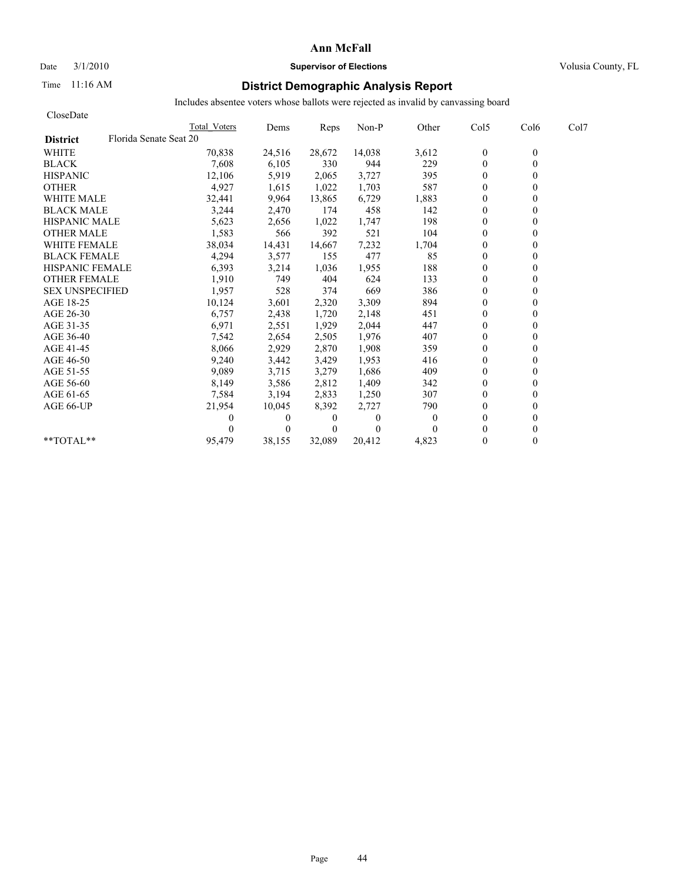#### Date  $3/1/2010$  **Supervisor of Elections Supervisor of Elections** Volusia County, FL

### Time 11:16 AM **District Demographic Analysis Report**

| CloseDate              |                        |              |          |                |              |              |                  |                  |      |
|------------------------|------------------------|--------------|----------|----------------|--------------|--------------|------------------|------------------|------|
|                        |                        | Total Voters | Dems     | Reps           | Non-P        | Other        | Col5             | Col <sub>6</sub> | Col7 |
| <b>District</b>        | Florida Senate Seat 20 |              |          |                |              |              |                  |                  |      |
| <b>WHITE</b>           |                        | 70,838       | 24,516   | 28,672         | 14,038       | 3,612        | $\boldsymbol{0}$ | $\mathbf{0}$     |      |
| <b>BLACK</b>           |                        | 7,608        | 6,105    | 330            | 944          | 229          | $\theta$         | $\theta$         |      |
| <b>HISPANIC</b>        |                        | 12,106       | 5,919    | 2,065          | 3,727        | 395          | $\mathbf{0}$     |                  |      |
| <b>OTHER</b>           |                        | 4,927        | 1,615    | 1,022          | 1,703        | 587          | $\theta$         |                  |      |
| <b>WHITE MALE</b>      |                        | 32,441       | 9,964    | 13,865         | 6,729        | 1,883        | $\theta$         |                  |      |
| <b>BLACK MALE</b>      |                        | 3,244        | 2,470    | 174            | 458          | 142          | $\mathbf{0}$     |                  |      |
| <b>HISPANIC MALE</b>   |                        | 5,623        | 2,656    | 1,022          | 1,747        | 198          | $\theta$         |                  |      |
| <b>OTHER MALE</b>      |                        | 1,583        | 566      | 392            | 521          | 104          | $\overline{0}$   |                  |      |
| <b>WHITE FEMALE</b>    |                        | 38,034       | 14,431   | 14,667         | 7,232        | 1,704        | $\theta$         |                  |      |
| <b>BLACK FEMALE</b>    |                        | 4,294        | 3,577    | 155            | 477          | 85           | $\overline{0}$   |                  |      |
| <b>HISPANIC FEMALE</b> |                        | 6,393        | 3,214    | 1,036          | 1,955        | 188          | $\theta$         |                  |      |
| <b>OTHER FEMALE</b>    |                        | 1,910        | 749      | 404            | 624          | 133          | $\theta$         |                  |      |
| <b>SEX UNSPECIFIED</b> |                        | 1,957        | 528      | 374            | 669          | 386          | $\theta$         |                  |      |
| AGE 18-25              |                        | 10,124       | 3,601    | 2,320          | 3,309        | 894          | $\theta$         |                  |      |
| AGE 26-30              |                        | 6,757        | 2,438    | 1,720          | 2,148        | 451          | $\Omega$         |                  |      |
| AGE 31-35              |                        | 6,971        | 2,551    | 1,929          | 2,044        | 447          | $\mathbf{0}$     |                  |      |
| AGE 36-40              |                        | 7,542        | 2,654    | 2,505          | 1,976        | 407          | $\overline{0}$   |                  |      |
| AGE 41-45              |                        | 8,066        | 2,929    | 2,870          | 1,908        | 359          | $\mathbf{0}$     |                  |      |
| AGE 46-50              |                        | 9,240        | 3,442    | 3,429          | 1,953        | 416          | $\theta$         |                  |      |
| AGE 51-55              |                        | 9,089        | 3,715    | 3,279          | 1,686        | 409          | $\mathbf{0}$     |                  |      |
| AGE 56-60              |                        | 8,149        | 3,586    | 2,812          | 1,409        | 342          | $\overline{0}$   |                  |      |
| AGE 61-65              |                        | 7,584        | 3,194    | 2,833          | 1,250        | 307          | $\theta$         |                  |      |
| AGE 66-UP              |                        | 21,954       | 10,045   | 8,392          | 2,727        | 790          | $\theta$         |                  |      |
|                        |                        | 0            | 0        | 0              | $\mathbf{0}$ | $\mathbf{0}$ | $\theta$         |                  |      |
|                        |                        |              | $\Omega$ | $\overline{0}$ | $\theta$     |              | $\theta$         |                  |      |
| $*$ $TOTAI.**$         |                        | 95,479       | 38,155   | 32,089         | 20,412       | 4,823        | $\theta$         | 0                |      |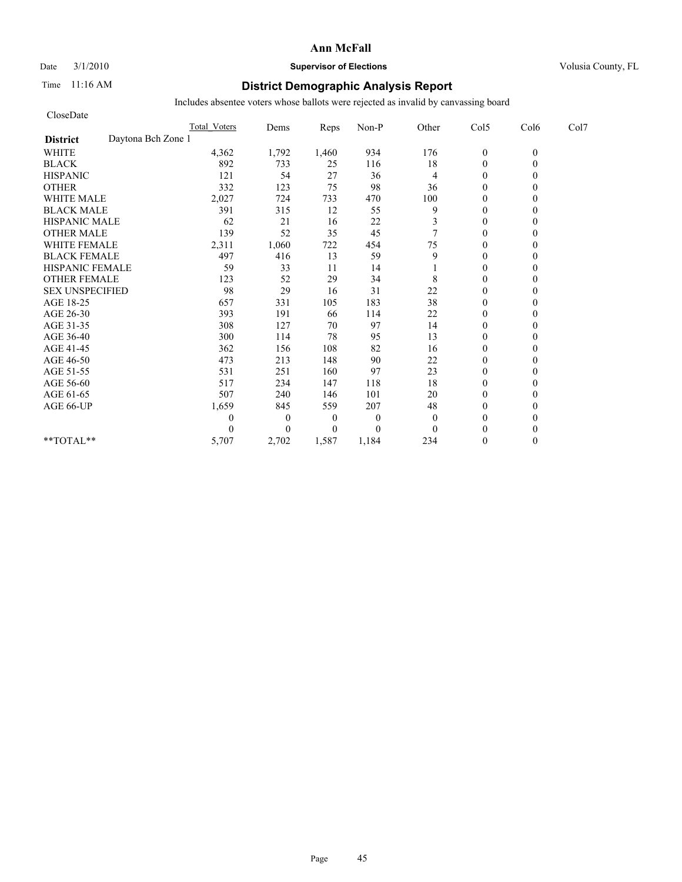Date  $3/1/2010$  **Supervisor of Elections Supervisor of Elections** Volusia County, FL

### Time 11:16 AM **District Demographic Analysis Report**

| CloseDate                             |                     |                |                  |              |              |                  |          |      |
|---------------------------------------|---------------------|----------------|------------------|--------------|--------------|------------------|----------|------|
|                                       | <b>Total Voters</b> | Dems           | Reps             | Non-P        | Other        | Col5             | Col6     | Col7 |
| Daytona Bch Zone 1<br><b>District</b> |                     |                |                  |              |              |                  |          |      |
| <b>WHITE</b>                          | 4,362               | 1,792          | 1,460            | 934          | 176          | $\boldsymbol{0}$ | $\theta$ |      |
| <b>BLACK</b>                          | 892                 | 733            | 25               | 116          | 18           | $\theta$         | 0        |      |
| <b>HISPANIC</b>                       | 121                 | 54             | 27               | 36           | 4            | $\theta$         |          |      |
| <b>OTHER</b>                          | 332                 | 123            | 75               | 98           | 36           | $\theta$         |          |      |
| <b>WHITE MALE</b>                     | 2,027               | 724            | 733              | 470          | 100          | $\theta$         |          |      |
| <b>BLACK MALE</b>                     | 391                 | 315            | 12               | 55           | 9            | $\mathbf{0}$     |          |      |
| <b>HISPANIC MALE</b>                  | 62                  | 21             | 16               | $22\,$       | 3            | $\theta$         |          |      |
| <b>OTHER MALE</b>                     | 139                 | 52             | 35               | 45           | 7            | $\theta$         |          |      |
| <b>WHITE FEMALE</b>                   | 2,311               | 1,060          | 722              | 454          | 75           | $\theta$         |          |      |
| <b>BLACK FEMALE</b>                   | 497                 | 416            | 13               | 59           | 9            | $\theta$         |          |      |
| HISPANIC FEMALE                       | 59                  | 33             | 11               | 14           |              | $\theta$         |          |      |
| <b>OTHER FEMALE</b>                   | 123                 | 52             | 29               | 34           | 8            | $\theta$         |          |      |
| <b>SEX UNSPECIFIED</b>                | 98                  | 29             | 16               | 31           | 22           | $\theta$         |          |      |
| AGE 18-25                             | 657                 | 331            | 105              | 183          | 38           | $\mathbf{0}$     |          |      |
| AGE 26-30                             | 393                 | 191            | 66               | 114          | 22           | $\overline{0}$   |          |      |
| AGE 31-35                             | 308                 | 127            | 70               | 97           | 14           | $\mathbf{0}$     |          |      |
| AGE 36-40                             | 300                 | 114            | 78               | 95           | 13           | $\mathbf{0}$     |          |      |
| AGE 41-45                             | 362                 | 156            | 108              | 82           | 16           | $\mathbf{0}$     |          |      |
| AGE 46-50                             | 473                 | 213            | 148              | 90           | $22\,$       | $\theta$         |          |      |
| AGE 51-55                             | 531                 | 251            | 160              | 97           | 23           | $\mathbf{0}$     |          |      |
| AGE 56-60                             | 517                 | 234            | 147              | 118          | 18           | $\overline{0}$   |          |      |
| AGE 61-65                             | 507                 | 240            | 146              | 101          | 20           | $\theta$         |          |      |
| AGE 66-UP                             | 1,659               | 845            | 559              | 207          | 48           | $\theta$         |          |      |
|                                       | 0                   | $\overline{0}$ | $\boldsymbol{0}$ | $\mathbf{0}$ | $\mathbf{0}$ | $\mathbf{0}$     |          |      |
|                                       | 0                   | $\Omega$       | $\overline{0}$   | $\theta$     | $\theta$     | $\theta$         |          |      |
| **TOTAL**                             | 5,707               | 2,702          | 1,587            | 1,184        | 234          | $\theta$         | 0        |      |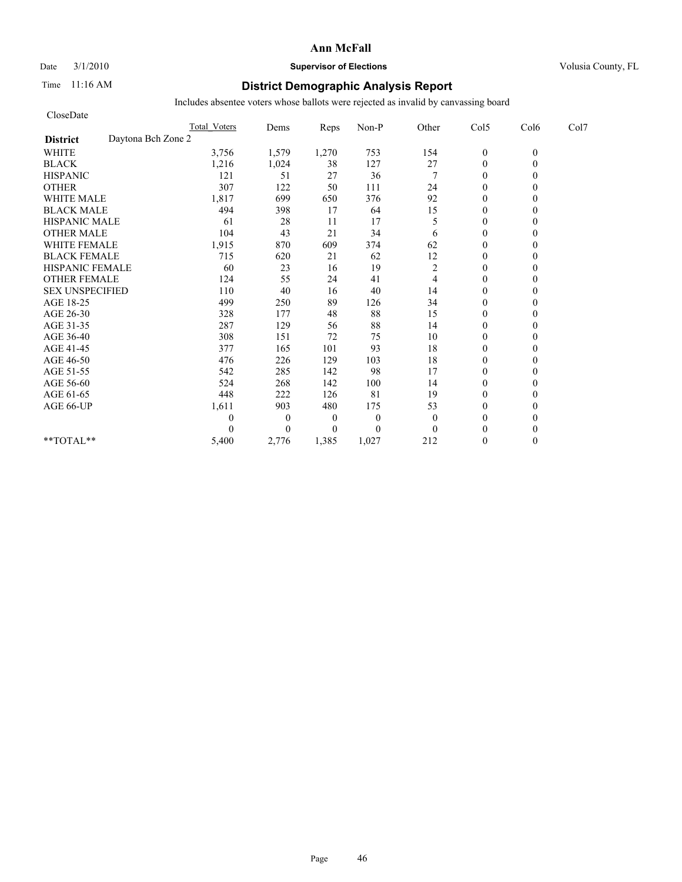### Date  $3/1/2010$  **Supervisor of Elections Supervisor of Elections** Volusia County, FL

### Time 11:16 AM **District Demographic Analysis Report**

| CloseDate                             |                     |          |                  |                |                |                  |          |      |
|---------------------------------------|---------------------|----------|------------------|----------------|----------------|------------------|----------|------|
|                                       | <b>Total Voters</b> | Dems     | Reps             | Non-P          | Other          | Col5             | Col6     | Col7 |
| Daytona Bch Zone 2<br><b>District</b> |                     |          |                  |                |                |                  |          |      |
| <b>WHITE</b>                          | 3,756               | 1,579    | 1,270            | 753            | 154            | $\boldsymbol{0}$ | $\theta$ |      |
| <b>BLACK</b>                          | 1,216               | 1,024    | 38               | 127            | 27             | $\overline{0}$   | 0        |      |
| <b>HISPANIC</b>                       | 121                 | 51       | 27               | 36             | 7              | $\overline{0}$   |          |      |
| <b>OTHER</b>                          | 307                 | 122      | 50               | 111            | 24             | $\theta$         |          |      |
| <b>WHITE MALE</b>                     | 1,817               | 699      | 650              | 376            | 92             | $\mathbf{0}$     |          |      |
| <b>BLACK MALE</b>                     | 494                 | 398      | 17               | 64             | 15             | $\mathbf{0}$     |          |      |
| <b>HISPANIC MALE</b>                  | 61                  | 28       | 11               | 17             | 5              | $\theta$         |          |      |
| <b>OTHER MALE</b>                     | 104                 | 43       | 21               | 34             | 6              | $\mathbf{0}$     |          |      |
| <b>WHITE FEMALE</b>                   | 1,915               | 870      | 609              | 374            | 62             | $\theta$         |          |      |
| <b>BLACK FEMALE</b>                   | 715                 | 620      | 21               | 62             | 12             | $\theta$         |          |      |
| HISPANIC FEMALE                       | 60                  | 23       | 16               | 19             | $\overline{c}$ | $\theta$         |          |      |
| <b>OTHER FEMALE</b>                   | 124                 | 55       | 24               | 41             | 4              | $\mathbf{0}$     |          |      |
| <b>SEX UNSPECIFIED</b>                | 110                 | 40       | 16               | 40             | 14             | $\mathbf{0}$     |          |      |
| AGE 18-25                             | 499                 | 250      | 89               | 126            | 34             | $\mathbf{0}$     |          |      |
| AGE 26-30                             | 328                 | 177      | 48               | 88             | 15             | $\theta$         |          |      |
| AGE 31-35                             | 287                 | 129      | 56               | 88             | 14             | $\mathbf{0}$     |          |      |
| AGE 36-40                             | 308                 | 151      | 72               | 75             | 10             | $\theta$         |          |      |
| AGE 41-45                             | 377                 | 165      | 101              | 93             | 18             | $\overline{0}$   |          |      |
| AGE 46-50                             | 476                 | 226      | 129              | 103            | 18             | $\mathbf{0}$     |          |      |
| AGE 51-55                             | 542                 | 285      | 142              | 98             | 17             | $\overline{0}$   |          |      |
| AGE 56-60                             | 524                 | 268      | 142              | 100            | 14             | $\theta$         |          |      |
| AGE 61-65                             | 448                 | 222      | 126              | 81             | 19             | $\theta$         |          |      |
| AGE 66-UP                             | 1,611               | 903      | 480              | 175            | 53             | $\mathbf{0}$     |          |      |
|                                       | 0                   | $\theta$ | $\boldsymbol{0}$ | $\theta$       | $\theta$       | $\mathbf{0}$     |          |      |
|                                       |                     | $\theta$ | $\overline{0}$   | $\overline{0}$ | $\theta$       | $\theta$         |          |      |
| $**TOTAL**$                           | 5,400               | 2,776    | 1,385            | 1,027          | 212            | $\theta$         | 0        |      |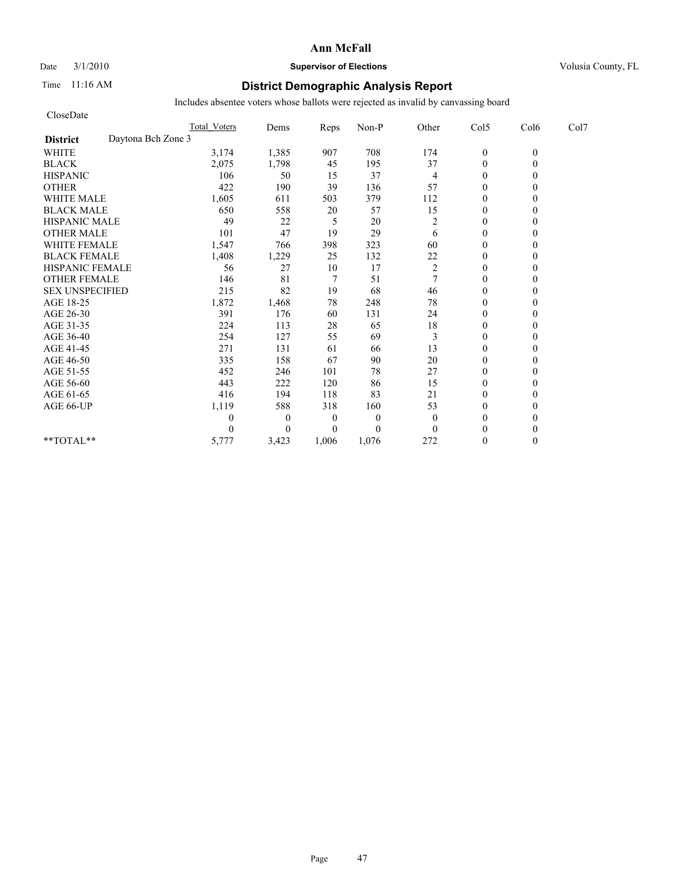#### Date  $3/1/2010$  **Supervisor of Elections Supervisor of Elections** Volusia County, FL

### Time 11:16 AM **District Demographic Analysis Report**

| CloseDate                             |                     |                |                  |          |                |                  |          |      |
|---------------------------------------|---------------------|----------------|------------------|----------|----------------|------------------|----------|------|
|                                       | <b>Total Voters</b> | Dems           | Reps             | Non-P    | Other          | Col5             | Col6     | Col7 |
| Daytona Bch Zone 3<br><b>District</b> |                     |                |                  |          |                |                  |          |      |
| <b>WHITE</b>                          | 3,174               | 1,385          | 907              | 708      | 174            | $\boldsymbol{0}$ | $\theta$ |      |
| <b>BLACK</b>                          | 2,075               | 1,798          | 45               | 195      | 37             | $\theta$         | 0        |      |
| <b>HISPANIC</b>                       | 106                 | 50             | 15               | 37       | 4              | $\theta$         |          |      |
| <b>OTHER</b>                          | 422                 | 190            | 39               | 136      | 57             | $\theta$         |          |      |
| <b>WHITE MALE</b>                     | 1,605               | 611            | 503              | 379      | 112            | $\theta$         |          |      |
| <b>BLACK MALE</b>                     | 650                 | 558            | 20               | 57       | 15             | $\mathbf{0}$     |          |      |
| <b>HISPANIC MALE</b>                  | 49                  | 22             | 5                | 20       | $\overline{c}$ | $\theta$         |          |      |
| <b>OTHER MALE</b>                     | 101                 | 47             | 19               | 29       | 6              | $\theta$         |          |      |
| <b>WHITE FEMALE</b>                   | 1,547               | 766            | 398              | 323      | 60             | $\theta$         |          |      |
| <b>BLACK FEMALE</b>                   | 1,408               | 1,229          | 25               | 132      | 22             | $\overline{0}$   |          |      |
| HISPANIC FEMALE                       | 56                  | 27             | 10               | 17       | $\overline{c}$ | $\mathbf{0}$     |          |      |
| <b>OTHER FEMALE</b>                   | 146                 | 81             | $\overline{7}$   | 51       | $\overline{7}$ | $\theta$         |          |      |
| <b>SEX UNSPECIFIED</b>                | 215                 | 82             | 19               | 68       | 46             | $\theta$         |          |      |
| AGE 18-25                             | 1,872               | 1,468          | 78               | 248      | $78\,$         | $\mathbf{0}$     |          |      |
| AGE 26-30                             | 391                 | 176            | 60               | 131      | 24             | $\overline{0}$   |          |      |
| AGE 31-35                             | 224                 | 113            | 28               | 65       | $18\,$         | $\mathbf{0}$     |          |      |
| AGE 36-40                             | 254                 | 127            | 55               | 69       | 3              | $\mathbf{0}$     |          |      |
| AGE 41-45                             | 271                 | 131            | 61               | 66       | 13             | $\mathbf{0}$     |          |      |
| AGE 46-50                             | 335                 | 158            | 67               | 90       | $20\,$         | $\theta$         |          |      |
| AGE 51-55                             | 452                 | 246            | 101              | 78       | 27             | $\mathbf{0}$     |          |      |
| AGE 56-60                             | 443                 | 222            | 120              | 86       | 15             | $\overline{0}$   |          |      |
| AGE 61-65                             | 416                 | 194            | 118              | 83       | 21             | $\theta$         |          |      |
| AGE 66-UP                             | 1,119               | 588            | 318              | 160      | 53             | $\theta$         |          |      |
|                                       | 0                   | $\overline{0}$ | $\boldsymbol{0}$ | $\theta$ | $\theta$       | $\mathbf{0}$     |          |      |
|                                       | 0                   | $\Omega$       | $\overline{0}$   | $\theta$ | $\Omega$       | $\theta$         |          |      |
| **TOTAL**                             | 5,777               | 3,423          | 1,006            | 1,076    | 272            | $\theta$         | 0        |      |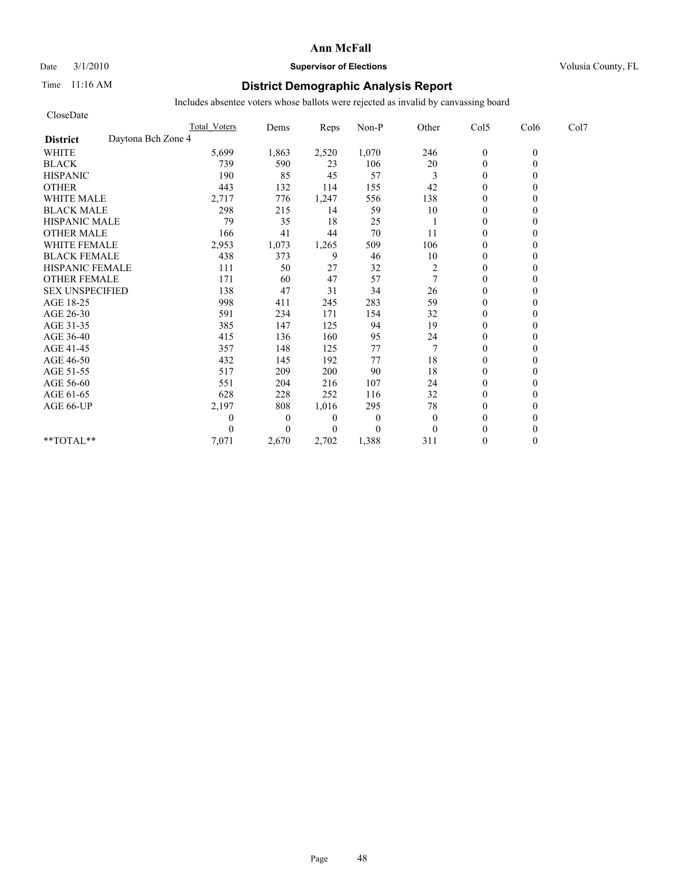### Date  $3/1/2010$  **Supervisor of Elections Supervisor of Elections** Volusia County, FL

### Time 11:16 AM **District Demographic Analysis Report**

| CloseDate              |                    |                     |                  |                |                |              |                  |          |      |
|------------------------|--------------------|---------------------|------------------|----------------|----------------|--------------|------------------|----------|------|
|                        |                    | <b>Total Voters</b> | Dems             | Reps           | Non-P          | Other        | Col5             | Col6     | Col7 |
| <b>District</b>        | Daytona Bch Zone 4 |                     |                  |                |                |              |                  |          |      |
| <b>WHITE</b>           |                    | 5,699               | 1,863            | 2,520          | 1,070          | 246          | $\boldsymbol{0}$ | $\theta$ |      |
| <b>BLACK</b>           |                    | 739                 | 590              | 23             | 106            | 20           | $\overline{0}$   | 0        |      |
| <b>HISPANIC</b>        |                    | 190                 | 85               | 45             | 57             | 3            | $\overline{0}$   |          |      |
| <b>OTHER</b>           |                    | 443                 | 132              | 114            | 155            | 42           | $\theta$         |          |      |
| <b>WHITE MALE</b>      |                    | 2,717               | 776              | 1,247          | 556            | 138          | $\mathbf{0}$     |          |      |
| <b>BLACK MALE</b>      |                    | 298                 | 215              | 14             | 59             | 10           | $\mathbf{0}$     |          |      |
| <b>HISPANIC MALE</b>   |                    | 79                  | 35               | 18             | 25             |              | $\Omega$         |          |      |
| <b>OTHER MALE</b>      |                    | 166                 | 41               | 44             | 70             | 11           | $\mathbf{0}$     |          |      |
| <b>WHITE FEMALE</b>    |                    | 2,953               | 1,073            | 1,265          | 509            | 106          | $\theta$         |          |      |
| <b>BLACK FEMALE</b>    |                    | 438                 | 373              | 9              | 46             | 10           | $\theta$         |          |      |
| HISPANIC FEMALE        |                    | 111                 | 50               | 27             | 32             | 2            | $\theta$         |          |      |
| <b>OTHER FEMALE</b>    |                    | 171                 | 60               | 47             | 57             | 7            | $\mathbf{0}$     |          |      |
| <b>SEX UNSPECIFIED</b> |                    | 138                 | 47               | 31             | 34             | 26           | $\mathbf{0}$     |          |      |
| AGE 18-25              |                    | 998                 | 411              | 245            | 283            | 59           | $\mathbf{0}$     |          |      |
| AGE 26-30              |                    | 591                 | 234              | 171            | 154            | 32           | $\theta$         |          |      |
| AGE 31-35              |                    | 385                 | 147              | 125            | 94             | 19           | $\mathbf{0}$     |          |      |
| AGE 36-40              |                    | 415                 | 136              | 160            | 95             | 24           | $\theta$         |          |      |
| AGE 41-45              |                    | 357                 | 148              | 125            | 77             |              | $\overline{0}$   |          |      |
| AGE 46-50              |                    | 432                 | 145              | 192            | 77             | 18           | $\mathbf{0}$     |          |      |
| AGE 51-55              |                    | 517                 | 209              | 200            | 90             | 18           | $\overline{0}$   |          |      |
| AGE 56-60              |                    | 551                 | 204              | 216            | 107            | 24           | $\theta$         |          |      |
| AGE 61-65              |                    | 628                 | 228              | 252            | 116            | 32           | $\theta$         |          |      |
| AGE 66-UP              |                    | 2,197               | 808              | 1,016          | 295            | 78           | $\mathbf{0}$     |          |      |
|                        |                    | 0                   | $\boldsymbol{0}$ | $\theta$       | $\overline{0}$ | $\mathbf{0}$ | $\mathbf{0}$     |          |      |
|                        |                    |                     | $\theta$         | $\overline{0}$ | $\Omega$       | $\theta$     | $\theta$         |          |      |
| $**TOTAL**$            |                    | 7,071               | 2,670            | 2,702          | 1,388          | 311          | $\theta$         | 0        |      |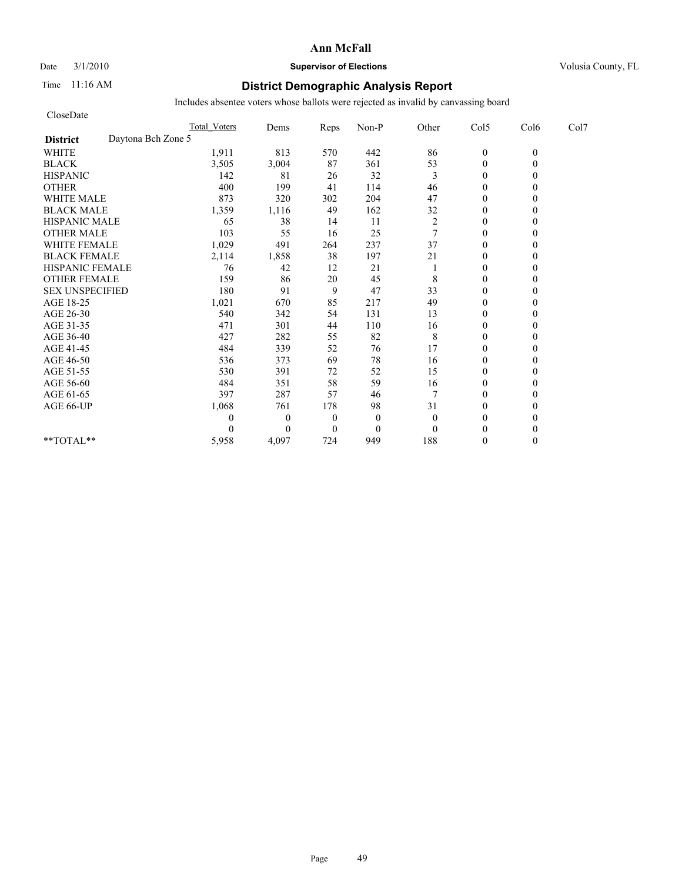#### Date  $3/1/2010$  **Supervisor of Elections Supervisor of Elections** Volusia County, FL

### Time 11:16 AM **District Demographic Analysis Report**

| CloseDate                             |                     |              |                  |              |                  |                  |          |      |
|---------------------------------------|---------------------|--------------|------------------|--------------|------------------|------------------|----------|------|
|                                       | <b>Total Voters</b> | Dems         | Reps             | Non-P        | Other            | Col5             | Col6     | Col7 |
| Daytona Bch Zone 5<br><b>District</b> |                     |              |                  |              |                  |                  |          |      |
| <b>WHITE</b>                          | 1,911               | 813          | 570              | 442          | 86               | $\boldsymbol{0}$ | $\theta$ |      |
| <b>BLACK</b>                          | 3,505               | 3,004        | 87               | 361          | 53               | $\theta$         | 0        |      |
| <b>HISPANIC</b>                       | 142                 | 81           | 26               | 32           | 3                | $\theta$         |          |      |
| <b>OTHER</b>                          | 400                 | 199          | 41               | 114          | 46               | $\theta$         |          |      |
| <b>WHITE MALE</b>                     | 873                 | 320          | 302              | 204          | 47               | $\theta$         |          |      |
| <b>BLACK MALE</b>                     | 1,359               | 1,116        | 49               | 162          | 32               | $\mathbf{0}$     |          |      |
| <b>HISPANIC MALE</b>                  | 65                  | 38           | 14               | 11           | $\boldsymbol{2}$ | $\theta$         |          |      |
| <b>OTHER MALE</b>                     | 103                 | 55           | 16               | 25           | $\tau$           | $\theta$         |          |      |
| <b>WHITE FEMALE</b>                   | 1,029               | 491          | 264              | 237          | 37               | $\theta$         |          |      |
| <b>BLACK FEMALE</b>                   | 2,114               | 1,858        | 38               | 197          | 21               | $\overline{0}$   |          |      |
| HISPANIC FEMALE                       | 76                  | 42           | 12               | 21           |                  | $\theta$         |          |      |
| <b>OTHER FEMALE</b>                   | 159                 | 86           | 20               | 45           | 8                | $\theta$         |          |      |
| <b>SEX UNSPECIFIED</b>                | 180                 | 91           | 9                | 47           | 33               | $\theta$         |          |      |
| AGE 18-25                             | 1,021               | 670          | 85               | 217          | 49               | $\mathbf{0}$     |          |      |
| AGE 26-30                             | 540                 | 342          | 54               | 131          | 13               | $\mathbf{0}$     |          |      |
| AGE 31-35                             | 471                 | 301          | 44               | 110          | 16               | $\mathbf{0}$     |          |      |
| AGE 36-40                             | 427                 | 282          | 55               | 82           | 8                | $\mathbf{0}$     |          |      |
| AGE 41-45                             | 484                 | 339          | 52               | 76           | 17               | $\mathbf{0}$     |          |      |
| AGE 46-50                             | 536                 | 373          | 69               | 78           | 16               | $\theta$         |          |      |
| AGE 51-55                             | 530                 | 391          | 72               | 52           | 15               | $\mathbf{0}$     |          |      |
| AGE 56-60                             | 484                 | 351          | 58               | 59           | 16               | $\overline{0}$   |          |      |
| AGE 61-65                             | 397                 | 287          | 57               | 46           | 7                | $\theta$         |          |      |
| AGE 66-UP                             | 1,068               | 761          | 178              | 98           | 31               | $\theta$         |          |      |
|                                       | 0                   | $\mathbf{0}$ | $\boldsymbol{0}$ | $\mathbf{0}$ | $\mathbf{0}$     | $\mathbf{0}$     |          |      |
|                                       | 0                   | $\Omega$     | $\mathbf{0}$     | $\mathbf{0}$ | $\theta$         | $\theta$         |          |      |
| **TOTAL**                             | 5,958               | 4,097        | 724              | 949          | 188              | $\theta$         | 0        |      |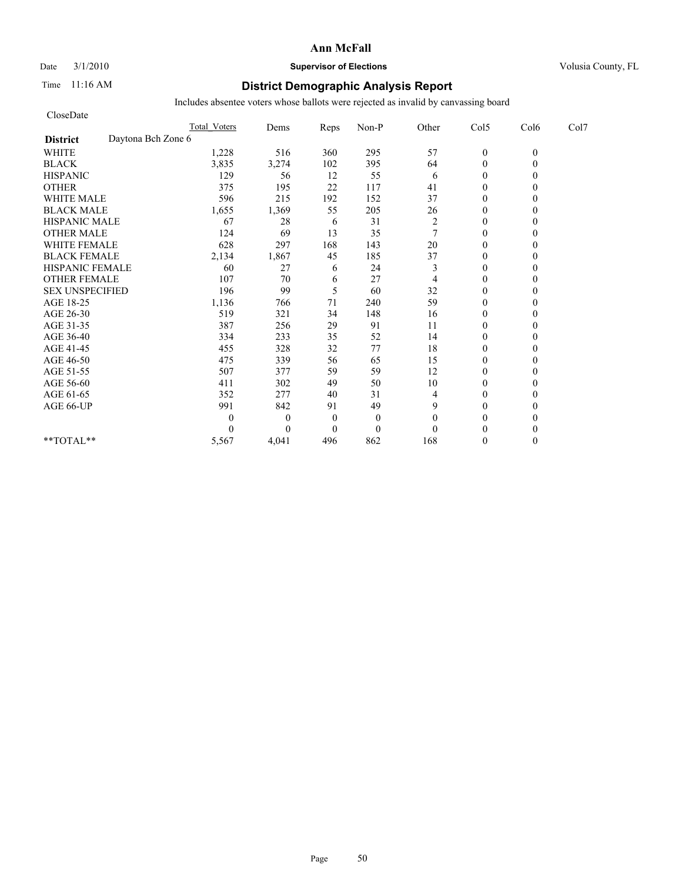#### Date  $3/1/2010$  **Supervisor of Elections Supervisor of Elections** Volusia County, FL

### Time 11:16 AM **District Demographic Analysis Report**

| CloseDate                             |                     |                |                |              |                |                |          |      |
|---------------------------------------|---------------------|----------------|----------------|--------------|----------------|----------------|----------|------|
|                                       | <b>Total Voters</b> | Dems           | Reps           | Non-P        | Other          | Col5           | Col6     | Col7 |
| Daytona Bch Zone 6<br><b>District</b> |                     |                |                |              |                |                |          |      |
| <b>WHITE</b>                          | 1,228               | 516            | 360            | 295          | 57             | $\mathbf{0}$   | $\theta$ |      |
| <b>BLACK</b>                          | 3,835               | 3,274          | 102            | 395          | 64             | $\mathbf{0}$   | 0        |      |
| <b>HISPANIC</b>                       | 129                 | 56             | 12             | 55           | 6              | $\theta$       |          |      |
| <b>OTHER</b>                          | 375                 | 195            | 22             | 117          | 41             | $\theta$       |          |      |
| <b>WHITE MALE</b>                     | 596                 | 215            | 192            | 152          | 37             | $\theta$       |          |      |
| <b>BLACK MALE</b>                     | 1,655               | 1,369          | 55             | 205          | 26             | $\mathbf{0}$   |          |      |
| <b>HISPANIC MALE</b>                  | 67                  | 28             | 6              | 31           | $\overline{c}$ | $\theta$       |          |      |
| <b>OTHER MALE</b>                     | 124                 | 69             | 13             | 35           | $\tau$         | $\theta$       |          |      |
| <b>WHITE FEMALE</b>                   | 628                 | 297            | 168            | 143          | 20             | $\theta$       |          |      |
| <b>BLACK FEMALE</b>                   | 2,134               | 1,867          | 45             | 185          | 37             | $\overline{0}$ |          |      |
| HISPANIC FEMALE                       | 60                  | 27             | 6              | 24           | 3              | $\theta$       |          |      |
| <b>OTHER FEMALE</b>                   | 107                 | 70             | 6              | 27           | 4              | $\theta$       |          |      |
| <b>SEX UNSPECIFIED</b>                | 196                 | 99             | 5              | 60           | 32             | $\theta$       |          |      |
| AGE 18-25                             | 1,136               | 766            | 71             | 240          | 59             | $\mathbf{0}$   |          |      |
| AGE 26-30                             | 519                 | 321            | 34             | 148          | 16             | $\overline{0}$ |          |      |
| AGE 31-35                             | 387                 | 256            | 29             | 91           | 11             | $\mathbf{0}$   |          |      |
| AGE 36-40                             | 334                 | 233            | 35             | 52           | 14             | $\mathbf{0}$   |          |      |
| AGE 41-45                             | 455                 | 328            | 32             | 77           | 18             | $\mathbf{0}$   |          |      |
| AGE 46-50                             | 475                 | 339            | 56             | 65           | 15             | $\theta$       |          |      |
| AGE 51-55                             | 507                 | 377            | 59             | 59           | 12             | $\mathbf{0}$   |          |      |
| AGE 56-60                             | 411                 | 302            | 49             | 50           | 10             | $\overline{0}$ |          |      |
| AGE 61-65                             | 352                 | 277            | 40             | 31           | 4              | $\theta$       |          |      |
| AGE 66-UP                             | 991                 | 842            | 91             | 49           | 9              | $\theta$       |          |      |
|                                       | 0                   | $\overline{0}$ | $\theta$       | $\mathbf{0}$ | $\theta$       | $\mathbf{0}$   |          |      |
|                                       | 0                   | $\Omega$       | $\overline{0}$ | $\mathbf{0}$ | $\theta$       | $\theta$       |          |      |
| **TOTAL**                             | 5,567               | 4,041          | 496            | 862          | 168            | $\theta$       | 0        |      |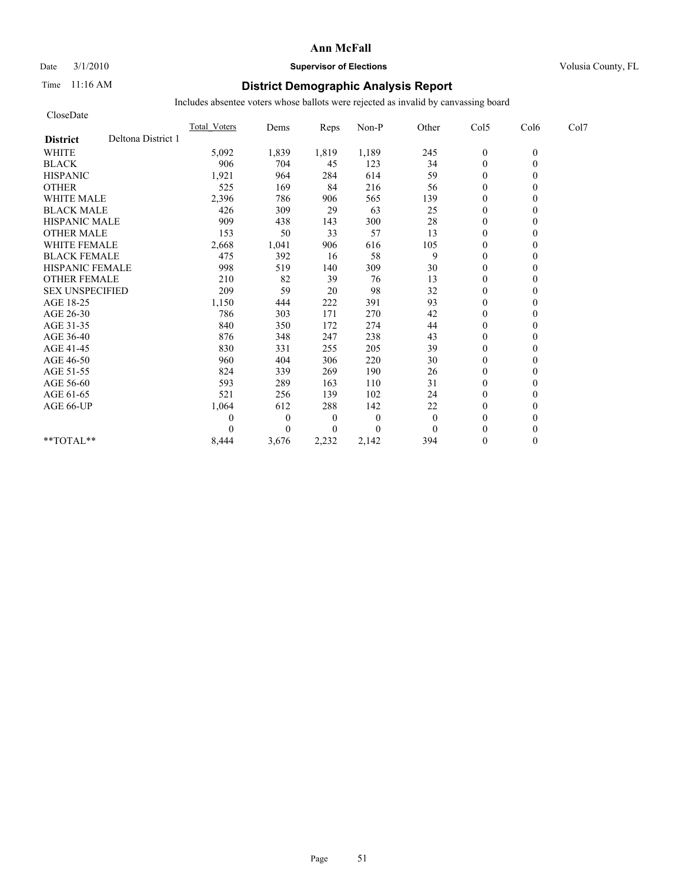#### Date  $3/1/2010$  **Supervisor of Elections Supervisor of Elections** Volusia County, FL

### Time 11:16 AM **District Demographic Analysis Report**

| CloseDate              |                    |                     |                  |                  |          |              |                  |          |      |
|------------------------|--------------------|---------------------|------------------|------------------|----------|--------------|------------------|----------|------|
|                        |                    | <b>Total Voters</b> | Dems             | Reps             | Non-P    | Other        | Col5             | Col6     | Col7 |
| <b>District</b>        | Deltona District 1 |                     |                  |                  |          |              |                  |          |      |
| <b>WHITE</b>           |                    | 5,092               | 1,839            | 1,819            | 1,189    | 245          | $\boldsymbol{0}$ | $\theta$ |      |
| <b>BLACK</b>           |                    | 906                 | 704              | 45               | 123      | 34           | $\overline{0}$   | $\theta$ |      |
| <b>HISPANIC</b>        |                    | 1,921               | 964              | 284              | 614      | 59           | $\overline{0}$   |          |      |
| <b>OTHER</b>           |                    | 525                 | 169              | 84               | 216      | 56           | $\theta$         |          |      |
| <b>WHITE MALE</b>      |                    | 2,396               | 786              | 906              | 565      | 139          | $\mathbf{0}$     |          |      |
| <b>BLACK MALE</b>      |                    | 426                 | 309              | 29               | 63       | 25           | $\mathbf{0}$     |          |      |
| <b>HISPANIC MALE</b>   |                    | 909                 | 438              | 143              | 300      | 28           | $\theta$         |          |      |
| <b>OTHER MALE</b>      |                    | 153                 | 50               | 33               | 57       | 13           | $\mathbf{0}$     |          |      |
| <b>WHITE FEMALE</b>    |                    | 2,668               | 1,041            | 906              | 616      | 105          | $\theta$         |          |      |
| <b>BLACK FEMALE</b>    |                    | 475                 | 392              | 16               | 58       | 9            | $\mathbf{0}$     |          |      |
| <b>HISPANIC FEMALE</b> |                    | 998                 | 519              | 140              | 309      | 30           | $\mathbf{0}$     |          |      |
| <b>OTHER FEMALE</b>    |                    | 210                 | 82               | 39               | 76       | 13           | $\mathbf{0}$     |          |      |
| <b>SEX UNSPECIFIED</b> |                    | 209                 | 59               | 20               | 98       | 32           | $\mathbf{0}$     |          |      |
| AGE 18-25              |                    | 1,150               | 444              | 222              | 391      | 93           | $\mathbf{0}$     |          |      |
| AGE 26-30              |                    | 786                 | 303              | 171              | 270      | 42           | $\theta$         |          |      |
| AGE 31-35              |                    | 840                 | 350              | 172              | 274      | 44           | $\theta$         |          |      |
| AGE 36-40              |                    | 876                 | 348              | 247              | 238      | 43           | $\theta$         |          |      |
| AGE 41-45              |                    | 830                 | 331              | 255              | 205      | 39           | $\overline{0}$   |          |      |
| AGE 46-50              |                    | 960                 | 404              | 306              | 220      | 30           | $\mathbf{0}$     |          |      |
| AGE 51-55              |                    | 824                 | 339              | 269              | 190      | 26           | $\overline{0}$   |          |      |
| AGE 56-60              |                    | 593                 | 289              | 163              | 110      | 31           | $\theta$         |          |      |
| AGE 61-65              |                    | 521                 | 256              | 139              | 102      | 24           | $\theta$         |          |      |
| AGE 66-UP              |                    | 1,064               | 612              | 288              | 142      | 22           | $\mathbf{0}$     |          |      |
|                        |                    | 0                   | $\boldsymbol{0}$ | $\boldsymbol{0}$ | $\theta$ | $\mathbf{0}$ | $\mathbf{0}$     |          |      |
|                        |                    |                     | $\theta$         | $\overline{0}$   | $\Omega$ | $\theta$     | $\theta$         |          |      |
| $**TOTAL**$            |                    | 8,444               | 3,676            | 2,232            | 2,142    | 394          | $\mathbf{0}$     | 0        |      |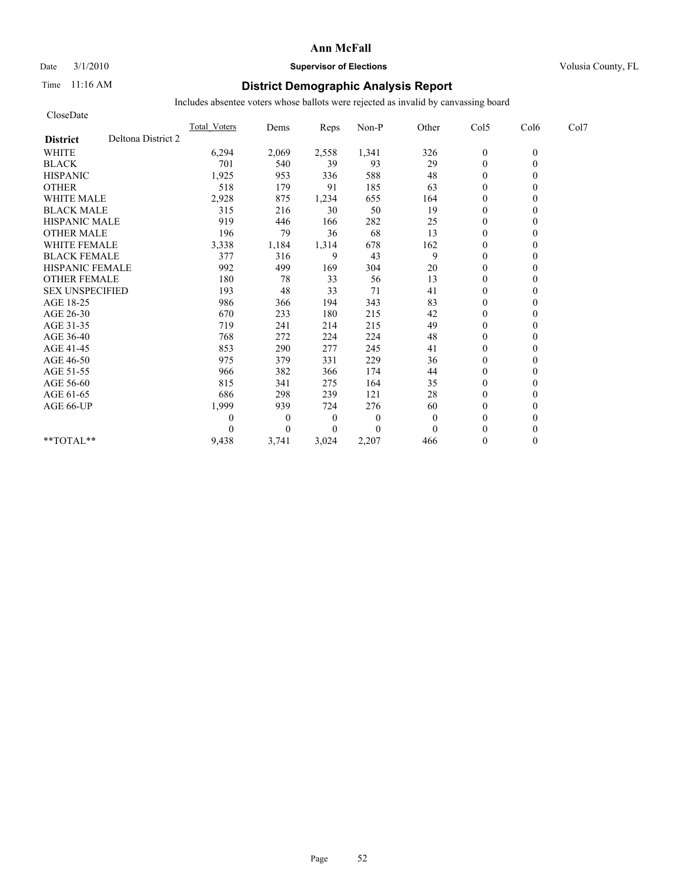#### Date  $3/1/2010$  **Supervisor of Elections Supervisor of Elections** Volusia County, FL

### Time 11:16 AM **District Demographic Analysis Report**

| CloseDate              |                    |                     |              |                  |          |              |                  |          |      |
|------------------------|--------------------|---------------------|--------------|------------------|----------|--------------|------------------|----------|------|
|                        |                    | <b>Total Voters</b> | Dems         | Reps             | Non-P    | Other        | Col5             | Col6     | Col7 |
| <b>District</b>        | Deltona District 2 |                     |              |                  |          |              |                  |          |      |
| <b>WHITE</b>           |                    | 6,294               | 2,069        | 2,558            | 1,341    | 326          | $\boldsymbol{0}$ | $\theta$ |      |
| <b>BLACK</b>           |                    | 701                 | 540          | 39               | 93       | 29           | $\overline{0}$   | $\theta$ |      |
| <b>HISPANIC</b>        |                    | 1,925               | 953          | 336              | 588      | 48           | $\mathbf{0}$     |          |      |
| <b>OTHER</b>           |                    | 518                 | 179          | 91               | 185      | 63           | $\theta$         |          |      |
| <b>WHITE MALE</b>      |                    | 2,928               | 875          | 1,234            | 655      | 164          | $\mathbf{0}$     |          |      |
| <b>BLACK MALE</b>      |                    | 315                 | 216          | 30               | 50       | 19           | $\mathbf{0}$     |          |      |
| <b>HISPANIC MALE</b>   |                    | 919                 | 446          | 166              | 282      | 25           | $\Omega$         |          |      |
| <b>OTHER MALE</b>      |                    | 196                 | 79           | 36               | 68       | 13           | $\theta$         |          |      |
| <b>WHITE FEMALE</b>    |                    | 3,338               | 1,184        | 1,314            | 678      | 162          | $\theta$         |          |      |
| <b>BLACK FEMALE</b>    |                    | 377                 | 316          | 9                | 43       | 9            | $\theta$         |          |      |
| <b>HISPANIC FEMALE</b> |                    | 992                 | 499          | 169              | 304      | 20           | $\theta$         |          |      |
| <b>OTHER FEMALE</b>    |                    | 180                 | 78           | 33               | 56       | 13           | $\mathbf{0}$     |          |      |
| <b>SEX UNSPECIFIED</b> |                    | 193                 | 48           | 33               | 71       | 41           | $\mathbf{0}$     |          |      |
| AGE 18-25              |                    | 986                 | 366          | 194              | 343      | 83           | $\mathbf{0}$     |          |      |
| AGE 26-30              |                    | 670                 | 233          | 180              | 215      | 42           | $\theta$         |          |      |
| AGE 31-35              |                    | 719                 | 241          | 214              | 215      | 49           | $\theta$         |          |      |
| AGE 36-40              |                    | 768                 | 272          | 224              | 224      | 48           | $\theta$         |          |      |
| AGE 41-45              |                    | 853                 | 290          | 277              | 245      | 41           | $\overline{0}$   |          |      |
| AGE 46-50              |                    | 975                 | 379          | 331              | 229      | 36           | $\mathbf{0}$     |          |      |
| AGE 51-55              |                    | 966                 | 382          | 366              | 174      | 44           | $\overline{0}$   |          |      |
| AGE 56-60              |                    | 815                 | 341          | 275              | 164      | 35           | $\theta$         |          |      |
| AGE 61-65              |                    | 686                 | 298          | 239              | 121      | 28           | $\theta$         |          |      |
| AGE 66-UP              |                    | 1,999               | 939          | 724              | 276      | 60           | $\mathbf{0}$     |          |      |
|                        |                    | 0                   | $\mathbf{0}$ | $\boldsymbol{0}$ | $\theta$ | $\mathbf{0}$ | $\mathbf{0}$     |          |      |
|                        |                    |                     | $\theta$     | $\overline{0}$   | $\Omega$ | $\theta$     | $\theta$         |          |      |
| $**TOTAL**$            |                    | 9,438               | 3,741        | 3,024            | 2,207    | 466          | $\mathbf{0}$     | 0        |      |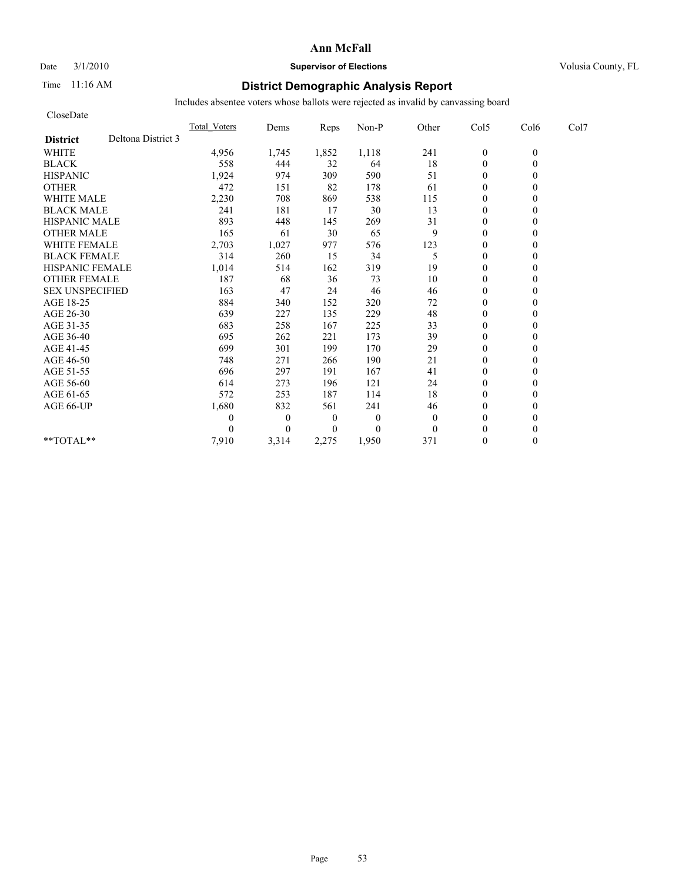#### Date  $3/1/2010$  **Supervisor of Elections Supervisor of Elections** Volusia County, FL

### Time 11:16 AM **District Demographic Analysis Report**

| CloseDate              |                    |                     |                  |                  |                |          |                  |          |      |
|------------------------|--------------------|---------------------|------------------|------------------|----------------|----------|------------------|----------|------|
|                        |                    | <b>Total Voters</b> | Dems             | Reps             | Non-P          | Other    | Col5             | Col6     | Col7 |
| <b>District</b>        | Deltona District 3 |                     |                  |                  |                |          |                  |          |      |
| <b>WHITE</b>           |                    | 4,956               | 1,745            | 1,852            | 1,118          | 241      | $\boldsymbol{0}$ | $\theta$ |      |
| <b>BLACK</b>           |                    | 558                 | 444              | 32               | 64             | 18       | $\overline{0}$   | $\theta$ |      |
| <b>HISPANIC</b>        |                    | 1,924               | 974              | 309              | 590            | 51       | $\mathbf{0}$     |          |      |
| <b>OTHER</b>           |                    | 472                 | 151              | 82               | 178            | 61       | $\theta$         |          |      |
| <b>WHITE MALE</b>      |                    | 2,230               | 708              | 869              | 538            | 115      | $\mathbf{0}$     |          |      |
| <b>BLACK MALE</b>      |                    | 241                 | 181              | 17               | 30             | 13       | $\mathbf{0}$     |          |      |
| <b>HISPANIC MALE</b>   |                    | 893                 | 448              | 145              | 269            | 31       | $\Omega$         |          |      |
| <b>OTHER MALE</b>      |                    | 165                 | 61               | 30               | 65             | 9        | $\mathbf{0}$     |          |      |
| <b>WHITE FEMALE</b>    |                    | 2,703               | 1,027            | 977              | 576            | 123      | $\theta$         |          |      |
| <b>BLACK FEMALE</b>    |                    | 314                 | 260              | 15               | 34             | 5        | $\overline{0}$   |          |      |
| <b>HISPANIC FEMALE</b> |                    | 1,014               | 514              | 162              | 319            | 19       | $\theta$         |          |      |
| <b>OTHER FEMALE</b>    |                    | 187                 | 68               | 36               | 73             | 10       | $\mathbf{0}$     |          |      |
| <b>SEX UNSPECIFIED</b> |                    | 163                 | 47               | 24               | 46             | 46       | $\mathbf{0}$     |          |      |
| AGE 18-25              |                    | 884                 | 340              | 152              | 320            | $72\,$   | $\mathbf{0}$     |          |      |
| AGE 26-30              |                    | 639                 | 227              | 135              | 229            | 48       | $\theta$         |          |      |
| AGE 31-35              |                    | 683                 | 258              | 167              | 225            | 33       | $\theta$         |          |      |
| AGE 36-40              |                    | 695                 | 262              | 221              | 173            | 39       | $\theta$         |          |      |
| AGE 41-45              |                    | 699                 | 301              | 199              | 170            | 29       | $\overline{0}$   |          |      |
| AGE 46-50              |                    | 748                 | 271              | 266              | 190            | 21       | $\mathbf{0}$     |          |      |
| AGE 51-55              |                    | 696                 | 297              | 191              | 167            | 41       | $\mathbf{0}$     |          |      |
| AGE 56-60              |                    | 614                 | 273              | 196              | 121            | 24       | $\theta$         |          |      |
| AGE 61-65              |                    | 572                 | 253              | 187              | 114            | 18       | $\theta$         |          |      |
| AGE 66-UP              |                    | 1,680               | 832              | 561              | 241            | 46       | $\mathbf{0}$     |          |      |
|                        |                    | 0                   | $\boldsymbol{0}$ | $\boldsymbol{0}$ | $\theta$       | $\theta$ | $\mathbf{0}$     |          |      |
|                        |                    |                     | $\theta$         | $\overline{0}$   | $\overline{0}$ | $\theta$ | $\theta$         |          |      |
| $**TOTAL**$            |                    | 7,910               | 3,314            | 2,275            | 1,950          | 371      | $\mathbf{0}$     | 0        |      |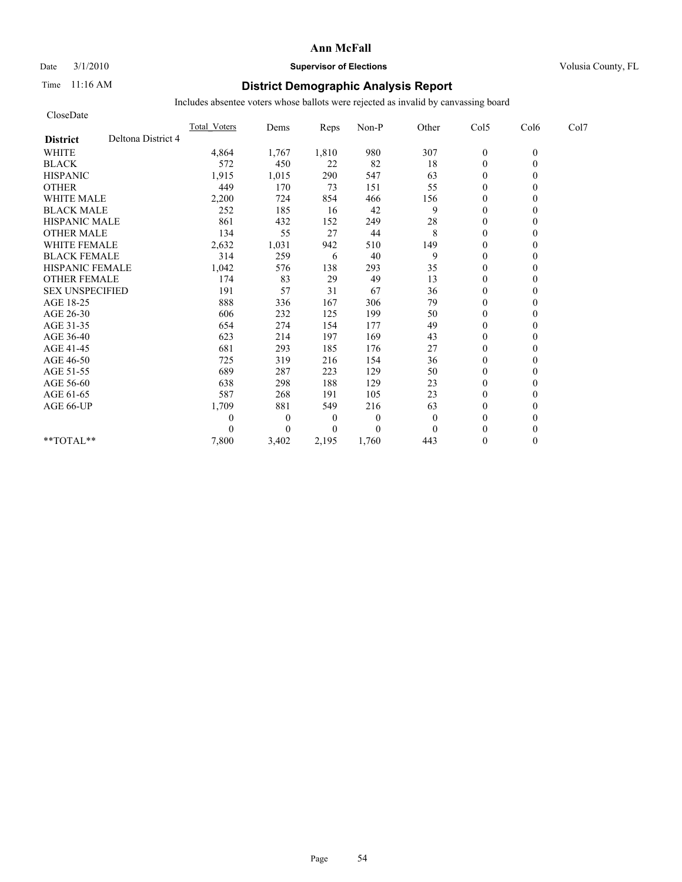#### Date  $3/1/2010$  **Supervisor of Elections Supervisor of Elections** Volusia County, FL

### Time 11:16 AM **District Demographic Analysis Report**

| CloseDate              |                    |                     |              |          |          |              |                  |          |      |
|------------------------|--------------------|---------------------|--------------|----------|----------|--------------|------------------|----------|------|
|                        |                    | <b>Total Voters</b> | Dems         | Reps     | Non-P    | Other        | Col5             | Col6     | Col7 |
| <b>District</b>        | Deltona District 4 |                     |              |          |          |              |                  |          |      |
| <b>WHITE</b>           |                    | 4,864               | 1,767        | 1,810    | 980      | 307          | $\boldsymbol{0}$ | $\theta$ |      |
| <b>BLACK</b>           |                    | 572                 | 450          | 22       | 82       | 18           | $\theta$         | $\theta$ |      |
| <b>HISPANIC</b>        |                    | 1,915               | 1,015        | 290      | 547      | 63           | $\theta$         |          |      |
| <b>OTHER</b>           |                    | 449                 | 170          | 73       | 151      | 55           | $\theta$         |          |      |
| <b>WHITE MALE</b>      |                    | 2,200               | 724          | 854      | 466      | 156          | $\theta$         |          |      |
| <b>BLACK MALE</b>      |                    | 252                 | 185          | 16       | 42       | 9            | $\mathbf{0}$     |          |      |
| <b>HISPANIC MALE</b>   |                    | 861                 | 432          | 152      | 249      | $28\,$       | $\theta$         |          |      |
| <b>OTHER MALE</b>      |                    | 134                 | 55           | 27       | 44       | 8            | $\theta$         |          |      |
| <b>WHITE FEMALE</b>    |                    | 2,632               | 1,031        | 942      | 510      | 149          | $\theta$         |          |      |
| <b>BLACK FEMALE</b>    |                    | 314                 | 259          | 6        | 40       | 9            | $\theta$         |          |      |
| <b>HISPANIC FEMALE</b> |                    | 1,042               | 576          | 138      | 293      | 35           | $\mathbf{0}$     |          |      |
| <b>OTHER FEMALE</b>    |                    | 174                 | 83           | 29       | 49       | 13           | $\theta$         |          |      |
| <b>SEX UNSPECIFIED</b> |                    | 191                 | 57           | 31       | 67       | 36           | $\theta$         |          |      |
| AGE 18-25              |                    | 888                 | 336          | 167      | 306      | 79           | $\theta$         |          |      |
| AGE 26-30              |                    | 606                 | 232          | 125      | 199      | 50           | $\mathbf{0}$     |          |      |
| AGE 31-35              |                    | 654                 | 274          | 154      | 177      | 49           | $\mathbf{0}$     |          |      |
| AGE 36-40              |                    | 623                 | 214          | 197      | 169      | 43           | $\mathbf{0}$     |          |      |
| AGE 41-45              |                    | 681                 | 293          | 185      | 176      | 27           | $\mathbf{0}$     |          |      |
| AGE 46-50              |                    | 725                 | 319          | 216      | 154      | 36           | $\theta$         |          |      |
| AGE 51-55              |                    | 689                 | 287          | 223      | 129      | 50           | $\mathbf{0}$     |          |      |
| AGE 56-60              |                    | 638                 | 298          | 188      | 129      | 23           | $\overline{0}$   |          |      |
| AGE 61-65              |                    | 587                 | 268          | 191      | 105      | 23           | $\theta$         |          |      |
| AGE 66-UP              |                    | 1,709               | 881          | 549      | 216      | 63           | $\mathbf{0}$     |          |      |
|                        |                    | 0                   | $\mathbf{0}$ | 0        | $\theta$ | $\mathbf{0}$ | $\theta$         |          |      |
|                        |                    | 0                   | $\Omega$     | $\Omega$ | $\theta$ | $\theta$     | $\theta$         |          |      |
| **TOTAL**              |                    | 7,800               | 3,402        | 2,195    | 1,760    | 443          | $\theta$         | 0        |      |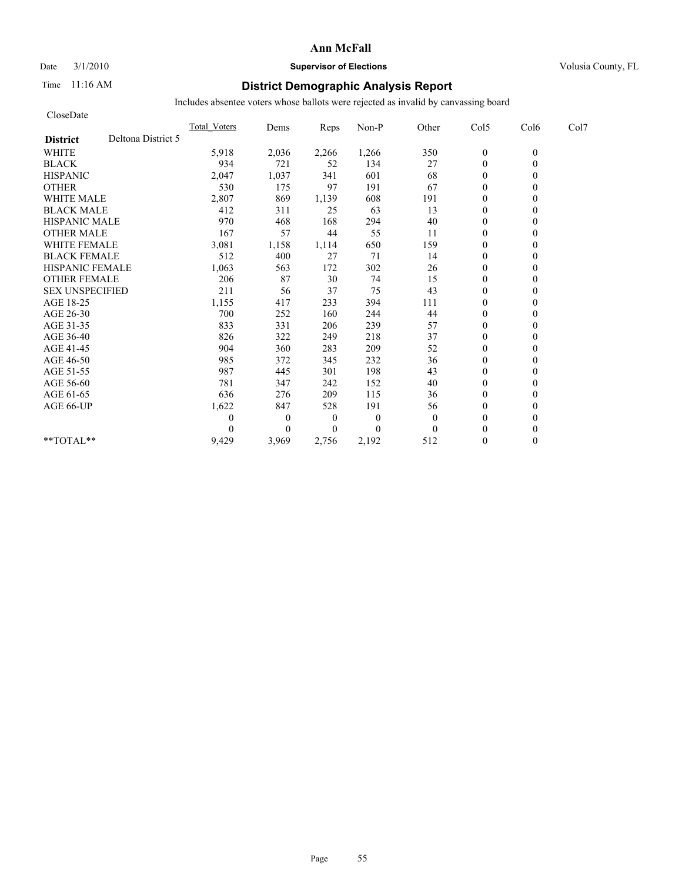#### Date  $3/1/2010$  **Supervisor of Elections Supervisor of Elections** Volusia County, FL

### Time 11:16 AM **District Demographic Analysis Report**

| CloseDate              |                    |                     |                  |                |          |          |                  |          |      |
|------------------------|--------------------|---------------------|------------------|----------------|----------|----------|------------------|----------|------|
|                        |                    | <b>Total Voters</b> | Dems             | Reps           | Non-P    | Other    | Col5             | Col6     | Col7 |
| <b>District</b>        | Deltona District 5 |                     |                  |                |          |          |                  |          |      |
| <b>WHITE</b>           |                    | 5,918               | 2,036            | 2,266          | 1,266    | 350      | $\boldsymbol{0}$ | $\theta$ |      |
| <b>BLACK</b>           |                    | 934                 | 721              | 52             | 134      | 27       | $\overline{0}$   | $\theta$ |      |
| <b>HISPANIC</b>        |                    | 2,047               | 1,037            | 341            | 601      | 68       | $\mathbf{0}$     |          |      |
| <b>OTHER</b>           |                    | 530                 | 175              | 97             | 191      | 67       | $\theta$         |          |      |
| <b>WHITE MALE</b>      |                    | 2,807               | 869              | 1,139          | 608      | 191      | $\mathbf{0}$     |          |      |
| <b>BLACK MALE</b>      |                    | 412                 | 311              | 25             | 63       | 13       | $\mathbf{0}$     |          |      |
| <b>HISPANIC MALE</b>   |                    | 970                 | 468              | 168            | 294      | 40       | $\theta$         |          |      |
| <b>OTHER MALE</b>      |                    | 167                 | 57               | 44             | 55       | 11       | $\theta$         |          |      |
| <b>WHITE FEMALE</b>    |                    | 3,081               | 1,158            | 1,114          | 650      | 159      | $\theta$         |          |      |
| <b>BLACK FEMALE</b>    |                    | 512                 | 400              | 27             | 71       | 14       | $\theta$         |          |      |
| <b>HISPANIC FEMALE</b> |                    | 1,063               | 563              | 172            | 302      | 26       | $\mathbf{0}$     |          |      |
| <b>OTHER FEMALE</b>    |                    | 206                 | 87               | 30             | 74       | 15       | $\mathbf{0}$     |          |      |
| <b>SEX UNSPECIFIED</b> |                    | 211                 | 56               | 37             | 75       | 43       | $\mathbf{0}$     |          |      |
| AGE 18-25              |                    | 1,155               | 417              | 233            | 394      | 111      | $\mathbf{0}$     |          |      |
| AGE 26-30              |                    | 700                 | 252              | 160            | 244      | 44       | $\theta$         |          |      |
| AGE 31-35              |                    | 833                 | 331              | 206            | 239      | 57       | $\mathbf{0}$     |          |      |
| AGE 36-40              |                    | 826                 | 322              | 249            | 218      | 37       | $\theta$         |          |      |
| AGE 41-45              |                    | 904                 | 360              | 283            | 209      | 52       | $\overline{0}$   |          |      |
| AGE 46-50              |                    | 985                 | 372              | 345            | 232      | 36       | $\mathbf{0}$     |          |      |
| AGE 51-55              |                    | 987                 | 445              | 301            | 198      | 43       | $\mathbf{0}$     |          |      |
| AGE 56-60              |                    | 781                 | 347              | 242            | 152      | 40       | $\theta$         |          |      |
| AGE 61-65              |                    | 636                 | 276              | 209            | 115      | 36       | $\theta$         |          |      |
| AGE 66-UP              |                    | 1,622               | 847              | 528            | 191      | 56       | $\mathbf{0}$     |          |      |
|                        |                    | 0                   | $\boldsymbol{0}$ | $\theta$       | $\theta$ | $\theta$ | $\mathbf{0}$     |          |      |
|                        |                    |                     | $\theta$         | $\overline{0}$ | $\Omega$ | $\theta$ | $\theta$         |          |      |
| $**TOTAL**$            |                    | 9,429               | 3,969            | 2,756          | 2,192    | 512      | $\mathbf{0}$     | 0        |      |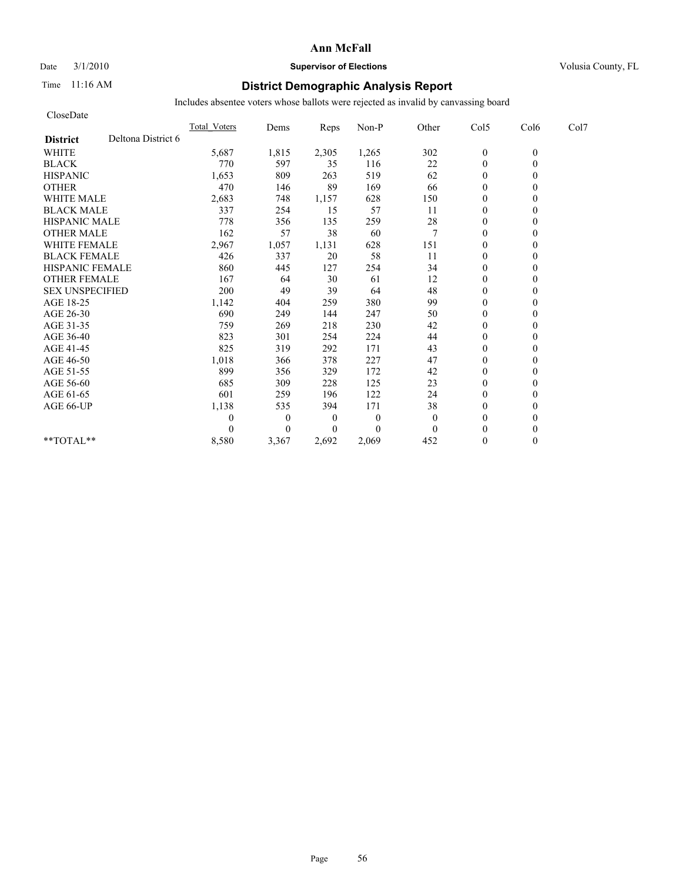#### Date  $3/1/2010$  **Supervisor of Elections Supervisor of Elections** Volusia County, FL

### Time 11:16 AM **District Demographic Analysis Report**

| CloseDate              |                    |                     |                |                  |              |              |                  |          |      |
|------------------------|--------------------|---------------------|----------------|------------------|--------------|--------------|------------------|----------|------|
|                        |                    | <b>Total Voters</b> | Dems           | Reps             | Non-P        | Other        | Col5             | Col6     | Col7 |
| <b>District</b>        | Deltona District 6 |                     |                |                  |              |              |                  |          |      |
| <b>WHITE</b>           |                    | 5,687               | 1,815          | 2,305            | 1,265        | 302          | $\boldsymbol{0}$ | $\theta$ |      |
| <b>BLACK</b>           |                    | 770                 | 597            | 35               | 116          | 22           | $\theta$         | $\theta$ |      |
| <b>HISPANIC</b>        |                    | 1,653               | 809            | 263              | 519          | 62           | $\overline{0}$   |          |      |
| <b>OTHER</b>           |                    | 470                 | 146            | 89               | 169          | 66           | $\theta$         |          |      |
| <b>WHITE MALE</b>      |                    | 2,683               | 748            | 1,157            | 628          | 150          | $\theta$         |          |      |
| <b>BLACK MALE</b>      |                    | 337                 | 254            | 15               | 57           | 11           | $\mathbf{0}$     |          |      |
| <b>HISPANIC MALE</b>   |                    | 778                 | 356            | 135              | 259          | 28           | $\mathbf{0}$     |          |      |
| <b>OTHER MALE</b>      |                    | 162                 | 57             | 38               | 60           | 7            | $\theta$         |          |      |
| <b>WHITE FEMALE</b>    |                    | 2,967               | 1,057          | 1,131            | 628          | 151          | $\theta$         |          |      |
| <b>BLACK FEMALE</b>    |                    | 426                 | 337            | 20               | 58           | 11           | $\overline{0}$   |          |      |
| <b>HISPANIC FEMALE</b> |                    | 860                 | 445            | 127              | 254          | 34           | $\mathbf{0}$     |          |      |
| <b>OTHER FEMALE</b>    |                    | 167                 | 64             | 30               | 61           | 12           | $\theta$         |          |      |
| <b>SEX UNSPECIFIED</b> |                    | 200                 | 49             | 39               | 64           | 48           | $\theta$         |          |      |
| AGE 18-25              |                    | 1,142               | 404            | 259              | 380          | 99           | $\theta$         |          |      |
| AGE 26-30              |                    | 690                 | 249            | 144              | 247          | 50           | $\overline{0}$   |          |      |
| AGE 31-35              |                    | 759                 | 269            | 218              | 230          | 42           | $\mathbf{0}$     |          |      |
| AGE 36-40              |                    | 823                 | 301            | 254              | 224          | 44           | $\overline{0}$   |          |      |
| AGE 41-45              |                    | 825                 | 319            | 292              | 171          | 43           | $\mathbf{0}$     |          |      |
| AGE 46-50              |                    | 1,018               | 366            | 378              | 227          | 47           | $\theta$         |          |      |
| AGE 51-55              |                    | 899                 | 356            | 329              | 172          | 42           | $\mathbf{0}$     |          |      |
| AGE 56-60              |                    | 685                 | 309            | 228              | 125          | 23           | $\overline{0}$   |          |      |
| AGE 61-65              |                    | 601                 | 259            | 196              | 122          | 24           | $\theta$         |          |      |
| AGE 66-UP              |                    | 1,138               | 535            | 394              | 171          | 38           | $\mathbf{0}$     |          |      |
|                        |                    | 0                   | $\overline{0}$ | $\boldsymbol{0}$ | $\mathbf{0}$ | $\mathbf{0}$ | $\theta$         |          |      |
|                        |                    | 0                   | $\Omega$       | $\Omega$         | $\theta$     | $\theta$     | $\theta$         |          |      |
| $*$ $TOTAI.**$         |                    | 8,580               | 3,367          | 2,692            | 2,069        | 452          | $\mathbf{0}$     | 0        |      |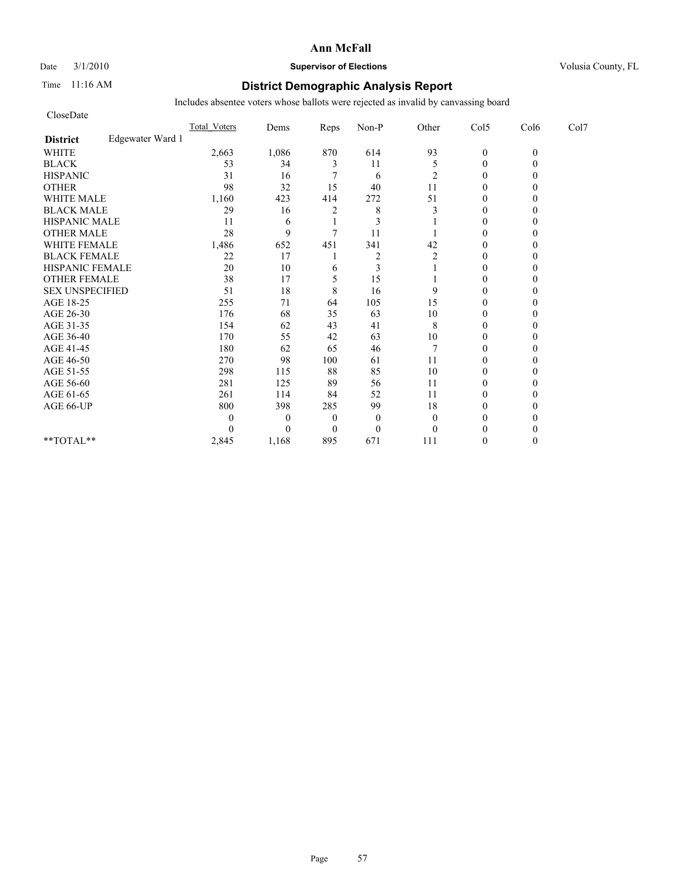### Date  $3/1/2010$  **Supervisor of Elections Supervisor of Elections** Volusia County, FL

### Time 11:16 AM **District Demographic Analysis Report**

| CloseDate              |                  |              |          |                         |                |                |                |          |      |
|------------------------|------------------|--------------|----------|-------------------------|----------------|----------------|----------------|----------|------|
|                        |                  | Total Voters | Dems     | Reps                    | Non-P          | Other          | Col5           | Col6     | Col7 |
| <b>District</b>        | Edgewater Ward 1 |              |          |                         |                |                |                |          |      |
| <b>WHITE</b>           |                  | 2,663        | 1,086    | 870                     | 614            | 93             | $\mathbf{0}$   | $\theta$ |      |
| <b>BLACK</b>           |                  | 53           | 34       | 3                       | 11             | 5              | $\overline{0}$ |          |      |
| <b>HISPANIC</b>        |                  | 31           | 16       |                         | 6              | 2              | $\mathbf{0}$   |          |      |
| <b>OTHER</b>           |                  | 98           | 32       | 15                      | 40             | 11             | $\theta$       |          |      |
| <b>WHITE MALE</b>      |                  | 1,160        | 423      | 414                     | 272            | 51             | $\mathbf{0}$   |          |      |
| <b>BLACK MALE</b>      |                  | 29           | 16       | $\overline{\mathbf{c}}$ | 8              | 3              | $\theta$       |          |      |
| <b>HISPANIC MALE</b>   |                  | 11           | 6        |                         | 3              |                | $\theta$       |          |      |
| <b>OTHER MALE</b>      |                  | 28           | 9        | 7                       | 11             |                | $\theta$       |          |      |
| <b>WHITE FEMALE</b>    |                  | 1,486        | 652      | 451                     | 341            | 42             | $\theta$       |          |      |
| <b>BLACK FEMALE</b>    |                  | 22           | 17       |                         | $\overline{2}$ | $\overline{2}$ | $\theta$       |          |      |
| HISPANIC FEMALE        |                  | 20           | 10       | 6                       | 3              |                | $\theta$       |          |      |
| <b>OTHER FEMALE</b>    |                  | 38           | 17       | 5                       | 15             |                | $\mathbf{0}$   |          |      |
| <b>SEX UNSPECIFIED</b> |                  | 51           | 18       | 8                       | 16             | 9              | $\theta$       |          |      |
| AGE 18-25              |                  | 255          | 71       | 64                      | 105            | 15             | $\mathbf{0}$   |          |      |
| AGE 26-30              |                  | 176          | 68       | 35                      | 63             | 10             | $\theta$       |          |      |
| AGE 31-35              |                  | 154          | 62       | 43                      | 41             | 8              | $\theta$       |          |      |
| AGE 36-40              |                  | 170          | 55       | 42                      | 63             | 10             | $\theta$       |          |      |
| AGE 41-45              |                  | 180          | 62       | 65                      | 46             |                | $\overline{0}$ |          |      |
| AGE 46-50              |                  | 270          | 98       | 100                     | 61             | 11             | $\mathbf{0}$   |          |      |
| AGE 51-55              |                  | 298          | 115      | 88                      | 85             | 10             | $\theta$       |          |      |
| AGE 56-60              |                  | 281          | 125      | 89                      | 56             | 11             | $\theta$       |          |      |
| AGE 61-65              |                  | 261          | 114      | 84                      | 52             | 11             | $\theta$       |          |      |
| AGE 66-UP              |                  | 800          | 398      | 285                     | 99             | 18             | $\theta$       |          |      |
|                        |                  |              | $\theta$ | $\boldsymbol{0}$        | $\mathbf{0}$   | $\theta$       | $\mathbf{0}$   |          |      |
|                        |                  |              | $\theta$ | $\theta$                | $\overline{0}$ | $\Omega$       | $\theta$       |          |      |
| $**TOTAL**$            |                  | 2,845        | 1,168    | 895                     | 671            | 111            | $\theta$       |          |      |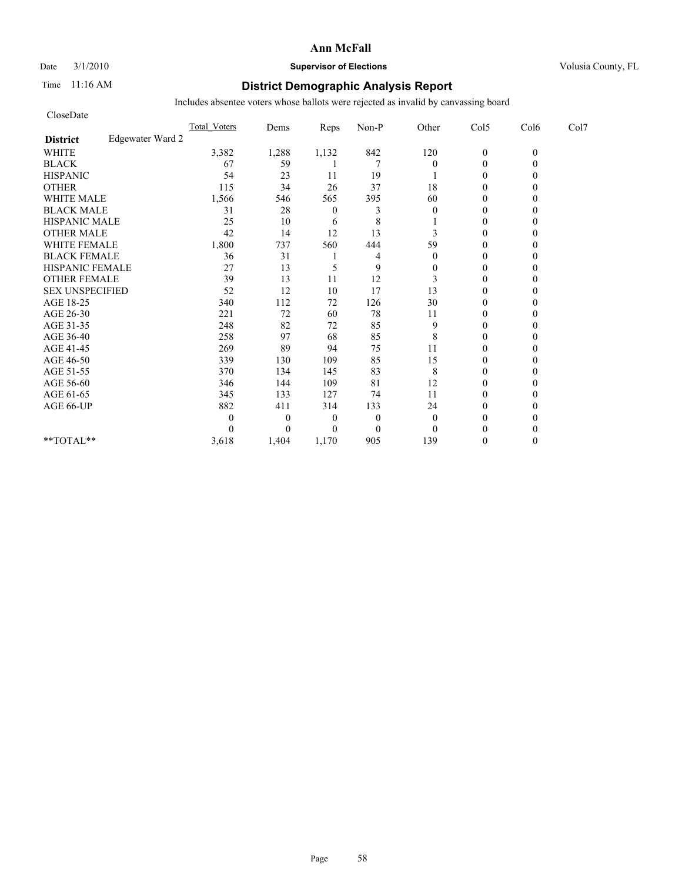#### Date  $3/1/2010$  **Supervisor of Elections Supervisor of Elections** Volusia County, FL

### Time 11:16 AM **District Demographic Analysis Report**

| CloseDate              |                  |              |          |          |                |                |                |          |      |
|------------------------|------------------|--------------|----------|----------|----------------|----------------|----------------|----------|------|
|                        |                  | Total Voters | Dems     | Reps     | Non-P          | Other          | Col5           | Col6     | Col7 |
| <b>District</b>        | Edgewater Ward 2 |              |          |          |                |                |                |          |      |
| <b>WHITE</b>           |                  | 3,382        | 1,288    | 1,132    | 842            | 120            | $\mathbf{0}$   | $\theta$ |      |
| <b>BLACK</b>           |                  | 67           | 59       |          | 7              | $\overline{0}$ | $\overline{0}$ |          |      |
| <b>HISPANIC</b>        |                  | 54           | 23       | 11       | 19             |                | $\mathbf{0}$   |          |      |
| <b>OTHER</b>           |                  | 115          | 34       | 26       | 37             | 18             | $\theta$       |          |      |
| <b>WHITE MALE</b>      |                  | 1,566        | 546      | 565      | 395            | 60             | $\mathbf{0}$   |          |      |
| <b>BLACK MALE</b>      |                  | 31           | 28       | $\theta$ | 3              | $\mathbf{0}$   | $\mathbf{0}$   |          |      |
| <b>HISPANIC MALE</b>   |                  | 25           | 10       | 6        | 8              |                | $\theta$       |          |      |
| <b>OTHER MALE</b>      |                  | 42           | 14       | 12       | 13             | 3              | $\mathbf{0}$   |          |      |
| <b>WHITE FEMALE</b>    |                  | 1,800        | 737      | 560      | 444            | 59             | $\theta$       |          |      |
| <b>BLACK FEMALE</b>    |                  | 36           | 31       |          | 4              | $\theta$       | $\theta$       |          |      |
| HISPANIC FEMALE        |                  | 27           | 13       | 5        | 9              | $\mathbf{0}$   | $\theta$       |          |      |
| <b>OTHER FEMALE</b>    |                  | 39           | 13       | 11       | 12             | 3              | $\mathbf{0}$   |          |      |
| <b>SEX UNSPECIFIED</b> |                  | 52           | 12       | 10       | 17             | 13             | $\mathbf{0}$   |          |      |
| AGE 18-25              |                  | 340          | 112      | 72       | 126            | 30             | $\mathbf{0}$   |          |      |
| AGE 26-30              |                  | 221          | 72       | 60       | 78             | 11             | $\theta$       |          |      |
| AGE 31-35              |                  | 248          | 82       | 72       | 85             | 9              | $\theta$       |          |      |
| AGE 36-40              |                  | 258          | 97       | 68       | 85             | 8              | $\mathbf{0}$   |          |      |
| AGE 41-45              |                  | 269          | 89       | 94       | 75             | 11             | $\overline{0}$ |          |      |
| AGE 46-50              |                  | 339          | 130      | 109      | 85             | 15             | $\mathbf{0}$   |          |      |
| AGE 51-55              |                  | 370          | 134      | 145      | 83             | 8              | $\theta$       |          |      |
| AGE 56-60              |                  | 346          | 144      | 109      | 81             | 12             | $\theta$       |          |      |
| AGE 61-65              |                  | 345          | 133      | 127      | 74             | 11             | $\theta$       |          |      |
| AGE 66-UP              |                  | 882          | 411      | 314      | 133            | 24             | $\theta$       |          |      |
|                        |                  |              | $\theta$ | $\theta$ | $\overline{0}$ | $\mathbf{0}$   | $\mathbf{0}$   |          |      |
|                        |                  |              | $\theta$ | $\theta$ | $\theta$       | $\theta$       | $\theta$       |          |      |
| $**TOTAL**$            |                  | 3,618        | 1,404    | 1,170    | 905            | 139            | $\theta$       | 0        |      |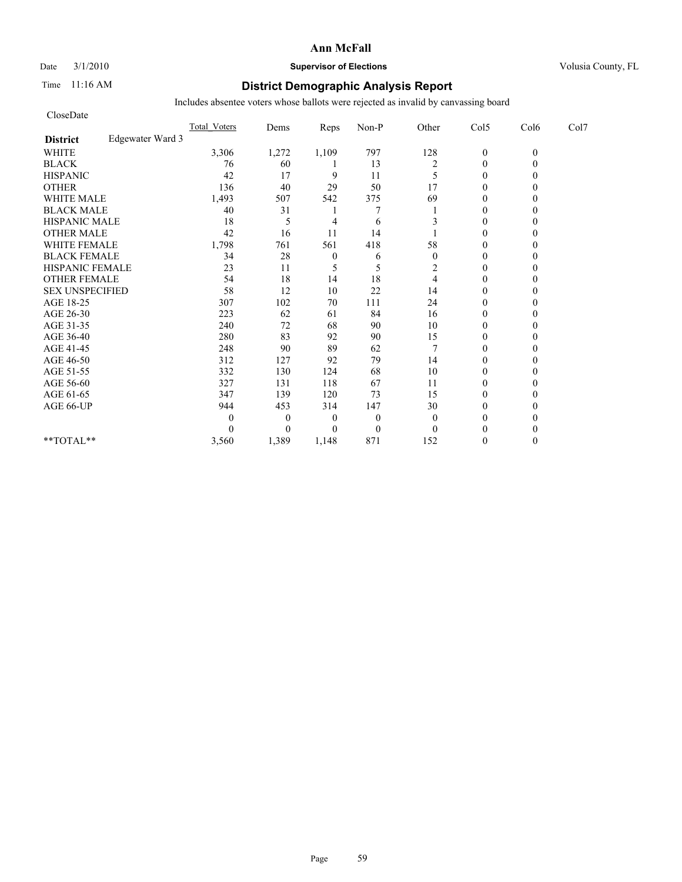# Date  $3/1/2010$  **Supervisor of Elections Supervisor of Elections** Volusia County, FL

### Time 11:16 AM **District Demographic Analysis Report**

| CloseDate              |                  |              |          |                  |                |                |                  |          |      |
|------------------------|------------------|--------------|----------|------------------|----------------|----------------|------------------|----------|------|
|                        |                  | Total Voters | Dems     | Reps             | Non-P          | Other          | Col5             | Col6     | Col7 |
| <b>District</b>        | Edgewater Ward 3 |              |          |                  |                |                |                  |          |      |
| <b>WHITE</b>           |                  | 3,306        | 1,272    | 1,109            | 797            | 128            | $\boldsymbol{0}$ | $\theta$ |      |
| <b>BLACK</b>           |                  | 76           | 60       |                  | 13             | $\overline{c}$ | $\overline{0}$   | 0        |      |
| <b>HISPANIC</b>        |                  | 42           | 17       | 9                | 11             | 5              | $\overline{0}$   |          |      |
| <b>OTHER</b>           |                  | 136          | 40       | 29               | 50             | 17             | $\theta$         |          |      |
| <b>WHITE MALE</b>      |                  | 1,493        | 507      | 542              | 375            | 69             | $\mathbf{0}$     |          |      |
| <b>BLACK MALE</b>      |                  | 40           | 31       |                  |                |                | $\mathbf{0}$     |          |      |
| <b>HISPANIC MALE</b>   |                  | 18           | 5        | 4                | 6              | 3              | $\theta$         |          |      |
| <b>OTHER MALE</b>      |                  | 42           | 16       | 11               | 14             |                | $\mathbf{0}$     |          |      |
| <b>WHITE FEMALE</b>    |                  | 1,798        | 761      | 561              | 418            | 58             | $\theta$         |          |      |
| <b>BLACK FEMALE</b>    |                  | 34           | 28       | $\boldsymbol{0}$ | 6              | $\theta$       | $\theta$         |          |      |
| HISPANIC FEMALE        |                  | 23           | 11       | 5                | 5              | 2              | $\theta$         |          |      |
| <b>OTHER FEMALE</b>    |                  | 54           | 18       | 14               | 18             | 4              | $\mathbf{0}$     |          |      |
| <b>SEX UNSPECIFIED</b> |                  | 58           | 12       | 10               | 22             | 14             | $\mathbf{0}$     |          |      |
| AGE 18-25              |                  | 307          | 102      | $70\,$           | 111            | 24             | $\mathbf{0}$     |          |      |
| AGE 26-30              |                  | 223          | 62       | 61               | 84             | 16             | $\theta$         |          |      |
| AGE 31-35              |                  | 240          | 72       | 68               | 90             | 10             | $\theta$         |          |      |
| AGE 36-40              |                  | 280          | 83       | 92               | 90             | 15             | $\mathbf{0}$     |          |      |
| AGE 41-45              |                  | 248          | 90       | 89               | 62             |                | $\overline{0}$   |          |      |
| AGE 46-50              |                  | 312          | 127      | 92               | 79             | 14             | $\mathbf{0}$     |          |      |
| AGE 51-55              |                  | 332          | 130      | 124              | 68             | 10             | $\overline{0}$   |          |      |
| AGE 56-60              |                  | 327          | 131      | 118              | 67             | 11             | $\theta$         |          |      |
| AGE 61-65              |                  | 347          | 139      | 120              | 73             | 15             | $\theta$         |          |      |
| AGE 66-UP              |                  | 944          | 453      | 314              | 147            | 30             | $\theta$         |          |      |
|                        |                  | 0            | $\theta$ | $\theta$         | $\overline{0}$ | $\mathbf{0}$   | $\mathbf{0}$     |          |      |
|                        |                  |              | $\theta$ | $\theta$         | $\mathbf{0}$   | $\theta$       | $\theta$         |          |      |
| $**TOTAL**$            |                  | 3,560        | 1,389    | 1,148            | 871            | 152            | $\theta$         | 0        |      |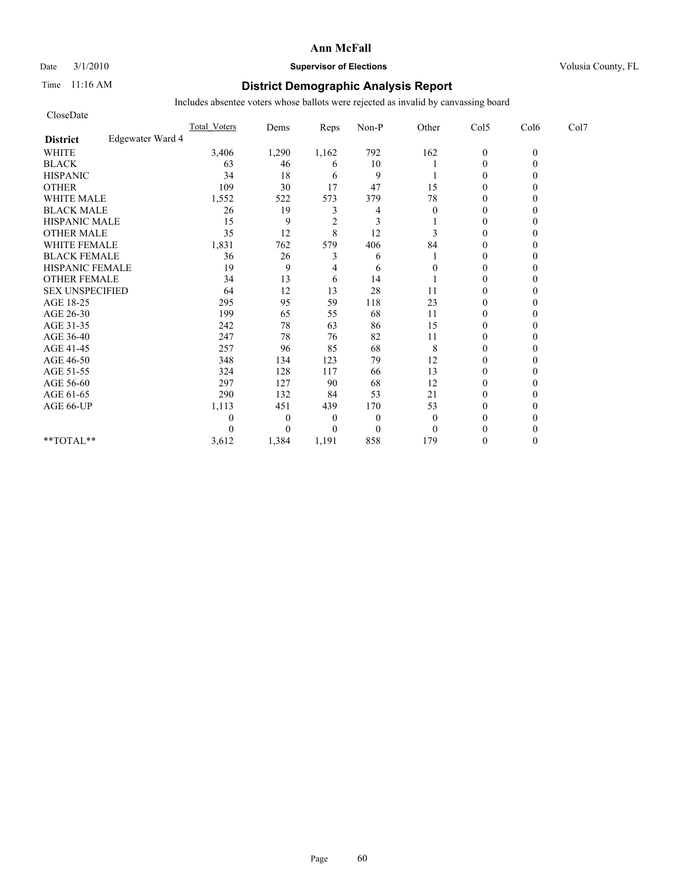### Date  $3/1/2010$  **Supervisor of Elections Supervisor of Elections** Volusia County, FL

### Time 11:16 AM **District Demographic Analysis Report**

| CloseDate              |                  |                     |                |                |              |          |                |          |      |
|------------------------|------------------|---------------------|----------------|----------------|--------------|----------|----------------|----------|------|
|                        |                  | <b>Total Voters</b> | Dems           | Reps           | Non-P        | Other    | Col5           | Col6     | Col7 |
| <b>District</b>        | Edgewater Ward 4 |                     |                |                |              |          |                |          |      |
| <b>WHITE</b>           |                  | 3,406               | 1,290          | 1,162          | 792          | 162      | $\mathbf{0}$   | $\theta$ |      |
| <b>BLACK</b>           |                  | 63                  | 46             | 6              | 10           |          | $\mathbf{0}$   |          |      |
| <b>HISPANIC</b>        |                  | 34                  | 18             | 6              | 9            |          | $\theta$       |          |      |
| <b>OTHER</b>           |                  | 109                 | 30             | 17             | 47           | 15       | $\theta$       |          |      |
| <b>WHITE MALE</b>      |                  | 1,552               | 522            | 573            | 379          | 78       | $\theta$       |          |      |
| <b>BLACK MALE</b>      |                  | 26                  | 19             | 3              | 4            | $\theta$ | $\theta$       |          |      |
| <b>HISPANIC MALE</b>   |                  | 15                  | 9              | $\overline{c}$ | 3            |          | $\theta$       |          |      |
| <b>OTHER MALE</b>      |                  | 35                  | 12             | $\,$ 8 $\,$    | 12           | 3        | $\theta$       |          |      |
| <b>WHITE FEMALE</b>    |                  | 1,831               | 762            | 579            | 406          | 84       | $\theta$       |          |      |
| <b>BLACK FEMALE</b>    |                  | 36                  | 26             | 3              | 6            |          | $\overline{0}$ |          |      |
| HISPANIC FEMALE        |                  | 19                  | 9              | 4              | 6            | 0        | $\theta$       |          |      |
| <b>OTHER FEMALE</b>    |                  | 34                  | 13             | 6              | 14           |          | $\theta$       |          |      |
| <b>SEX UNSPECIFIED</b> |                  | 64                  | 12             | 13             | 28           | 11       | $\theta$       |          |      |
| AGE 18-25              |                  | 295                 | 95             | 59             | 118          | 23       | $\theta$       |          |      |
| AGE 26-30              |                  | 199                 | 65             | 55             | 68           | 11       | $\overline{0}$ |          |      |
| AGE 31-35              |                  | 242                 | 78             | 63             | 86           | 15       | $\theta$       |          |      |
| AGE 36-40              |                  | 247                 | 78             | 76             | 82           | 11       | $\theta$       |          |      |
| AGE 41-45              |                  | 257                 | 96             | 85             | 68           | 8        | $\mathbf{0}$   |          |      |
| AGE 46-50              |                  | 348                 | 134            | 123            | 79           | 12       | $\theta$       |          |      |
| AGE 51-55              |                  | 324                 | 128            | 117            | 66           | 13       | $\theta$       |          |      |
| AGE 56-60              |                  | 297                 | 127            | 90             | 68           | 12       | $\overline{0}$ |          |      |
| AGE 61-65              |                  | 290                 | 132            | 84             | 53           | 21       | $\theta$       |          |      |
| AGE 66-UP              |                  | 1,113               | 451            | 439            | 170          | 53       | $\theta$       |          |      |
|                        |                  | 0                   | $\overline{0}$ | $\overline{0}$ | $\mathbf{0}$ | $\theta$ | $\theta$       |          |      |
|                        |                  | 0                   | $\Omega$       | $\Omega$       | $\mathbf{0}$ | $\theta$ | $\theta$       |          |      |
| **TOTAL**              |                  | 3,612               | 1,384          | 1,191          | 858          | 179      | $\theta$       |          |      |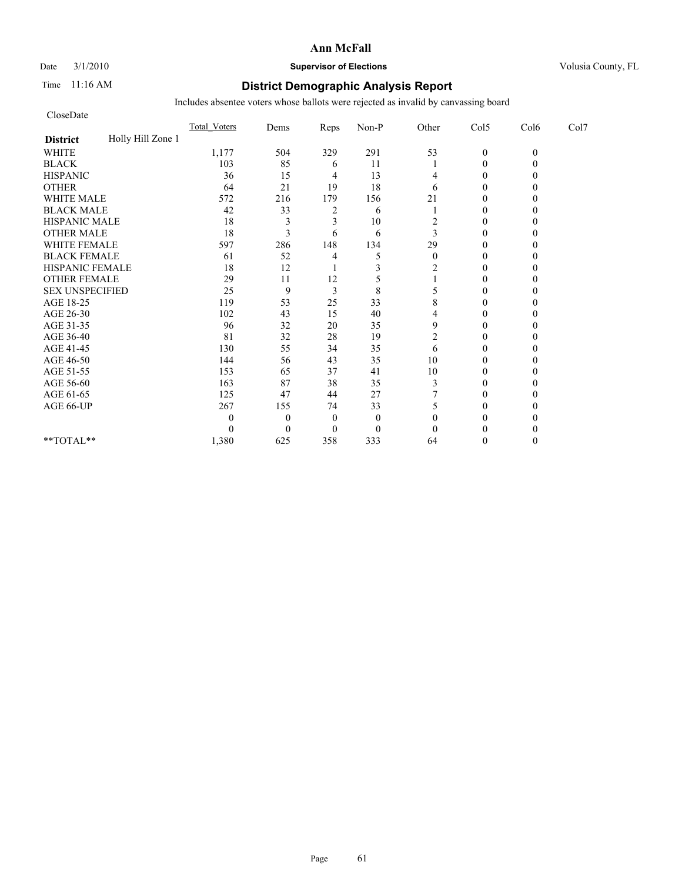### Date  $3/1/2010$  **Supervisor of Elections Supervisor of Elections** Volusia County, FL

### Time 11:16 AM **District Demographic Analysis Report**

| CloseDate              |                   |                     |                |              |              |                |                |          |      |
|------------------------|-------------------|---------------------|----------------|--------------|--------------|----------------|----------------|----------|------|
|                        |                   | <b>Total Voters</b> | Dems           | Reps         | Non-P        | Other          | Col5           | Col6     | Col7 |
| <b>District</b>        | Holly Hill Zone 1 |                     |                |              |              |                |                |          |      |
| <b>WHITE</b>           |                   | 1,177               | 504            | 329          | 291          | 53             | $\mathbf{0}$   | $\theta$ |      |
| <b>BLACK</b>           |                   | 103                 | 85             | 6            | 11           |                | $\theta$       |          |      |
| <b>HISPANIC</b>        |                   | 36                  | 15             | 4            | 13           | 4              | $\theta$       |          |      |
| <b>OTHER</b>           |                   | 64                  | 21             | 19           | 18           | 6              | $\theta$       |          |      |
| <b>WHITE MALE</b>      |                   | 572                 | 216            | 179          | 156          | 21             | $\theta$       |          |      |
| <b>BLACK MALE</b>      |                   | 42                  | 33             | 2            | 6            |                | $\theta$       |          |      |
| <b>HISPANIC MALE</b>   |                   | 18                  | 3              | 3            | 10           | 2              | $\theta$       |          |      |
| <b>OTHER MALE</b>      |                   | 18                  | 3              | 6            | 6            | 3              | $\theta$       |          |      |
| <b>WHITE FEMALE</b>    |                   | 597                 | 286            | 148          | 134          | 29             | $\theta$       |          |      |
| <b>BLACK FEMALE</b>    |                   | 61                  | 52             | 4            | 5            | $\theta$       | $\overline{0}$ |          |      |
| HISPANIC FEMALE        |                   | 18                  | 12             |              | 3            | 2              | $\theta$       |          |      |
| <b>OTHER FEMALE</b>    |                   | 29                  | 11             | 12           |              |                | $\theta$       |          |      |
| <b>SEX UNSPECIFIED</b> |                   | 25                  | 9              | 3            | 8            | 5              | $\theta$       |          |      |
| AGE 18-25              |                   | 119                 | 53             | 25           | 33           | 8              | $\theta$       |          |      |
| AGE 26-30              |                   | 102                 | 43             | 15           | 40           | 4              | $\Omega$       |          |      |
| AGE 31-35              |                   | 96                  | 32             | 20           | 35           | 9              | $\theta$       |          |      |
| AGE 36-40              |                   | 81                  | 32             | 28           | 19           | $\overline{2}$ | $\overline{0}$ |          |      |
| AGE 41-45              |                   | 130                 | 55             | 34           | 35           | 6              | $\mathbf{0}$   |          |      |
| AGE 46-50              |                   | 144                 | 56             | 43           | 35           | 10             | $\theta$       |          |      |
| AGE 51-55              |                   | 153                 | 65             | 37           | 41           | 10             | $\theta$       |          |      |
| AGE 56-60              |                   | 163                 | 87             | 38           | 35           | 3              | $\overline{0}$ |          |      |
| AGE 61-65              |                   | 125                 | 47             | 44           | 27           |                | $\theta$       |          |      |
| AGE 66-UP              |                   | 267                 | 155            | 74           | 33           | 5              | $\theta$       |          |      |
|                        |                   | 0                   | $\overline{0}$ | $\mathbf{0}$ | $\mathbf{0}$ | $\theta$       | 0              |          |      |
|                        |                   | 0                   | $\Omega$       | $\theta$     | $\mathbf{0}$ | $\theta$       | $\Omega$       |          |      |
| **TOTAL**              |                   | 1,380               | 625            | 358          | 333          | 64             | $\Omega$       |          |      |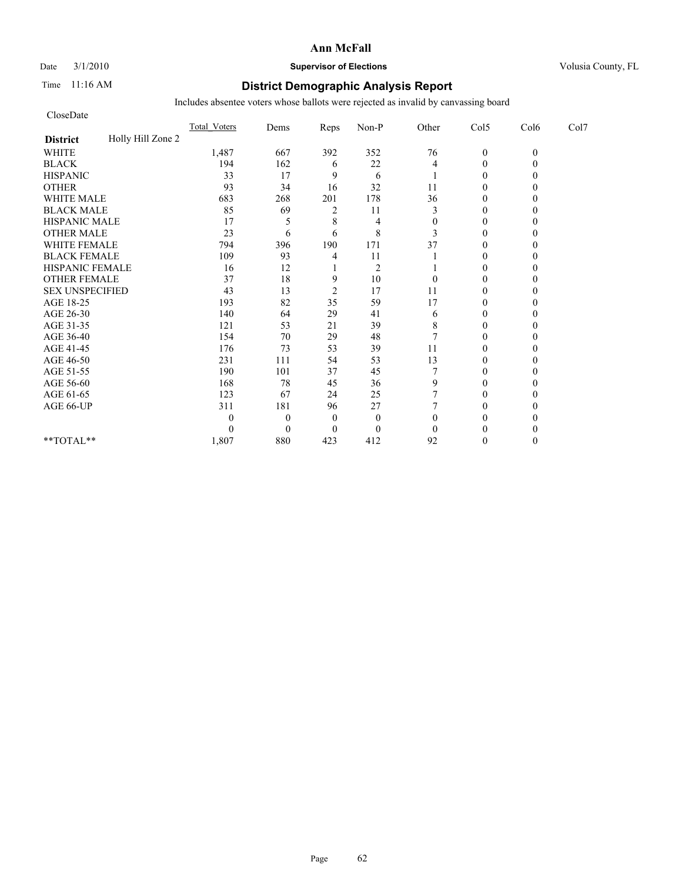### Date  $3/1/2010$  **Supervisor of Elections Supervisor of Elections** Volusia County, FL

### Time 11:16 AM **District Demographic Analysis Report**

| CloseDate              |                   |                     |                |                |                |              |                |          |      |
|------------------------|-------------------|---------------------|----------------|----------------|----------------|--------------|----------------|----------|------|
|                        |                   | <b>Total Voters</b> | Dems           | Reps           | Non-P          | Other        | Col5           | Col6     | Col7 |
| <b>District</b>        | Holly Hill Zone 2 |                     |                |                |                |              |                |          |      |
| <b>WHITE</b>           |                   | 1,487               | 667            | 392            | 352            | 76           | $\mathbf{0}$   | $\theta$ |      |
| <b>BLACK</b>           |                   | 194                 | 162            | 6              | 22             | 4            | $\mathbf{0}$   |          |      |
| <b>HISPANIC</b>        |                   | 33                  | 17             | 9              | 6              |              | $\theta$       |          |      |
| <b>OTHER</b>           |                   | 93                  | 34             | 16             | 32             | 11           | $\theta$       |          |      |
| <b>WHITE MALE</b>      |                   | 683                 | 268            | 201            | 178            | 36           | $\theta$       |          |      |
| <b>BLACK MALE</b>      |                   | 85                  | 69             | 2              | 11             | 3            | $\theta$       |          |      |
| <b>HISPANIC MALE</b>   |                   | 17                  | 5              | 8              | 4              | $\mathbf{0}$ | $\theta$       |          |      |
| <b>OTHER MALE</b>      |                   | 23                  | 6              | 6              | 8              | 3            | $\theta$       |          |      |
| <b>WHITE FEMALE</b>    |                   | 794                 | 396            | 190            | 171            | 37           | $\theta$       |          |      |
| <b>BLACK FEMALE</b>    |                   | 109                 | 93             | 4              | 11             |              | $\overline{0}$ |          |      |
| HISPANIC FEMALE        |                   | 16                  | 12             |                | $\overline{2}$ |              | $\theta$       |          |      |
| <b>OTHER FEMALE</b>    |                   | 37                  | 18             | 9              | 10             | $\theta$     | $\theta$       |          |      |
| <b>SEX UNSPECIFIED</b> |                   | 43                  | 13             | $\overline{2}$ | 17             | 11           | $\theta$       |          |      |
| AGE 18-25              |                   | 193                 | 82             | 35             | 59             | 17           | $\theta$       |          |      |
| AGE 26-30              |                   | 140                 | 64             | 29             | 41             | 6            | $\overline{0}$ |          |      |
| AGE 31-35              |                   | 121                 | 53             | 21             | 39             | 8            | $\theta$       |          |      |
| AGE 36-40              |                   | 154                 | 70             | 29             | 48             | 7            | $\theta$       |          |      |
| AGE 41-45              |                   | 176                 | 73             | 53             | 39             | 11           | $\mathbf{0}$   |          |      |
| AGE 46-50              |                   | 231                 | 111            | 54             | 53             | 13           | $\theta$       |          |      |
| AGE 51-55              |                   | 190                 | 101            | 37             | 45             | 7            | $\theta$       |          |      |
| AGE 56-60              |                   | 168                 | 78             | 45             | 36             | 9            | $\overline{0}$ |          |      |
| AGE 61-65              |                   | 123                 | 67             | 24             | 25             |              | $\theta$       |          |      |
| AGE 66-UP              |                   | 311                 | 181            | 96             | 27             |              | $\theta$       |          |      |
|                        |                   | 0                   | $\overline{0}$ | $\theta$       | $\mathbf{0}$   | $\theta$     | $\theta$       |          |      |
|                        |                   | 0                   | $\theta$       | $\Omega$       | $\mathbf{0}$   | $\theta$     | $\theta$       |          |      |
| **TOTAL**              |                   | 1,807               | 880            | 423            | 412            | 92           | $\theta$       |          |      |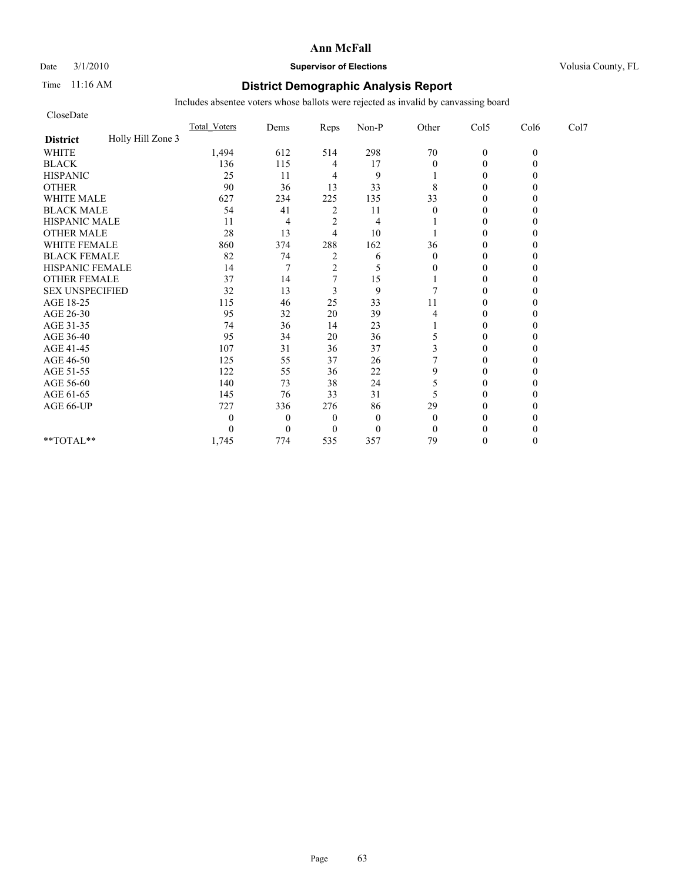Date  $3/1/2010$  **Supervisor of Elections Supervisor of Elections** Volusia County, FL

### Time 11:16 AM **District Demographic Analysis Report**

| CloseDate              |                   |                     |                |                |                  |              |                |          |      |
|------------------------|-------------------|---------------------|----------------|----------------|------------------|--------------|----------------|----------|------|
|                        |                   | <b>Total Voters</b> | Dems           | Reps           | Non-P            | Other        | Col5           | Col6     | Col7 |
| <b>District</b>        | Holly Hill Zone 3 |                     |                |                |                  |              |                |          |      |
| <b>WHITE</b>           |                   | 1,494               | 612            | 514            | 298              | $70\,$       | $\mathbf{0}$   | $\theta$ |      |
| <b>BLACK</b>           |                   | 136                 | 115            | 4              | 17               | $\theta$     | $\theta$       |          |      |
| <b>HISPANIC</b>        |                   | 25                  | 11             | 4              | 9                |              | $\overline{0}$ |          |      |
| <b>OTHER</b>           |                   | 90                  | 36             | 13             | 33               | 8            | $\theta$       |          |      |
| <b>WHITE MALE</b>      |                   | 627                 | 234            | 225            | 135              | 33           | $\theta$       |          |      |
| <b>BLACK MALE</b>      |                   | 54                  | 41             | 2              | 11               | $\theta$     | $\theta$       |          |      |
| <b>HISPANIC MALE</b>   |                   | 11                  | 4              | $\overline{2}$ | 4                |              | $\theta$       |          |      |
| <b>OTHER MALE</b>      |                   | 28                  | 13             | 4              | 10               |              | $\theta$       |          |      |
| <b>WHITE FEMALE</b>    |                   | 860                 | 374            | 288            | 162              | 36           | $\theta$       |          |      |
| <b>BLACK FEMALE</b>    |                   | 82                  | 74             | $\overline{c}$ | 6                | $\theta$     | $\overline{0}$ |          |      |
| HISPANIC FEMALE        |                   | 14                  |                | $\overline{2}$ | 5                | 0            | $\theta$       |          |      |
| <b>OTHER FEMALE</b>    |                   | 37                  | 14             | 7              | 15               |              | $\theta$       |          |      |
| <b>SEX UNSPECIFIED</b> |                   | 32                  | 13             | 3              | 9                |              | $\theta$       |          |      |
| AGE 18-25              |                   | 115                 | 46             | 25             | 33               | 11           | $\theta$       |          |      |
| AGE 26-30              |                   | 95                  | 32             | 20             | 39               | 4            | $\Omega$       |          |      |
| AGE 31-35              |                   | 74                  | 36             | 14             | 23               |              | $\theta$       |          |      |
| AGE 36-40              |                   | 95                  | 34             | 20             | 36               | 5            | $\theta$       |          |      |
| AGE 41-45              |                   | 107                 | 31             | 36             | 37               | 3            | $\mathbf{0}$   |          |      |
| AGE 46-50              |                   | 125                 | 55             | 37             | 26               |              | $\theta$       |          |      |
| AGE 51-55              |                   | 122                 | 55             | 36             | 22               | 9            | $\theta$       |          |      |
| AGE 56-60              |                   | 140                 | 73             | 38             | 24               | 5            | $\overline{0}$ |          |      |
| AGE 61-65              |                   | 145                 | 76             | 33             | 31               | 5            | $\theta$       |          |      |
| AGE 66-UP              |                   | 727                 | 336            | 276            | 86               | 29           | $\Omega$       |          |      |
|                        |                   | 0                   | $\overline{0}$ | $\overline{0}$ | $\mathbf{0}$     | $\theta$     | 0              |          |      |
|                        |                   | 0                   | $\theta$       | $\Omega$       | $\boldsymbol{0}$ | $\mathbf{0}$ | $\Omega$       |          |      |
| **TOTAL**              |                   | 1,745               | 774            | 535            | 357              | 79           | $\theta$       |          |      |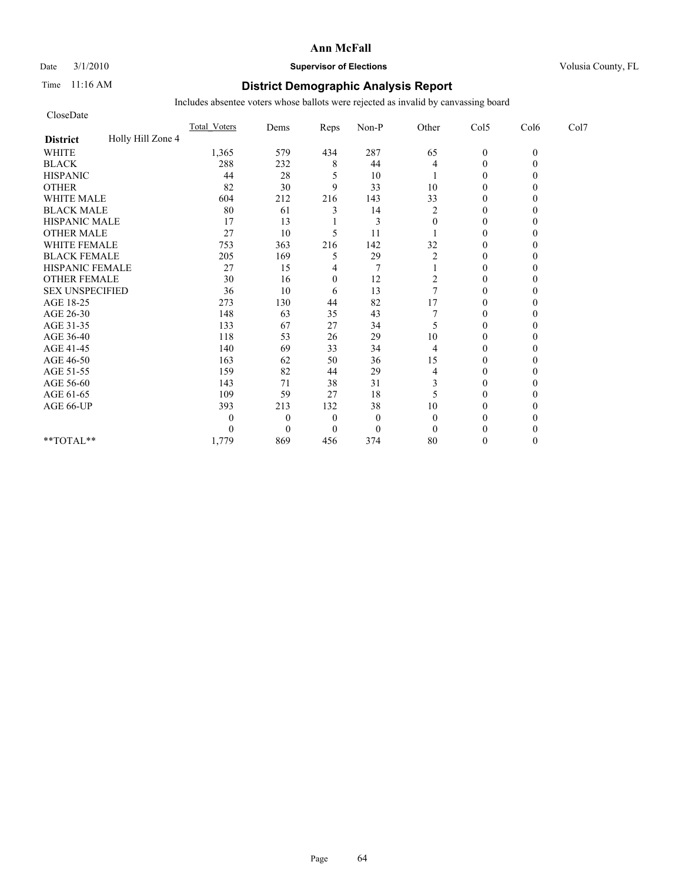Date  $3/1/2010$  **Supervisor of Elections Supervisor of Elections** Volusia County, FL

### Time 11:16 AM **District Demographic Analysis Report**

| CloseDate              |                   |                     |                |                |              |                |                |          |      |
|------------------------|-------------------|---------------------|----------------|----------------|--------------|----------------|----------------|----------|------|
|                        |                   | <b>Total Voters</b> | Dems           | Reps           | Non-P        | Other          | Col5           | Col6     | Col7 |
| <b>District</b>        | Holly Hill Zone 4 |                     |                |                |              |                |                |          |      |
| <b>WHITE</b>           |                   | 1,365               | 579            | 434            | 287          | 65             | $\mathbf{0}$   | $\theta$ |      |
| <b>BLACK</b>           |                   | 288                 | 232            | 8              | 44           | 4              | $\mathbf{0}$   |          |      |
| <b>HISPANIC</b>        |                   | 44                  | 28             | 5              | 10           |                | $\overline{0}$ |          |      |
| <b>OTHER</b>           |                   | 82                  | 30             | 9              | 33           | 10             | $\theta$       |          |      |
| <b>WHITE MALE</b>      |                   | 604                 | 212            | 216            | 143          | 33             | $\theta$       |          |      |
| <b>BLACK MALE</b>      |                   | 80                  | 61             | 3              | 14           | $\overline{c}$ | $\theta$       |          |      |
| <b>HISPANIC MALE</b>   |                   | 17                  | 13             |                | 3            | $\theta$       | $\theta$       |          |      |
| <b>OTHER MALE</b>      |                   | 27                  | 10             | 5              | 11           |                | $\theta$       |          |      |
| <b>WHITE FEMALE</b>    |                   | 753                 | 363            | 216            | 142          | 32             | $\theta$       |          |      |
| <b>BLACK FEMALE</b>    |                   | 205                 | 169            | 5              | 29           | $\overline{2}$ | $\overline{0}$ |          |      |
| HISPANIC FEMALE        |                   | 27                  | 15             | 4              |              |                | $\theta$       |          |      |
| <b>OTHER FEMALE</b>    |                   | 30                  | 16             | $\mathbf{0}$   | 12           | 2              | $\theta$       |          |      |
| <b>SEX UNSPECIFIED</b> |                   | 36                  | 10             | 6              | 13           | $\overline{7}$ | $\theta$       |          |      |
| AGE 18-25              |                   | 273                 | 130            | 44             | 82           | 17             | $\theta$       |          |      |
| AGE 26-30              |                   | 148                 | 63             | 35             | 43           |                | $\overline{0}$ |          |      |
| AGE 31-35              |                   | 133                 | 67             | 27             | 34           | 5              | $\theta$       |          |      |
| AGE 36-40              |                   | 118                 | 53             | 26             | 29           | 10             | $\theta$       |          |      |
| AGE 41-45              |                   | 140                 | 69             | 33             | 34           | 4              | $\mathbf{0}$   |          |      |
| AGE 46-50              |                   | 163                 | 62             | 50             | 36           | 15             | $\theta$       |          |      |
| AGE 51-55              |                   | 159                 | 82             | 44             | 29           | 4              | $\theta$       |          |      |
| AGE 56-60              |                   | 143                 | 71             | 38             | 31           | 3              | $\overline{0}$ |          |      |
| AGE 61-65              |                   | 109                 | 59             | 27             | 18           | 5              | $\theta$       |          |      |
| AGE 66-UP              |                   | 393                 | 213            | 132            | 38           | 10             | $\theta$       |          |      |
|                        |                   | 0                   | $\overline{0}$ | $\theta$       | $\mathbf{0}$ | $\theta$       | $\Omega$       |          |      |
|                        |                   | 0                   | $\theta$       | $\overline{0}$ | $\mathbf{0}$ | $\theta$       | $\Omega$       |          |      |
| **TOTAL**              |                   | 1,779               | 869            | 456            | 374          | 80             | $\theta$       |          |      |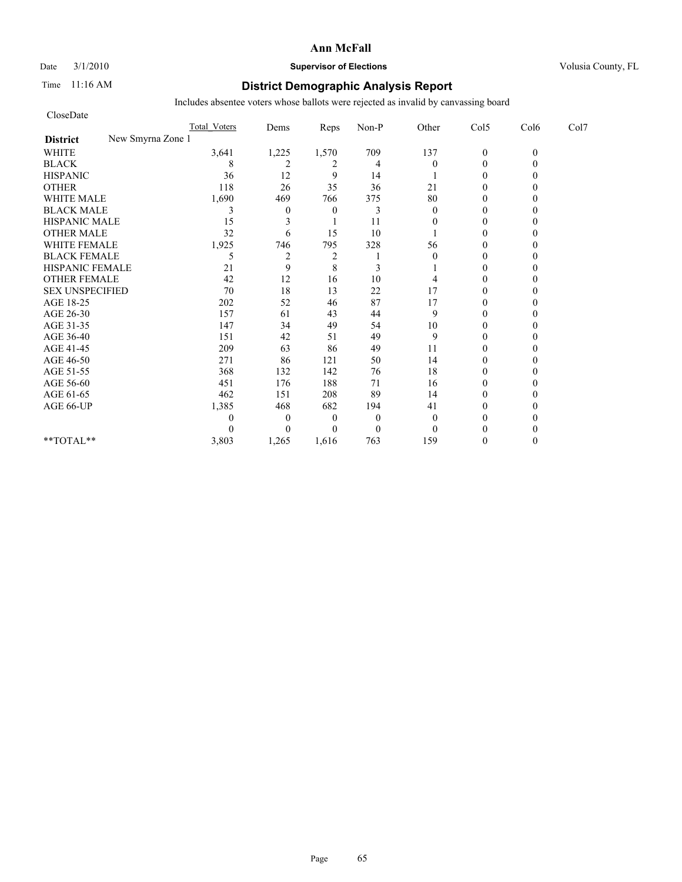### Date  $3/1/2010$  **Supervisor of Elections Supervisor of Elections** Volusia County, FL

### Time 11:16 AM **District Demographic Analysis Report**

| CloseDate                            |                     |                  |                |                |          |                |          |      |
|--------------------------------------|---------------------|------------------|----------------|----------------|----------|----------------|----------|------|
|                                      | <b>Total Voters</b> | Dems             | Reps           | Non-P          | Other    | Col5           | Col6     | Col7 |
| New Smyrna Zone 1<br><b>District</b> |                     |                  |                |                |          |                |          |      |
| <b>WHITE</b>                         | 3,641               | 1,225            | 1,570          | 709            | 137      | $\mathbf{0}$   | $\theta$ |      |
| <b>BLACK</b>                         | 8                   | 2                | 2              | $\overline{4}$ | $\Omega$ | $\overline{0}$ |          |      |
| <b>HISPANIC</b>                      | 36                  | 12               | 9              | 14             |          | $\theta$       |          |      |
| <b>OTHER</b>                         | 118                 | 26               | 35             | 36             | 21       | $\theta$       |          |      |
| <b>WHITE MALE</b>                    | 1,690               | 469              | 766            | 375            | 80       | $\theta$       |          |      |
| <b>BLACK MALE</b>                    | 3                   | $\boldsymbol{0}$ | $\theta$       | 3              | $\theta$ | $\theta$       |          |      |
| <b>HISPANIC MALE</b>                 | 15                  | 3                |                | 11             | $\theta$ | $\theta$       |          |      |
| <b>OTHER MALE</b>                    | 32                  | 6                | 15             | 10             |          | $\theta$       |          |      |
| WHITE FEMALE                         | 1,925               | 746              | 795            | 328            | 56       | $\theta$       |          |      |
| <b>BLACK FEMALE</b>                  | 5                   | $\overline{c}$   | $\overline{c}$ |                | $\theta$ | $\theta$       |          |      |
| HISPANIC FEMALE                      | 21                  | 9                | 8              | 3              |          | $\theta$       |          |      |
| <b>OTHER FEMALE</b>                  | 42                  | 12               | 16             | 10             |          | $\theta$       |          |      |
| <b>SEX UNSPECIFIED</b>               | 70                  | 18               | 13             | 22             | 17       | $\theta$       |          |      |
| AGE 18-25                            | 202                 | 52               | 46             | 87             | 17       | $\mathbf{0}$   |          |      |
| AGE 26-30                            | 157                 | 61               | 43             | 44             | 9        | $\theta$       |          |      |
| AGE 31-35                            | 147                 | 34               | 49             | 54             | 10       | $\theta$       |          |      |
| AGE 36-40                            | 151                 | 42               | 51             | 49             | 9        | $\theta$       |          |      |
| AGE 41-45                            | 209                 | 63               | 86             | 49             | 11       | $\overline{0}$ |          |      |
| AGE 46-50                            | 271                 | 86               | 121            | 50             | 14       | $\mathbf{0}$   |          |      |
| AGE 51-55                            | 368                 | 132              | 142            | 76             | 18       | $\theta$       |          |      |
| AGE 56-60                            | 451                 | 176              | 188            | 71             | 16       | $\theta$       |          |      |
| AGE 61-65                            | 462                 | 151              | 208            | 89             | 14       | $\theta$       |          |      |
| AGE 66-UP                            | 1,385               | 468              | 682            | 194            | 41       | $\theta$       |          |      |
|                                      |                     | $\theta$         | $\theta$       | $\theta$       | $\theta$ | $\theta$       |          |      |
|                                      |                     | $\theta$         | $\theta$       | $\overline{0}$ | $\theta$ | $\theta$       |          |      |
| $**TOTAL**$                          | 3,803               | 1,265            | 1,616          | 763            | 159      | $\theta$       |          |      |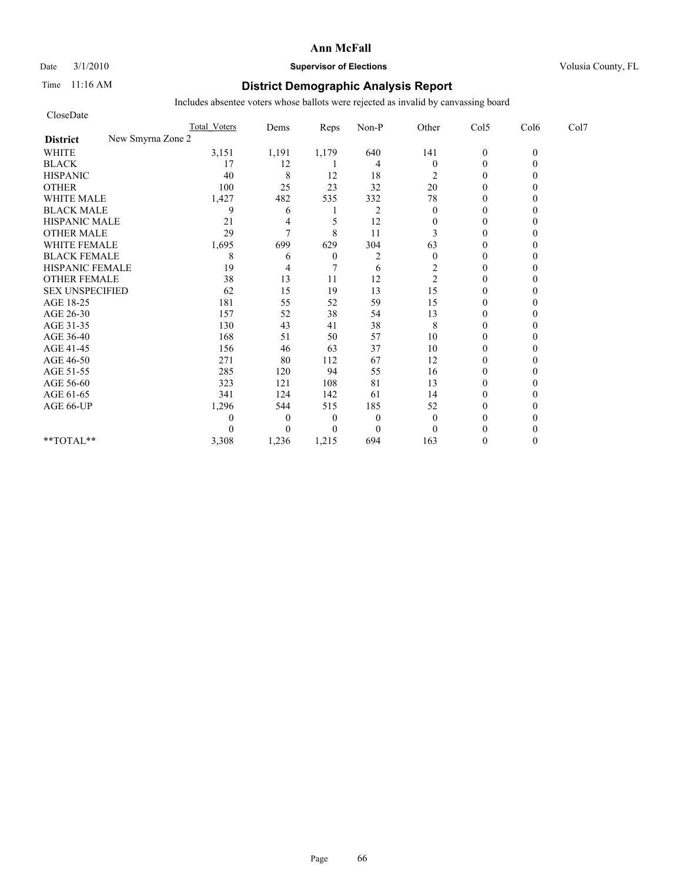### Date  $3/1/2010$  **Supervisor of Elections Supervisor of Elections** Volusia County, FL

### Time 11:16 AM **District Demographic Analysis Report**

| CloseDate                            |                     |          |                  |                |                  |                |          |      |
|--------------------------------------|---------------------|----------|------------------|----------------|------------------|----------------|----------|------|
|                                      | <b>Total Voters</b> | Dems     | Reps             | Non-P          | Other            | Col5           | Col6     | Col7 |
| New Smyrna Zone 2<br><b>District</b> |                     |          |                  |                |                  |                |          |      |
| <b>WHITE</b>                         | 3,151               | 1,191    | 1,179            | 640            | 141              | $\mathbf{0}$   | $\theta$ |      |
| <b>BLACK</b>                         | 17                  | 12       |                  | $\overline{4}$ | $\boldsymbol{0}$ | $\overline{0}$ |          |      |
| <b>HISPANIC</b>                      | 40                  | 8        | 12               | 18             | 2                | $\mathbf{0}$   |          |      |
| <b>OTHER</b>                         | 100                 | 25       | 23               | 32             | 20               | $\theta$       |          |      |
| <b>WHITE MALE</b>                    | 1,427               | 482      | 535              | 332            | 78               | $\mathbf{0}$   |          |      |
| <b>BLACK MALE</b>                    | 9                   | 6        |                  | $\overline{2}$ | $\mathbf{0}$     | $\theta$       |          |      |
| <b>HISPANIC MALE</b>                 | 21                  | 4        | 5                | 12             | $\mathbf{0}$     | $\theta$       |          |      |
| <b>OTHER MALE</b>                    | 29                  | 7        | 8                | 11             | 3                | $\theta$       |          |      |
| WHITE FEMALE                         | 1,695               | 699      | 629              | 304            | 63               | $\theta$       |          |      |
| <b>BLACK FEMALE</b>                  | 8                   | 6        | $\boldsymbol{0}$ | $\overline{2}$ | $\theta$         | $\theta$       |          |      |
| HISPANIC FEMALE                      | 19                  | 4        |                  | 6              | 2                | $\theta$       |          |      |
| <b>OTHER FEMALE</b>                  | 38                  | 13       | 11               | 12             | $\overline{c}$   | $\mathbf{0}$   |          |      |
| <b>SEX UNSPECIFIED</b>               | 62                  | 15       | 19               | 13             | 15               | $\mathbf{0}$   |          |      |
| AGE 18-25                            | 181                 | 55       | 52               | 59             | 15               | $\mathbf{0}$   |          |      |
| AGE 26-30                            | 157                 | 52       | 38               | 54             | 13               | $\theta$       |          |      |
| AGE 31-35                            | 130                 | 43       | 41               | 38             | 8                | $\theta$       |          |      |
| AGE 36-40                            | 168                 | 51       | 50               | 57             | 10               | $\theta$       |          |      |
| AGE 41-45                            | 156                 | 46       | 63               | 37             | 10               | $\overline{0}$ |          |      |
| AGE 46-50                            | 271                 | 80       | 112              | 67             | 12               | $\mathbf{0}$   |          |      |
| AGE 51-55                            | 285                 | 120      | 94               | 55             | 16               | $\theta$       |          |      |
| AGE 56-60                            | 323                 | 121      | 108              | 81             | 13               | $\theta$       |          |      |
| AGE 61-65                            | 341                 | 124      | 142              | 61             | 14               | $\theta$       |          |      |
| AGE 66-UP                            | 1,296               | 544      | 515              | 185            | 52               | $\theta$       |          |      |
|                                      | 0                   | $\theta$ | $\theta$         | $\overline{0}$ | $\mathbf{0}$     | $\mathbf{0}$   |          |      |
|                                      |                     | $\theta$ | $\theta$         | $\overline{0}$ | $\theta$         | $\theta$       |          |      |
| $**TOTAL**$                          | 3,308               | 1,236    | 1,215            | 694            | 163              | $\theta$       |          |      |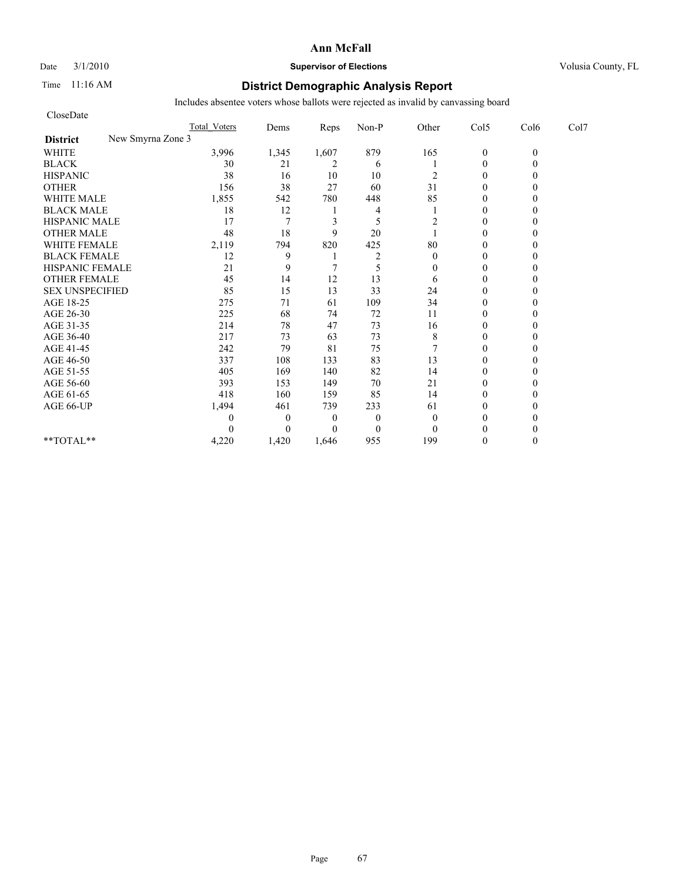### Date  $3/1/2010$  **Supervisor of Elections Supervisor of Elections** Volusia County, FL

### Time 11:16 AM **District Demographic Analysis Report**

| CloseDate                            |                     |          |          |                |          |                |          |      |
|--------------------------------------|---------------------|----------|----------|----------------|----------|----------------|----------|------|
|                                      | <b>Total Voters</b> | Dems     | Reps     | Non-P          | Other    | Col5           | Col6     | Col7 |
| New Smyrna Zone 3<br><b>District</b> |                     |          |          |                |          |                |          |      |
| <b>WHITE</b>                         | 3,996               | 1,345    | 1,607    | 879            | 165      | $\mathbf{0}$   | $\theta$ |      |
| <b>BLACK</b>                         | 30                  | 21       | 2        | 6              |          | $\overline{0}$ |          |      |
| <b>HISPANIC</b>                      | 38                  | 16       | 10       | 10             | 2        | $\mathbf{0}$   |          |      |
| <b>OTHER</b>                         | 156                 | 38       | 27       | 60             | 31       | $\theta$       |          |      |
| <b>WHITE MALE</b>                    | 1,855               | 542      | 780      | 448            | 85       | $\mathbf{0}$   |          |      |
| <b>BLACK MALE</b>                    | 18                  | 12       |          | 4              |          | $\theta$       |          |      |
| <b>HISPANIC MALE</b>                 | 17                  | 7        | 3        | 5              | 2        | $\theta$       |          |      |
| <b>OTHER MALE</b>                    | 48                  | 18       | 9        | 20             |          | $\theta$       |          |      |
| <b>WHITE FEMALE</b>                  | 2,119               | 794      | 820      | 425            | 80       | $\theta$       |          |      |
| <b>BLACK FEMALE</b>                  | 12                  | 9        |          | $\overline{2}$ | $\theta$ | $\theta$       |          |      |
| HISPANIC FEMALE                      | 21                  | 9        |          | 5              | $\Omega$ | $\theta$       |          |      |
| <b>OTHER FEMALE</b>                  | 45                  | 14       | 12       | 13             | 6        | $\mathbf{0}$   |          |      |
| <b>SEX UNSPECIFIED</b>               | 85                  | 15       | 13       | 33             | 24       | $\theta$       |          |      |
| AGE 18-25                            | 275                 | 71       | 61       | 109            | 34       | $\mathbf{0}$   |          |      |
| AGE 26-30                            | 225                 | 68       | 74       | 72             | 11       | $\theta$       |          |      |
| AGE 31-35                            | 214                 | 78       | 47       | 73             | 16       | $\theta$       |          |      |
| AGE 36-40                            | 217                 | 73       | 63       | 73             | 8        | $\theta$       |          |      |
| AGE 41-45                            | 242                 | 79       | 81       | 75             |          | $\theta$       |          |      |
| AGE 46-50                            | 337                 | 108      | 133      | 83             | 13       | $\mathbf{0}$   |          |      |
| AGE 51-55                            | 405                 | 169      | 140      | 82             | 14       | $\mathbf{0}$   |          |      |
| AGE 56-60                            | 393                 | 153      | 149      | 70             | 21       | $\theta$       |          |      |
| AGE 61-65                            | 418                 | 160      | 159      | 85             | 14       | $\theta$       |          |      |
| AGE 66-UP                            | 1,494               | 461      | 739      | 233            | 61       | $\theta$       |          |      |
|                                      | 0                   | $\theta$ | $\theta$ | $\overline{0}$ | $\theta$ | $\theta$       |          |      |
|                                      |                     | $\theta$ | $\theta$ | $\mathbf{0}$   | $\theta$ | $\theta$       |          |      |
| $**TOTAL**$                          | 4,220               | 1,420    | 1.646    | 955            | 199      | $\theta$       |          |      |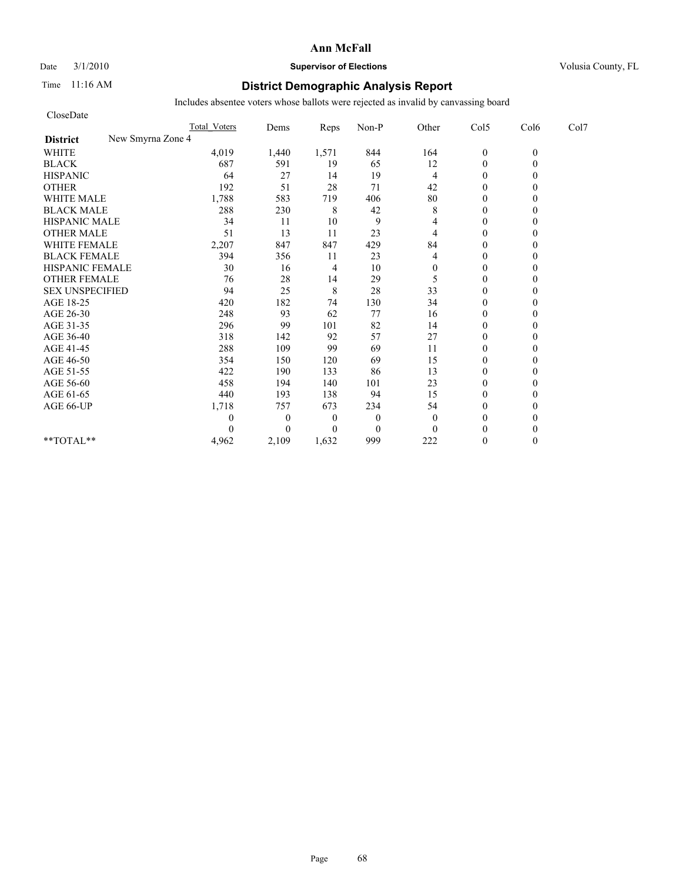#### Date  $3/1/2010$  **Supervisor of Elections Supervisor of Elections** Volusia County, FL

### Time 11:16 AM **District Demographic Analysis Report**

| CloseDate                            |                     |              |                |                  |                |                  |          |      |
|--------------------------------------|---------------------|--------------|----------------|------------------|----------------|------------------|----------|------|
|                                      | <b>Total Voters</b> | Dems         | Reps           | Non-P            | Other          | Col5             | Col6     | Col7 |
| New Smyrna Zone 4<br><b>District</b> |                     |              |                |                  |                |                  |          |      |
| <b>WHITE</b>                         | 4,019               | 1,440        | 1,571          | 844              | 164            | $\boldsymbol{0}$ | $\theta$ |      |
| <b>BLACK</b>                         | 687                 | 591          | 19             | 65               | 12             | $\mathbf{0}$     | 0        |      |
| <b>HISPANIC</b>                      | 64                  | 27           | 14             | 19               | 4              | $\theta$         |          |      |
| <b>OTHER</b>                         | 192                 | 51           | 28             | 71               | 42             | $\theta$         |          |      |
| <b>WHITE MALE</b>                    | 1,788               | 583          | 719            | 406              | $80\,$         | $\theta$         |          |      |
| <b>BLACK MALE</b>                    | 288                 | 230          | 8              | 42               | 8              | $\mathbf{0}$     |          |      |
| <b>HISPANIC MALE</b>                 | 34                  | 11           | 10             | 9                | 4              | $\theta$         |          |      |
| <b>OTHER MALE</b>                    | 51                  | 13           | 11             | 23               | $\overline{4}$ | $\theta$         |          |      |
| <b>WHITE FEMALE</b>                  | 2,207               | 847          | 847            | 429              | 84             | $\theta$         |          |      |
| <b>BLACK FEMALE</b>                  | 394                 | 356          | 11             | 23               | 4              | $\theta$         |          |      |
| HISPANIC FEMALE                      | 30                  | 16           | 4              | 10               | $\overline{0}$ | $\mathbf{0}$     |          |      |
| <b>OTHER FEMALE</b>                  | 76                  | 28           | 14             | 29               | 5              | $\theta$         |          |      |
| <b>SEX UNSPECIFIED</b>               | 94                  | 25           | $\,$ 8 $\,$    | 28               | 33             | $\theta$         |          |      |
| AGE 18-25                            | 420                 | 182          | 74             | 130              | 34             | $\mathbf{0}$     |          |      |
| AGE 26-30                            | 248                 | 93           | 62             | 77               | 16             | $\overline{0}$   |          |      |
| AGE 31-35                            | 296                 | 99           | 101            | 82               | 14             | $\mathbf{0}$     |          |      |
| AGE 36-40                            | 318                 | 142          | 92             | 57               | 27             | $\mathbf{0}$     |          |      |
| AGE 41-45                            | 288                 | 109          | 99             | 69               | 11             | $\mathbf{0}$     |          |      |
| AGE 46-50                            | 354                 | 150          | 120            | 69               | 15             | $\theta$         |          |      |
| AGE 51-55                            | 422                 | 190          | 133            | 86               | 13             | $\mathbf{0}$     |          |      |
| AGE 56-60                            | 458                 | 194          | 140            | 101              | 23             | $\overline{0}$   |          |      |
| AGE 61-65                            | 440                 | 193          | 138            | 94               | 15             | $\theta$         |          |      |
| AGE 66-UP                            | 1,718               | 757          | 673            | 234              | 54             | $\theta$         |          |      |
|                                      | 0                   | $\mathbf{0}$ | $\overline{0}$ | $\mathbf{0}$     | $\theta$       | $\mathbf{0}$     |          |      |
|                                      | 0                   | $\Omega$     | $\Omega$       | $\boldsymbol{0}$ | $\Omega$       | $\theta$         |          |      |
| **TOTAL**                            | 4,962               | 2,109        | 1,632          | 999              | 222            | $\theta$         | 0        |      |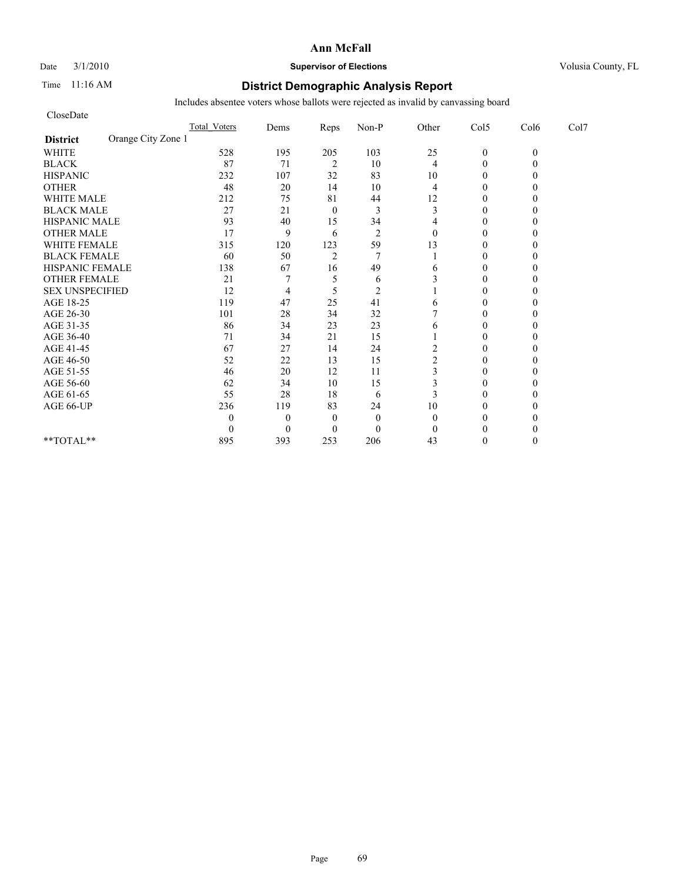### Date  $3/1/2010$  **Supervisor of Elections Supervisor of Elections** Volusia County, FL

### Time 11:16 AM **District Demographic Analysis Report**

| CloseDate                             |                     |                |                |                |                |                |          |      |
|---------------------------------------|---------------------|----------------|----------------|----------------|----------------|----------------|----------|------|
|                                       | <b>Total Voters</b> | Dems           | Reps           | Non-P          | Other          | Col5           | Col6     | Col7 |
| Orange City Zone 1<br><b>District</b> |                     |                |                |                |                |                |          |      |
| <b>WHITE</b>                          | 528                 | 195            | 205            | 103            | 25             | $\mathbf{0}$   | $\theta$ |      |
| <b>BLACK</b>                          | 87                  | 71             | $\sqrt{2}$     | 10             | 4              | $\theta$       |          |      |
| <b>HISPANIC</b>                       | 232                 | 107            | 32             | 83             | 10             | $\overline{0}$ |          |      |
| <b>OTHER</b>                          | 48                  | 20             | 14             | 10             | 4              | $\theta$       |          |      |
| <b>WHITE MALE</b>                     | 212                 | 75             | 81             | 44             | 12             | $\theta$       |          |      |
| <b>BLACK MALE</b>                     | 27                  | 21             | $\mathbf{0}$   | 3              | 3              | $\theta$       |          |      |
| <b>HISPANIC MALE</b>                  | 93                  | 40             | 15             | 34             | 4              | $\theta$       |          |      |
| <b>OTHER MALE</b>                     | 17                  | 9              | 6              | $\overline{2}$ | $\theta$       | $\theta$       |          |      |
| <b>WHITE FEMALE</b>                   | 315                 | 120            | 123            | 59             | 13             | $\theta$       |          |      |
| <b>BLACK FEMALE</b>                   | 60                  | 50             | $\overline{2}$ | $\overline{7}$ |                | $\overline{0}$ |          |      |
| HISPANIC FEMALE                       | 138                 | 67             | 16             | 49             | 6              | $\theta$       |          |      |
| <b>OTHER FEMALE</b>                   | 21                  |                | 5              | 6              |                | $\theta$       |          |      |
| <b>SEX UNSPECIFIED</b>                | 12                  | 4              | 5              | $\overline{2}$ |                | $\theta$       |          |      |
| AGE 18-25                             | 119                 | 47             | 25             | 41             | 6              | $\theta$       |          |      |
| AGE 26-30                             | 101                 | 28             | 34             | 32             |                | $\Omega$       |          |      |
| AGE 31-35                             | 86                  | 34             | 23             | 23             | 6              | $\theta$       |          |      |
| AGE 36-40                             | 71                  | 34             | 21             | 15             |                | $\overline{0}$ |          |      |
| AGE 41-45                             | 67                  | 27             | 14             | 24             | 2              | $\mathbf{0}$   |          |      |
| AGE 46-50                             | 52                  | 22             | 13             | 15             | $\overline{c}$ | $\theta$       |          |      |
| AGE 51-55                             | 46                  | 20             | 12             | 11             | 3              | $\theta$       |          |      |
| AGE 56-60                             | 62                  | 34             | 10             | 15             | 3              | $\overline{0}$ |          |      |
| AGE 61-65                             | 55                  | 28             | 18             | 6              | 3              | $\theta$       |          |      |
| AGE 66-UP                             | 236                 | 119            | 83             | 24             | 10             | $\theta$       |          |      |
|                                       | 0                   | $\overline{0}$ | $\theta$       | $\mathbf{0}$   | $\theta$       | 0              |          |      |
|                                       | $\theta$            | $\theta$       | $\Omega$       | $\mathbf{0}$   | $\Omega$       | $\Omega$       |          |      |
| **TOTAL**                             | 895                 | 393            | 253            | 206            | 43             | $\theta$       |          |      |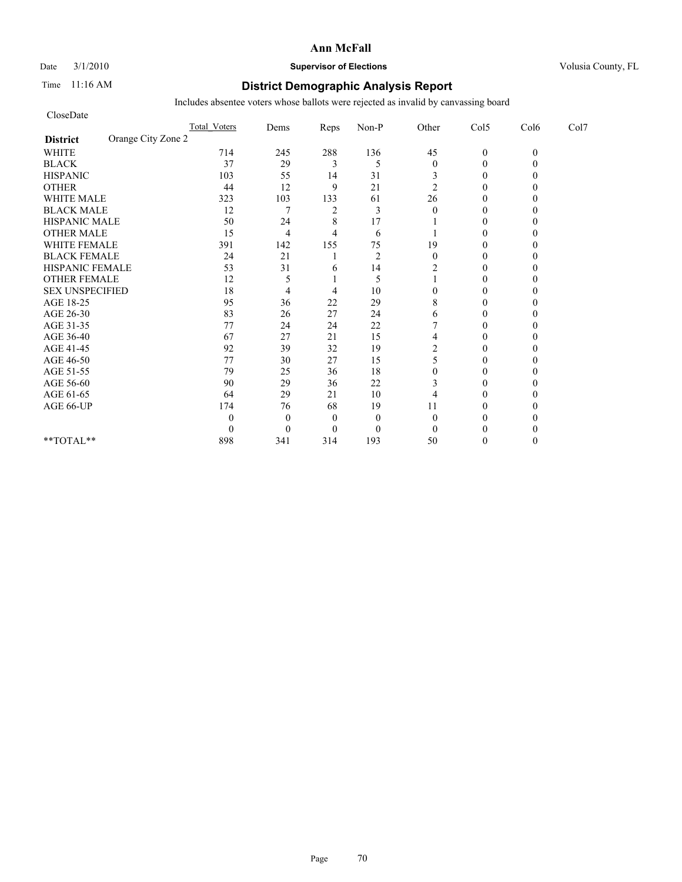Date  $3/1/2010$  **Supervisor of Elections Supervisor of Elections** Volusia County, FL

### Time 11:16 AM **District Demographic Analysis Report**

| CloseDate                             |                     |                |                |                |                  |                |          |      |
|---------------------------------------|---------------------|----------------|----------------|----------------|------------------|----------------|----------|------|
|                                       | <b>Total Voters</b> | Dems           | Reps           | Non-P          | Other            | Col5           | Col6     | Col7 |
| Orange City Zone 2<br><b>District</b> |                     |                |                |                |                  |                |          |      |
| <b>WHITE</b>                          | 714                 | 245            | 288            | 136            | 45               | $\mathbf{0}$   | $\theta$ |      |
| <b>BLACK</b>                          | 37                  | 29             | 3              | 5              | $\boldsymbol{0}$ | $\theta$       |          |      |
| <b>HISPANIC</b>                       | 103                 | 55             | 14             | 31             | 3                | $\overline{0}$ |          |      |
| <b>OTHER</b>                          | 44                  | 12             | 9              | 21             | $\overline{2}$   | $\theta$       |          |      |
| <b>WHITE MALE</b>                     | 323                 | 103            | 133            | 61             | 26               | $\theta$       |          |      |
| <b>BLACK MALE</b>                     | 12                  | 7              | $\overline{2}$ | 3              | $\theta$         | $\theta$       |          |      |
| <b>HISPANIC MALE</b>                  | 50                  | 24             | 8              | 17             |                  | $\theta$       |          |      |
| <b>OTHER MALE</b>                     | 15                  | $\overline{4}$ | 4              | 6              |                  | $\overline{0}$ |          |      |
| <b>WHITE FEMALE</b>                   | 391                 | 142            | 155            | 75             | 19               | $\theta$       |          |      |
| <b>BLACK FEMALE</b>                   | 24                  | 21             |                | $\overline{2}$ | $\mathbf{0}$     | $\overline{0}$ |          |      |
| HISPANIC FEMALE                       | 53                  | 31             | 6              | 14             | 2                | $\theta$       |          |      |
| <b>OTHER FEMALE</b>                   | 12                  | 5              |                | 5              |                  | $\Omega$       |          |      |
| <b>SEX UNSPECIFIED</b>                | 18                  | 4              | 4              | 10             | 0                | $\theta$       |          |      |
| AGE 18-25                             | 95                  | 36             | $22\,$         | 29             | 8                | $\theta$       |          |      |
| AGE 26-30                             | 83                  | 26             | 27             | 24             | 6                | $\Omega$       |          |      |
| AGE 31-35                             | 77                  | 24             | 24             | 22             |                  | $\theta$       |          |      |
| AGE 36-40                             | 67                  | 27             | 21             | 15             | 4                | $\Omega$       |          |      |
| AGE 41-45                             | 92                  | 39             | 32             | 19             | 2                | $\mathbf{0}$   |          |      |
| AGE 46-50                             | 77                  | 30             | 27             | 15             | 5                | $\theta$       |          |      |
| AGE 51-55                             | 79                  | 25             | 36             | 18             | 0                | $\Omega$       |          |      |
| AGE 56-60                             | 90                  | 29             | 36             | 22             | 3                | $\overline{0}$ |          |      |
| AGE 61-65                             | 64                  | 29             | 21             | 10             | 4                | $\theta$       |          |      |
| AGE 66-UP                             | 174                 | 76             | 68             | 19             | 11               | $\Omega$       |          |      |
|                                       | 0                   | $\mathbf{0}$   | $\theta$       | $\mathbf{0}$   | $\theta$         | 0              |          |      |
|                                       | 0                   | $\theta$       | $\overline{0}$ | $\mathbf{0}$   | $\Omega$         | $\Omega$       |          |      |
| **TOTAL**                             | 898                 | 341            | 314            | 193            | 50               | $\Omega$       |          |      |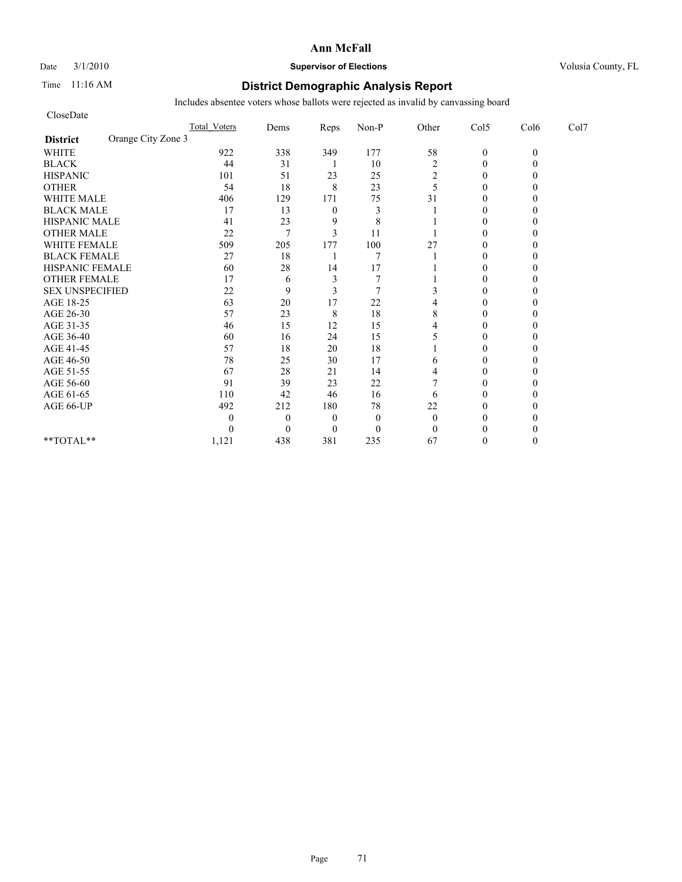Date  $3/1/2010$  **Supervisor of Elections Supervisor of Elections** Volusia County, FL

### Time 11:16 AM **District Demographic Analysis Report**

| CloseDate                             |                  |              |                |          |                |              |              |      |
|---------------------------------------|------------------|--------------|----------------|----------|----------------|--------------|--------------|------|
|                                       | Total Voters     | Dems         | Reps           | Non-P    | Other          | Col5         | Col6         | Col7 |
| Orange City Zone 3<br><b>District</b> |                  |              |                |          |                |              |              |      |
| <b>WHITE</b>                          | 922              | 338          | 349            | 177      | 58             | $\mathbf{0}$ | $\mathbf{0}$ |      |
| <b>BLACK</b>                          | 44               | 31           | ı              | 10       | $\overline{c}$ | $\mathbf{0}$ |              |      |
| <b>HISPANIC</b>                       | 101              | 51           | 23             | 25       | $\overline{c}$ | $\theta$     |              |      |
| <b>OTHER</b>                          | 54               | 18           | 8              | 23       | 5              | $\theta$     |              |      |
| <b>WHITE MALE</b>                     | 406              | 129          | 171            | 75       | 31             | $\theta$     |              |      |
| <b>BLACK MALE</b>                     | 17               | 13           | $\overline{0}$ | 3        |                | $\theta$     |              |      |
| <b>HISPANIC MALE</b>                  | 41               | 23           | 9              | 8        |                | $\theta$     |              |      |
| <b>OTHER MALE</b>                     | 22               | 7            | 3              | 11       |                | $\theta$     |              |      |
| <b>WHITE FEMALE</b>                   | 509              | 205          | 177            | 100      | 27             | $\theta$     |              |      |
| <b>BLACK FEMALE</b>                   | 27               | 18           |                | 7        |                | $\mathbf{0}$ |              |      |
| HISPANIC FEMALE                       | 60               | 28           | 14             | 17       |                | $\theta$     |              |      |
| <b>OTHER FEMALE</b>                   | 17               | 6            | 3              |          |                | $\theta$     |              |      |
| <b>SEX UNSPECIFIED</b>                | 22               | 9            | 3              | 7        | 3              | $\theta$     |              |      |
| AGE 18-25                             | 63               | 20           | 17             | 22       |                | $\theta$     |              |      |
| AGE 26-30                             | 57               | 23           | 8              | 18       | 8              | $\Omega$     |              |      |
| AGE 31-35                             | 46               | 15           | 12             | 15       |                | $\Omega$     |              |      |
| AGE 36-40                             | 60               | 16           | 24             | 15       |                | $\theta$     |              |      |
| AGE 41-45                             | 57               | 18           | 20             | 18       |                | $\mathbf{0}$ |              |      |
| AGE 46-50                             | 78               | 25           | 30             | 17       | 6              | $\theta$     |              |      |
| AGE 51-55                             | 67               | 28           | 21             | 14       | 4              | $\Omega$     |              |      |
| AGE 56-60                             | 91               | 39           | 23             | 22       |                | $\mathbf{0}$ |              |      |
| AGE 61-65                             | 110              | 42           | 46             | 16       | 6              | $\theta$     |              |      |
| AGE 66-UP                             | 492              | 212          | 180            | 78       | 22             | $\theta$     |              |      |
|                                       | $\mathbf{0}$     | $\mathbf{0}$ | $\overline{0}$ | $\theta$ | $\overline{0}$ | $\theta$     |              |      |
|                                       | $\boldsymbol{0}$ | $\Omega$     | $\overline{0}$ | $\theta$ | $\mathbf{0}$   | $\theta$     |              |      |
| **TOTAL**                             | 1,121            | 438          | 381            | 235      | 67             | $\theta$     |              |      |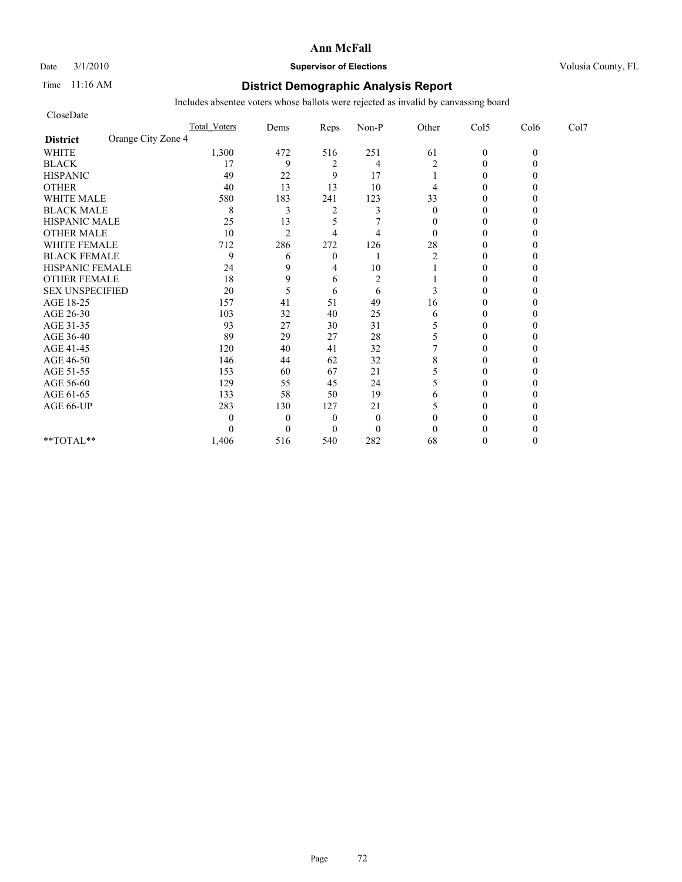Date  $3/1/2010$  **Supervisor of Elections Supervisor of Elections** Volusia County, FL

### Time 11:16 AM **District Demographic Analysis Report**

| CloseDate              |                    |                     |                |                |                |                |                |          |      |
|------------------------|--------------------|---------------------|----------------|----------------|----------------|----------------|----------------|----------|------|
|                        |                    | <b>Total Voters</b> | Dems           | Reps           | Non-P          | Other          | Col5           | Col6     | Col7 |
| <b>District</b>        | Orange City Zone 4 |                     |                |                |                |                |                |          |      |
| <b>WHITE</b>           |                    | 1,300               | 472            | 516            | 251            | 61             | $\mathbf{0}$   | $\theta$ |      |
| <b>BLACK</b>           |                    | 17                  | 9              | $\overline{2}$ | 4              | $\overline{2}$ | $\theta$       |          |      |
| <b>HISPANIC</b>        |                    | 49                  | 22             | 9              | 17             |                | $\overline{0}$ |          |      |
| <b>OTHER</b>           |                    | 40                  | 13             | 13             | 10             | 4              | $\theta$       |          |      |
| <b>WHITE MALE</b>      |                    | 580                 | 183            | 241            | 123            | 33             | $\theta$       |          |      |
| <b>BLACK MALE</b>      |                    | 8                   | 3              | $\overline{c}$ | 3              | $\theta$       | $\theta$       |          |      |
| <b>HISPANIC MALE</b>   |                    | 25                  | 13             | 5              |                | $\mathbf{0}$   | $\theta$       |          |      |
| <b>OTHER MALE</b>      |                    | 10                  | $\overline{2}$ | 4              | $\overline{4}$ | $\theta$       | $\theta$       |          |      |
| <b>WHITE FEMALE</b>    |                    | 712                 | 286            | 272            | 126            | 28             | $\theta$       |          |      |
| <b>BLACK FEMALE</b>    |                    | 9                   | 6              | $\overline{0}$ |                | 2              | $\overline{0}$ |          |      |
| HISPANIC FEMALE        |                    | 24                  | 9              | 4              | 10             |                | $\theta$       |          |      |
| <b>OTHER FEMALE</b>    |                    | 18                  | 9              | 6              | $\overline{2}$ |                | $\theta$       |          |      |
| <b>SEX UNSPECIFIED</b> |                    | 20                  | 5              | 6              | 6              | 3              | $\theta$       |          |      |
| AGE 18-25              |                    | 157                 | 41             | 51             | 49             | 16             | $\theta$       |          |      |
| AGE 26-30              |                    | 103                 | 32             | 40             | 25             | 6              | $\Omega$       |          |      |
| AGE 31-35              |                    | 93                  | 27             | 30             | 31             | 5              | $\theta$       |          |      |
| AGE 36-40              |                    | 89                  | 29             | 27             | 28             | 5              | $\Omega$       |          |      |
| AGE 41-45              |                    | 120                 | 40             | 41             | 32             |                | $\mathbf{0}$   |          |      |
| AGE 46-50              |                    | 146                 | 44             | 62             | 32             | 8              | $\theta$       |          |      |
| AGE 51-55              |                    | 153                 | 60             | 67             | 21             | 5              | $\Omega$       |          |      |
| AGE 56-60              |                    | 129                 | 55             | 45             | 24             | 5              | $\overline{0}$ |          |      |
| AGE 61-65              |                    | 133                 | 58             | 50             | 19             | 6              | 0              |          |      |
| AGE 66-UP              |                    | 283                 | 130            | 127            | 21             | 5              | $\Omega$       |          |      |
|                        |                    | 0                   | $\mathbf{0}$   | $\overline{0}$ | $\mathbf{0}$   | $\theta$       | 0              |          |      |
|                        |                    | 0                   | $\theta$       | $\Omega$       | $\mathbf{0}$   | $\theta$       | $\Omega$       |          |      |
| **TOTAL**              |                    | 1,406               | 516            | 540            | 282            | 68             | $\Omega$       |          |      |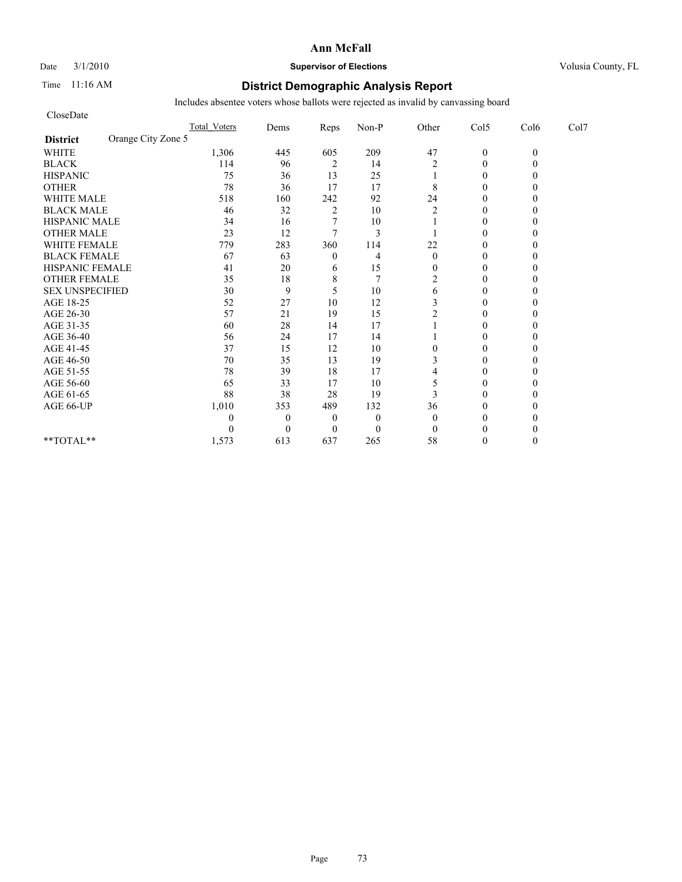# Date  $3/1/2010$  **Supervisor of Elections Supervisor of Elections** Volusia County, FL

# Time 11:16 AM **District Demographic Analysis Report**

| CloseDate                             |              |                |                |                |                  |                |          |      |
|---------------------------------------|--------------|----------------|----------------|----------------|------------------|----------------|----------|------|
|                                       | Total Voters | Dems           | Reps           | Non-P          | Other            | Col5           | Col6     | Col7 |
| Orange City Zone 5<br><b>District</b> |              |                |                |                |                  |                |          |      |
| <b>WHITE</b>                          | 1,306        | 445            | 605            | 209            | 47               | $\mathbf{0}$   | $\theta$ |      |
| <b>BLACK</b>                          | 114          | 96             | 2              | 14             | 2                | $\theta$       |          |      |
| <b>HISPANIC</b>                       | 75           | 36             | 13             | 25             |                  | $\overline{0}$ |          |      |
| <b>OTHER</b>                          | 78           | 36             | 17             | 17             | 8                | $\theta$       |          |      |
| <b>WHITE MALE</b>                     | 518          | 160            | 242            | 92             | 24               | $\theta$       |          |      |
| <b>BLACK MALE</b>                     | 46           | 32             | $\overline{c}$ | 10             | $\overline{2}$   | $\theta$       |          |      |
| <b>HISPANIC MALE</b>                  | 34           | 16             |                | 10             |                  | $\theta$       |          |      |
| <b>OTHER MALE</b>                     | 23           | 12             | $\tau$         | 3              |                  | $\theta$       |          |      |
| <b>WHITE FEMALE</b>                   | 779          | 283            | 360            | 114            | 22               | $\theta$       |          |      |
| <b>BLACK FEMALE</b>                   | 67           | 63             | $\theta$       | 4              | $\mathbf{0}$     | $\overline{0}$ |          |      |
| HISPANIC FEMALE                       | 41           | 20             | 6              | 15             | $\overline{0}$   | $\theta$       |          |      |
| <b>OTHER FEMALE</b>                   | 35           | 18             | 8              | $\overline{7}$ | $\overline{c}$   | $\theta$       |          |      |
| <b>SEX UNSPECIFIED</b>                | 30           | 9              | 5              | 10             | 6                | $\theta$       |          |      |
| AGE 18-25                             | 52           | 27             | 10             | 12             | 3                | $\theta$       |          |      |
| AGE 26-30                             | 57           | 21             | 19             | 15             | 2                | $\Omega$       |          |      |
| AGE 31-35                             | 60           | 28             | 14             | 17             |                  | $\theta$       |          |      |
| AGE 36-40                             | 56           | 24             | 17             | 14             |                  | $\overline{0}$ |          |      |
| AGE 41-45                             | 37           | 15             | 12             | 10             | $\boldsymbol{0}$ | $\mathbf{0}$   |          |      |
| AGE 46-50                             | $70\,$       | 35             | 13             | 19             | 3                | $\theta$       |          |      |
| AGE 51-55                             | 78           | 39             | 18             | 17             | 4                | $\theta$       |          |      |
| AGE 56-60                             | 65           | 33             | 17             | 10             | 5                | $\overline{0}$ |          |      |
| AGE 61-65                             | 88           | 38             | 28             | 19             | 3                | $\theta$       |          |      |
| AGE 66-UP                             | 1,010        | 353            | 489            | 132            | 36               | $\theta$       |          |      |
|                                       | 0            | $\overline{0}$ | $\overline{0}$ | $\mathbf{0}$   | $\theta$         | 0              |          |      |
|                                       | 0            | $\theta$       | $\Omega$       | $\mathbf{0}$   | $\theta$         | $\Omega$       |          |      |
| **TOTAL**                             | 1,573        | 613            | 637            | 265            | 58               | $\theta$       |          |      |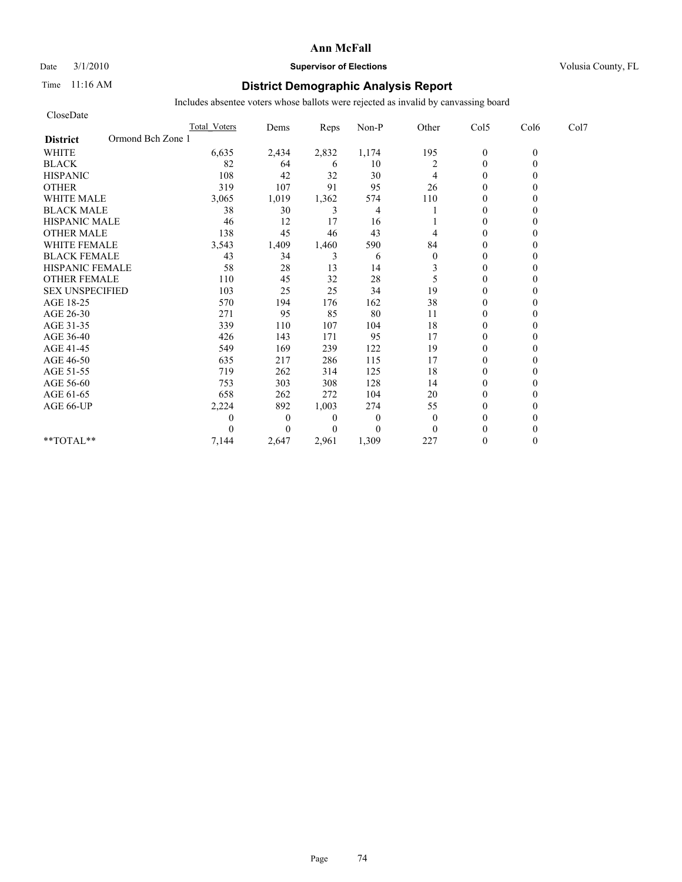# Date  $3/1/2010$  **Supervisor of Elections Supervisor of Elections** Volusia County, FL

# Time 11:16 AM **District Demographic Analysis Report**

| CloseDate                            |                     |              |                |              |                |                |          |      |
|--------------------------------------|---------------------|--------------|----------------|--------------|----------------|----------------|----------|------|
|                                      | <b>Total Voters</b> | Dems         | Reps           | Non-P        | Other          | Col5           | Col6     | Col7 |
| Ormond Bch Zone 1<br><b>District</b> |                     |              |                |              |                |                |          |      |
| <b>WHITE</b>                         | 6,635               | 2,434        | 2,832          | 1,174        | 195            | $\mathbf{0}$   | $\theta$ |      |
| <b>BLACK</b>                         | 82                  | 64           | 6              | 10           | $\overline{c}$ | $\mathbf{0}$   | 0        |      |
| <b>HISPANIC</b>                      | 108                 | 42           | 32             | 30           | 4              | $\theta$       |          |      |
| <b>OTHER</b>                         | 319                 | 107          | 91             | 95           | 26             | $\theta$       |          |      |
| <b>WHITE MALE</b>                    | 3,065               | 1,019        | 1,362          | 574          | 110            | $\theta$       |          |      |
| <b>BLACK MALE</b>                    | 38                  | 30           | 3              | 4            |                | $\theta$       |          |      |
| <b>HISPANIC MALE</b>                 | 46                  | 12           | 17             | 16           |                | $\theta$       |          |      |
| <b>OTHER MALE</b>                    | 138                 | 45           | 46             | 43           | 4              | $\theta$       |          |      |
| <b>WHITE FEMALE</b>                  | 3,543               | 1,409        | 1,460          | 590          | 84             | $\theta$       |          |      |
| <b>BLACK FEMALE</b>                  | 43                  | 34           | 3              | 6            | $\mathbf{0}$   | $\overline{0}$ |          |      |
| HISPANIC FEMALE                      | 58                  | 28           | 13             | 14           | 3              | $\theta$       |          |      |
| <b>OTHER FEMALE</b>                  | 110                 | 45           | 32             | 28           | 5              | $\theta$       |          |      |
| <b>SEX UNSPECIFIED</b>               | 103                 | 25           | 25             | 34           | 19             | $\theta$       |          |      |
| AGE 18-25                            | 570                 | 194          | 176            | 162          | 38             | $\theta$       |          |      |
| AGE 26-30                            | 271                 | 95           | 85             | 80           | 11             | $\overline{0}$ |          |      |
| AGE 31-35                            | 339                 | 110          | 107            | 104          | 18             | $\mathbf{0}$   |          |      |
| AGE 36-40                            | 426                 | 143          | 171            | 95           | 17             | $\overline{0}$ |          |      |
| AGE 41-45                            | 549                 | 169          | 239            | 122          | 19             | $\mathbf{0}$   |          |      |
| AGE 46-50                            | 635                 | 217          | 286            | 115          | 17             | $\theta$       |          |      |
| AGE 51-55                            | 719                 | 262          | 314            | 125          | 18             | $\theta$       |          |      |
| AGE 56-60                            | 753                 | 303          | 308            | 128          | 14             | $\overline{0}$ |          |      |
| AGE 61-65                            | 658                 | 262          | 272            | 104          | 20             | $\Omega$       |          |      |
| AGE 66-UP                            | 2,224               | 892          | 1,003          | 274          | 55             | $\theta$       |          |      |
|                                      | 0                   | $\mathbf{0}$ | $\overline{0}$ | $\mathbf{0}$ | $\theta$       | $\Omega$       |          |      |
|                                      | $\Omega$            | $\Omega$     | $\theta$       | $\mathbf{0}$ | $\Omega$       | $\Omega$       |          |      |
| $*$ $TOTAI.**$                       | 7,144               | 2,647        | 2,961          | 1,309        | 227            | $\theta$       |          |      |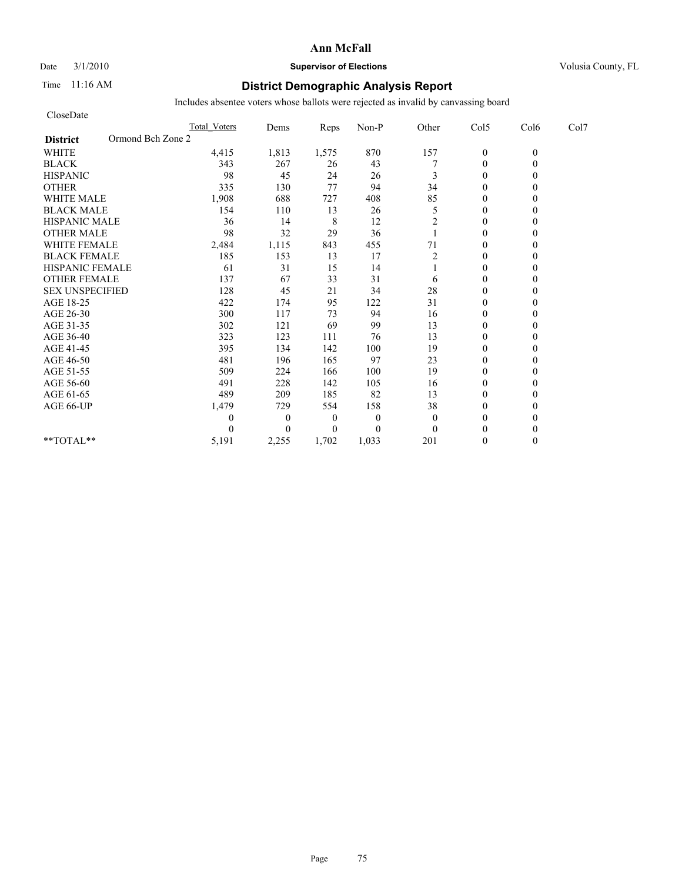# Date  $3/1/2010$  **Supervisor of Elections Supervisor of Elections** Volusia County, FL

# Time 11:16 AM **District Demographic Analysis Report**

| CloseDate                            |                     |              |                |              |                |                  |          |      |
|--------------------------------------|---------------------|--------------|----------------|--------------|----------------|------------------|----------|------|
|                                      | <b>Total Voters</b> | Dems         | Reps           | Non-P        | Other          | Col5             | Col6     | Col7 |
| Ormond Bch Zone 2<br><b>District</b> |                     |              |                |              |                |                  |          |      |
| <b>WHITE</b>                         | 4,415               | 1,813        | 1,575          | 870          | 157            | $\boldsymbol{0}$ | $\theta$ |      |
| <b>BLACK</b>                         | 343                 | 267          | 26             | 43           |                | $\theta$         | 0        |      |
| <b>HISPANIC</b>                      | 98                  | 45           | 24             | 26           | 3              | $\theta$         |          |      |
| <b>OTHER</b>                         | 335                 | 130          | 77             | 94           | 34             | $\theta$         |          |      |
| <b>WHITE MALE</b>                    | 1,908               | 688          | 727            | 408          | 85             | $\theta$         |          |      |
| <b>BLACK MALE</b>                    | 154                 | 110          | 13             | 26           | 5              | $\mathbf{0}$     |          |      |
| <b>HISPANIC MALE</b>                 | 36                  | 14           | 8              | 12           | 2              | $\theta$         |          |      |
| <b>OTHER MALE</b>                    | 98                  | 32           | 29             | 36           |                | $\theta$         |          |      |
| <b>WHITE FEMALE</b>                  | 2,484               | 1,115        | 843            | 455          | 71             | $\theta$         |          |      |
| <b>BLACK FEMALE</b>                  | 185                 | 153          | 13             | 17           | $\overline{2}$ | $\theta$         |          |      |
| HISPANIC FEMALE                      | 61                  | 31           | 15             | 14           |                | $\theta$         |          |      |
| <b>OTHER FEMALE</b>                  | 137                 | 67           | 33             | 31           | 6              | $\theta$         |          |      |
| <b>SEX UNSPECIFIED</b>               | 128                 | 45           | 21             | 34           | 28             | $\theta$         |          |      |
| AGE 18-25                            | 422                 | 174          | 95             | 122          | 31             | $\mathbf{0}$     |          |      |
| AGE 26-30                            | 300                 | 117          | 73             | 94           | 16             | $\overline{0}$   |          |      |
| AGE 31-35                            | 302                 | 121          | 69             | 99           | 13             | $\mathbf{0}$     |          |      |
| AGE 36-40                            | 323                 | 123          | 111            | 76           | 13             | $\theta$         |          |      |
| AGE 41-45                            | 395                 | 134          | 142            | 100          | 19             | $\mathbf{0}$     |          |      |
| AGE 46-50                            | 481                 | 196          | 165            | 97           | 23             | $\theta$         |          |      |
| AGE 51-55                            | 509                 | 224          | 166            | 100          | 19             | $\mathbf{0}$     |          |      |
| AGE 56-60                            | 491                 | 228          | 142            | 105          | 16             | $\overline{0}$   |          |      |
| AGE 61-65                            | 489                 | 209          | 185            | 82           | 13             | $\theta$         |          |      |
| AGE 66-UP                            | 1,479               | 729          | 554            | 158          | 38             | $\theta$         |          |      |
|                                      | 0                   | $\mathbf{0}$ | $\overline{0}$ | $\mathbf{0}$ | $\mathbf{0}$   | $\theta$         |          |      |
|                                      | 0                   | $\Omega$     | $\overline{0}$ | $\theta$     | $\theta$       | $\theta$         |          |      |
| $*$ $TOTAI.**$                       | 5,191               | 2,255        | 1,702          | 1,033        | 201            | $\theta$         | 0        |      |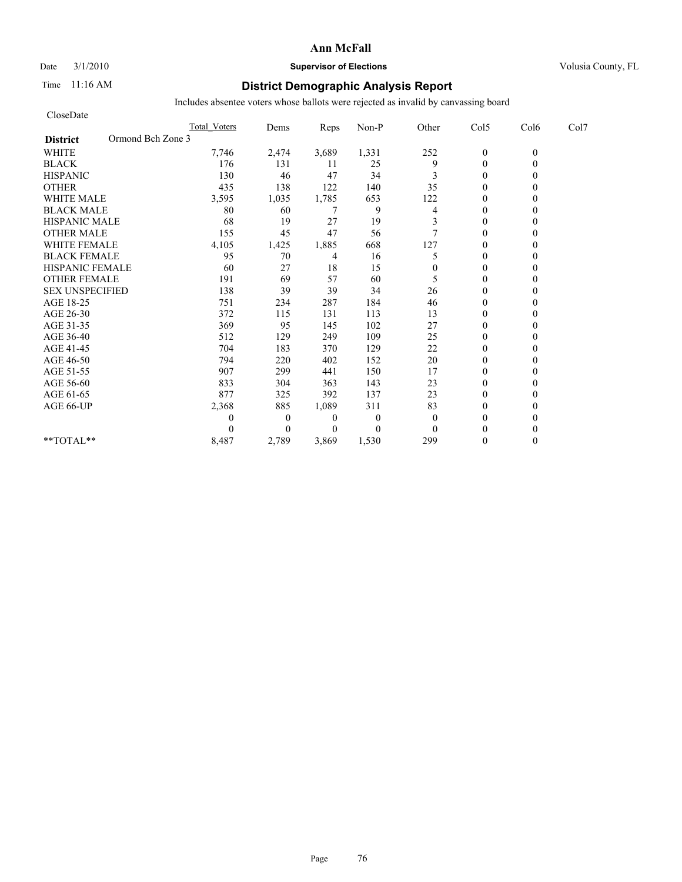### Date  $3/1/2010$  **Supervisor of Elections Supervisor of Elections** Volusia County, FL

# Time 11:16 AM **District Demographic Analysis Report**

| CloseDate                            |                     |                |                |              |          |                  |          |      |
|--------------------------------------|---------------------|----------------|----------------|--------------|----------|------------------|----------|------|
|                                      | <b>Total Voters</b> | Dems           | Reps           | Non-P        | Other    | Col5             | Col6     | Col7 |
| Ormond Bch Zone 3<br><b>District</b> |                     |                |                |              |          |                  |          |      |
| <b>WHITE</b>                         | 7,746               | 2,474          | 3,689          | 1,331        | 252      | $\boldsymbol{0}$ | $\theta$ |      |
| <b>BLACK</b>                         | 176                 | 131            | 11             | 25           | 9        | $\mathbf{0}$     | 0        |      |
| <b>HISPANIC</b>                      | 130                 | 46             | 47             | 34           | 3        | $\theta$         |          |      |
| <b>OTHER</b>                         | 435                 | 138            | 122            | 140          | 35       | $\theta$         |          |      |
| <b>WHITE MALE</b>                    | 3,595               | 1,035          | 1,785          | 653          | 122      | $\theta$         |          |      |
| <b>BLACK MALE</b>                    | 80                  | 60             | 7              | 9            | 4        | $\mathbf{0}$     |          |      |
| <b>HISPANIC MALE</b>                 | 68                  | 19             | 27             | 19           | 3        | $\theta$         |          |      |
| <b>OTHER MALE</b>                    | 155                 | 45             | 47             | 56           | 7        | $\theta$         |          |      |
| <b>WHITE FEMALE</b>                  | 4,105               | 1,425          | 1,885          | 668          | 127      | $\theta$         |          |      |
| <b>BLACK FEMALE</b>                  | 95                  | 70             | 4              | 16           | 5        | $\overline{0}$   |          |      |
| <b>HISPANIC FEMALE</b>               | 60                  | 27             | 18             | 15           | $\Omega$ | $\theta$         |          |      |
| <b>OTHER FEMALE</b>                  | 191                 | 69             | 57             | 60           | 5        | $\theta$         |          |      |
| <b>SEX UNSPECIFIED</b>               | 138                 | 39             | 39             | 34           | 26       | $\theta$         |          |      |
| AGE 18-25                            | 751                 | 234            | 287            | 184          | 46       | $\theta$         |          |      |
| AGE 26-30                            | 372                 | 115            | 131            | 113          | 13       | $\overline{0}$   |          |      |
| AGE 31-35                            | 369                 | 95             | 145            | 102          | 27       | $\mathbf{0}$     |          |      |
| AGE 36-40                            | 512                 | 129            | 249            | 109          | 25       | $\theta$         |          |      |
| AGE 41-45                            | 704                 | 183            | 370            | 129          | 22       | $\mathbf{0}$     |          |      |
| AGE 46-50                            | 794                 | 220            | 402            | 152          | $20\,$   | $\theta$         |          |      |
| AGE 51-55                            | 907                 | 299            | 441            | 150          | 17       | $\mathbf{0}$     |          |      |
| AGE 56-60                            | 833                 | 304            | 363            | 143          | 23       | $\overline{0}$   |          |      |
| AGE 61-65                            | 877                 | 325            | 392            | 137          | 23       | $\Omega$         |          |      |
| AGE 66-UP                            | 2,368               | 885            | 1,089          | 311          | 83       | $\theta$         |          |      |
|                                      | 0                   | $\overline{0}$ | $\overline{0}$ | $\theta$     | $\theta$ | $\theta$         |          |      |
|                                      | $\Omega$            | $\Omega$       | $\Omega$       | $\mathbf{0}$ | $\Omega$ | $\Omega$         |          |      |
| $*$ $TOTAI.**$                       | 8,487               | 2,789          | 3,869          | 1,530        | 299      | $\theta$         | 0        |      |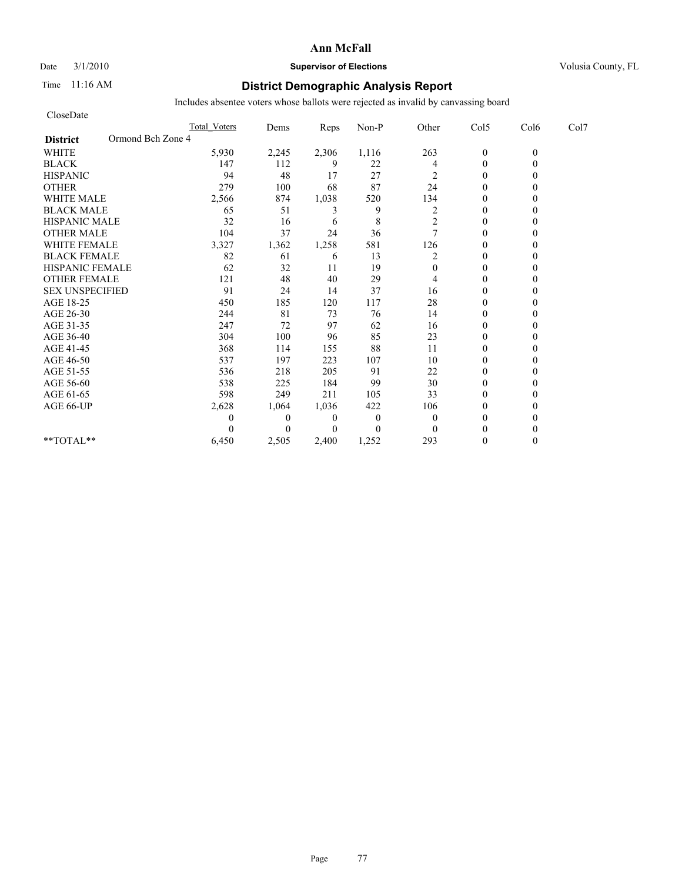### Date  $3/1/2010$  **Supervisor of Elections Supervisor of Elections** Volusia County, FL

# Time 11:16 AM **District Demographic Analysis Report**

| CloseDate                            |                     |                |                |              |                |                |          |      |
|--------------------------------------|---------------------|----------------|----------------|--------------|----------------|----------------|----------|------|
|                                      | <b>Total Voters</b> | Dems           | Reps           | Non-P        | Other          | Col5           | Col6     | Col7 |
| Ormond Bch Zone 4<br><b>District</b> |                     |                |                |              |                |                |          |      |
| <b>WHITE</b>                         | 5,930               | 2,245          | 2,306          | 1,116        | 263            | $\mathbf{0}$   | $\theta$ |      |
| <b>BLACK</b>                         | 147                 | 112            | 9              | 22           | 4              | $\mathbf{0}$   |          |      |
| <b>HISPANIC</b>                      | 94                  | 48             | 17             | 27           | 2              | $\theta$       |          |      |
| <b>OTHER</b>                         | 279                 | 100            | 68             | 87           | 24             | $\theta$       |          |      |
| <b>WHITE MALE</b>                    | 2,566               | 874            | 1,038          | 520          | 134            | $\theta$       |          |      |
| <b>BLACK MALE</b>                    | 65                  | 51             | 3              | 9            | $\overline{c}$ | $\theta$       |          |      |
| <b>HISPANIC MALE</b>                 | 32                  | 16             | 6              | 8            | 2              | $\theta$       |          |      |
| <b>OTHER MALE</b>                    | 104                 | 37             | 24             | 36           | $\tau$         | $\theta$       |          |      |
| <b>WHITE FEMALE</b>                  | 3,327               | 1,362          | 1,258          | 581          | 126            | $\theta$       |          |      |
| <b>BLACK FEMALE</b>                  | 82                  | 61             | 6              | 13           | 2              | $\overline{0}$ |          |      |
| HISPANIC FEMALE                      | 62                  | 32             | 11             | 19           | $\mathbf{0}$   | $\theta$       |          |      |
| <b>OTHER FEMALE</b>                  | 121                 | 48             | 40             | 29           | 4              | $\theta$       |          |      |
| <b>SEX UNSPECIFIED</b>               | 91                  | 24             | 14             | 37           | 16             | $\theta$       |          |      |
| AGE 18-25                            | 450                 | 185            | 120            | 117          | 28             | $\theta$       |          |      |
| AGE 26-30                            | 244                 | 81             | 73             | 76           | 14             | $\overline{0}$ |          |      |
| AGE 31-35                            | 247                 | 72             | 97             | 62           | 16             | $\mathbf{0}$   |          |      |
| AGE 36-40                            | 304                 | 100            | 96             | 85           | 23             | $\theta$       |          |      |
| AGE 41-45                            | 368                 | 114            | 155            | 88           | 11             | $\mathbf{0}$   |          |      |
| AGE 46-50                            | 537                 | 197            | 223            | 107          | 10             | $\theta$       |          |      |
| AGE 51-55                            | 536                 | 218            | 205            | 91           | 22             | $\Omega$       |          |      |
| AGE 56-60                            | 538                 | 225            | 184            | 99           | 30             | $\overline{0}$ |          |      |
| AGE 61-65                            | 598                 | 249            | 211            | 105          | 33             | $\Omega$       |          |      |
| AGE 66-UP                            | 2,628               | 1,064          | 1,036          | 422          | 106            | $\Omega$       |          |      |
|                                      | 0                   | $\overline{0}$ | $\overline{0}$ | $\mathbf{0}$ | $\mathbf{0}$   | $\Omega$       |          |      |
|                                      | $\Omega$            | $\Omega$       | $\Omega$       | $\mathbf{0}$ | $\theta$       | $\Omega$       |          |      |
| $*$ $TOTAI.**$                       | 6,450               | 2,505          | 2,400          | 1,252        | 293            | $\theta$       |          |      |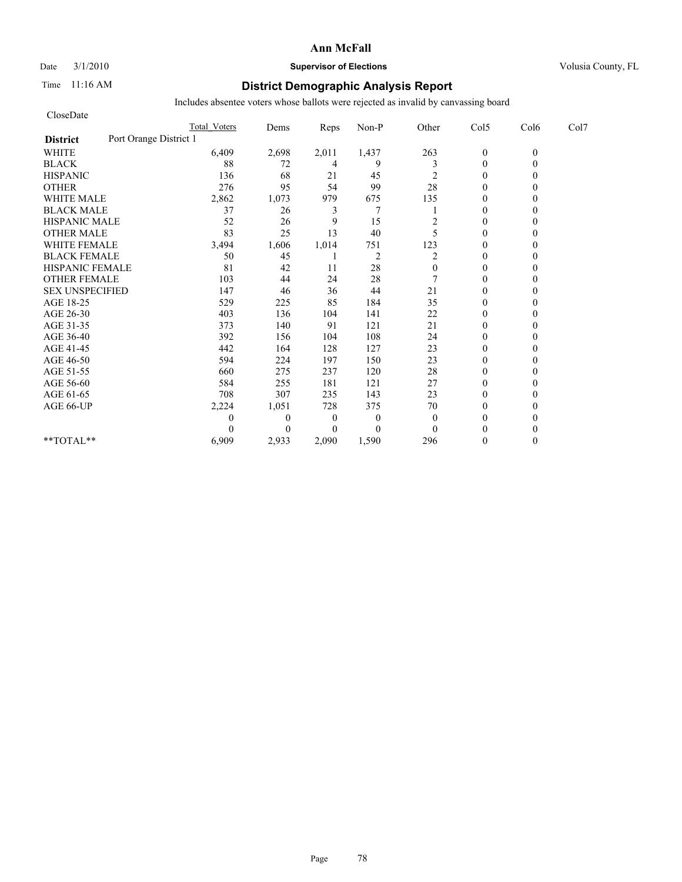### Date  $3/1/2010$  **Supervisor of Elections Supervisor of Elections** Volusia County, FL

## Time 11:16 AM **District Demographic Analysis Report**

| CloseDate                                 |                     |              |                  |                |              |                |          |      |
|-------------------------------------------|---------------------|--------------|------------------|----------------|--------------|----------------|----------|------|
|                                           | <b>Total Voters</b> | Dems         | Reps             | Non-P          | Other        | Col5           | Col6     | Col7 |
| Port Orange District 1<br><b>District</b> |                     |              |                  |                |              |                |          |      |
| <b>WHITE</b>                              | 6,409               | 2,698        | 2,011            | 1,437          | 263          | $\mathbf{0}$   | $\theta$ |      |
| <b>BLACK</b>                              | 88                  | 72           | 4                | 9              | 3            | $\mathbf{0}$   | 0        |      |
| <b>HISPANIC</b>                           | 136                 | 68           | 21               | 45             | 2            | $\theta$       |          |      |
| <b>OTHER</b>                              | 276                 | 95           | 54               | 99             | 28           | $\theta$       |          |      |
| <b>WHITE MALE</b>                         | 2,862               | 1,073        | 979              | 675            | 135          | $\theta$       |          |      |
| <b>BLACK MALE</b>                         | 37                  | 26           | 3                | 7              |              | $\mathbf{0}$   |          |      |
| <b>HISPANIC MALE</b>                      | 52                  | 26           | 9                | 15             | 2            | $\theta$       |          |      |
| <b>OTHER MALE</b>                         | 83                  | 25           | 13               | 40             | 5            | $\theta$       |          |      |
| <b>WHITE FEMALE</b>                       | 3,494               | 1,606        | 1,014            | 751            | 123          | $\theta$       |          |      |
| <b>BLACK FEMALE</b>                       | 50                  | 45           |                  | $\overline{c}$ | 2            | $\overline{0}$ |          |      |
| HISPANIC FEMALE                           | 81                  | 42           | 11               | 28             | $\mathbf{0}$ | $\theta$       |          |      |
| <b>OTHER FEMALE</b>                       | 103                 | 44           | 24               | 28             |              | $\theta$       |          |      |
| <b>SEX UNSPECIFIED</b>                    | 147                 | 46           | 36               | 44             | 21           | $\theta$       |          |      |
| AGE 18-25                                 | 529                 | 225          | 85               | 184            | 35           | $\mathbf{0}$   |          |      |
| AGE 26-30                                 | 403                 | 136          | 104              | 141            | 22           | $\overline{0}$ |          |      |
| AGE 31-35                                 | 373                 | 140          | 91               | 121            | 21           | $\theta$       |          |      |
| AGE 36-40                                 | 392                 | 156          | 104              | 108            | 24           | $\overline{0}$ |          |      |
| AGE 41-45                                 | 442                 | 164          | 128              | 127            | 23           | $\mathbf{0}$   |          |      |
| AGE 46-50                                 | 594                 | 224          | 197              | 150            | 23           | $\theta$       |          |      |
| AGE 51-55                                 | 660                 | 275          | 237              | 120            | 28           | $\theta$       |          |      |
| AGE 56-60                                 | 584                 | 255          | 181              | 121            | 27           | $\overline{0}$ |          |      |
| AGE 61-65                                 | 708                 | 307          | 235              | 143            | 23           | $\Omega$       |          |      |
| AGE 66-UP                                 | 2,224               | 1,051        | 728              | 375            | $70\,$       | $\theta$       |          |      |
|                                           | 0                   | $\mathbf{0}$ | $\boldsymbol{0}$ | $\theta$       | $\mathbf{0}$ | $\mathbf{0}$   |          |      |
|                                           | $\Omega$            | $\Omega$     | $\overline{0}$   | $\theta$       | $\theta$     | $\theta$       |          |      |
| **TOTAL**                                 | 6,909               | 2,933        | 2,090            | 1,590          | 296          | $\theta$       | 0        |      |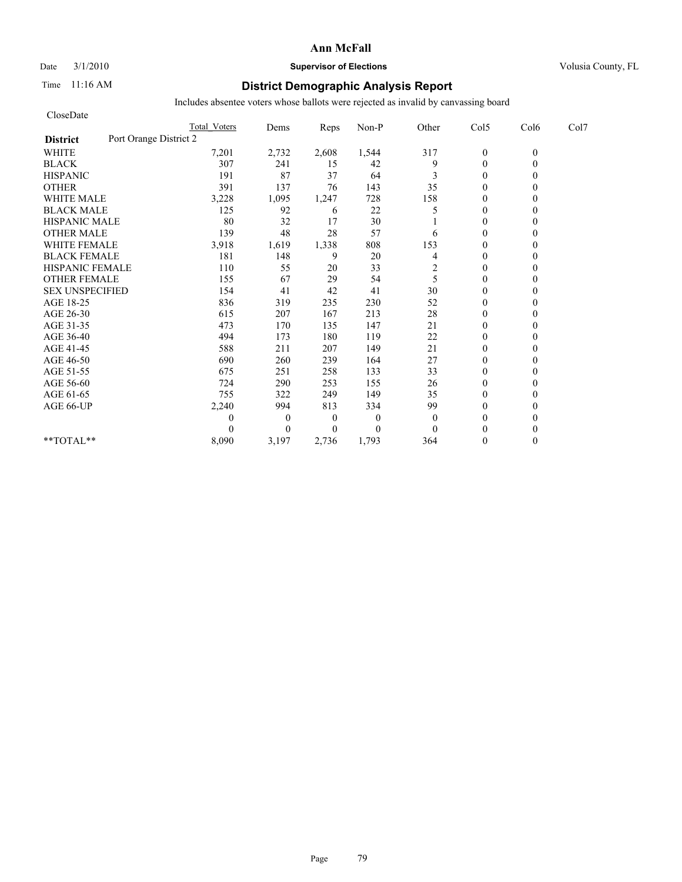# Date  $3/1/2010$  **Supervisor of Elections Supervisor of Elections** Volusia County, FL

# Time 11:16 AM **District Demographic Analysis Report**

| CloseDate                                 |                     |              |                |              |              |                |          |      |
|-------------------------------------------|---------------------|--------------|----------------|--------------|--------------|----------------|----------|------|
|                                           | <b>Total Voters</b> | Dems         | Reps           | Non-P        | Other        | Col5           | Col6     | Col7 |
| Port Orange District 2<br><b>District</b> |                     |              |                |              |              |                |          |      |
| <b>WHITE</b>                              | 7,201               | 2,732        | 2,608          | 1,544        | 317          | $\mathbf{0}$   | $\theta$ |      |
| <b>BLACK</b>                              | 307                 | 241          | 15             | 42           | 9            | $\mathbf{0}$   | 0        |      |
| <b>HISPANIC</b>                           | 191                 | 87           | 37             | 64           | 3            | $\theta$       |          |      |
| <b>OTHER</b>                              | 391                 | 137          | 76             | 143          | 35           | $\theta$       |          |      |
| <b>WHITE MALE</b>                         | 3,228               | 1,095        | 1,247          | 728          | 158          | $\theta$       |          |      |
| <b>BLACK MALE</b>                         | 125                 | 92           | 6              | 22           | 5            | $\theta$       |          |      |
| <b>HISPANIC MALE</b>                      | 80                  | 32           | 17             | 30           |              | $\theta$       |          |      |
| <b>OTHER MALE</b>                         | 139                 | 48           | 28             | 57           | 6            | $\theta$       |          |      |
| <b>WHITE FEMALE</b>                       | 3,918               | 1,619        | 1,338          | 808          | 153          | $\theta$       |          |      |
| <b>BLACK FEMALE</b>                       | 181                 | 148          | 9              | 20           | 4            | $\overline{0}$ |          |      |
| HISPANIC FEMALE                           | 110                 | 55           | 20             | 33           | 2            | $\theta$       |          |      |
| <b>OTHER FEMALE</b>                       | 155                 | 67           | 29             | 54           | 5            | $\theta$       |          |      |
| <b>SEX UNSPECIFIED</b>                    | 154                 | 41           | 42             | 41           | 30           | $\theta$       |          |      |
| AGE 18-25                                 | 836                 | 319          | 235            | 230          | 52           | $\mathbf{0}$   |          |      |
| AGE 26-30                                 | 615                 | 207          | 167            | 213          | 28           | $\overline{0}$ |          |      |
| AGE 31-35                                 | 473                 | 170          | 135            | 147          | 21           | $\mathbf{0}$   |          |      |
| AGE 36-40                                 | 494                 | 173          | 180            | 119          | 22           | $\mathbf{0}$   |          |      |
| AGE 41-45                                 | 588                 | 211          | 207            | 149          | 21           | $\mathbf{0}$   |          |      |
| AGE 46-50                                 | 690                 | 260          | 239            | 164          | 27           | $\theta$       |          |      |
| AGE 51-55                                 | 675                 | 251          | 258            | 133          | 33           | $\mathbf{0}$   |          |      |
| AGE 56-60                                 | 724                 | 290          | 253            | 155          | 26           | $\mathbf{0}$   |          |      |
| AGE 61-65                                 | 755                 | 322          | 249            | 149          | 35           | $\theta$       |          |      |
| AGE 66-UP                                 | 2,240               | 994          | 813            | 334          | 99           | $\theta$       |          |      |
|                                           | 0                   | $\mathbf{0}$ | $\overline{0}$ | $\mathbf{0}$ | $\mathbf{0}$ | $\mathbf{0}$   |          |      |
|                                           | 0                   | $\Omega$     | $\Omega$       | $\theta$     | $\Omega$     | $\theta$       |          |      |
| **TOTAL**                                 | 8,090               | 3,197        | 2,736          | 1,793        | 364          | $\theta$       | 0        |      |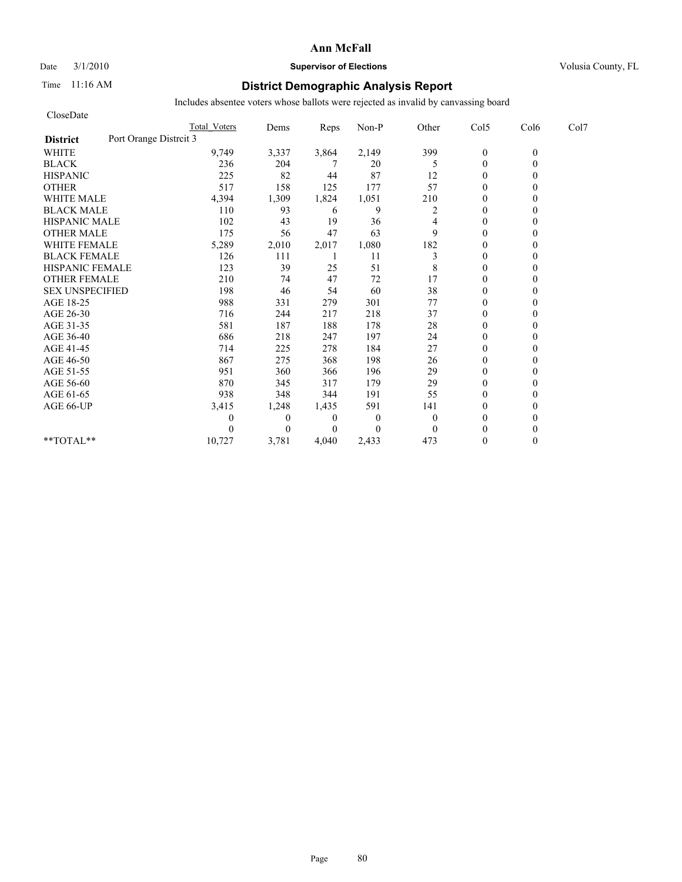#### Date  $3/1/2010$  **Supervisor of Elections Supervisor of Elections** Volusia County, FL

## Time 11:16 AM **District Demographic Analysis Report**

| CloseDate              |                        |                     |              |                |                |                |                |          |      |
|------------------------|------------------------|---------------------|--------------|----------------|----------------|----------------|----------------|----------|------|
|                        |                        | <b>Total Voters</b> | Dems         | Reps           | Non-P          | Other          | Col5           | Col6     | Col7 |
| <b>District</b>        | Port Orange Distrcit 3 |                     |              |                |                |                |                |          |      |
| <b>WHITE</b>           |                        | 9,749               | 3,337        | 3,864          | 2,149          | 399            | $\mathbf{0}$   | $\theta$ |      |
| <b>BLACK</b>           |                        | 236                 | 204          |                | 20             | 5              | $\overline{0}$ | 0        |      |
| <b>HISPANIC</b>        |                        | 225                 | 82           | 44             | 87             | 12             | $\mathbf{0}$   |          |      |
| <b>OTHER</b>           |                        | 517                 | 158          | 125            | 177            | 57             | $\theta$       |          |      |
| <b>WHITE MALE</b>      |                        | 4,394               | 1,309        | 1,824          | 1,051          | 210            | $\theta$       |          |      |
| <b>BLACK MALE</b>      |                        | 110                 | 93           | 6              | 9              | 2              | $\theta$       |          |      |
| <b>HISPANIC MALE</b>   |                        | 102                 | 43           | 19             | 36             | 4              | $\theta$       |          |      |
| <b>OTHER MALE</b>      |                        | 175                 | 56           | 47             | 63             | 9              | $\mathbf{0}$   |          |      |
| <b>WHITE FEMALE</b>    |                        | 5,289               | 2,010        | 2,017          | 1,080          | 182            | $\theta$       |          |      |
| <b>BLACK FEMALE</b>    |                        | 126                 | 111          |                | 11             | 3              | $\theta$       |          |      |
| HISPANIC FEMALE        |                        | 123                 | 39           | 25             | 51             | 8              | $\theta$       |          |      |
| <b>OTHER FEMALE</b>    |                        | 210                 | 74           | 47             | 72             | 17             | $\mathbf{0}$   |          |      |
| <b>SEX UNSPECIFIED</b> |                        | 198                 | 46           | 54             | 60             | 38             | $\mathbf{0}$   |          |      |
| AGE 18-25              |                        | 988                 | 331          | 279            | 301            | 77             | $\mathbf{0}$   |          |      |
| AGE 26-30              |                        | 716                 | 244          | 217            | 218            | 37             | $\theta$       |          |      |
| AGE 31-35              |                        | 581                 | 187          | 188            | 178            | 28             | $\theta$       |          |      |
| AGE 36-40              |                        | 686                 | 218          | 247            | 197            | 24             | $\theta$       |          |      |
| AGE 41-45              |                        | 714                 | 225          | 278            | 184            | 27             | $\overline{0}$ |          |      |
| AGE 46-50              |                        | 867                 | 275          | 368            | 198            | 26             | $\mathbf{0}$   |          |      |
| AGE 51-55              |                        | 951                 | 360          | 366            | 196            | 29             | $\theta$       |          |      |
| AGE 56-60              |                        | 870                 | 345          | 317            | 179            | 29             | $\theta$       |          |      |
| AGE 61-65              |                        | 938                 | 348          | 344            | 191            | 55             | $\theta$       |          |      |
| AGE 66-UP              |                        | 3,415               | 1,248        | 1,435          | 591            | 141            | $\theta$       |          |      |
|                        |                        |                     | $\mathbf{0}$ | $\overline{0}$ | $\overline{0}$ | $\overline{0}$ | $\mathbf{0}$   |          |      |
|                        |                        |                     | $\theta$     | $\overline{0}$ | $\Omega$       | $\theta$       | $\theta$       |          |      |
| **TOTAL**              |                        | 10,727              | 3,781        | 4,040          | 2,433          | 473            | $\theta$       | 0        |      |